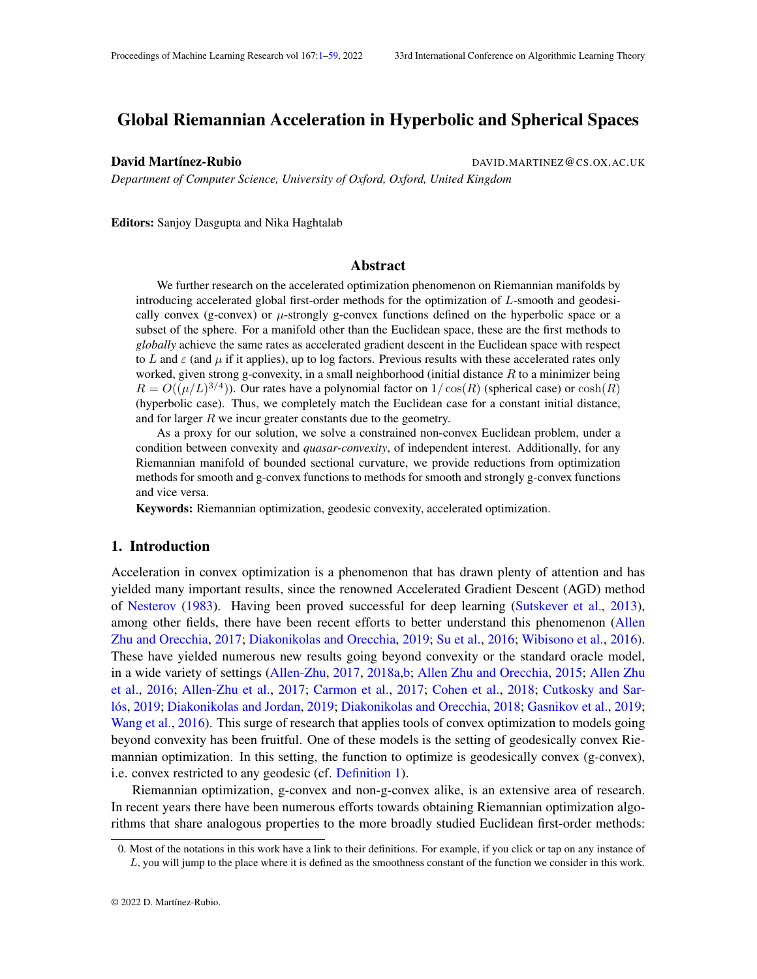# <span id="page-0-2"></span><span id="page-0-0"></span>Global Riemannian Acceleration in Hyperbolic and Spherical Spaces

David Martínez-Rubio DAVID.MARTINEZ@CS.OX.AC.UK

*Department of Computer Science, University of Oxford, Oxford, United Kingdom*

Editors: Sanjoy Dasgupta and Nika Haghtalab

## <span id="page-0-1"></span>Abstract

We further research on the accelerated optimization phenomenon on Riemannian manifolds by introducing accelerated global first-order methods for the optimization of L-smooth and geodesically convex (g-convex) or  $\mu$ -strongly g-convex functions defined on the hyperbolic space or a subset of the sphere. For a manifold other than the Euclidean space, these are the first methods to *globally* achieve the same rates as accelerated gradient descent in the Euclidean space with respect to L and  $\varepsilon$  (and  $\mu$  if it applies), up to log factors. Previous results with these accelerated rates only worked, given strong g-convexity, in a small neighborhood (initial distance  $R$  to a minimizer being  $R = O((\mu/L)^{3/4})$  $R = O((\mu/L)^{3/4})$  $R = O((\mu/L)^{3/4})$ ). Our rates have a polynomial factor on  $1/\cos(R)$  (spherical case) or  $\cosh(R)$ (hyperbolic case). Thus, we completely match the Euclidean case for a constant initial distance, and for larger  $R$  we incur greater constants due to the geometry.

As a proxy for our solution, we solve a constrained non-convex Euclidean problem, under a condition between convexity and *quasar-convexity*, of independent interest. Additionally, for any Riemannian manifold of bounded sectional curvature, we provide reductions from optimization methods for smooth and g-convex functions to methods for smooth and strongly g-convex functions and vice versa.

Keywords: Riemannian optimization, geodesic convexity, accelerated optimization.

## 1. Introduction

Acceleration in convex optimization is a phenomenon that has drawn plenty of attention and has yielded many important results, since the renowned Accelerated Gradient Descent [\(AGD\)](#page-0-1) method of [Nesterov](#page-17-0) [\(1983\)](#page-17-0). Having been proved successful for deep learning [\(Sutskever et al.,](#page-18-0) [2013\)](#page-18-0), among other fields, there have been recent efforts to better understand this phenomenon [\(Allen](#page-13-0) [Zhu and Orecchia,](#page-13-0) [2017;](#page-13-0) [Diakonikolas and Orecchia,](#page-15-0) [2019;](#page-15-0) [Su et al.,](#page-18-1) [2016;](#page-18-1) [Wibisono et al.,](#page-19-0) [2016\)](#page-19-0). These have yielded numerous new results going beyond convexity or the standard oracle model, in a wide variety of settings [\(Allen-Zhu,](#page-13-1) [2017,](#page-13-1) [2018a](#page-13-2)[,b;](#page-13-3) [Allen Zhu and Orecchia,](#page-13-4) [2015;](#page-13-4) [Allen Zhu](#page-14-0) [et al.,](#page-14-0) [2016;](#page-14-0) [Allen-Zhu et al.,](#page-14-1) [2017;](#page-14-1) [Carmon et al.,](#page-14-2) [2017;](#page-14-2) [Cohen et al.,](#page-14-3) [2018;](#page-14-3) [Cutkosky and Sar](#page-15-1)[lós,](#page-15-1) [2019;](#page-15-1) [Diakonikolas and Jordan,](#page-15-2) [2019;](#page-15-2) [Diakonikolas and Orecchia,](#page-15-3) [2018;](#page-15-3) [Gasnikov et al.,](#page-15-4) [2019;](#page-15-4) [Wang et al.,](#page-18-2) [2016\)](#page-18-2). This surge of research that applies tools of convex optimization to models going beyond convexity has been fruitful. One of these models is the setting of geodesically convex Riemannian optimization. In this setting, the function to optimize is geodesically convex (g-convex), i.e. convex restricted to any geodesic (cf. [Definition 1\)](#page-3-2).

Riemannian optimization, g-convex and non-g-convex alike, is an extensive area of research. In recent years there have been numerous efforts towards obtaining Riemannian optimization algorithms that share analogous properties to the more broadly studied Euclidean first-order methods:

<sup>0.</sup> Most of the notations in this work have a link to their definitions. For example, if you click or tap on any instance of , you will jump to the place where it is defined as the smoothness constant of the function we consider in this work.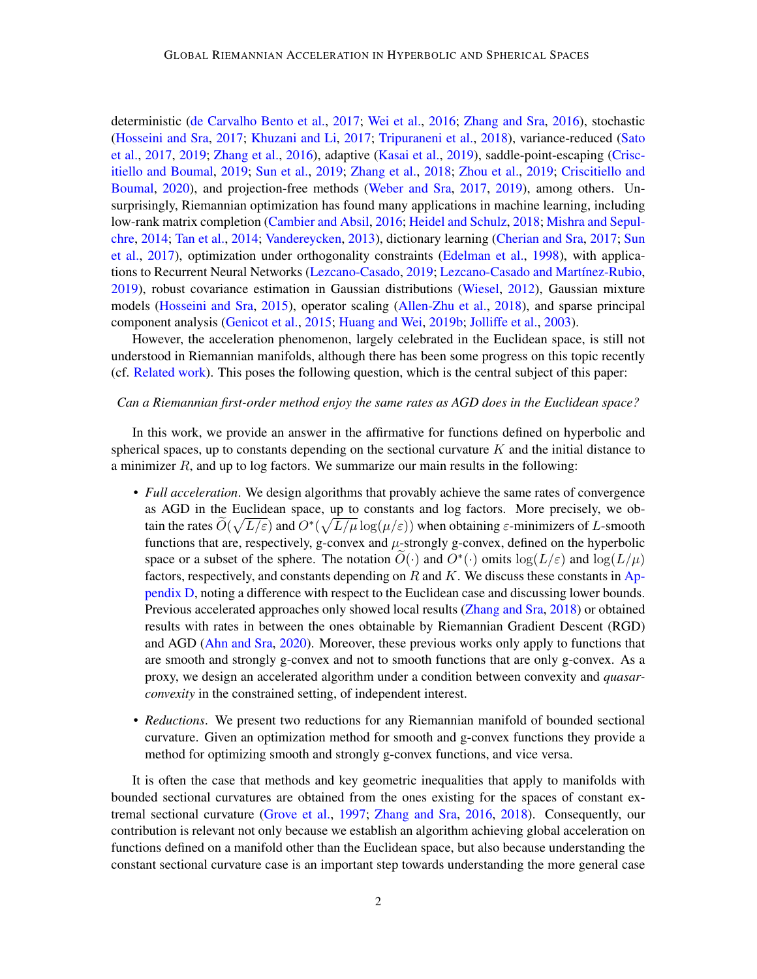deterministic [\(de Carvalho Bento et al.,](#page-15-5) [2017;](#page-15-5) [Wei et al.,](#page-19-1) [2016;](#page-19-1) [Zhang and Sra,](#page-19-2) [2016\)](#page-19-2), stochastic [\(Hosseini and Sra,](#page-16-0) [2017;](#page-16-0) [Khuzani and Li,](#page-16-1) [2017;](#page-16-1) [Tripuraneni et al.,](#page-18-3) [2018\)](#page-18-3), variance-reduced [\(Sato](#page-18-4) [et al.,](#page-18-4) [2017,](#page-18-4) [2019;](#page-18-5) [Zhang et al.,](#page-19-3) [2016\)](#page-19-3), adaptive [\(Kasai et al.,](#page-16-2) [2019\)](#page-16-2), saddle-point-escaping [\(Crisc](#page-14-4)[itiello and Boumal,](#page-14-4) [2019;](#page-14-4) [Sun et al.,](#page-18-6) [2019;](#page-18-6) [Zhang et al.,](#page-19-4) [2018;](#page-19-4) [Zhou et al.,](#page-19-5) [2019;](#page-19-5) [Criscitiello and](#page-14-5) [Boumal,](#page-14-5) [2020\)](#page-14-5), and projection-free methods [\(Weber and Sra,](#page-19-6) [2017,](#page-19-6) [2019\)](#page-19-7), among others. Unsurprisingly, Riemannian optimization has found many applications in machine learning, including low-rank matrix completion [\(Cambier and Absil,](#page-14-6) [2016;](#page-14-6) [Heidel and Schulz,](#page-16-3) [2018;](#page-16-3) [Mishra and Sepul](#page-17-1)[chre,](#page-17-1) [2014;](#page-17-1) [Tan et al.,](#page-18-7) [2014;](#page-18-7) [Vandereycken,](#page-18-8) [2013\)](#page-18-8), dictionary learning [\(Cherian and Sra,](#page-14-7) [2017;](#page-14-7) [Sun](#page-18-9) [et al.,](#page-18-9) [2017\)](#page-18-9), optimization under orthogonality constraints [\(Edelman et al.,](#page-15-6) [1998\)](#page-15-6), with applications to Recurrent Neural Networks [\(Lezcano-Casado,](#page-17-2) [2019;](#page-17-2) [Lezcano-Casado and Martínez-Rubio,](#page-17-3) [2019\)](#page-17-3), robust covariance estimation in Gaussian distributions [\(Wiesel,](#page-19-8) [2012\)](#page-19-8), Gaussian mixture models [\(Hosseini and Sra,](#page-16-4) [2015\)](#page-16-4), operator scaling [\(Allen-Zhu et al.,](#page-14-8) [2018\)](#page-14-8), and sparse principal component analysis [\(Genicot et al.,](#page-15-7) [2015;](#page-15-7) [Huang and Wei,](#page-16-5) [2019b;](#page-16-5) [Jolliffe et al.,](#page-16-6) [2003\)](#page-16-6).

However, the acceleration phenomenon, largely celebrated in the Euclidean space, is still not understood in Riemannian manifolds, although there has been some progress on this topic recently (cf. [Related work\)](#page-3-3). This poses the following question, which is the central subject of this paper:

## *Can a Riemannian first-order method enjoy the same rates as [AGD](#page-0-1) does in the Euclidean space?*

In this work, we provide an answer in the affirmative for functions defined on hyperbolic and spherical spaces, up to constants depending on the sectional curvature  $K$  and the initial distance to a minimizer  $R$ , and up to log factors. We summarize our main results in the following:

- <span id="page-1-2"></span><span id="page-1-1"></span><span id="page-1-0"></span>• *Full acceleration*. We design algorithms that provably achieve the same rates of convergence as [AGD](#page-0-1) in the Euclidean space, up to constants and log factors. More precisely, we obtain the rates  $\widetilde{O}(\sqrt{L/\varepsilon})$  $\widetilde{O}(\sqrt{L/\varepsilon})$  $\widetilde{O}(\sqrt{L/\varepsilon})$  and  $O^*(\sqrt{L/\mu} \log(\mu/\varepsilon))$  when obtaining  $\varepsilon$ -minimizers of L-smooth functions that are, respectively, g-convex and  $\mu$ -strongly g-convex, defined on the hyperbolic space or a subset of the sphere. The notation  $\widetilde{O}(\cdot)$  and  $O^*(\cdot)$  omits  $\log(L/\epsilon)$  $\log(L/\epsilon)$  $\log(L/\epsilon)$  and  $\log(L/\mu)$ factors, respectively, and constants depending on  $R$  and  $K$ . We discuss these constants in [Ap](#page-54-0)[pendix D,](#page-54-0) noting a difference with respect to the Euclidean case and discussing lower bounds. Previous accelerated approaches only showed local results [\(Zhang and Sra,](#page-19-9) [2018\)](#page-19-9) or obtained results with rates in between the ones obtainable by Riemannian Gradient Descent [\(RGD\)](#page-1-3) and [AGD](#page-0-1) [\(Ahn and Sra,](#page-13-5) [2020\)](#page-13-5). Moreover, these previous works only apply to functions that are smooth and strongly g-convex and not to smooth functions that are only g-convex. As a proxy, we design an accelerated algorithm under a condition between convexity and *quasarconvexity* in the constrained setting, of independent interest.
- <span id="page-1-3"></span>• *Reductions*. We present two reductions for any Riemannian manifold of bounded sectional curvature. Given an optimization method for smooth and g-convex functions they provide a method for optimizing smooth and strongly g-convex functions, and vice versa.

It is often the case that methods and key geometric inequalities that apply to manifolds with bounded sectional curvatures are obtained from the ones existing for the spaces of constant extremal sectional curvature [\(Grove et al.,](#page-16-7) [1997;](#page-16-7) [Zhang and Sra,](#page-19-2) [2016,](#page-19-2) [2018\)](#page-19-9). Consequently, our contribution is relevant not only because we establish an algorithm achieving global acceleration on functions defined on a manifold other than the Euclidean space, but also because understanding the constant sectional curvature case is an important step towards understanding the more general case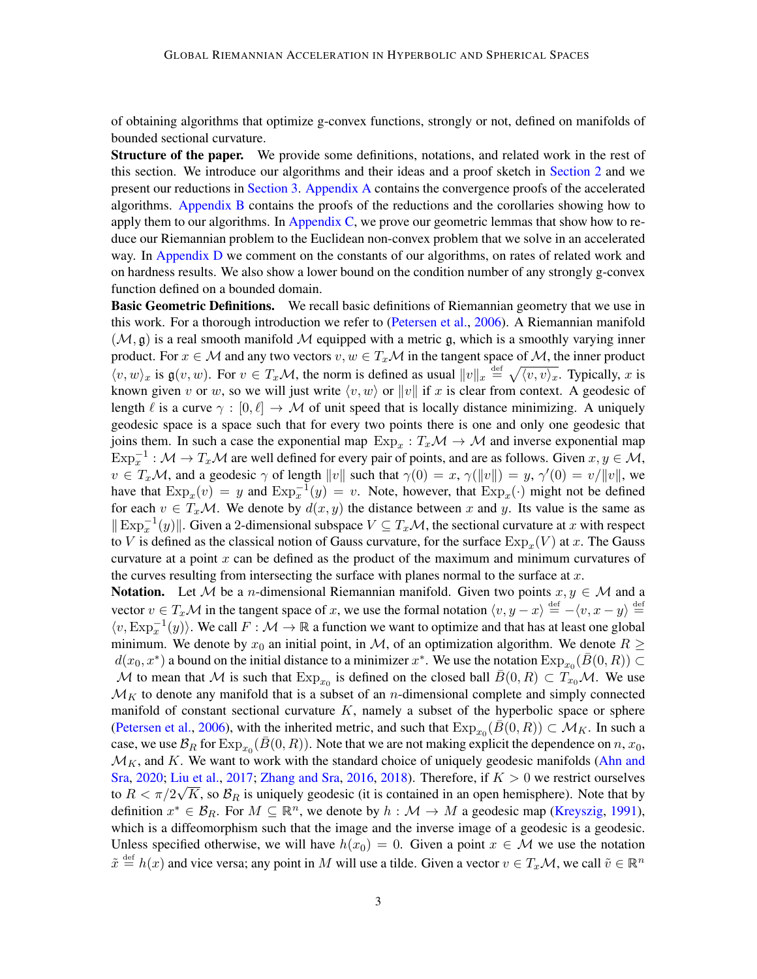of obtaining algorithms that optimize g-convex functions, strongly or not, defined on manifolds of bounded sectional curvature.

**Structure of the paper.** We provide some definitions, notations, and related work in the rest of this section. We introduce our algorithms and their ideas and a proof sketch in [Section 2](#page-5-0) and we present our reductions in [Section 3.](#page-10-0) [Appendix A](#page-20-0) contains the convergence proofs of the accelerated algorithms. [Appendix B](#page-33-0) contains the proofs of the reductions and the corollaries showing how to apply them to our algorithms. In [Appendix C,](#page-37-0) we prove our geometric lemmas that show how to reduce our Riemannian problem to the Euclidean non-convex problem that we solve in an accelerated way. In [Appendix D](#page-54-0) we comment on the constants of our algorithms, on rates of related work and on hardness results. We also show a lower bound on the condition number of any strongly g-convex function defined on a bounded domain.

<span id="page-2-3"></span><span id="page-2-2"></span>**Basic Geometric Definitions.** We recall basic definitions of Riemannian geometry that we use in this work. For a thorough introduction we refer to [\(Petersen et al.,](#page-18-10) [2006\)](#page-18-10). A Riemannian manifold  $(M, \mathfrak{g})$  is a real smooth manifold M equipped with a metric  $\mathfrak{g}$ , which is a smoothly varying inner product. For  $x \in \mathcal{M}$  and any two vectors  $v, w \in T_x \mathcal{M}$  in the tangent space of  $\mathcal{M}$ , the inner product  $\langle v, w \rangle_x$  is  $\mathfrak{g}(v, w)$ . For  $v \in T_x \mathcal{M}$ , the norm is defined as usual  $||v||_x \stackrel{\text{def}}{=} \sqrt{\langle v, v \rangle_x}$ . Typically, x is known given v or w, so we will just write  $\langle v, w \rangle$  or  $||v||$  if x is clear from context. A geodesic of length  $\ell$  is a curve  $\gamma : [0, \ell] \to M$  of unit speed that is locally distance minimizing. A uniquely geodesic space is a space such that for every two points there is one and only one geodesic that joins them. In such a case the exponential map  $Exp_x : T_x\mathcal{M} \to \mathcal{M}$  $Exp_x : T_x\mathcal{M} \to \mathcal{M}$  and inverse exponential map  $Exp_x^{-1}: \mathcal{M} \to T_x\mathcal{M}$  $Exp_x^{-1}: \mathcal{M} \to T_x\mathcal{M}$  are well defined for every pair of points, and are as follows. Given  $x, y \in \mathcal{M}$ ,  $v \in T_x\mathcal{M}$ , and a geodesic  $\gamma$  of length  $||v||$  such that  $\gamma(0) = x$ ,  $\gamma(||v||) = y$ ,  $\gamma'(0) = v/||v||$ , we have that  $\text{Exp}_x(v) = y$  $\text{Exp}_x(v) = y$  $\text{Exp}_x(v) = y$  and  $\text{Exp}_x^{-1}(y) = v$ . Note, however, that  $\text{Exp}_x(\cdot)$  might not be defined for each  $v \in T_x \mathcal{M}$ . We denote by  $d(x, y)$  the distance between x and y. Its value is the same as  $\|\operatorname{Exp}_x^{-1}(y)\|$  $\|\operatorname{Exp}_x^{-1}(y)\|$  $\|\operatorname{Exp}_x^{-1}(y)\|$ . Given a 2-dimensional subspace  $V \subseteq T_x\mathcal{M}$ , the sectional curvature at x with respect to V is defined as the classical notion of Gauss curvature, for the surface  $\text{Exp}_x(V)$  $\text{Exp}_x(V)$  $\text{Exp}_x(V)$  at x. The Gauss curvature at a point  $x$  can be defined as the product of the maximum and minimum curvatures of the curves resulting from intersecting the surface with planes normal to the surface at  $x$ .

<span id="page-2-16"></span><span id="page-2-15"></span><span id="page-2-14"></span><span id="page-2-13"></span><span id="page-2-12"></span><span id="page-2-11"></span><span id="page-2-10"></span><span id="page-2-9"></span><span id="page-2-8"></span><span id="page-2-7"></span><span id="page-2-6"></span><span id="page-2-5"></span><span id="page-2-4"></span><span id="page-2-1"></span><span id="page-2-0"></span>**Notation.** Let M be a *n*-dimensional Riemannian manifold. Given two points  $x, y \in M$  and a vector  $v \in T_x\mathcal{M}$  in the tangent space of x, we use the formal notation  $\langle v, y - x \rangle \stackrel{\text{def}}{=} -\langle v, x - y \rangle \stackrel{\text{def}}{=}$  $\langle v, \text{Exp}_x^{-1}(y) \rangle$  $\langle v, \text{Exp}_x^{-1}(y) \rangle$  $\langle v, \text{Exp}_x^{-1}(y) \rangle$ . We call  $F : \mathcal{M} \to \mathbb{R}$  a function we want to optimize and that has at least one global minimum. We denote by  $x_0$  an initial point, in M, of an optimization algorithm. We denote  $R \geq$  $d(x_0, x^*)$  a bound on the initial distance to a minimizer  $x^*$ . We use the notation  $\text{Exp}_{x_0}(\bar{B}(0,R)) \subset$  $\text{Exp}_{x_0}(\bar{B}(0,R)) \subset$  $\text{Exp}_{x_0}(\bar{B}(0,R)) \subset$ M to mean that M is such that  $\text{Exp}_{x_0}$  $\text{Exp}_{x_0}$  $\text{Exp}_{x_0}$  is defined on the closed ball  $\bar{B}(0, R) \subset \widetilde{T_{x_0}M}$ . We use  $\mathcal{M}_K$  to denote any manifold that is a subset of an *n*-dimensional complete and simply connected manifold of constant sectional curvature  $K$ , namely a subset of the hyperbolic space or sphere [\(Petersen et al.,](#page-18-10) [2006\)](#page-18-10), with the inherited metric, and such that  $\text{Exp}_{x_0}(\overline{B}(0,R)) \subset \mathcal{M}_K$  $\text{Exp}_{x_0}(\overline{B}(0,R)) \subset \mathcal{M}_K$  $\text{Exp}_{x_0}(\overline{B}(0,R)) \subset \mathcal{M}_K$ . In such a case, we use  $\mathcal{B}_R$  for  $\text{Exp}_{x_0}(\bar{B}(0,R))$  $\text{Exp}_{x_0}(\bar{B}(0,R))$  $\text{Exp}_{x_0}(\bar{B}(0,R))$ . Note that we are not making explicit the dependence on  $n, x_0$ ,  $\mathcal{M}_K$ , and K. We want to work with the standard choice of uniquely geodesic manifolds [\(Ahn and](#page-13-5) [Sra,](#page-13-5) [2020;](#page-13-5) [Liu et al.,](#page-17-4) [2017;](#page-17-4) [Zhang and Sra,](#page-19-2) [2016,](#page-19-2) [2018\)](#page-19-9). Therefore, if  $K > 0$  we restrict ourselves to  $R < \pi/2\sqrt{K}$ , so  $\mathcal{B}_R$  is uniquely geodesic (it is contained in an open hemisphere). Note that by definition  $x^* \in \mathcal{B}_R$ . For  $M \subseteq \mathbb{R}^n$ , we denote by  $h : \mathcal{M} \to M$  a geodesic map [\(Kreyszig,](#page-16-8) [1991\)](#page-16-8), which is a diffeomorphism such that the image and the inverse image of a geodesic is a geodesic. Unless specified otherwise, we will have  $h(x_0) = 0$ . Given a point  $x \in M$  we use the notation  $\tilde{x} \stackrel{\text{def}}{=} h(x)$  and vice versa; any point in M will use a tilde. Given a vector  $v \in T_x\mathcal{M}$ , we call  $\tilde{v} \in \mathbb{R}^n$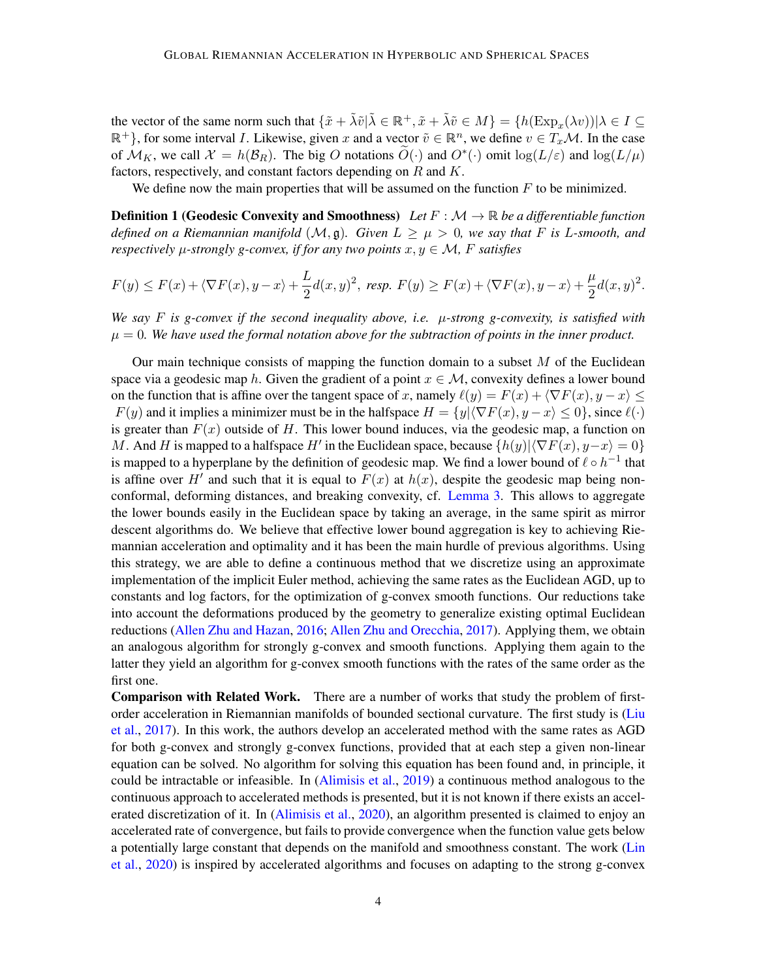the vector of the same norm such that  $\{\tilde{x} + \tilde{\lambda}\tilde{v} | \tilde{\lambda} \in \mathbb{R}^+, \tilde{x} + \tilde{\lambda}\tilde{v} \in M\} = \{h(\text{Exp}_x(\lambda v)) | \lambda \in I \subseteq$  $\mathbb{R}^+$ }, for some interval *I*. Likewise, given x and a vector  $\tilde{v} \in \mathbb{R}^n$ , we define  $v \in T_x\mathcal{M}$ . In the case of  $\mathcal{M}_K$ , we call  $\mathcal{X} = h(\mathcal{B}_R)$ . The big O notations  $\widetilde{O}(\cdot)$  and  $O^*(\cdot)$  omit  $\log(L/\varepsilon)$  $\log(L/\varepsilon)$  $\log(L/\varepsilon)$  and  $\log(L/\mu)$ factors, respectively, and constant factors depending on  $R$  and  $K$ .

<span id="page-3-4"></span><span id="page-3-2"></span><span id="page-3-1"></span><span id="page-3-0"></span>We define now the main properties that will be assumed on the function  $F$  to be minimized.

Definition 1 (Geodesic Convexity and Smoothness) *Let* : [ℳ](#page-2-1) → R *be a differentiable function defined on a Riemannian manifold*  $(M, \mathfrak{g})$ *. Given*  $L \geq \mu > 0$ *, we say that*  $F$  *is L-smooth, and respectively*  $\mu$ -strongly g-convex, if for any two points  $x, y \in \mathcal{M}$ , F satisfies

$$
F(y) \le F(x) + \langle \nabla F(x), y - x \rangle + \frac{L}{2}d(x, y)^2, \text{ resp. } F(y) \ge F(x) + \langle \nabla F(x), y - x \rangle + \frac{\mu}{2}d(x, y)^2.
$$

*We say*  $F$  is g-convex if the second inequality above, i.e.  $\mu$ -strong g-convexity, is satisfied with  $\mu = 0$ . We have used the formal notation above for the subtraction of points in the inner product.

<span id="page-3-5"></span>Our main technique consists of mapping the function domain to a subset  $M$  of the Euclidean space via a geodesic map h. Given the gradient of a point  $x \in M$ , convexity defines a lower bound on the function that is affine over the tangent space of x, namely  $\ell(y) = F(x) + \langle \nabla F(x), y - x \rangle \le$  $F(y)$  and it implies a minimizer must be in the halfspace  $H = \{y | \langle \nabla F(x), y - x \rangle \leq 0\}$ , since  $\ell(\cdot)$ is greater than  $F(x)$  outside of H. This lower bound induces, via the geodesic map, a function on M. And H is mapped to a halfspace H' in the Euclidean space, because  $\{h(y)|\langle \nabla F(x), y-x\rangle = 0\}$ is mapped to a hyperplane by the definition of geodesic map. We find a lower bound of  $\ell \circ h^{-1}$  that is affine over H' and such that it is equal to  $F(x)$  at  $h(x)$ , despite the geodesic map being nonconformal, deforming distances, and breaking convexity, cf. [Lemma 3.](#page-6-0) This allows to aggregate the lower bounds easily in the Euclidean space by taking an average, in the same spirit as mirror descent algorithms do. We believe that effective lower bound aggregation is key to achieving Riemannian acceleration and optimality and it has been the main hurdle of previous algorithms. Using this strategy, we are able to define a continuous method that we discretize using an approximate implementation of the implicit Euler method, achieving the same rates as the Euclidean [AGD,](#page-0-1) up to constants and log factors, for the optimization of g-convex smooth functions. Our reductions take into account the deformations produced by the geometry to generalize existing optimal Euclidean reductions [\(Allen Zhu and Hazan,](#page-13-6) [2016;](#page-13-6) [Allen Zhu and Orecchia,](#page-13-0) [2017\)](#page-13-0). Applying them, we obtain an analogous algorithm for strongly g-convex and smooth functions. Applying them again to the latter they yield an algorithm for g-convex smooth functions with the rates of the same order as the first one.

<span id="page-3-3"></span>Comparison with Related Work. There are a number of works that study the problem of firstorder acceleration in Riemannian manifolds of bounded sectional curvature. The first study is [\(Liu](#page-17-4) [et al.,](#page-17-4) [2017\)](#page-17-4). In this work, the authors develop an accelerated method with the same rates as [AGD](#page-0-1) for both g-convex and strongly g-convex functions, provided that at each step a given non-linear equation can be solved. No algorithm for solving this equation has been found and, in principle, it could be intractable or infeasible. In [\(Alimisis et al.,](#page-13-7) [2019\)](#page-13-7) a continuous method analogous to the continuous approach to accelerated methods is presented, but it is not known if there exists an accelerated discretization of it. In [\(Alimisis et al.,](#page-13-8) [2020\)](#page-13-8), an algorithm presented is claimed to enjoy an accelerated rate of convergence, but fails to provide convergence when the function value gets below a potentially large constant that depends on the manifold and smoothness constant. The work [\(Lin](#page-17-5) [et al.,](#page-17-5) [2020\)](#page-17-5) is inspired by accelerated algorithms and focuses on adapting to the strong g-convex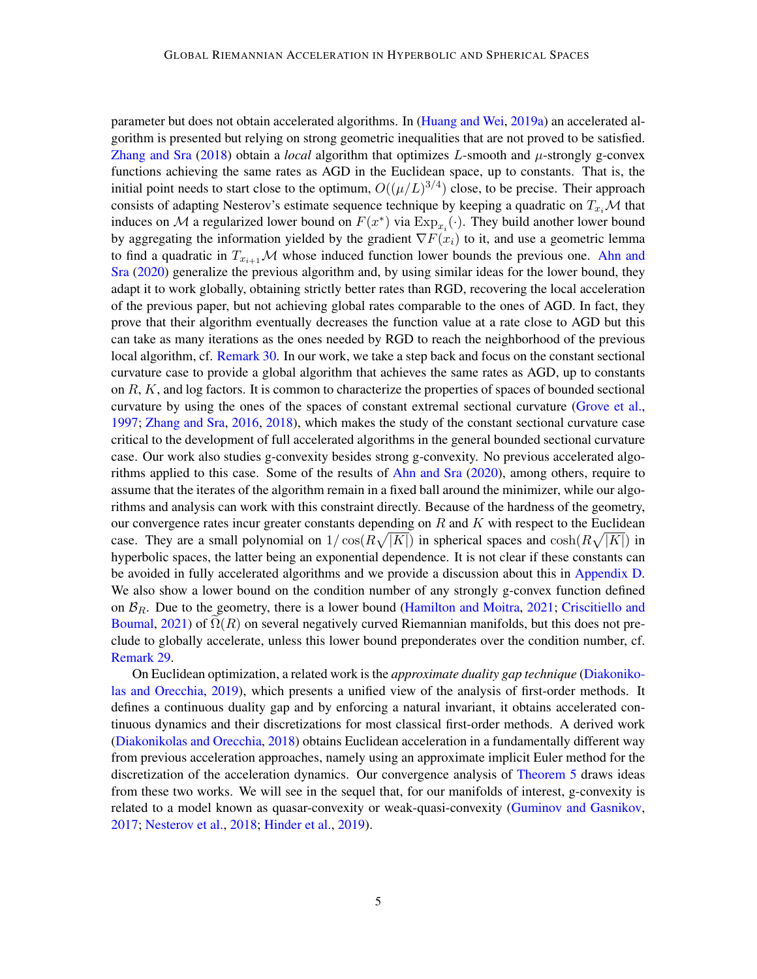parameter but does not obtain accelerated algorithms. In [\(Huang and Wei,](#page-16-9) [2019a\)](#page-16-9) an accelerated algorithm is presented but relying on strong geometric inequalities that are not proved to be satisfied. [Zhang and Sra](#page-19-9)  $(2018)$  obtain a *local* algorithm that optimizes L-smooth and  $\mu$ -strongly g-convex functions achieving the same rates as [AGD](#page-0-1) in the Euclidean space, up to constants. That is, the initial point needs to start close to the optimum,  $O((\mu/L)^{3/4})$  $O((\mu/L)^{3/4})$  $O((\mu/L)^{3/4})$  close, to be precise. Their approach consists of adapting Nesterov's estimate sequence technique by keeping a quadratic on  $T_{x_i}$  M that induces on M a regularized lower bound on  $F(x^*)$  via  $\text{Exp}_{x_i}(\cdot)$  $\text{Exp}_{x_i}(\cdot)$  $\text{Exp}_{x_i}(\cdot)$ . They build another lower bound by aggregating the information yielded by the gradient  $\nabla F(x_i)$  to it, and use a geometric lemma to find a quadratic in  $T_{x_{i+1}}\mathcal{M}$  whose induced function lower bounds the previous one. [Ahn and](#page-13-5) [Sra](#page-13-5) [\(2020\)](#page-13-5) generalize the previous algorithm and, by using similar ideas for the lower bound, they adapt it to work globally, obtaining strictly better rates than [RGD,](#page-1-3) recovering the local acceleration of the previous paper, but not achieving global rates comparable to the ones of [AGD.](#page-0-1) In fact, they prove that their algorithm eventually decreases the function value at a rate close to [AGD](#page-0-1) but this can take as many iterations as the ones needed by [RGD](#page-1-3) to reach the neighborhood of the previous local algorithm, cf. [Remark 30.](#page-58-1) In our work, we take a step back and focus on the constant sectional curvature case to provide a global algorithm that achieves the same rates as [AGD,](#page-0-1) up to constants on  $R$ ,  $K$ , and log factors. It is common to characterize the properties of spaces of bounded sectional curvature by using the ones of the spaces of constant extremal sectional curvature [\(Grove et al.,](#page-16-7) [1997;](#page-16-7) [Zhang and Sra,](#page-19-2) [2016,](#page-19-2) [2018\)](#page-19-9), which makes the study of the constant sectional curvature case critical to the development of full accelerated algorithms in the general bounded sectional curvature case. Our work also studies g-convexity besides strong g-convexity. No previous accelerated algorithms applied to this case. Some of the results of [Ahn and Sra](#page-13-5) [\(2020\)](#page-13-5), among others, require to assume that the iterates of the algorithm remain in a fixed ball around the minimizer, while our algorithms and analysis can work with this constraint directly. Because of the hardness of the geometry, our convergence rates incur greater constants depending on  $R$  and  $K$  with respect to the Euclidean case. They are a small polynomial on  $1/\cos(R\sqrt{|K|})$  in spherical spaces and  $\cosh(R\sqrt{|K|})$  in hyperbolic spaces, the latter being an exponential dependence. It is not clear if these constants can be avoided in fully accelerated algorithms and we provide a discussion about this in [Appendix D.](#page-54-0) We also show a lower bound on the condition number of any strongly g-convex function defined on  $\mathcal{B}_R$ . Due to the geometry, there is a lower bound [\(Hamilton and Moitra,](#page-16-10) [2021;](#page-16-10) [Criscitiello and](#page-15-8) [Boumal,](#page-15-8) [2021\)](#page-15-8) of  $\Omega(R)$  on several negatively curved Riemannian manifolds, but this does not preclude to globally accelerate, unless this lower bound preponderates over the condition number, cf. [Remark 29.](#page-57-0)

On Euclidean optimization, a related work is the *approximate duality gap technique* [\(Diakoniko](#page-15-0)[las and Orecchia,](#page-15-0) [2019\)](#page-15-0), which presents a unified view of the analysis of first-order methods. It defines a continuous duality gap and by enforcing a natural invariant, it obtains accelerated continuous dynamics and their discretizations for most classical first-order methods. A derived work [\(Diakonikolas and Orecchia,](#page-15-3) [2018\)](#page-15-3) obtains Euclidean acceleration in a fundamentally different way from previous acceleration approaches, namely using an approximate implicit Euler method for the discretization of the acceleration dynamics. Our convergence analysis of [Theorem 5](#page-8-0) draws ideas from these two works. We will see in the sequel that, for our manifolds of interest, g-convexity is related to a model known as quasar-convexity or weak-quasi-convexity [\(Guminov and Gasnikov,](#page-16-11) [2017;](#page-16-11) [Nesterov et al.,](#page-17-6) [2018;](#page-17-6) [Hinder et al.,](#page-16-12) [2019\)](#page-16-12).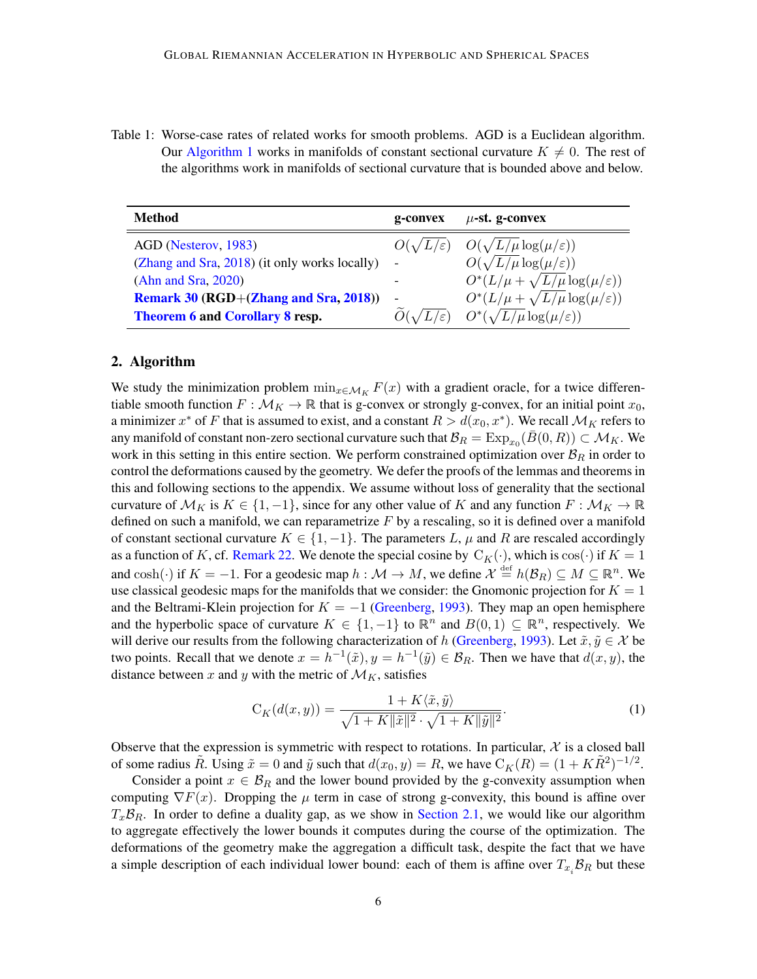<span id="page-5-4"></span>Table 1: Worse-case rates of related works for smooth problems. [AGD](#page-0-1) is a Euclidean algorithm. Our [Algorithm 1](#page-10-1) works in manifolds of constant sectional curvature  $K \neq 0$ . The rest of the algorithms work in manifolds of sectional curvature that is bounded above and below.

| Method                                        | g-convex                  | $\mu$ -st. g-convex                               |
|-----------------------------------------------|---------------------------|---------------------------------------------------|
| AGD (Nesterov, 1983)                          | $O(\sqrt{L/\varepsilon})$ | $O(\sqrt{L/\mu \log(\mu/\varepsilon)})$           |
| (Zhang and Sra, 2018) (it only works locally) | -                         | $O(\sqrt{L/\mu}\log(\mu/\varepsilon))$            |
| (Ahn and Sra, 2020)                           |                           | $O^*(L/\mu + \sqrt{L/\mu} \log(\mu/\varepsilon))$ |
| Remark 30 (RGD+(Zhang and Sra, 2018))         |                           | $O^*(L/\mu + \sqrt{L/\mu} \log(\mu/\varepsilon))$ |
| Theorem 6 and Corollary 8 resp.               | $O(\sqrt{L/\varepsilon})$ | $O^*(\sqrt{L/\mu}\log(\mu/\varepsilon))$          |

## <span id="page-5-0"></span>2. Algorithm

We study the minimization problem  $\min_{x \in \mathcal{M}_K} F(x)$  with a gradient oracle, for a twice differentiable smooth function  $F : \mathcal{M}_K \to \mathbb{R}$  that is g-convex or strongly g-convex, for an initial point  $x_0$ , a minimizer  $x^*$  of F that is assumed to exist, and a constant  $R > d(x_0, x^*)$ . We recall  $\mathcal{M}_K$  refers to any manifold of constant non-zero sectional curvature such that  $\mathcal{B}_R=\mathrm{Exp}_{x_0}(\bar{B}(0,R))\subset \mathcal{M}_K$  $\mathcal{B}_R=\mathrm{Exp}_{x_0}(\bar{B}(0,R))\subset \mathcal{M}_K$  $\mathcal{B}_R=\mathrm{Exp}_{x_0}(\bar{B}(0,R))\subset \mathcal{M}_K$ . We work in this setting in this entire section. We perform constrained optimization over  $\mathcal{B}_R$  in order to control the deformations caused by the geometry. We defer the proofs of the lemmas and theorems in this and following sections to the appendix. We assume without loss of generality that the sectional curvature of  $\mathcal{M}_K$  is  $K \in \{1, -1\}$ , since for any other value of K and any function  $F : \mathcal{M}_K \to \mathbb{R}$ defined on such a manifold, we can reparametrize  $F$  by a rescaling, so it is defined over a manifold of constant sectional curvature  $K \in \{1, -1\}$ . The parameters L,  $\mu$  and R are rescaled accordingly as a function of K, cf. [Remark 22.](#page-38-0) We denote the special cosine by  $C_K(\cdot)$  $C_K(\cdot)$ , which is  $\cos(\cdot)$  if  $K = 1$ and  $\cosh(\cdot)$  if  $K = -1$ . For a geodesic map  $h : \mathcal{M} \to M$ , we define  $\mathcal{X} \stackrel{\text{def}}{=} h(\mathcal{B}_R) \subseteq M \subseteq \mathbb{R}^n$ . We use classical geodesic maps for the manifolds that we consider: the Gnomonic projection for  $K = 1$ and the Beltrami-Klein projection for  $K = -1$  [\(Greenberg,](#page-15-9) [1993\)](#page-15-9). They map an open hemisphere and the hyperbolic space of curvature  $K \in \{1, -1\}$  to  $\mathbb{R}^n$  and  $B(0, 1) \subseteq \mathbb{R}^n$ , respectively. We will derive our results from the following characterization of h [\(Greenberg,](#page-15-9) [1993\)](#page-15-9). Let  $\tilde{x}, \tilde{y} \in \mathcal{X}$  be two points. Recall that we denote  $x = h^{-1}(\tilde{x}), y = h^{-1}(\tilde{y}) \in \mathcal{B}_R$ . Then we have that  $d(x, y)$ , the distance between x and y with the metric of  $\mathcal{M}_K$ , satisfies

<span id="page-5-3"></span><span id="page-5-2"></span><span id="page-5-1"></span>
$$
C_K(d(x,y)) = \frac{1 + K\langle \tilde{x}, \tilde{y} \rangle}{\sqrt{1 + K \|\tilde{x}\|^2} \cdot \sqrt{1 + K \|\tilde{y}\|^2}}.
$$
\n(1)

Observe that the expression is symmetric with respect to rotations. In particular,  $\mathcal X$  is a closed ball of some radius  $\tilde{R}$ . Using  $\tilde{x} = 0$  and  $\tilde{y}$  such that  $d(x_0, y) = R$ , we have  $C_K(R) = (1 + K\tilde{R}^2)^{-1/2}$  $C_K(R) = (1 + K\tilde{R}^2)^{-1/2}$ .

Consider a point  $x \in \mathcal{B}_R$  and the lower bound provided by the g-convexity assumption when computing  $\nabla F(x)$ . Dropping the  $\mu$  term in case of strong g-convexity, this bound is affine over  $T_x\mathcal{B}_R$ . In order to define a duality gap, as we show in [Section 2.1,](#page-9-0) we would like our algorithm to aggregate effectively the lower bounds it computes during the course of the optimization. The deformations of the geometry make the aggregation a difficult task, despite the fact that we have a simple description of each individual lower bound: each of them is affine over  $T_{x_i} B_R$  but these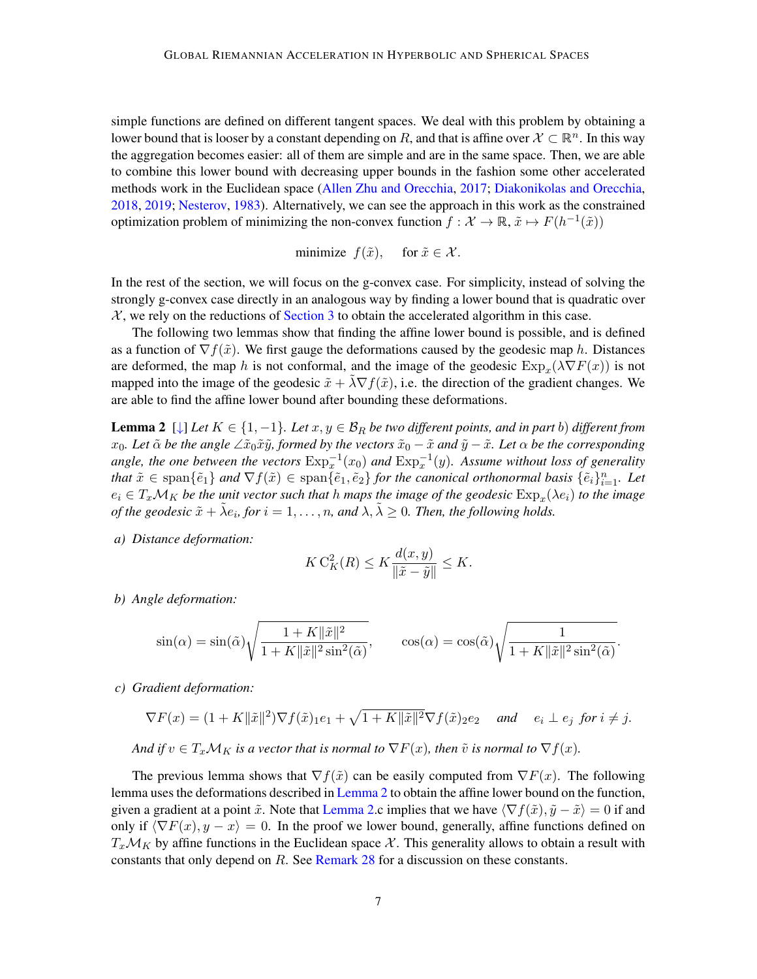simple functions are defined on different tangent spaces. We deal with this problem by obtaining a lower bound that is looser by a constant depending on R, and that is affine over  $\mathcal{X} \subset \mathbb{R}^n$ . In this way the aggregation becomes easier: all of them are simple and are in the same space. Then, we are able to combine this lower bound with decreasing upper bounds in the fashion some other accelerated methods work in the Euclidean space [\(Allen Zhu and Orecchia,](#page-13-0) [2017;](#page-13-0) [Diakonikolas and Orecchia,](#page-15-3) [2018,](#page-15-3) [2019;](#page-15-0) [Nesterov,](#page-17-0) [1983\)](#page-17-0). Alternatively, we can see the approach in this work as the constrained optimization problem of minimizing the non-convex function  $f : \mathcal{X} \to \mathbb{R}, \tilde{x} \mapsto F(h^{-1}(\tilde{x}))$ 

<span id="page-6-3"></span><span id="page-6-1"></span>minimize 
$$
f(\tilde{x})
$$
, for  $\tilde{x} \in \mathcal{X}$ .

In the rest of the section, we will focus on the g-convex case. For simplicity, instead of solving the strongly g-convex case directly in an analogous way by finding a lower bound that is quadratic over  $\mathcal{X}$ , we rely on the reductions of [Section 3](#page-10-0) to obtain the accelerated algorithm in this case.

The following two lemmas show that finding the affine lower bound is possible, and is defined as a function of  $\nabla f(\tilde{x})$ . We first gauge the deformations caused by the geodesic map h. Distances are deformed, the map h is not conformal, and the image of the geodesic  $\text{Exp}_x(\lambda \nabla F(x))$  $\text{Exp}_x(\lambda \nabla F(x))$  $\text{Exp}_x(\lambda \nabla F(x))$  is not mapped into the image of the geodesic  $\tilde{x} + \lambda \nabla f(\tilde{x})$ , i.e. the direction of the gradient changes. We are able to find the affine lower bound after bounding these deformations.

**Lemma 2** [[↓](#page-48-0)] *Let*  $K \in \{1, -1\}$ *. Let*  $x, y \in \mathcal{B}_R$  *be two different points, and in part b) different from*  $x_0$ *. Let*  $\tilde{\alpha}$  *be the angle* ∠ $\tilde{x}_0 \tilde{x} \tilde{y}$ *, formed by the vectors*  $\tilde{x}_0 - \tilde{x}$  *and*  $\tilde{y} - \tilde{x}$ *. Let*  $\alpha$  *be the corresponding* angle, the one between the vectors  $\text{Exp}_x^{-1}(x_0)$  $\text{Exp}_x^{-1}(x_0)$  $\text{Exp}_x^{-1}(x_0)$  and  $\text{Exp}_x^{-1}(y)$ . Assume without loss of generality *that*  $\tilde{x} \in \text{span}\{\tilde{e}_1\}$  *and*  $\nabla f(\tilde{x}) \in \text{span}\{\tilde{e}_1, \tilde{e}_2\}$  *for the canonical orthonormal basis*  $\{\tilde{e}_i\}_{i=1}^n$ . Let  $e_i \in T_x \mathcal{M}_K$  be the unit vector such that  $h$  maps the image of the geodesic  $\text{Exp}_x(\lambda e_i)$  $\text{Exp}_x(\lambda e_i)$  $\text{Exp}_x(\lambda e_i)$  to the image *of the geodesic*  $\tilde{x} + \tilde{\lambda}e_i$ , for  $i = 1, ..., n$ , and  $\lambda, \tilde{\lambda} \geq 0$ . Then, the following holds.

*a) Distance deformation:*

<span id="page-6-2"></span>
$$
K\operatorname{C}_{K}^{2}(R) \leq K \frac{d(x,y)}{\|\tilde{x} - \tilde{y}\|} \leq K.
$$

*b) Angle deformation:*

$$
\sin(\alpha) = \sin(\tilde{\alpha}) \sqrt{\frac{1 + K \|\tilde{x}\|^2}{1 + K \|\tilde{x}\|^2 \sin^2(\tilde{\alpha})}}, \qquad \cos(\alpha) = \cos(\tilde{\alpha}) \sqrt{\frac{1}{1 + K \|\tilde{x}\|^2 \sin^2(\tilde{\alpha})}}.
$$

*c) Gradient deformation:*

$$
\nabla F(x) = (1 + K\|\tilde{x}\|^2)\nabla f(\tilde{x})_1e_1 + \sqrt{1 + K\|\tilde{x}\|^2}\nabla f(\tilde{x})_2e_2 \quad \text{and} \quad e_i \perp e_j \text{ for } i \neq j.
$$

*And if*  $v \in T_x \mathcal{M}_K$  *is a vector that is normal to*  $\nabla F(x)$ *, then*  $\tilde{v}$  *is normal to*  $\nabla f(x)$ *.* 

<span id="page-6-0"></span>The previous lemma shows that  $\nabla f(\tilde{x})$  can be easily computed from  $\nabla F(x)$ . The following lemma uses the deformations described in [Lemma 2](#page-6-3) to obtain the affine lower bound on the function, given a gradient at a point  $\tilde{x}$ . Note that [Lemma 2.](#page-6-3)c implies that we have  $\langle \nabla f(\tilde{x}), \tilde{y} - \tilde{x} \rangle = 0$  if and only if  $\langle \nabla F(x), y - x \rangle = 0$ . In the proof we lower bound, generally, affine functions defined on  $T_x\mathcal{M}_K$  by affine functions in the Euclidean space X. This generality allows to obtain a result with constants that only depend on  $R$ . See Remark  $28$  for a discussion on these constants.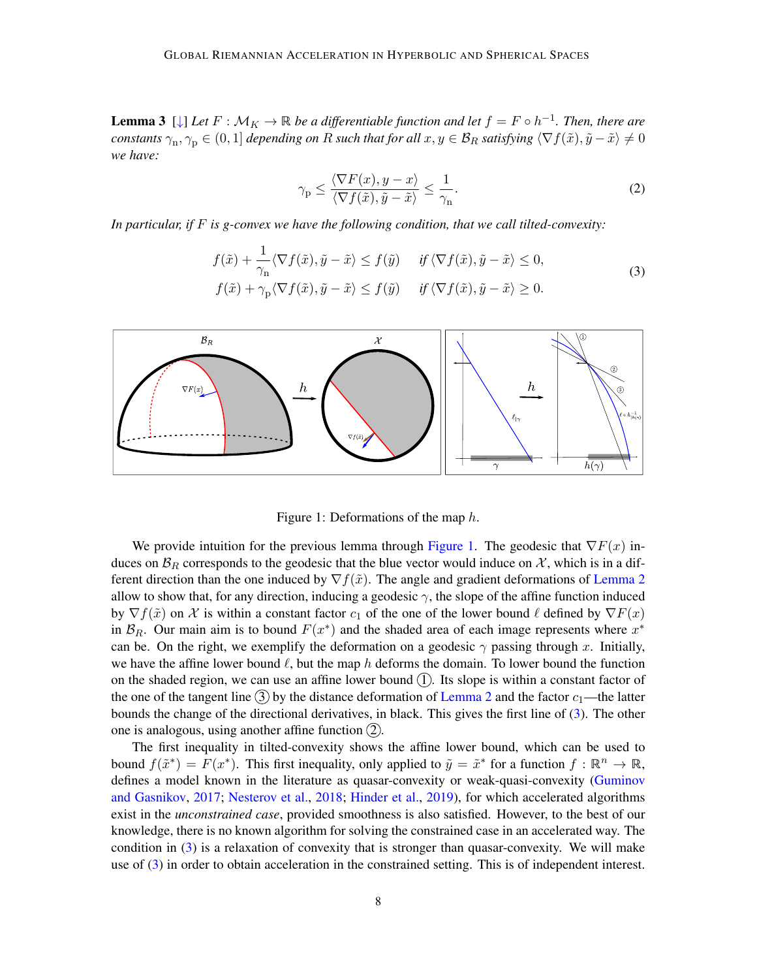**Lemma 3**  $[\downarrow]$  *Let*  $F : \mathcal{M}_K \to \mathbb{R}$  *be a differentiable function and let*  $f = F \circ h^{-1}$ *. Then, there are*  $constants \gamma_n, \gamma_p \in (0,1]$  *depending on R such that for all*  $x,y\in \mathcal{B}_R$  *satisfying*  $\langle \nabla f(\tilde{x}), \tilde{y}-\tilde{x}\rangle \neq 0$ *we have:*

<span id="page-7-1"></span>
$$
\gamma_{\rm p} \le \frac{\langle \nabla F(x), y - x \rangle}{\langle \nabla f(\tilde{x}), \tilde{y} - \tilde{x} \rangle} \le \frac{1}{\gamma_{\rm n}}.
$$
\n(2)

*In particular, if is g-convex we have the following condition, that we call tilted-convexity:*

$$
f(\tilde{x}) + \frac{1}{\gamma_n} \langle \nabla f(\tilde{x}), \tilde{y} - \tilde{x} \rangle \le f(\tilde{y}) \quad \text{if } \langle \nabla f(\tilde{x}), \tilde{y} - \tilde{x} \rangle \le 0,
$$
  

$$
f(\tilde{x}) + \gamma_p \langle \nabla f(\tilde{x}), \tilde{y} - \tilde{x} \rangle \le f(\tilde{y}) \quad \text{if } \langle \nabla f(\tilde{x}), \tilde{y} - \tilde{x} \rangle \ge 0.
$$
 (3)



<span id="page-7-0"></span>Figure 1: Deformations of the map  $h$ .

We provide intuition for the previous lemma through [Figure 1.](#page-7-0) The geodesic that  $\nabla F(x)$  induces on  $\mathcal{B}_R$  corresponds to the geodesic that the blue vector would induce on  $\mathcal{X}$ , which is in a different direction than the one induced by  $\nabla f(\tilde{x})$ . The angle and gradient deformations of [Lemma 2](#page-6-3) allow to show that, for any direction, inducing a geodesic  $\gamma$ , the slope of the affine function induced by  $\nabla f(\tilde{x})$  on X is within a constant factor  $c_1$  of the one of the lower bound  $\ell$  defined by  $\nabla F(x)$ in  $\mathcal{B}_R$ . Our main aim is to bound  $F(x^*)$  and the shaded area of each image represents where  $x^*$ can be. On the right, we exemplify the deformation on a geodesic  $\gamma$  passing through x. Initially, we have the affine lower bound  $\ell$ , but the map h deforms the domain. To lower bound the function on the shaded region, we can use an affine lower bound  $(1)$ . Its slope is within a constant factor of the one of the tangent line  $\overline{3}$  by the distance deformation of [Lemma 2](#page-6-3) and the factor  $c_1$ —the latter bounds the change of the directional derivatives, in black. This gives the first line of [\(3\)](#page-7-1). The other one is analogous, using another affine function  $(2)$ .

The first inequality in tilted-convexity shows the affine lower bound, which can be used to bound  $f(\tilde{x}^*) = F(x^*)$ . This first inequality, only applied to  $\tilde{y} = \tilde{x}^*$  for a function  $f : \mathbb{R}^n \to \mathbb{R}$ , defines a model known in the literature as quasar-convexity or weak-quasi-convexity [\(Guminov](#page-16-11) [and Gasnikov,](#page-16-11) [2017;](#page-16-11) [Nesterov et al.,](#page-17-6) [2018;](#page-17-6) [Hinder et al.,](#page-16-12) [2019\)](#page-16-12), for which accelerated algorithms exist in the *unconstrained case*, provided smoothness is also satisfied. However, to the best of our knowledge, there is no known algorithm for solving the constrained case in an accelerated way. The condition in [\(3\)](#page-7-1) is a relaxation of convexity that is stronger than quasar-convexity. We will make use of [\(3\)](#page-7-1) in order to obtain acceleration in the constrained setting. This is of independent interest.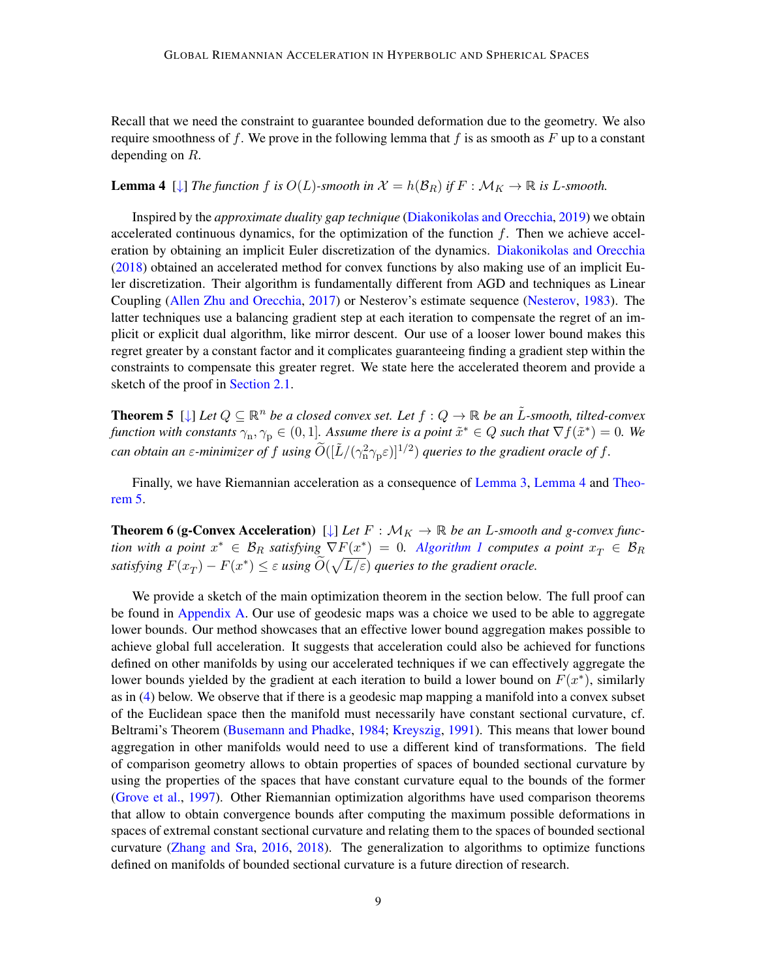Recall that we need the constraint to guarantee bounded deformation due to the geometry. We also require smoothness of f. We prove in the following lemma that f is as smooth as  $F$  up to a constant depending on *.* 

## <span id="page-8-7"></span>**Lemma 4**  $[\downarrow]$  *The function*  $f$  *is*  $O(L)$ -*smooth in*  $\mathcal{X} = h(\mathcal{B}_R)$  *if*  $F : \mathcal{M}_K \to \mathbb{R}$  *is L*-*smooth.*

Inspired by the *approximate duality gap technique* [\(Diakonikolas and Orecchia,](#page-15-0) [2019\)](#page-15-0) we obtain accelerated continuous dynamics, for the optimization of the function  $f$ . Then we achieve acceleration by obtaining an implicit Euler discretization of the dynamics. [Diakonikolas and Orecchia](#page-15-3) [\(2018\)](#page-15-3) obtained an accelerated method for convex functions by also making use of an implicit Euler discretization. Their algorithm is fundamentally different from [AGD](#page-0-1) and techniques as Linear Coupling [\(Allen Zhu and Orecchia,](#page-13-0) [2017\)](#page-13-0) or Nesterov's estimate sequence [\(Nesterov,](#page-17-0) [1983\)](#page-17-0). The latter techniques use a balancing gradient step at each iteration to compensate the regret of an implicit or explicit dual algorithm, like mirror descent. Our use of a looser lower bound makes this regret greater by a constant factor and it complicates guaranteeing finding a gradient step within the constraints to compensate this greater regret. We state here the accelerated theorem and provide a sketch of the proof in [Section 2.1.](#page-9-0)

<span id="page-8-6"></span><span id="page-8-5"></span><span id="page-8-4"></span><span id="page-8-3"></span><span id="page-8-2"></span><span id="page-8-0"></span>**Theorem 5** [ $\downarrow$ ] *Let*  $Q \subseteq \mathbb{R}^n$  *be a closed convex set. Let*  $f: Q \to \mathbb{R}$  *be an L-smooth, tilted-convex* function with constants  $\gamma_n, \gamma_p \in (0,1]$ . Assume there is a point  $\tilde{x}^* \in Q$  such that  $\nabla f(\tilde{x}^*) = 0$ . We can obtain an  $\varepsilon$ -minimizer of  $f$  using  $\widetilde{O}([\tilde{L}/(\gamma_\text{n}^2 \gamma_\text{p} \varepsilon)]^{1/2})$  queries to the gradient oracle of  $f$ .

Finally, we have Riemannian acceleration as a consequence of [Lemma 3,](#page-6-0) [Lemma 4](#page-8-7) and [Theo](#page-8-0)[rem 5.](#page-8-0)

<span id="page-8-1"></span>**Theorem 6 (g-Convex Acceleration)** [ $\downarrow$ ] *Let*  $F : \mathcal{M}_K \to \mathbb{R}$  *be an L-smooth and g-convex function with a point*  $x^* \in \mathcal{B}_R$  satisfying  $\nabla F(x^*) = 0$ . [Algorithm 1](#page-10-1) computes a point  $x_T \in \mathcal{B}_R$ satisfying  $F(x_T) - F(x^*) \leq \varepsilon$  using  $\widetilde{O}(\sqrt{L/\varepsilon})$  $\widetilde{O}(\sqrt{L/\varepsilon})$  $\widetilde{O}(\sqrt{L/\varepsilon})$  queries to the gradient oracle.

We provide a sketch of the main optimization theorem in the section below. The full proof can be found in [Appendix A.](#page-20-0) Our use of geodesic maps was a choice we used to be able to aggregate lower bounds. Our method showcases that an effective lower bound aggregation makes possible to achieve global full acceleration. It suggests that acceleration could also be achieved for functions defined on other manifolds by using our accelerated techniques if we can effectively aggregate the lower bounds yielded by the gradient at each iteration to build a lower bound on  $F(x^*)$ , similarly as in [\(4\)](#page-9-1) below. We observe that if there is a geodesic map mapping a manifold into a convex subset of the Euclidean space then the manifold must necessarily have constant sectional curvature, cf. Beltrami's Theorem [\(Busemann and Phadke,](#page-14-9) [1984;](#page-14-9) [Kreyszig,](#page-16-8) [1991\)](#page-16-8). This means that lower bound aggregation in other manifolds would need to use a different kind of transformations. The field of comparison geometry allows to obtain properties of spaces of bounded sectional curvature by using the properties of the spaces that have constant curvature equal to the bounds of the former [\(Grove et al.,](#page-16-7) [1997\)](#page-16-7). Other Riemannian optimization algorithms have used comparison theorems that allow to obtain convergence bounds after computing the maximum possible deformations in spaces of extremal constant sectional curvature and relating them to the spaces of bounded sectional curvature [\(Zhang and Sra,](#page-19-2) [2016,](#page-19-2) [2018\)](#page-19-9). The generalization to algorithms to optimize functions defined on manifolds of bounded sectional curvature is a future direction of research.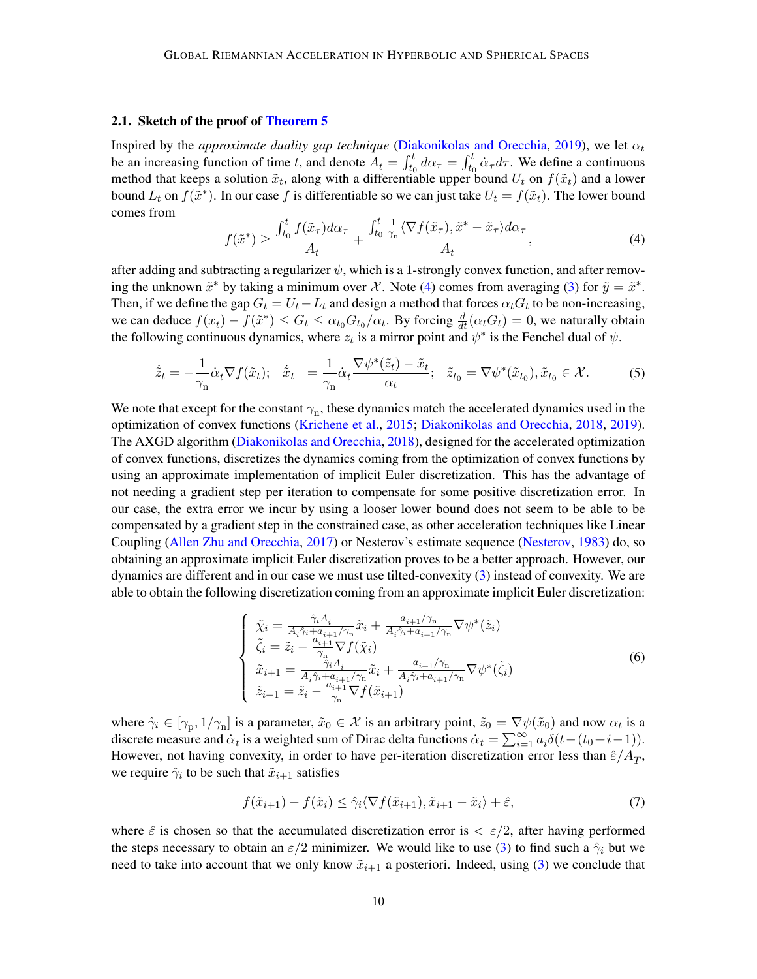## <span id="page-9-0"></span>2.1. Sketch of the proof of [Theorem 5](#page-8-0)

Inspired by the *approximate duality gap technique* [\(Diakonikolas and Orecchia,](#page-15-0) [2019\)](#page-15-0), we let  $\alpha_t$ be an increasing function of time t, and denote  $A_t = \int_{t_0}^t d\alpha_\tau = \int_{t_0}^t \dot{\alpha}_\tau d\tau$ . We define a continuous method that keeps a solution  $\tilde{x}_t$ , along with a differentiable upper bound  $U_t$  on  $f(\tilde{x}_t)$  and a lower bound  $L_t$  on  $f(\tilde{x}^*)$ . In our case f is differentiable so we can just take  $U_t = f(\tilde{x}_t)$ . The lower bound comes from

<span id="page-9-1"></span>
$$
f(\tilde{x}^*) \ge \frac{\int_{t_0}^t f(\tilde{x}_\tau) d\alpha_\tau}{A_t} + \frac{\int_{t_0}^t \frac{1}{\gamma_n} \langle \nabla f(\tilde{x}_\tau), \tilde{x}^* - \tilde{x}_\tau \rangle d\alpha_\tau}{A_t},\tag{4}
$$

after adding and subtracting a regularizer  $\psi$ , which is a 1-strongly convex function, and after removing the unknown  $\tilde{x}^*$  by taking a minimum over X. Note [\(4\)](#page-9-1) comes from averaging [\(3\)](#page-7-1) for  $\tilde{y} = \tilde{x}^*$ . Then, if we define the gap  $G_t = U_t - L_t$  and design a method that forces  $\alpha_t G_t$  to be non-increasing, we can deduce  $f(x_t) - f(\tilde{x}^*) \le G_t \le \alpha_{t_0} G_{t_0}/\alpha_t$  $f(x_t) - f(\tilde{x}^*) \le G_t \le \alpha_{t_0} G_{t_0}/\alpha_t$  $f(x_t) - f(\tilde{x}^*) \le G_t \le \alpha_{t_0} G_{t_0}/\alpha_t$ . By forcing  $\frac{d}{dt}(\alpha_t G_t) = 0$ , we naturally obtain the following continuous dynamics, where  $z_t$  is a mirror point and  $\psi^*$  $\psi^*$  is the Fenchel dual of  $\psi$ .

$$
\dot{\tilde{z}}_t = -\frac{1}{\gamma_n} \dot{\alpha}_t \nabla f(\tilde{x}_t); \quad \dot{\tilde{x}}_t = \frac{1}{\gamma_n} \dot{\alpha}_t \frac{\nabla \psi^*(\tilde{z}_t) - \tilde{x}_t}{\alpha_t}; \quad \tilde{z}_{t_0} = \nabla \psi^*(\tilde{x}_{t_0}), \tilde{x}_{t_0} \in \mathcal{X}.
$$
 (5)

We note that except for the constant  $\gamma_n$ , these dynamics match the accelerated dynamics used in the optimization of convex functions [\(Krichene et al.,](#page-17-7) [2015;](#page-17-7) [Diakonikolas and Orecchia,](#page-15-3) [2018,](#page-15-3) [2019\)](#page-15-0). The AXGD algorithm [\(Diakonikolas and Orecchia,](#page-15-3) [2018\)](#page-15-3), designed for the accelerated optimization of convex functions, discretizes the dynamics coming from the optimization of convex functions by using an approximate implementation of implicit Euler discretization. This has the advantage of not needing a gradient step per iteration to compensate for some positive discretization error. In our case, the extra error we incur by using a looser lower bound does not seem to be able to be compensated by a gradient step in the constrained case, as other acceleration techniques like Linear Coupling [\(Allen Zhu and Orecchia,](#page-13-0) [2017\)](#page-13-0) or Nesterov's estimate sequence [\(Nesterov,](#page-17-0) [1983\)](#page-17-0) do, so obtaining an approximate implicit Euler discretization proves to be a better approach. However, our dynamics are different and in our case we must use tilted-convexity [\(3\)](#page-7-1) instead of convexity. We are able to obtain the following discretization coming from an approximate implicit Euler discretization:

<span id="page-9-3"></span>
$$
\begin{cases}\n\tilde{\chi}_i = \frac{\hat{\gamma}_i A_i}{A_i \hat{\gamma}_i + a_{i+1}/\gamma_{\rm n}} \tilde{x}_i + \frac{a_{i+1}/\gamma_{\rm n}}{A_i \hat{\gamma}_i + a_{i+1}/\gamma_{\rm n}} \nabla \psi^*(\tilde{z}_i) \\
\tilde{\zeta}_i = \tilde{z}_i - \frac{a_{i+1}}{\gamma_{\rm n}} \nabla f(\tilde{\chi}_i) \\
\tilde{x}_{i+1} = \frac{\hat{\gamma}_i A_i}{A_i \hat{\gamma}_i + a_{i+1}/\gamma_{\rm n}} \tilde{x}_i + \frac{a_{i+1}/\gamma_{\rm n}}{A_i \hat{\gamma}_i + a_{i+1}/\gamma_{\rm n}} \nabla \psi^*(\tilde{\zeta}_i) \\
\tilde{z}_{i+1} = \tilde{z}_i - \frac{a_{i+1}}{\gamma_{\rm n}} \nabla f(\tilde{x}_{i+1})\n\end{cases} \tag{6}
$$

where  $\hat{\gamma}_i \in [\gamma_{\rm p}, 1/\gamma_{\rm n}]$  $\hat{\gamma}_i \in [\gamma_{\rm p}, 1/\gamma_{\rm n}]$  $\hat{\gamma}_i \in [\gamma_{\rm p}, 1/\gamma_{\rm n}]$  is a parameter,  $\tilde{x}_0 \in \mathcal{X}$  is an arbitrary point,  $\tilde{z}_0 = \nabla \psi(\tilde{x}_0)$  and now  $\alpha_t$  is a discrete measure and  $\dot{\alpha}_t$  is a weighted sum of Dirac delta functions  $\dot{\alpha}_t = \sum_{i=1}^{\infty} a_i \delta(t-(t_0+i-1)).$ However, not having convexity, in order to have per-iteration discretization error less than  $\hat{\varepsilon}/A_T$  $\hat{\varepsilon}/A_T$  $\hat{\varepsilon}/A_T$ , we require  $\hat{\gamma}_i$  to be such that  $\tilde{x}_{i+1}$  $\tilde{x}_{i+1}$  $\tilde{x}_{i+1}$  satisfies

<span id="page-9-2"></span>
$$
f(\tilde{x}_{i+1}) - f(\tilde{x}_i) \le \hat{\gamma}_i \langle \nabla f(\tilde{x}_{i+1}), \tilde{x}_{i+1} - \tilde{x}_i \rangle + \hat{\varepsilon},\tag{7}
$$

where  $\hat{\varepsilon}$  is chosen so that the accumulated discretization error is  $\langle \varepsilon / 2 \rangle$  $\langle \varepsilon / 2 \rangle$  $\langle \varepsilon / 2 \rangle$ , after having performed the steps necessary to obtain an  $\varepsilon/2$  $\varepsilon/2$  $\varepsilon/2$  minimizer. We would like to use [\(3\)](#page-7-1) to find such a  $\hat{\gamma}_i$  but we need to take into account that we only know  $\tilde{x}_{i+1}$  $\tilde{x}_{i+1}$  $\tilde{x}_{i+1}$  a posteriori. Indeed, using [\(3\)](#page-7-1) we conclude that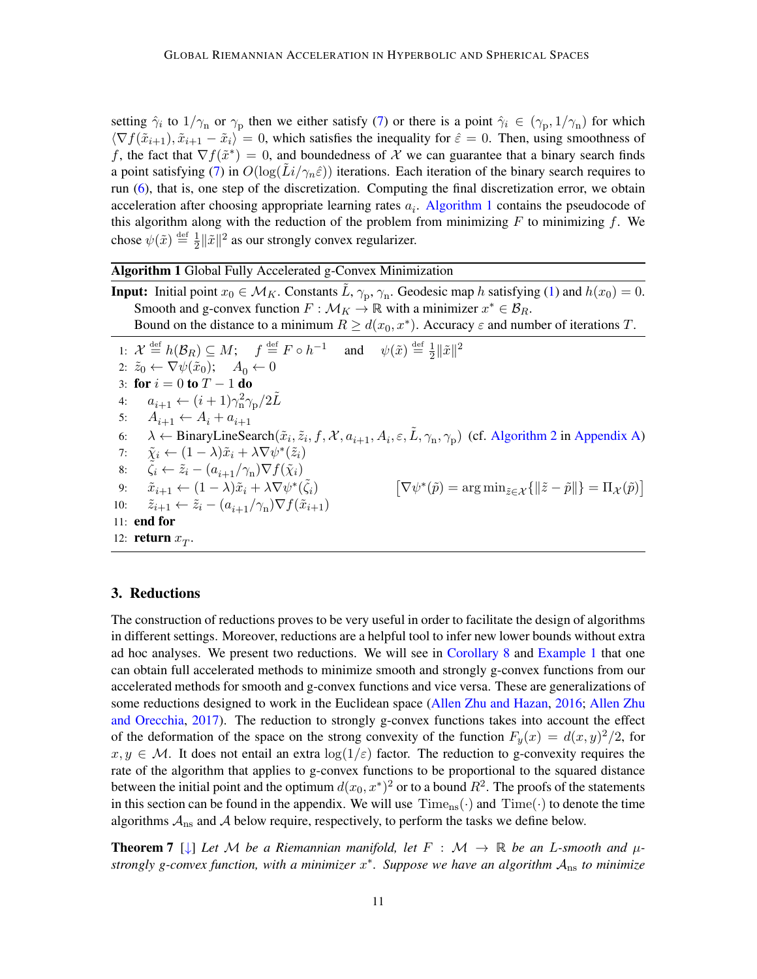setting  $\hat{\gamma}_i$  to  $1/\gamma_n$  $1/\gamma_n$  $1/\gamma_n$  or  $\gamma_p$  then we either satisfy [\(7\)](#page-9-2) or there is a point  $\hat{\gamma}_i \in (\gamma_p, 1/\gamma_n)$  for which  $\langle \nabla f(\tilde{x}_{i+1}), \tilde{x}_{i+1} - \tilde{x}_i \rangle = 0$  $\langle \nabla f(\tilde{x}_{i+1}), \tilde{x}_{i+1} - \tilde{x}_i \rangle = 0$  $\langle \nabla f(\tilde{x}_{i+1}), \tilde{x}_{i+1} - \tilde{x}_i \rangle = 0$ , which satisfies the inequality for  $\hat{\varepsilon} = 0$ . Then, using smoothness of f, the fact that  $\nabla f(\tilde{x}^*) = 0$ , and boundedness of X we can guarantee that a binary search finds a point satisfying [\(7\)](#page-9-2) in  $O(log(Li/\gamma_n\hat{\varepsilon}))$  iterations. Each iteration of the binary search requires to run [\(6\)](#page-9-3), that is, one step of the discretization. Computing the final discretization error, we obtain acceleration after choosing appropriate learning rates  $a_i$ . [Algorithm 1](#page-10-1) contains the pseudocode of this algorithm along with the reduction of the problem from minimizing  $F$  to minimizing f. We chose  $\psi(\tilde{x}) \stackrel{\text{def}}{=} \frac{1}{2}$  $\frac{1}{2} \|\tilde{x}\|^2$  as our strongly convex regularizer.

Algorithm 1 Global Fully Accelerated g-Convex Minimization

<span id="page-10-1"></span>**Input:** Initial point  $x_0 \in M_K$ . Constants  $\tilde{L}, \gamma_p, \gamma_n$ . Geodesic map h satisfying [\(1\)](#page-5-3) and  $h(x_0) = 0$ . Smooth and g-convex function  $F : \mathcal{M}_K \to \mathbb{R}$  with a minimizer  $x^* \in \mathcal{B}_R$ . Bound on the distance to a minimum  $R \ge d(x_0, x^*)$ . Accuracy  $\varepsilon$  and number of iterations T.

1:  $\mathcal{X} \stackrel{\text{def}}{=} h(\mathcal{B}_R) \subseteq M; \quad f \stackrel{\text{def}}{=} F \circ h^{-1} \quad \text{and} \quad \psi(\tilde{x}) \stackrel{\text{def}}{=} \frac{1}{2}$  $\frac{1}{2} \|\tilde{x}\|^2$ 2:  $\tilde{z}_0 \leftarrow \nabla \psi(\tilde{x}_0); \quad A_0 \leftarrow 0$ 3: for  $i = 0$  to  $T - 1$  do 4:  $a_{i+1} \leftarrow (i+1)\gamma_{\rm n}^2 \gamma_{\rm p}/2\tilde{L}$  $a_{i+1} \leftarrow (i+1)\gamma_{\rm n}^2 \gamma_{\rm p}/2\tilde{L}$  $a_{i+1} \leftarrow (i+1)\gamma_{\rm n}^2 \gamma_{\rm p}/2\tilde{L}$ 5:  $A_{i+1} \leftarrow A_i + a_{i+1}$  $A_{i+1} \leftarrow A_i + a_{i+1}$  $A_{i+1} \leftarrow A_i + a_{i+1}$ 6:  $\lambda \leftarrow \text{BinaryLineSearch}(\tilde{x}_i, \tilde{z}_i, f, \mathcal{X}, a_{i+1}, A_i, \varepsilon, \tilde{L}, \gamma_n, \gamma_p)$  $\lambda \leftarrow \text{BinaryLineSearch}(\tilde{x}_i, \tilde{z}_i, f, \mathcal{X}, a_{i+1}, A_i, \varepsilon, \tilde{L}, \gamma_n, \gamma_p)$  $\lambda \leftarrow \text{BinaryLineSearch}(\tilde{x}_i, \tilde{z}_i, f, \mathcal{X}, a_{i+1}, A_i, \varepsilon, \tilde{L}, \gamma_n, \gamma_p)$  $\lambda \leftarrow \text{BinaryLineSearch}(\tilde{x}_i, \tilde{z}_i, f, \mathcal{X}, a_{i+1}, A_i, \varepsilon, \tilde{L}, \gamma_n, \gamma_p)$  $\lambda \leftarrow \text{BinaryLineSearch}(\tilde{x}_i, \tilde{z}_i, f, \mathcal{X}, a_{i+1}, A_i, \varepsilon, \tilde{L}, \gamma_n, \gamma_p)$  (cf. [Algorithm 2](#page-31-0) in [Appendix A\)](#page-20-0) 7:  $\tilde{\chi}_i \leftarrow (1 - \lambda)\tilde{x}_i + \lambda \nabla \psi^*(\tilde{z}_i)$  $\tilde{\chi}_i \leftarrow (1 - \lambda)\tilde{x}_i + \lambda \nabla \psi^*(\tilde{z}_i)$  $\tilde{\chi}_i \leftarrow (1 - \lambda)\tilde{x}_i + \lambda \nabla \psi^*(\tilde{z}_i)$ 8:  $\tilde{\zeta}_i \leftarrow \tilde{z}_i - (a_{i+1}/\gamma_n) \nabla f(\tilde{\chi}_i)$  $\tilde{\zeta}_i \leftarrow \tilde{z}_i - (a_{i+1}/\gamma_n) \nabla f(\tilde{\chi}_i)$  $\tilde{\zeta}_i \leftarrow \tilde{z}_i - (a_{i+1}/\gamma_n) \nabla f(\tilde{\chi}_i)$  $\tilde{\zeta}_i \leftarrow \tilde{z}_i - (a_{i+1}/\gamma_n) \nabla f(\tilde{\chi}_i)$  $\tilde{\zeta}_i \leftarrow \tilde{z}_i - (a_{i+1}/\gamma_n) \nabla f(\tilde{\chi}_i)$ 9:  $\tilde{x}_{i+1} \leftarrow (1 - \lambda)\tilde{x}_i + \lambda \nabla \psi^*(\tilde{\zeta}_i)$  $\tilde{x}_{i+1} \leftarrow (1 - \lambda)\tilde{x}_i + \lambda \nabla \psi^*(\tilde{\zeta}_i)$  $\tilde{x}_{i+1} \leftarrow (1 - \lambda)\tilde{x}_i + \lambda \nabla \psi^*(\tilde{\zeta}_i)$  $\tilde{x}_{i+1} \leftarrow (1 - \lambda)\tilde{x}_i + \lambda \nabla \psi^*(\tilde{\zeta}_i)$  $\tilde{x}_{i+1} \leftarrow (1 - \lambda)\tilde{x}_i + \lambda \nabla \psi^*(\tilde{\zeta}_i)$  $\left[\nabla \psi^*(\tilde{p}) = \arg \min\nolimits_{\tilde{z} \in \mathcal{X}} \{ \left\| \tilde{z} - \tilde{p} \right\| \} = \Pi_{\mathcal{X}}(\tilde{p})\right]$  $\left[\nabla \psi^*(\tilde{p}) = \arg \min\nolimits_{\tilde{z} \in \mathcal{X}} \{ \left\| \tilde{z} - \tilde{p} \right\| \} = \Pi_{\mathcal{X}}(\tilde{p})\right]$  $\left[\nabla \psi^*(\tilde{p}) = \arg \min\nolimits_{\tilde{z} \in \mathcal{X}} \{ \left\| \tilde{z} - \tilde{p} \right\| \} = \Pi_{\mathcal{X}}(\tilde{p})\right]$ 10:  $\tilde{z}_{i+1} \leftarrow \tilde{z}_i - (a_{i+1}/\gamma_n) \nabla f(\tilde{x}_{i+1})$  $\tilde{z}_{i+1} \leftarrow \tilde{z}_i - (a_{i+1}/\gamma_n) \nabla f(\tilde{x}_{i+1})$  $\tilde{z}_{i+1} \leftarrow \tilde{z}_i - (a_{i+1}/\gamma_n) \nabla f(\tilde{x}_{i+1})$  $\tilde{z}_{i+1} \leftarrow \tilde{z}_i - (a_{i+1}/\gamma_n) \nabla f(\tilde{x}_{i+1})$  $\tilde{z}_{i+1} \leftarrow \tilde{z}_i - (a_{i+1}/\gamma_n) \nabla f(\tilde{x}_{i+1})$ 11: end for 12: **return**  $x_T$ .

## <span id="page-10-0"></span>3. Reductions

The construction of reductions proves to be very useful in order to facilitate the design of algorithms in different settings. Moreover, reductions are a helpful tool to infer new lower bounds without extra ad hoc analyses. We present two reductions. We will see in [Corollary 8](#page-11-0) and [Example 1](#page-11-1) that one can obtain full accelerated methods to minimize smooth and strongly g-convex functions from our accelerated methods for smooth and g-convex functions and vice versa. These are generalizations of some reductions designed to work in the Euclidean space [\(Allen Zhu and Hazan,](#page-13-6) [2016;](#page-13-6) [Allen Zhu](#page-13-0) [and Orecchia,](#page-13-0) [2017\)](#page-13-0). The reduction to strongly g-convex functions takes into account the effect of the deformation of the space on the strong convexity of the function  $F_y(x) = d(x, y)^2/2$ , for  $x, y \in \mathcal{M}$ . It does not entail an extra  $\log(1/\varepsilon)$  $\log(1/\varepsilon)$  $\log(1/\varepsilon)$  factor. The reduction to g-convexity requires the rate of the algorithm that applies to g-convex functions to be proportional to the squared distance between the initial point and the optimum  $d(x_0, x^*)^2$  or to a bound  $R^2$ . The proofs of the statements in this section can be found in the appendix. We will use  $\text{Time}_{\text{ns}}(\cdot)$  $\text{Time}_{\text{ns}}(\cdot)$  $\text{Time}_{\text{ns}}(\cdot)$  and  $\text{Time}(\cdot)$  to denote the time algorithms  $A_{\text{ns}}$  and  $A$  below require, respectively, to perform the tasks we define below.

<span id="page-10-5"></span><span id="page-10-4"></span><span id="page-10-3"></span><span id="page-10-2"></span>**Theorem 7** [ $\downarrow$ ] Let M be a Riemannian manifold, let  $F : \mathcal{M} \to \mathbb{R}$  be an L-smooth and  $\mu$ strongly g-convex function, with a minimizer  $x^*$ . Suppose we have an algorithm  $A_{\text{ns}}$  to minimize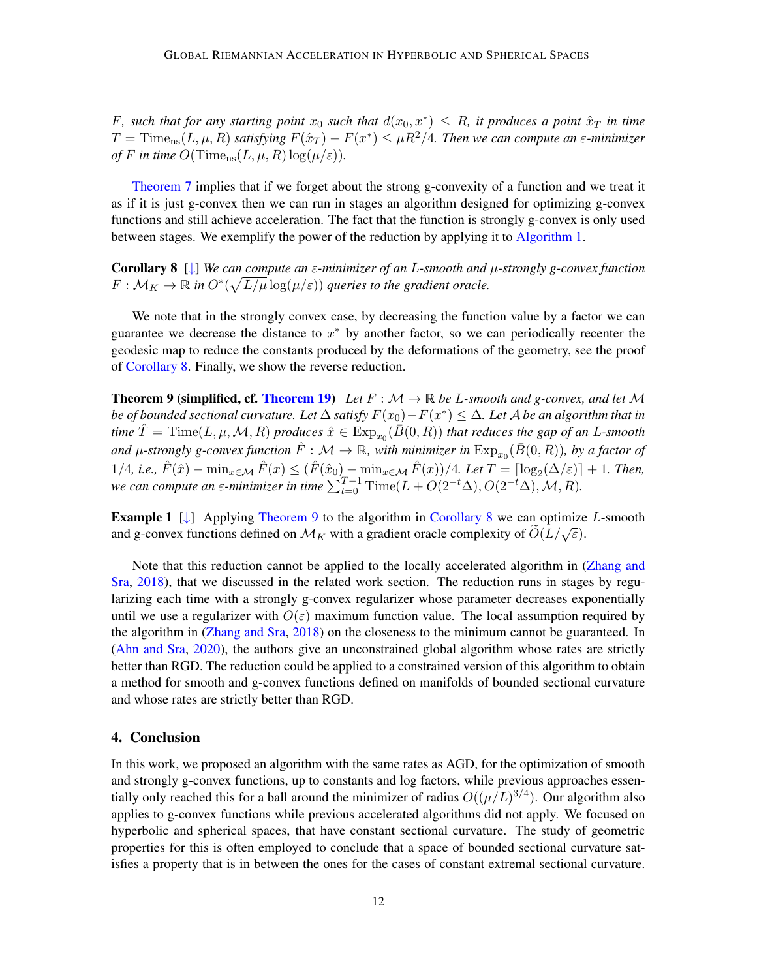F, such that for any starting point  $x_0$  such that  $d(x_0, x^*) \leq R$ , it produces a point  $\hat{x}_T$  in time  $T = \text{Time}_{\text{ns}}(L, \mu, R)$  $T = \text{Time}_{\text{ns}}(L, \mu, R)$  $T = \text{Time}_{\text{ns}}(L, \mu, R)$  $T = \text{Time}_{\text{ns}}(L, \mu, R)$  $T = \text{Time}_{\text{ns}}(L, \mu, R)$  satisfying  $F(\hat{x}_T) - F(x^*) \leq \mu R^2/4$ . Then we can compute an  $\varepsilon$ -minimizer *of F* in time  $O(\text{Time}_{\text{ns}}(L, \mu, R) \log(\mu/\varepsilon)).$  $O(\text{Time}_{\text{ns}}(L, \mu, R) \log(\mu/\varepsilon)).$  $O(\text{Time}_{\text{ns}}(L, \mu, R) \log(\mu/\varepsilon)).$  $O(\text{Time}_{\text{ns}}(L, \mu, R) \log(\mu/\varepsilon)).$  $O(\text{Time}_{\text{ns}}(L, \mu, R) \log(\mu/\varepsilon)).$ 

[Theorem 7](#page-10-5) implies that if we forget about the strong g-convexity of a function and we treat it as if it is just g-convex then we can run in stages an algorithm designed for optimizing g-convex functions and still achieve acceleration. The fact that the function is strongly g-convex is only used between stages. We exemplify the power of the reduction by applying it to [Algorithm 1.](#page-10-1)

<span id="page-11-0"></span>Corollary 8 [[↓](#page-33-2)] *We can compute an -minimizer of an -smooth and -strongly g-convex function*  $F: \mathcal{M}_K \to \mathbb{R}$  in  $O^*(\sqrt{L/\mu} \log(\mu/\varepsilon))$  $O^*(\sqrt{L/\mu} \log(\mu/\varepsilon))$  $O^*(\sqrt{L/\mu} \log(\mu/\varepsilon))$  queries to the gradient oracle.

We note that in the strongly convex case, by decreasing the function value by a factor we can guarantee we decrease the distance to  $x^*$  by another factor, so we can periodically recenter the geodesic map to reduce the constants produced by the deformations of the geometry, see the proof of [Corollary 8.](#page-11-0) Finally, we show the reverse reduction.

<span id="page-11-3"></span><span id="page-11-2"></span>**Theorem 9 (simplified, cf. [Theorem 19\)](#page-34-0)** Let  $F : \mathcal{M} \to \mathbb{R}$  be L-smooth and g-convex, and let M *be of bounded sectional curvature. Let*  $\Delta$  *satisfy*  $F(x_0) - F(x^*) \leq \Delta$ . Let  $\mathcal A$  be an algorithm that in  $time \ \hat{T} = \text{Time}(L, \mu, \mathcal{M}, R)$  $time \ \hat{T} = \text{Time}(L, \mu, \mathcal{M}, R)$  $time \ \hat{T} = \text{Time}(L, \mu, \mathcal{M}, R)$  produces  $\hat{x} \in \text{Exp}_{x_0}(\tilde{B}(0, R))$  $\hat{x} \in \text{Exp}_{x_0}(\tilde{B}(0, R))$  $\hat{x} \in \text{Exp}_{x_0}(\tilde{B}(0, R))$  that reduces the gap of an  $L$ -smooth and  $\mu$ -strongly g-convex function  $\hat{F} : \mathcal{M} \to \mathbb{R}$ , with minimizer in  $\mathrm{Exp}_{x_0}(\bar{B}(0,R))$  $\mathrm{Exp}_{x_0}(\bar{B}(0,R))$  $\mathrm{Exp}_{x_0}(\bar{B}(0,R))$ , by a factor of  $1/4$  $1/4$  $1/4$ , *i.e.*,  $\hat{F}(\hat{x}) - \min_{x \in \mathcal{M}} \hat{F}(x) \leq (\hat{F}(\hat{x}_0) - \min_{x \in \mathcal{M}} \hat{F}(x))/4$ *. Let*  $T = \lceil \log_2(\Delta/\varepsilon) \rceil + 1$ *. Then, we can compute an*  $\varepsilon$ *-minimizer in time*  $\sum_{t=0}^{T-1} \text{Time}(L + O(2^{-t}\Delta), O(2^{-t}\Delta), \mathcal{M}, R)$ .

<span id="page-11-1"></span>**Example 1** [[↓](#page-37-1)] Applying [Theorem 9](#page-11-3) to the algorithm in [Corollary 8](#page-11-0) we can optimize L-smooth and g-convex functions defined on  $\mathcal{M}_K$  with a gradient oracle complexity of  $O(L/\sqrt{\varepsilon})$  $O(L/\sqrt{\varepsilon})$  $O(L/\sqrt{\varepsilon})$ .

Note that this reduction cannot be applied to the locally accelerated algorithm in [\(Zhang and](#page-19-9) [Sra,](#page-19-9) [2018\)](#page-19-9), that we discussed in the related work section. The reduction runs in stages by regularizing each time with a strongly g-convex regularizer whose parameter decreases exponentially until we use a regularizer with  $O(\varepsilon)$  maximum function value. The local assumption required by the algorithm in [\(Zhang and Sra,](#page-19-9) [2018\)](#page-19-9) on the closeness to the minimum cannot be guaranteed. In [\(Ahn and Sra,](#page-13-5) [2020\)](#page-13-5), the authors give an unconstrained global algorithm whose rates are strictly better than [RGD.](#page-1-3) The reduction could be applied to a constrained version of this algorithm to obtain a method for smooth and g-convex functions defined on manifolds of bounded sectional curvature and whose rates are strictly better than [RGD.](#page-1-3)

## 4. Conclusion

In this work, we proposed an algorithm with the same rates as [AGD,](#page-0-1) for the optimization of smooth and strongly g-convex functions, up to constants and log factors, while previous approaches essentially only reached this for a ball around the minimizer of radius  $O((\mu/L)^{3/4})$  $O((\mu/L)^{3/4})$  $O((\mu/L)^{3/4})$ . Our algorithm also applies to g-convex functions while previous accelerated algorithms did not apply. We focused on hyperbolic and spherical spaces, that have constant sectional curvature. The study of geometric properties for this is often employed to conclude that a space of bounded sectional curvature satisfies a property that is in between the ones for the cases of constant extremal sectional curvature.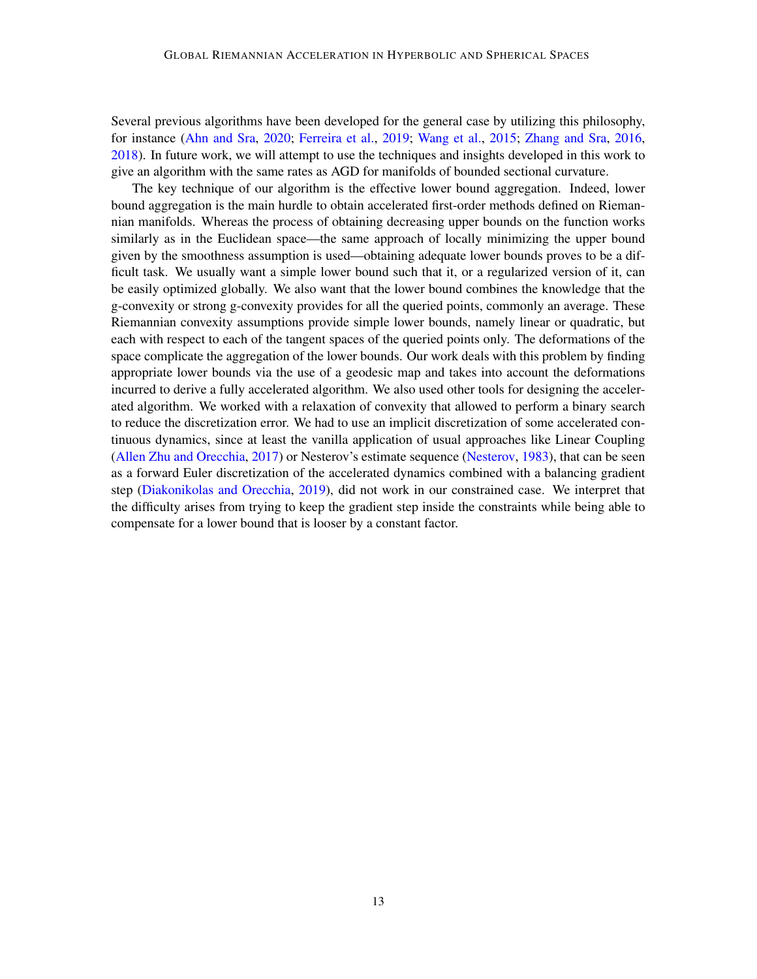Several previous algorithms have been developed for the general case by utilizing this philosophy, for instance [\(Ahn and Sra,](#page-13-5) [2020;](#page-13-5) [Ferreira et al.,](#page-15-10) [2019;](#page-15-10) [Wang et al.,](#page-18-11) [2015;](#page-18-11) [Zhang and Sra,](#page-19-2) [2016,](#page-19-2) [2018\)](#page-19-9). In future work, we will attempt to use the techniques and insights developed in this work to give an algorithm with the same rates as [AGD](#page-0-1) for manifolds of bounded sectional curvature.

The key technique of our algorithm is the effective lower bound aggregation. Indeed, lower bound aggregation is the main hurdle to obtain accelerated first-order methods defined on Riemannian manifolds. Whereas the process of obtaining decreasing upper bounds on the function works similarly as in the Euclidean space—the same approach of locally minimizing the upper bound given by the smoothness assumption is used—obtaining adequate lower bounds proves to be a difficult task. We usually want a simple lower bound such that it, or a regularized version of it, can be easily optimized globally. We also want that the lower bound combines the knowledge that the g-convexity or strong g-convexity provides for all the queried points, commonly an average. These Riemannian convexity assumptions provide simple lower bounds, namely linear or quadratic, but each with respect to each of the tangent spaces of the queried points only. The deformations of the space complicate the aggregation of the lower bounds. Our work deals with this problem by finding appropriate lower bounds via the use of a geodesic map and takes into account the deformations incurred to derive a fully accelerated algorithm. We also used other tools for designing the accelerated algorithm. We worked with a relaxation of convexity that allowed to perform a binary search to reduce the discretization error. We had to use an implicit discretization of some accelerated continuous dynamics, since at least the vanilla application of usual approaches like Linear Coupling [\(Allen Zhu and Orecchia,](#page-13-0) [2017\)](#page-13-0) or Nesterov's estimate sequence [\(Nesterov,](#page-17-0) [1983\)](#page-17-0), that can be seen as a forward Euler discretization of the accelerated dynamics combined with a balancing gradient step [\(Diakonikolas and Orecchia,](#page-15-0) [2019\)](#page-15-0), did not work in our constrained case. We interpret that the difficulty arises from trying to keep the gradient step inside the constraints while being able to compensate for a lower bound that is looser by a constant factor.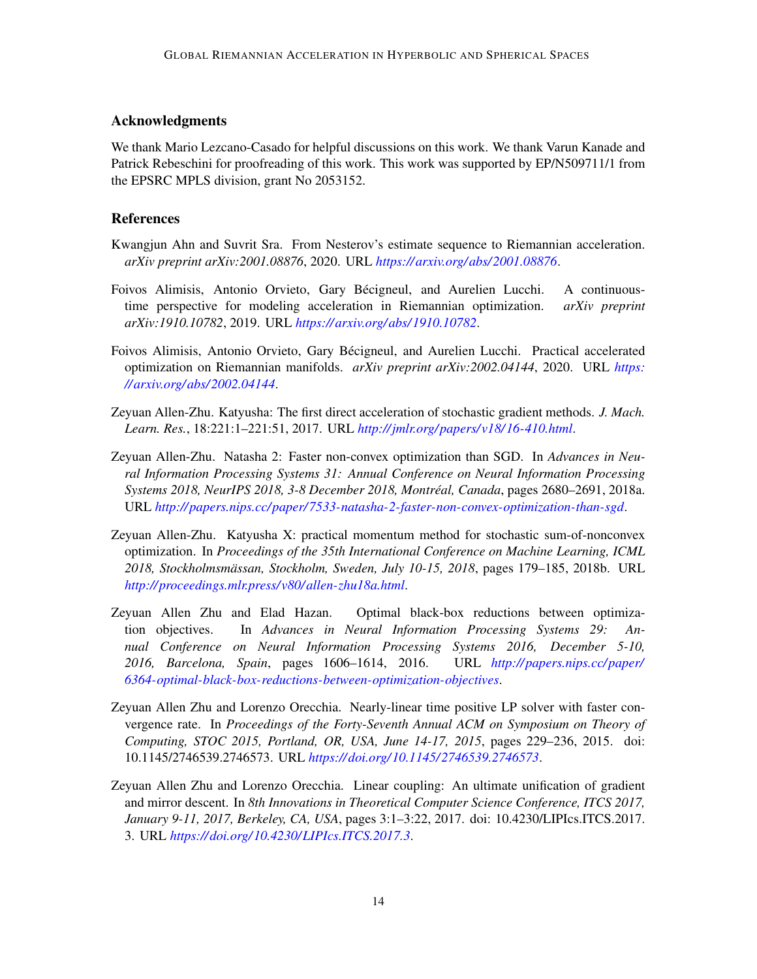## Acknowledgments

We thank Mario Lezcano-Casado for helpful discussions on this work. We thank Varun Kanade and Patrick Rebeschini for proofreading of this work. This work was supported by EP/N509711/1 from the EPSRC MPLS division, grant No 2053152.

## References

- <span id="page-13-5"></span>Kwangjun Ahn and Suvrit Sra. From Nesterov's estimate sequence to Riemannian acceleration. *arXiv preprint arXiv:2001.08876*, 2020. URL *[https:// arxiv.org/ abs/ 2001.08876](https://arxiv.org/abs/2001.08876)*.
- <span id="page-13-7"></span>Foivos Alimisis, Antonio Orvieto, Gary Bécigneul, and Aurelien Lucchi. A continuoustime perspective for modeling acceleration in Riemannian optimization. *arXiv preprint arXiv:1910.10782*, 2019. URL *[https:// arxiv.org/ abs/ 1910.10782](https://arxiv.org/abs/1910.10782)*.
- <span id="page-13-8"></span>Foivos Alimisis, Antonio Orvieto, Gary Bécigneul, and Aurelien Lucchi. Practical accelerated optimization on Riemannian manifolds. *arXiv preprint arXiv:2002.04144*, 2020. URL *[https:](https://arxiv.org/abs/2002.04144) [// arxiv.org/ abs/ 2002.04144](https://arxiv.org/abs/2002.04144)*.
- <span id="page-13-1"></span>Zeyuan Allen-Zhu. Katyusha: The first direct acceleration of stochastic gradient methods. *J. Mach. Learn. Res.*, 18:221:1–221:51, 2017. URL *[http://jmlr.org/ papers/v18/ 16-410.html](http://jmlr.org/papers/v18/16-410.html)*.
- <span id="page-13-2"></span>Zeyuan Allen-Zhu. Natasha 2: Faster non-convex optimization than SGD. In *Advances in Neural Information Processing Systems 31: Annual Conference on Neural Information Processing Systems 2018, NeurIPS 2018, 3-8 December 2018, Montréal, Canada*, pages 2680–2691, 2018a. URL *[http:// papers.nips.cc/ paper/ 7533-natasha-2-faster-non-convex-optimization-than-sgd](http://papers.nips.cc/paper/7533-natasha-2-faster-non-convex-optimization-than-sgd)*.
- <span id="page-13-3"></span>Zeyuan Allen-Zhu. Katyusha X: practical momentum method for stochastic sum-of-nonconvex optimization. In *Proceedings of the 35th International Conference on Machine Learning, ICML 2018, Stockholmsmässan, Stockholm, Sweden, July 10-15, 2018*, pages 179–185, 2018b. URL *[http:// proceedings.mlr.press/v80/ allen-zhu18a.html](http://proceedings.mlr.press/v80/allen-zhu18a.html)*.
- <span id="page-13-6"></span>Zeyuan Allen Zhu and Elad Hazan. Optimal black-box reductions between optimization objectives. In *Advances in Neural Information Processing Systems 29: Annual Conference on Neural Information Processing Systems 2016, December 5-10, 2016, Barcelona, Spain*, pages 1606–1614, 2016. URL *[http:// papers.nips.cc/ paper/](http://papers.nips.cc/paper/6364-optimal-black-box-reductions-between-optimization-objectives) [6364-optimal-black-box-reductions-between-optimization-objectives](http://papers.nips.cc/paper/6364-optimal-black-box-reductions-between-optimization-objectives)*.
- <span id="page-13-4"></span>Zeyuan Allen Zhu and Lorenzo Orecchia. Nearly-linear time positive LP solver with faster convergence rate. In *Proceedings of the Forty-Seventh Annual ACM on Symposium on Theory of Computing, STOC 2015, Portland, OR, USA, June 14-17, 2015*, pages 229–236, 2015. doi: 10.1145/2746539.2746573. URL *[https:// doi.org/ 10.1145/ 2746539.2746573](https://doi.org/10.1145/2746539.2746573)*.
- <span id="page-13-0"></span>Zeyuan Allen Zhu and Lorenzo Orecchia. Linear coupling: An ultimate unification of gradient and mirror descent. In *8th Innovations in Theoretical Computer Science Conference, ITCS 2017, January 9-11, 2017, Berkeley, CA, USA*, pages 3:1–3:22, 2017. doi: 10.4230/LIPIcs.ITCS.2017. 3. URL *[https:// doi.org/ 10.4230/LIPIcs.ITCS.2017.3](https://doi.org/10.4230/LIPIcs.ITCS.2017.3)*.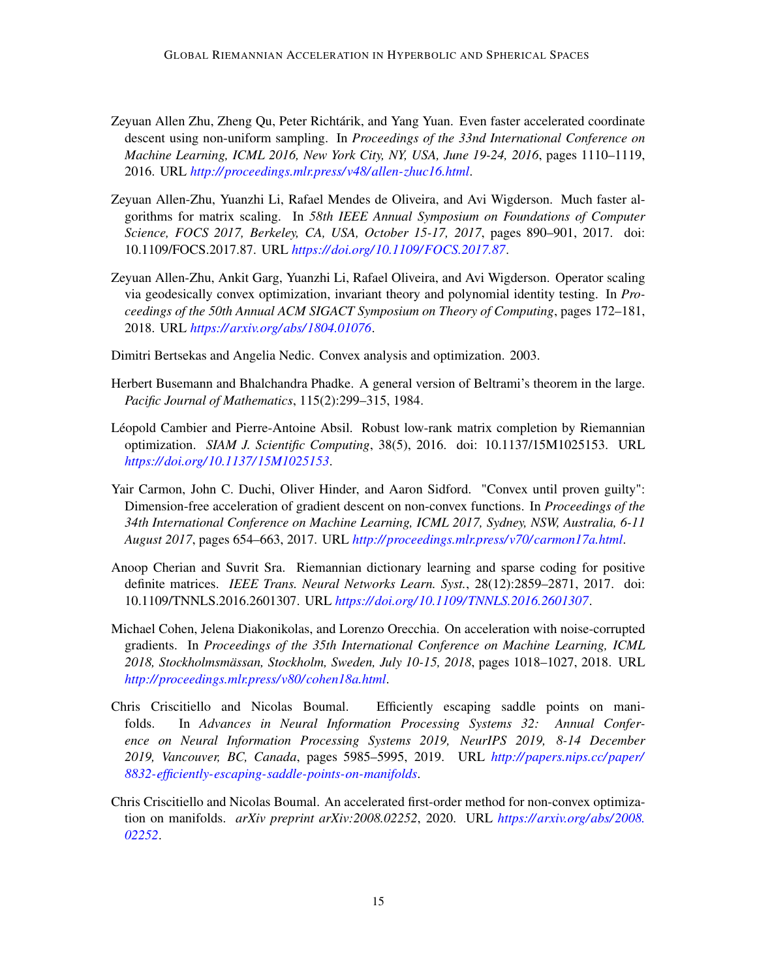- <span id="page-14-0"></span>Zeyuan Allen Zhu, Zheng Qu, Peter Richtárik, and Yang Yuan. Even faster accelerated coordinate descent using non-uniform sampling. In *Proceedings of the 33nd International Conference on Machine Learning, ICML 2016, New York City, NY, USA, June 19-24, 2016*, pages 1110–1119, 2016. URL *[http:// proceedings.mlr.press/v48/ allen-zhuc16.html](http://proceedings.mlr.press/v48/allen-zhuc16.html)*.
- <span id="page-14-1"></span>Zeyuan Allen-Zhu, Yuanzhi Li, Rafael Mendes de Oliveira, and Avi Wigderson. Much faster algorithms for matrix scaling. In *58th IEEE Annual Symposium on Foundations of Computer Science, FOCS 2017, Berkeley, CA, USA, October 15-17, 2017*, pages 890–901, 2017. doi: 10.1109/FOCS.2017.87. URL *[https:// doi.org/ 10.1109/FOCS.2017.87](https://doi.org/10.1109/FOCS.2017.87)*.
- <span id="page-14-8"></span>Zeyuan Allen-Zhu, Ankit Garg, Yuanzhi Li, Rafael Oliveira, and Avi Wigderson. Operator scaling via geodesically convex optimization, invariant theory and polynomial identity testing. In *Proceedings of the 50th Annual ACM SIGACT Symposium on Theory of Computing*, pages 172–181, 2018. URL *[https:// arxiv.org/ abs/ 1804.01076](https://arxiv.org/abs/1804.01076)*.
- <span id="page-14-10"></span>Dimitri Bertsekas and Angelia Nedic. Convex analysis and optimization. 2003.
- <span id="page-14-9"></span>Herbert Busemann and Bhalchandra Phadke. A general version of Beltrami's theorem in the large. *Pacific Journal of Mathematics*, 115(2):299–315, 1984.
- <span id="page-14-6"></span>Léopold Cambier and Pierre-Antoine Absil. Robust low-rank matrix completion by Riemannian optimization. *SIAM J. Scientific Computing*, 38(5), 2016. doi: 10.1137/15M1025153. URL *[https:// doi.org/ 10.1137/ 15M1025153](https://doi.org/10.1137/15M1025153)*.
- <span id="page-14-2"></span>Yair Carmon, John C. Duchi, Oliver Hinder, and Aaron Sidford. "Convex until proven guilty": Dimension-free acceleration of gradient descent on non-convex functions. In *Proceedings of the 34th International Conference on Machine Learning, ICML 2017, Sydney, NSW, Australia, 6-11 August 2017*, pages 654–663, 2017. URL *[http:// proceedings.mlr.press/v70/carmon17a.html](http://proceedings.mlr.press/v70/carmon17a.html)*.
- <span id="page-14-7"></span>Anoop Cherian and Suvrit Sra. Riemannian dictionary learning and sparse coding for positive definite matrices. *IEEE Trans. Neural Networks Learn. Syst.*, 28(12):2859–2871, 2017. doi: 10.1109/TNNLS.2016.2601307. URL *[https:// doi.org/ 10.1109/TNNLS.2016.2601307](https://doi.org/10.1109/TNNLS.2016.2601307)*.
- <span id="page-14-3"></span>Michael Cohen, Jelena Diakonikolas, and Lorenzo Orecchia. On acceleration with noise-corrupted gradients. In *Proceedings of the 35th International Conference on Machine Learning, ICML 2018, Stockholmsmässan, Stockholm, Sweden, July 10-15, 2018*, pages 1018–1027, 2018. URL *[http:// proceedings.mlr.press/v80/cohen18a.html](http://proceedings.mlr.press/v80/cohen18a.html)*.
- <span id="page-14-4"></span>Chris Criscitiello and Nicolas Boumal. Efficiently escaping saddle points on manifolds. In *Advances in Neural Information Processing Systems 32: Annual Conference on Neural Information Processing Systems 2019, NeurIPS 2019, 8-14 December 2019, Vancouver, BC, Canada*, pages 5985–5995, 2019. URL *[http:// papers.nips.cc/ paper/](http://papers.nips.cc/paper/8832-efficiently-escaping-saddle-points-on-manifolds) [8832-efficiently-escaping-saddle-points-on-manifolds](http://papers.nips.cc/paper/8832-efficiently-escaping-saddle-points-on-manifolds)*.
- <span id="page-14-5"></span>Chris Criscitiello and Nicolas Boumal. An accelerated first-order method for non-convex optimization on manifolds. *arXiv preprint arXiv:2008.02252*, 2020. URL *[https:// arxiv.org/ abs/ 2008.](https://arxiv.org/abs/2008.02252) [02252](https://arxiv.org/abs/2008.02252)*.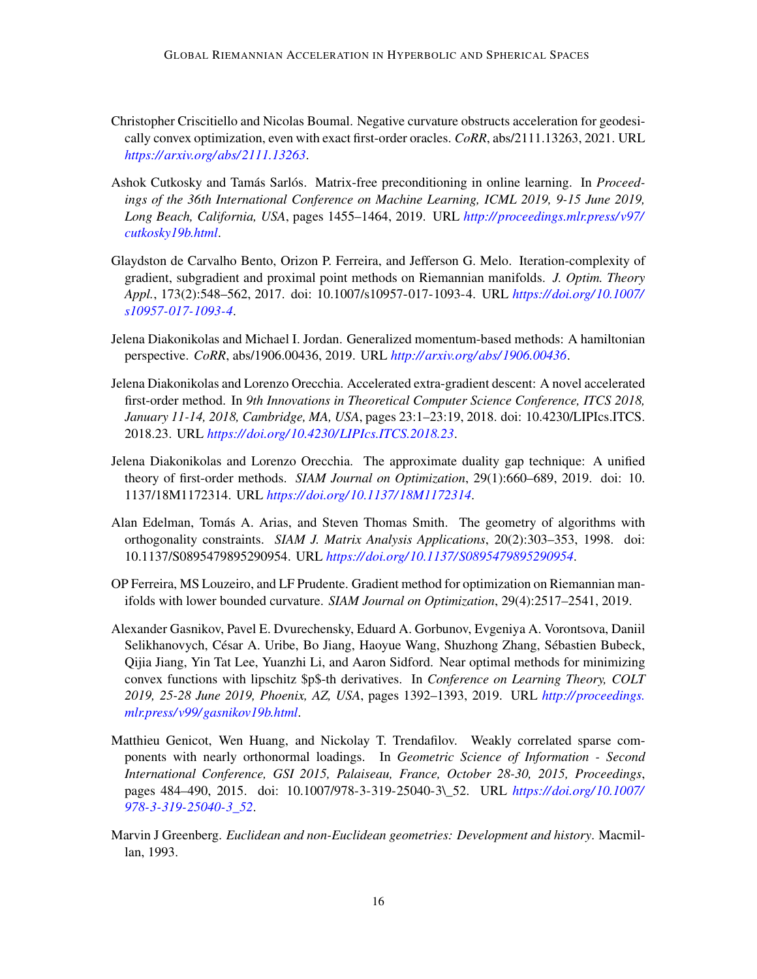- <span id="page-15-8"></span>Christopher Criscitiello and Nicolas Boumal. Negative curvature obstructs acceleration for geodesically convex optimization, even with exact first-order oracles. *CoRR*, abs/2111.13263, 2021. URL *[https:// arxiv.org/ abs/ 2111.13263](https://arxiv.org/abs/2111.13263)*.
- <span id="page-15-1"></span>Ashok Cutkosky and Tamás Sarlós. Matrix-free preconditioning in online learning. In *Proceedings of the 36th International Conference on Machine Learning, ICML 2019, 9-15 June 2019, Long Beach, California, USA*, pages 1455–1464, 2019. URL *[http:// proceedings.mlr.press/v97/](http://proceedings.mlr.press/v97/cutkosky19b.html) [cutkosky19b.html](http://proceedings.mlr.press/v97/cutkosky19b.html)*.
- <span id="page-15-5"></span>Glaydston de Carvalho Bento, Orizon P. Ferreira, and Jefferson G. Melo. Iteration-complexity of gradient, subgradient and proximal point methods on Riemannian manifolds. *J. Optim. Theory Appl.*, 173(2):548–562, 2017. doi: 10.1007/s10957-017-1093-4. URL *[https:// doi.org/ 10.1007/](https://doi.org/10.1007/s10957-017-1093-4) [s10957-017-1093-4](https://doi.org/10.1007/s10957-017-1093-4)*.
- <span id="page-15-2"></span>Jelena Diakonikolas and Michael I. Jordan. Generalized momentum-based methods: A hamiltonian perspective. *CoRR*, abs/1906.00436, 2019. URL *[http:// arxiv.org/ abs/ 1906.00436](http://arxiv.org/abs/1906.00436)*.
- <span id="page-15-3"></span>Jelena Diakonikolas and Lorenzo Orecchia. Accelerated extra-gradient descent: A novel accelerated first-order method. In *9th Innovations in Theoretical Computer Science Conference, ITCS 2018, January 11-14, 2018, Cambridge, MA, USA*, pages 23:1–23:19, 2018. doi: 10.4230/LIPIcs.ITCS. 2018.23. URL *[https:// doi.org/ 10.4230/LIPIcs.ITCS.2018.23](https://doi.org/10.4230/LIPIcs.ITCS.2018.23)*.
- <span id="page-15-0"></span>Jelena Diakonikolas and Lorenzo Orecchia. The approximate duality gap technique: A unified theory of first-order methods. *SIAM Journal on Optimization*, 29(1):660–689, 2019. doi: 10. 1137/18M1172314. URL *[https:// doi.org/ 10.1137/ 18M1172314](https://doi.org/10.1137/18M1172314)*.
- <span id="page-15-6"></span>Alan Edelman, Tomás A. Arias, and Steven Thomas Smith. The geometry of algorithms with orthogonality constraints. *SIAM J. Matrix Analysis Applications*, 20(2):303–353, 1998. doi: 10.1137/S0895479895290954. URL *[https:// doi.org/ 10.1137/ S0895479895290954](https://doi.org/10.1137/S0895479895290954)*.
- <span id="page-15-10"></span>OP Ferreira, MS Louzeiro, and LF Prudente. Gradient method for optimization on Riemannian manifolds with lower bounded curvature. *SIAM Journal on Optimization*, 29(4):2517–2541, 2019.
- <span id="page-15-4"></span>Alexander Gasnikov, Pavel E. Dvurechensky, Eduard A. Gorbunov, Evgeniya A. Vorontsova, Daniil Selikhanovych, César A. Uribe, Bo Jiang, Haoyue Wang, Shuzhong Zhang, Sébastien Bubeck, Qijia Jiang, Yin Tat Lee, Yuanzhi Li, and Aaron Sidford. Near optimal methods for minimizing convex functions with lipschitz \$p\$-th derivatives. In *Conference on Learning Theory, COLT 2019, 25-28 June 2019, Phoenix, AZ, USA*, pages 1392–1393, 2019. URL *[http:// proceedings.](http://proceedings.mlr.press/v99/gasnikov19b.html) [mlr.press/v99/ gasnikov19b.html](http://proceedings.mlr.press/v99/gasnikov19b.html)*.
- <span id="page-15-7"></span>Matthieu Genicot, Wen Huang, and Nickolay T. Trendafilov. Weakly correlated sparse components with nearly orthonormal loadings. In *Geometric Science of Information - Second International Conference, GSI 2015, Palaiseau, France, October 28-30, 2015, Proceedings*, pages 484–490, 2015. doi: 10.1007/978-3-319-25040-3\\_52. URL *[https:// doi.org/ 10.1007/](https://doi.org/10.1007/978-3-319-25040-3_52) [978-3-319-25040-3\\_52](https://doi.org/10.1007/978-3-319-25040-3_52)*.
- <span id="page-15-9"></span>Marvin J Greenberg. *Euclidean and non-Euclidean geometries: Development and history*. Macmillan, 1993.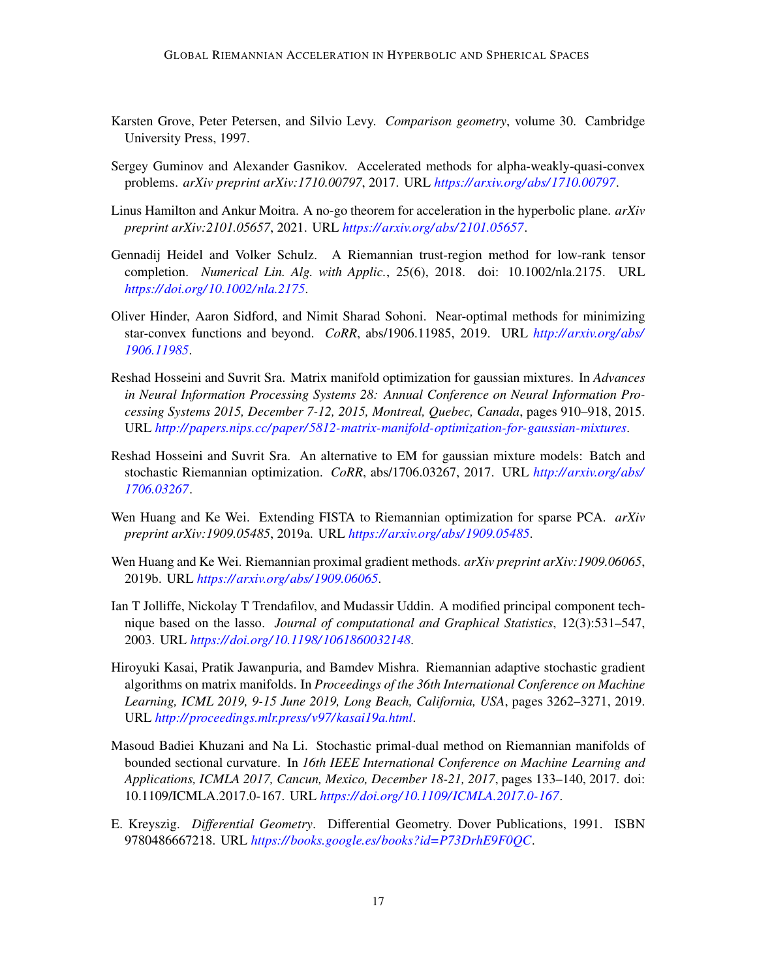- <span id="page-16-7"></span>Karsten Grove, Peter Petersen, and Silvio Levy. *Comparison geometry*, volume 30. Cambridge University Press, 1997.
- <span id="page-16-11"></span>Sergey Guminov and Alexander Gasnikov. Accelerated methods for alpha-weakly-quasi-convex problems. *arXiv preprint arXiv:1710.00797*, 2017. URL *[https:// arxiv.org/ abs/ 1710.00797](https://arxiv.org/abs/1710.00797)*.
- <span id="page-16-10"></span>Linus Hamilton and Ankur Moitra. A no-go theorem for acceleration in the hyperbolic plane. *arXiv preprint arXiv:2101.05657*, 2021. URL *[https:// arxiv.org/ abs/ 2101.05657](https://arxiv.org/abs/2101.05657)*.
- <span id="page-16-3"></span>Gennadij Heidel and Volker Schulz. A Riemannian trust-region method for low-rank tensor completion. *Numerical Lin. Alg. with Applic.*, 25(6), 2018. doi: 10.1002/nla.2175. URL *[https:// doi.org/ 10.1002/ nla.2175](https://doi.org/10.1002/nla.2175)*.
- <span id="page-16-12"></span>Oliver Hinder, Aaron Sidford, and Nimit Sharad Sohoni. Near-optimal methods for minimizing star-convex functions and beyond. *CoRR*, abs/1906.11985, 2019. URL *[http:// arxiv.org/ abs/](http://arxiv.org/abs/1906.11985) [1906.11985](http://arxiv.org/abs/1906.11985)*.
- <span id="page-16-4"></span>Reshad Hosseini and Suvrit Sra. Matrix manifold optimization for gaussian mixtures. In *Advances in Neural Information Processing Systems 28: Annual Conference on Neural Information Processing Systems 2015, December 7-12, 2015, Montreal, Quebec, Canada*, pages 910–918, 2015. URL *[http:// papers.nips.cc/ paper/ 5812-matrix-manifold-optimization-for-gaussian-mixtures](http://papers.nips.cc/paper/5812-matrix-manifold-optimization-for-gaussian-mixtures)*.
- <span id="page-16-0"></span>Reshad Hosseini and Suvrit Sra. An alternative to EM for gaussian mixture models: Batch and stochastic Riemannian optimization. *CoRR*, abs/1706.03267, 2017. URL *[http:// arxiv.org/ abs/](http://arxiv.org/abs/1706.03267) [1706.03267](http://arxiv.org/abs/1706.03267)*.
- <span id="page-16-9"></span>Wen Huang and Ke Wei. Extending FISTA to Riemannian optimization for sparse PCA. *arXiv preprint arXiv:1909.05485*, 2019a. URL *[https:// arxiv.org/ abs/ 1909.05485](https://arxiv.org/abs/1909.05485)*.
- <span id="page-16-5"></span>Wen Huang and Ke Wei. Riemannian proximal gradient methods. *arXiv preprint arXiv:1909.06065*, 2019b. URL *[https:// arxiv.org/ abs/ 1909.06065](https://arxiv.org/abs/1909.06065)*.
- <span id="page-16-6"></span>Ian T Jolliffe, Nickolay T Trendafilov, and Mudassir Uddin. A modified principal component technique based on the lasso. *Journal of computational and Graphical Statistics*, 12(3):531–547, 2003. URL *[https:// doi.org/ 10.1198/ 1061860032148](https://doi.org/10.1198/1061860032148)*.
- <span id="page-16-2"></span>Hiroyuki Kasai, Pratik Jawanpuria, and Bamdev Mishra. Riemannian adaptive stochastic gradient algorithms on matrix manifolds. In *Proceedings of the 36th International Conference on Machine Learning, ICML 2019, 9-15 June 2019, Long Beach, California, USA*, pages 3262–3271, 2019. URL *[http:// proceedings.mlr.press/v97/kasai19a.html](http://proceedings.mlr.press/v97/kasai19a.html)*.
- <span id="page-16-1"></span>Masoud Badiei Khuzani and Na Li. Stochastic primal-dual method on Riemannian manifolds of bounded sectional curvature. In *16th IEEE International Conference on Machine Learning and Applications, ICMLA 2017, Cancun, Mexico, December 18-21, 2017*, pages 133–140, 2017. doi: 10.1109/ICMLA.2017.0-167. URL *[https:// doi.org/ 10.1109/ ICMLA.2017.0-167](https://doi.org/10.1109/ICMLA.2017.0-167)*.
- <span id="page-16-8"></span>E. Kreyszig. *Differential Geometry*. Differential Geometry. Dover Publications, 1991. ISBN 9780486667218. URL *[https:// books.google.es/ books?id=P73DrhE9F0QC](https://books.google.es/books?id=P73DrhE9F0QC)*.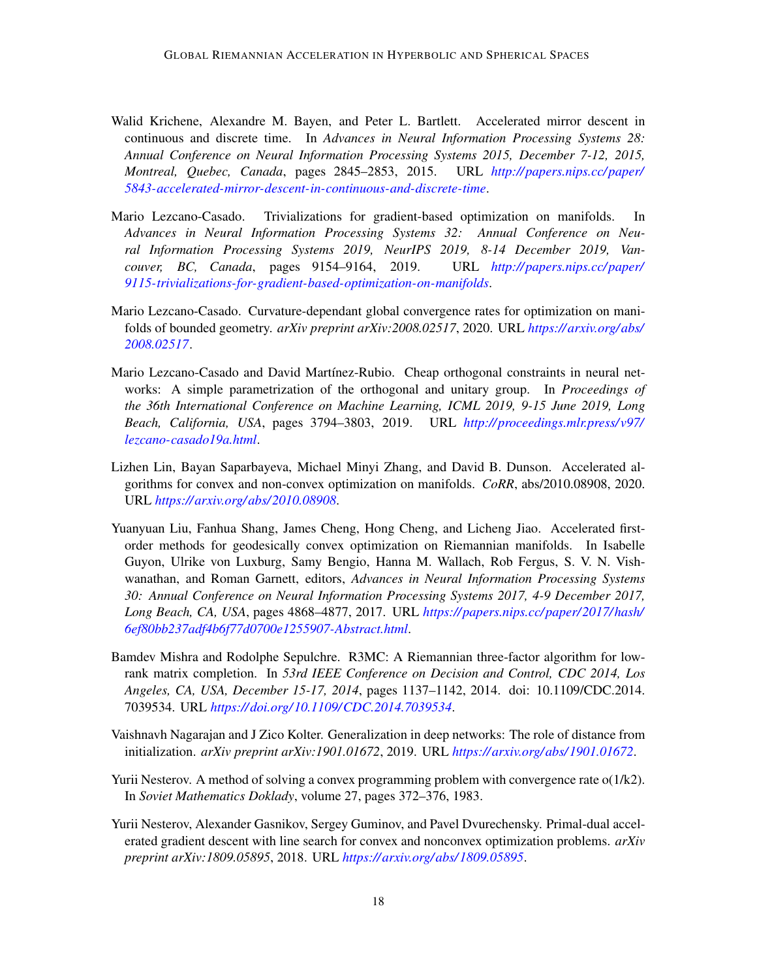- <span id="page-17-7"></span>Walid Krichene, Alexandre M. Bayen, and Peter L. Bartlett. Accelerated mirror descent in continuous and discrete time. In *Advances in Neural Information Processing Systems 28: Annual Conference on Neural Information Processing Systems 2015, December 7-12, 2015, Montreal, Quebec, Canada*, pages 2845–2853, 2015. URL *[http:// papers.nips.cc/ paper/](http://papers.nips.cc/paper/5843-accelerated-mirror-descent-in-continuous-and-discrete-time) [5843-accelerated-mirror-descent-in-continuous-and-discrete-time](http://papers.nips.cc/paper/5843-accelerated-mirror-descent-in-continuous-and-discrete-time)*.
- <span id="page-17-2"></span>Mario Lezcano-Casado. Trivializations for gradient-based optimization on manifolds. In *Advances in Neural Information Processing Systems 32: Annual Conference on Neural Information Processing Systems 2019, NeurIPS 2019, 8-14 December 2019, Vancouver, BC, Canada*, pages 9154–9164, 2019. URL *[http:// papers.nips.cc/ paper/](http://papers.nips.cc/paper/9115-trivializations-for-gradient-based-optimization-on-manifolds) [9115-trivializations-for-gradient-based-optimization-on-manifolds](http://papers.nips.cc/paper/9115-trivializations-for-gradient-based-optimization-on-manifolds)*.
- <span id="page-17-8"></span>Mario Lezcano-Casado. Curvature-dependant global convergence rates for optimization on manifolds of bounded geometry. *arXiv preprint arXiv:2008.02517*, 2020. URL *[https:// arxiv.org/ abs/](https://arxiv.org/abs/2008.02517) [2008.02517](https://arxiv.org/abs/2008.02517)*.
- <span id="page-17-3"></span>Mario Lezcano-Casado and David Martínez-Rubio. Cheap orthogonal constraints in neural networks: A simple parametrization of the orthogonal and unitary group. In *Proceedings of the 36th International Conference on Machine Learning, ICML 2019, 9-15 June 2019, Long Beach, California, USA*, pages 3794–3803, 2019. URL *[http:// proceedings.mlr.press/v97/](http://proceedings.mlr.press/v97/lezcano-casado19a.html) [lezcano-casado19a.html](http://proceedings.mlr.press/v97/lezcano-casado19a.html)*.
- <span id="page-17-5"></span>Lizhen Lin, Bayan Saparbayeva, Michael Minyi Zhang, and David B. Dunson. Accelerated algorithms for convex and non-convex optimization on manifolds. *CoRR*, abs/2010.08908, 2020. URL *[https:// arxiv.org/ abs/ 2010.08908](https://arxiv.org/abs/2010.08908)*.
- <span id="page-17-4"></span>Yuanyuan Liu, Fanhua Shang, James Cheng, Hong Cheng, and Licheng Jiao. Accelerated firstorder methods for geodesically convex optimization on Riemannian manifolds. In Isabelle Guyon, Ulrike von Luxburg, Samy Bengio, Hanna M. Wallach, Rob Fergus, S. V. N. Vishwanathan, and Roman Garnett, editors, *Advances in Neural Information Processing Systems 30: Annual Conference on Neural Information Processing Systems 2017, 4-9 December 2017, Long Beach, CA, USA*, pages 4868–4877, 2017. URL *[https:// papers.nips.cc/ paper/ 2017/ hash/](https://papers.nips.cc/paper/2017/hash/6ef80bb237adf4b6f77d0700e1255907-Abstract.html) [6ef80bb237adf4b6f77d0700e1255907-Abstract.html](https://papers.nips.cc/paper/2017/hash/6ef80bb237adf4b6f77d0700e1255907-Abstract.html)*.
- <span id="page-17-1"></span>Bamdev Mishra and Rodolphe Sepulchre. R3MC: A Riemannian three-factor algorithm for lowrank matrix completion. In *53rd IEEE Conference on Decision and Control, CDC 2014, Los Angeles, CA, USA, December 15-17, 2014*, pages 1137–1142, 2014. doi: 10.1109/CDC.2014. 7039534. URL *[https:// doi.org/ 10.1109/CDC.2014.7039534](https://doi.org/10.1109/CDC.2014.7039534)*.
- <span id="page-17-9"></span>Vaishnavh Nagarajan and J Zico Kolter. Generalization in deep networks: The role of distance from initialization. *arXiv preprint arXiv:1901.01672*, 2019. URL *[https:// arxiv.org/ abs/ 1901.01672](https://arxiv.org/abs/1901.01672)*.
- <span id="page-17-0"></span>Yurii Nesterov. A method of solving a convex programming problem with convergence rate o(1/k2). In *Soviet Mathematics Doklady*, volume 27, pages 372–376, 1983.
- <span id="page-17-6"></span>Yurii Nesterov, Alexander Gasnikov, Sergey Guminov, and Pavel Dvurechensky. Primal-dual accelerated gradient descent with line search for convex and nonconvex optimization problems. *arXiv preprint arXiv:1809.05895*, 2018. URL *[https:// arxiv.org/ abs/ 1809.05895](https://arxiv.org/abs/1809.05895)*.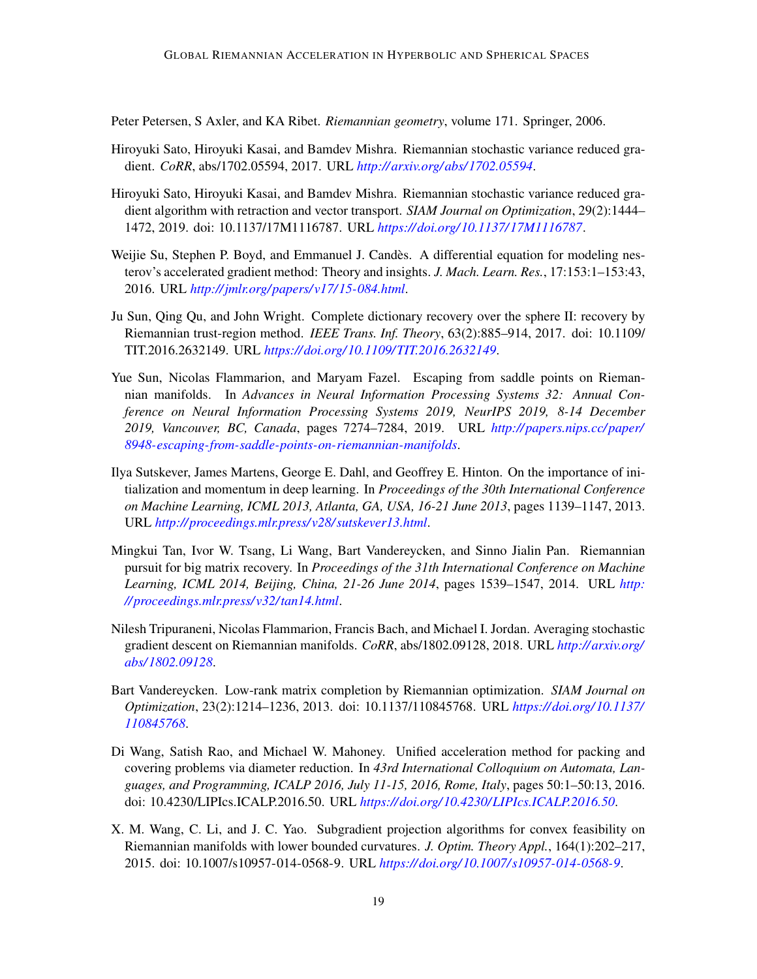<span id="page-18-10"></span>Peter Petersen, S Axler, and KA Ribet. *Riemannian geometry*, volume 171. Springer, 2006.

- <span id="page-18-4"></span>Hiroyuki Sato, Hiroyuki Kasai, and Bamdev Mishra. Riemannian stochastic variance reduced gradient. *CoRR*, abs/1702.05594, 2017. URL *[http:// arxiv.org/ abs/ 1702.05594](http://arxiv.org/abs/1702.05594)*.
- <span id="page-18-5"></span>Hiroyuki Sato, Hiroyuki Kasai, and Bamdev Mishra. Riemannian stochastic variance reduced gradient algorithm with retraction and vector transport. *SIAM Journal on Optimization*, 29(2):1444– 1472, 2019. doi: 10.1137/17M1116787. URL *[https:// doi.org/ 10.1137/ 17M1116787](https://doi.org/10.1137/17M1116787)*.
- <span id="page-18-1"></span>Weijie Su, Stephen P. Boyd, and Emmanuel J. Candès. A differential equation for modeling nesterov's accelerated gradient method: Theory and insights. *J. Mach. Learn. Res.*, 17:153:1–153:43, 2016. URL *[http://jmlr.org/ papers/v17/ 15-084.html](http://jmlr.org/papers/v17/15-084.html)*.
- <span id="page-18-9"></span>Ju Sun, Qing Qu, and John Wright. Complete dictionary recovery over the sphere II: recovery by Riemannian trust-region method. *IEEE Trans. Inf. Theory*, 63(2):885–914, 2017. doi: 10.1109/ TIT.2016.2632149. URL *[https:// doi.org/ 10.1109/TIT.2016.2632149](https://doi.org/10.1109/TIT.2016.2632149)*.
- <span id="page-18-6"></span>Yue Sun, Nicolas Flammarion, and Maryam Fazel. Escaping from saddle points on Riemannian manifolds. In *Advances in Neural Information Processing Systems 32: Annual Conference on Neural Information Processing Systems 2019, NeurIPS 2019, 8-14 December 2019, Vancouver, BC, Canada*, pages 7274–7284, 2019. URL *[http:// papers.nips.cc/ paper/](http://papers.nips.cc/paper/8948-escaping-from-saddle-points-on-riemannian-manifolds) [8948-escaping-from-saddle-points-on-riemannian-manifolds](http://papers.nips.cc/paper/8948-escaping-from-saddle-points-on-riemannian-manifolds)*.
- <span id="page-18-0"></span>Ilya Sutskever, James Martens, George E. Dahl, and Geoffrey E. Hinton. On the importance of initialization and momentum in deep learning. In *Proceedings of the 30th International Conference on Machine Learning, ICML 2013, Atlanta, GA, USA, 16-21 June 2013*, pages 1139–1147, 2013. URL *[http:// proceedings.mlr.press/v28/ sutskever13.html](http://proceedings.mlr.press/v28/sutskever13.html)*.
- <span id="page-18-7"></span>Mingkui Tan, Ivor W. Tsang, Li Wang, Bart Vandereycken, and Sinno Jialin Pan. Riemannian pursuit for big matrix recovery. In *Proceedings of the 31th International Conference on Machine Learning, ICML 2014, Beijing, China, 21-26 June 2014*, pages 1539–1547, 2014. URL *[http:](http://proceedings.mlr.press/v32/tan14.html) [// proceedings.mlr.press/v32/tan14.html](http://proceedings.mlr.press/v32/tan14.html)*.
- <span id="page-18-3"></span>Nilesh Tripuraneni, Nicolas Flammarion, Francis Bach, and Michael I. Jordan. Averaging stochastic gradient descent on Riemannian manifolds. *CoRR*, abs/1802.09128, 2018. URL *[http:// arxiv.org/](http://arxiv.org/abs/1802.09128) [abs/ 1802.09128](http://arxiv.org/abs/1802.09128)*.
- <span id="page-18-8"></span>Bart Vandereycken. Low-rank matrix completion by Riemannian optimization. *SIAM Journal on Optimization*, 23(2):1214–1236, 2013. doi: 10.1137/110845768. URL *[https:// doi.org/ 10.1137/](https://doi.org/10.1137/110845768) [110845768](https://doi.org/10.1137/110845768)*.
- <span id="page-18-2"></span>Di Wang, Satish Rao, and Michael W. Mahoney. Unified acceleration method for packing and covering problems via diameter reduction. In *43rd International Colloquium on Automata, Languages, and Programming, ICALP 2016, July 11-15, 2016, Rome, Italy*, pages 50:1–50:13, 2016. doi: 10.4230/LIPIcs.ICALP.2016.50. URL *[https:// doi.org/ 10.4230/LIPIcs.ICALP.2016.50](https://doi.org/10.4230/LIPIcs.ICALP.2016.50)*.
- <span id="page-18-11"></span>X. M. Wang, C. Li, and J. C. Yao. Subgradient projection algorithms for convex feasibility on Riemannian manifolds with lower bounded curvatures. *J. Optim. Theory Appl.*, 164(1):202–217, 2015. doi: 10.1007/s10957-014-0568-9. URL *[https:// doi.org/ 10.1007/ s10957-014-0568-9](https://doi.org/10.1007/s10957-014-0568-9)*.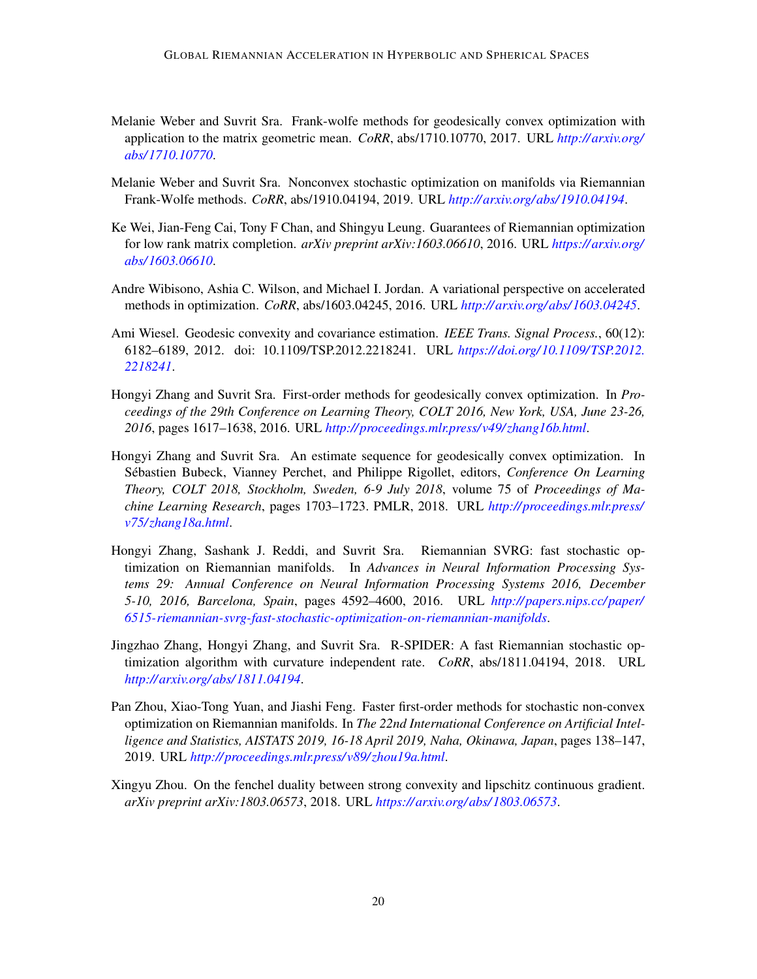- <span id="page-19-6"></span>Melanie Weber and Suvrit Sra. Frank-wolfe methods for geodesically convex optimization with application to the matrix geometric mean. *CoRR*, abs/1710.10770, 2017. URL *[http:// arxiv.org/](http://arxiv.org/abs/1710.10770) [abs/ 1710.10770](http://arxiv.org/abs/1710.10770)*.
- <span id="page-19-7"></span>Melanie Weber and Suvrit Sra. Nonconvex stochastic optimization on manifolds via Riemannian Frank-Wolfe methods. *CoRR*, abs/1910.04194, 2019. URL *[http:// arxiv.org/ abs/ 1910.04194](http://arxiv.org/abs/1910.04194)*.
- <span id="page-19-1"></span>Ke Wei, Jian-Feng Cai, Tony F Chan, and Shingyu Leung. Guarantees of Riemannian optimization for low rank matrix completion. *arXiv preprint arXiv:1603.06610*, 2016. URL *[https:// arxiv.org/](https://arxiv.org/abs/1603.06610) [abs/ 1603.06610](https://arxiv.org/abs/1603.06610)*.
- <span id="page-19-0"></span>Andre Wibisono, Ashia C. Wilson, and Michael I. Jordan. A variational perspective on accelerated methods in optimization. *CoRR*, abs/1603.04245, 2016. URL *[http:// arxiv.org/ abs/ 1603.04245](http://arxiv.org/abs/1603.04245)*.
- <span id="page-19-8"></span>Ami Wiesel. Geodesic convexity and covariance estimation. *IEEE Trans. Signal Process.*, 60(12): 6182–6189, 2012. doi: 10.1109/TSP.2012.2218241. URL *[https:// doi.org/ 10.1109/TSP.2012.](https://doi.org/10.1109/TSP.2012.2218241) [2218241](https://doi.org/10.1109/TSP.2012.2218241)*.
- <span id="page-19-2"></span>Hongyi Zhang and Suvrit Sra. First-order methods for geodesically convex optimization. In *Proceedings of the 29th Conference on Learning Theory, COLT 2016, New York, USA, June 23-26, 2016*, pages 1617–1638, 2016. URL *[http:// proceedings.mlr.press/v49/ zhang16b.html](http://proceedings.mlr.press/v49/zhang16b.html)*.
- <span id="page-19-9"></span>Hongyi Zhang and Suvrit Sra. An estimate sequence for geodesically convex optimization. In Sébastien Bubeck, Vianney Perchet, and Philippe Rigollet, editors, *Conference On Learning Theory, COLT 2018, Stockholm, Sweden, 6-9 July 2018*, volume 75 of *Proceedings of Machine Learning Research*, pages 1703–1723. PMLR, 2018. URL *[http:// proceedings.mlr.press/](http://proceedings.mlr.press/v75/zhang18a.html) [v75/ zhang18a.html](http://proceedings.mlr.press/v75/zhang18a.html)*.
- <span id="page-19-3"></span>Hongyi Zhang, Sashank J. Reddi, and Suvrit Sra. Riemannian SVRG: fast stochastic optimization on Riemannian manifolds. In *Advances in Neural Information Processing Systems 29: Annual Conference on Neural Information Processing Systems 2016, December 5-10, 2016, Barcelona, Spain*, pages 4592–4600, 2016. URL *[http:// papers.nips.cc/ paper/](http://papers.nips.cc/paper/6515-riemannian-svrg-fast-stochastic-optimization-on-riemannian-manifolds) [6515-riemannian-svrg-fast-stochastic-optimization-on-riemannian-manifolds](http://papers.nips.cc/paper/6515-riemannian-svrg-fast-stochastic-optimization-on-riemannian-manifolds)*.
- <span id="page-19-4"></span>Jingzhao Zhang, Hongyi Zhang, and Suvrit Sra. R-SPIDER: A fast Riemannian stochastic optimization algorithm with curvature independent rate. *CoRR*, abs/1811.04194, 2018. URL *[http:// arxiv.org/ abs/ 1811.04194](http://arxiv.org/abs/1811.04194)*.
- <span id="page-19-5"></span>Pan Zhou, Xiao-Tong Yuan, and Jiashi Feng. Faster first-order methods for stochastic non-convex optimization on Riemannian manifolds. In *The 22nd International Conference on Artificial Intelligence and Statistics, AISTATS 2019, 16-18 April 2019, Naha, Okinawa, Japan*, pages 138–147, 2019. URL *[http:// proceedings.mlr.press/v89/ zhou19a.html](http://proceedings.mlr.press/v89/zhou19a.html)*.
- <span id="page-19-10"></span>Xingyu Zhou. On the fenchel duality between strong convexity and lipschitz continuous gradient. *arXiv preprint arXiv:1803.06573*, 2018. URL *[https:// arxiv.org/ abs/ 1803.06573](https://arxiv.org/abs/1803.06573)*.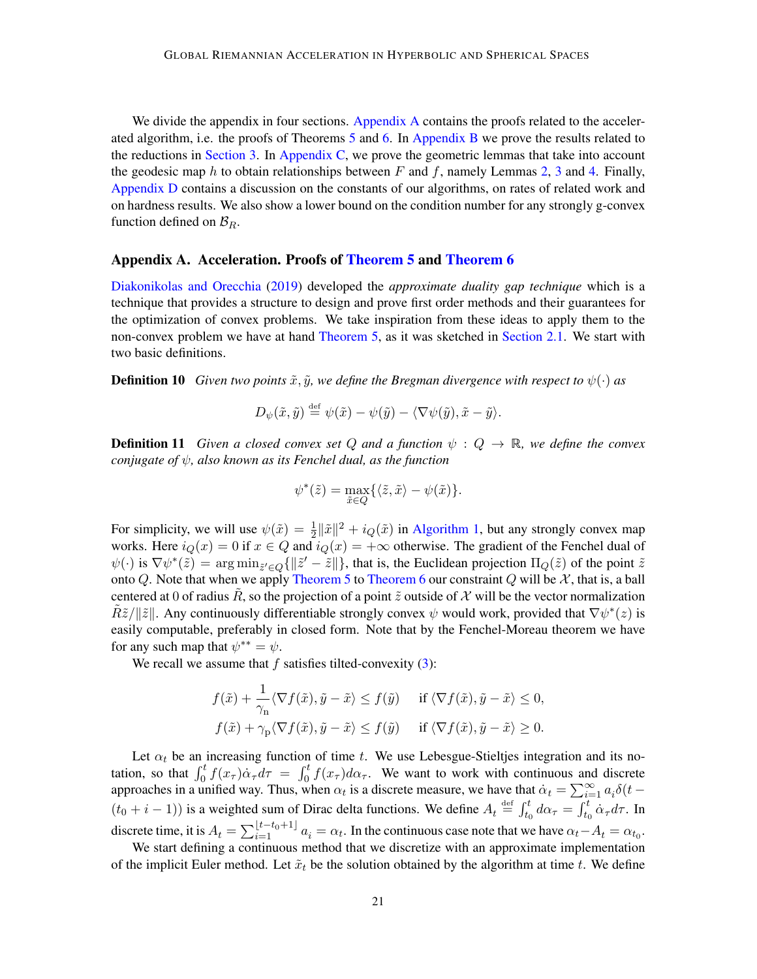We divide the appendix in four sections. [Appendix A](#page-20-0) contains the proofs related to the accelerated algorithm, i.e. the proofs of Theorems [5](#page-8-0) and [6.](#page-8-1) In [Appendix B](#page-33-0) we prove the results related to the reductions in [Section 3.](#page-10-0) In [Appendix C,](#page-37-0) we prove the geometric lemmas that take into account the geodesic map h to obtain relationships between F and f, namely Lemmas [2,](#page-6-3) [3](#page-6-0) and [4.](#page-8-7) Finally, [Appendix D](#page-54-0) contains a discussion on the constants of our algorithms, on rates of related work and on hardness results. We also show a lower bound on the condition number for any strongly g-convex function defined on  $\mathcal{B}_R$ .

#### <span id="page-20-0"></span>Appendix A. Acceleration. Proofs of [Theorem 5](#page-8-0) and [Theorem 6](#page-8-1)

[Diakonikolas and Orecchia](#page-15-0) [\(2019\)](#page-15-0) developed the *approximate duality gap technique* which is a technique that provides a structure to design and prove first order methods and their guarantees for the optimization of convex problems. We take inspiration from these ideas to apply them to the non-convex problem we have at hand [Theorem 5,](#page-8-0) as it was sketched in [Section 2.1.](#page-9-0) We start with two basic definitions.

**Definition 10** *Given two points*  $\tilde{x}$ ,  $\tilde{y}$ , we define the Bregman divergence with respect to  $\psi(\cdot)$  as

<span id="page-20-7"></span>
$$
D_{\psi}(\tilde{x},\tilde{y}) \stackrel{\text{def}}{=} \psi(\tilde{x}) - \psi(\tilde{y}) - \langle \nabla \psi(\tilde{y}), \tilde{x} - \tilde{y} \rangle.
$$

**Definition 11** *Given a closed convex set* Q and a function  $\psi : Q \to \mathbb{R}$ , we define the convex *conjugate of*  $\psi$ , also known as its Fenchel dual, as the function

<span id="page-20-6"></span><span id="page-20-4"></span><span id="page-20-3"></span>
$$
\psi^*(\tilde{z}) = \max_{\tilde{x} \in Q} \{ \langle \tilde{z}, \tilde{x} \rangle - \psi(\tilde{x}) \}.
$$

For simplicity, we will use  $\psi(\tilde{x}) = \frac{1}{2} ||\tilde{x}||^2 + i_Q(\tilde{x})$  in [Algorithm 1,](#page-10-1) but any strongly convex map works. Here  $i_Q(x) = 0$  if  $x \in Q$  and  $i_Q(x) = +\infty$  otherwise. The gradient of the Fenchel dual of  $\psi(\cdot)$  is  $\nabla \psi^*(\tilde{z}) = \arg \min_{\tilde{z}' \in Q} \{ ||\tilde{z}' - \tilde{z}|| \}$  $\nabla \psi^*(\tilde{z}) = \arg \min_{\tilde{z}' \in Q} \{ ||\tilde{z}' - \tilde{z}|| \}$  $\nabla \psi^*(\tilde{z}) = \arg \min_{\tilde{z}' \in Q} \{ ||\tilde{z}' - \tilde{z}|| \}$ , that is, the Euclidean projection  $\Pi_Q(\tilde{z})$  of the point  $\tilde{z}$ onto Q. Note that when we apply [Theorem 5](#page-8-0) to [Theorem 6](#page-8-1) our constraint Q will be  $\mathcal{X}$ , that is, a ball centered at 0 of radius  $\tilde{R}$ , so the projection of a point  $\tilde{z}$  outside of  $\mathcal X$  will be the vector normalization  $\tilde{R}\tilde{z}/\|\tilde{z}\|$ . Any continuously differentiable strongly convex  $\psi$  would work, provided that  $\nabla\psi^*(z)$  $\nabla\psi^*(z)$  $\nabla\psi^*(z)$  is easily computable, preferably in closed form. Note that by the Fenchel-Moreau theorem we have for any such map that  $\psi^{**} = \psi$  $\psi^{**} = \psi$  $\psi^{**} = \psi$ .

We recall we assume that  $f$  satisfies tilted-convexity  $(3)$ :

<span id="page-20-5"></span><span id="page-20-2"></span>
$$
f(\tilde{x}) + \frac{1}{\gamma_n} \langle \nabla f(\tilde{x}), \tilde{y} - \tilde{x} \rangle \le f(\tilde{y}) \quad \text{if } \langle \nabla f(\tilde{x}), \tilde{y} - \tilde{x} \rangle \le 0,
$$
  

$$
f(\tilde{x}) + \gamma_p \langle \nabla f(\tilde{x}), \tilde{y} - \tilde{x} \rangle \le f(\tilde{y}) \quad \text{if } \langle \nabla f(\tilde{x}), \tilde{y} - \tilde{x} \rangle \ge 0.
$$

<span id="page-20-1"></span>Let  $\alpha_t$  be an increasing function of time t. We use Lebesgue-Stieltjes integration and its notation, so that  $\int_0^t f(x_\tau) \dot{\alpha}_\tau d\tau = \int_0^t f(x_\tau) d\alpha_\tau$ . We want to work with continuous and discrete approaches in a unified way. Thus, when  $\alpha_t$  is a discrete measure, we have that  $\dot{\alpha}_t = \sum_{i=1}^{\infty} a_i \delta(t (t_0+i-1)$ ) is a weighted sum of Dirac delta functions. We define  $A_t \stackrel{\text{def}}{=} \int_{t_0}^t d\alpha_\tau = \int_{t_0}^t \dot{\alpha}_\tau d\tau$ . In discrete time, it is  $A_t = \sum_{i=1}^{\lfloor t-t_0+1 \rfloor} a_i = \alpha_t$ . In the continuous case note that we have  $\alpha_t - A_t = \alpha_{t_0}$ .

We start defining a continuous method that we discretize with an approximate implementation of the implicit Euler method. Let  $\tilde{x}_t$  be the solution obtained by the algorithm at time t. We define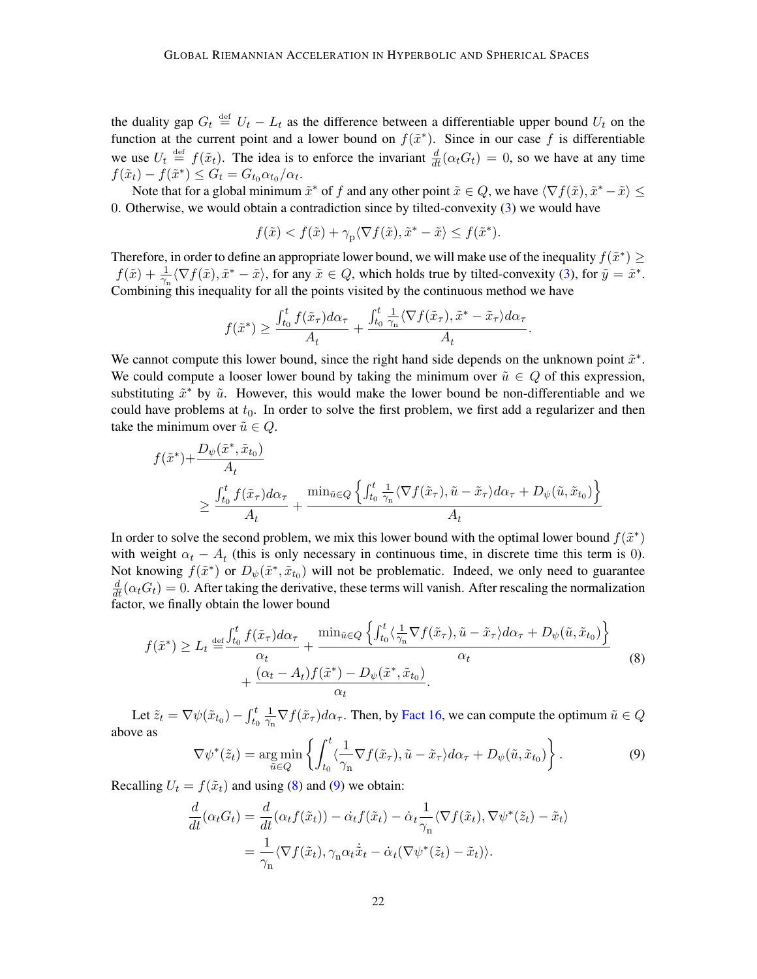<span id="page-21-2"></span><span id="page-21-0"></span>the duality gap  $G_t \stackrel{\text{def}}{=} U_t - L_t$  as the difference between a differentiable upper bound  $U_t$  on the function at the current point and a lower bound on  $f(\tilde{x}^*)$ . Since in our case f is differentiable we use  $U_t \stackrel{\text{def}}{=} f(\tilde{x}_t)$ . The idea is to enforce the invariant  $\frac{d}{dt}(\alpha_t G_t) = 0$ , so we have at any time  $f(\tilde{x}_t) - f(\tilde{x}^*) \le G_t = G_{t_0} \alpha_{t_0} / \alpha_t.$  $f(\tilde{x}_t) - f(\tilde{x}^*) \le G_t = G_{t_0} \alpha_{t_0} / \alpha_t.$  $f(\tilde{x}_t) - f(\tilde{x}^*) \le G_t = G_{t_0} \alpha_{t_0} / \alpha_t.$ 

Note that for a global minimum  $\tilde{x}^*$  of f and any other point  $\tilde{x} \in Q$ , we have  $\langle \nabla f(\tilde{x}), \tilde{x}^* - \tilde{x} \rangle \leq$ 0. Otherwise, we would obtain a contradiction since by tilted-convexity [\(3\)](#page-7-1) we would have

$$
f(\tilde{x}) < f(\tilde{x}) + \gamma_{\text{p}} \langle \nabla f(\tilde{x}), \tilde{x}^* - \tilde{x} \rangle \le f(\tilde{x}^*).
$$

Therefore, in order to define an appropriate lower bound, we will make use of the inequality  $f(\tilde{x}^*) \geq$  $f(\tilde{x}) + \frac{1}{\gamma_n} \langle \nabla f(\tilde{x}), \tilde{x}^* - \tilde{x} \rangle$ , for any  $\tilde{x} \in Q$ , which holds true by tilted-convexity [\(3\)](#page-7-1), for  $\tilde{y} = \tilde{x}^*$ . Combining this inequality for all the points visited by the continuous method we have

$$
f(\tilde{x}^*) \geq \frac{\int_{t_0}^t f(\tilde{x}_\tau) d\alpha_\tau}{A_t} + \frac{\int_{t_0}^t \frac{1}{\gamma_n} \langle \nabla f(\tilde{x}_\tau), \tilde{x}^* - \tilde{x}_\tau \rangle d\alpha_\tau}{A_t}.
$$

We cannot compute this lower bound, since the right hand side depends on the unknown point  $\tilde{x}^*$ . We could compute a looser lower bound by taking the minimum over  $\tilde{u} \in Q$  of this expression, substituting  $\tilde{x}^*$  by  $\tilde{u}$ . However, this would make the lower bound be non-differentiable and we could have problems at  $t_0$ . In order to solve the first problem, we first add a regularizer and then take the minimum over  $\tilde{u} \in Q$ .

$$
f(\tilde{x}^*) + \frac{D_{\psi}(\tilde{x}^*, \tilde{x}_{t_0})}{A_t}
$$
  
\n
$$
\geq \frac{\int_{t_0}^t f(\tilde{x}_\tau) d\alpha_\tau}{A_t} + \frac{\min_{\tilde{u} \in Q} \left\{ \int_{t_0}^t \frac{1}{\gamma_n} \langle \nabla f(\tilde{x}_\tau), \tilde{u} - \tilde{x}_\tau \rangle d\alpha_\tau + D_{\psi}(\tilde{u}, \tilde{x}_{t_0}) \right\}}{A_t}
$$

In order to solve the second problem, we mix this lower bound with the optimal lower bound  $f(\tilde{x}^*)$ with weight  $\alpha_t - A_t$  (this is only necessary in continuous time, in discrete time this term is 0). Not knowing  $f(\tilde{x}^*)$  or  $D_{\psi}(\tilde{x}^*, \tilde{x}_{t_0})$  will not be problematic. Indeed, we only need to guarantee  $\frac{d}{dt}(\alpha_t G_t) = 0$ . After taking the derivative, these terms will vanish. After rescaling the normalization factor, we finally obtain the lower bound

<span id="page-21-1"></span>
$$
f(\tilde{x}^*) \ge L_t \stackrel{\text{def}}{=} \frac{\int_{t_0}^t f(\tilde{x}_\tau) d\alpha_\tau}{\alpha_t} + \frac{\min_{\tilde{u} \in Q} \left\{ \int_{t_0}^t \langle \frac{1}{\gamma_n} \nabla f(\tilde{x}_\tau), \tilde{u} - \tilde{x}_\tau \rangle d\alpha_\tau + D_\psi(\tilde{u}, \tilde{x}_{t_0}) \right\}}{\alpha_t} \newline + \frac{(\alpha_t - A_t) f(\tilde{x}^*) - D_\psi(\tilde{x}^*, \tilde{x}_{t_0})}{\alpha_t}.
$$
\n(8)

Let  $\tilde{z}_t = \nabla \psi(\tilde{x}_{t_0}) - \int_{t_0}^t$ 1  $\frac{1}{\gamma_n} \nabla f(\tilde{x}_\tau) d\alpha_\tau$ . Then, by [Fact 16,](#page-32-0) we can compute the optimum  $\tilde{u} \in Q$ above as

<span id="page-21-4"></span><span id="page-21-3"></span>
$$
\nabla \psi^*(\tilde{z}_t) = \underset{\tilde{u} \in Q}{\arg \min} \left\{ \int_{t_0}^t \langle \frac{1}{\gamma_n} \nabla f(\tilde{x}_\tau), \tilde{u} - \tilde{x}_\tau \rangle d\alpha_\tau + D_\psi(\tilde{u}, \tilde{x}_{t_0}) \right\}.
$$
 (9)

Recalling  $U_t = f(\tilde{x}_t)$  and using [\(8\)](#page-21-3) and [\(9\)](#page-21-4) we obtain:

$$
\frac{d}{dt}(\alpha_t G_t) = \frac{d}{dt}(\alpha_t f(\tilde{x}_t)) - \dot{\alpha}_t f(\tilde{x}_t) - \dot{\alpha}_t \frac{1}{\gamma_n} \langle \nabla f(\tilde{x}_t), \nabla \psi^*(\tilde{z}_t) - \tilde{x}_t \rangle
$$
\n
$$
= \frac{1}{\gamma_n} \langle \nabla f(\tilde{x}_t), \gamma_n \alpha_t \dot{\tilde{x}}_t - \dot{\alpha}_t (\nabla \psi^*(\tilde{z}_t) - \tilde{x}_t) \rangle.
$$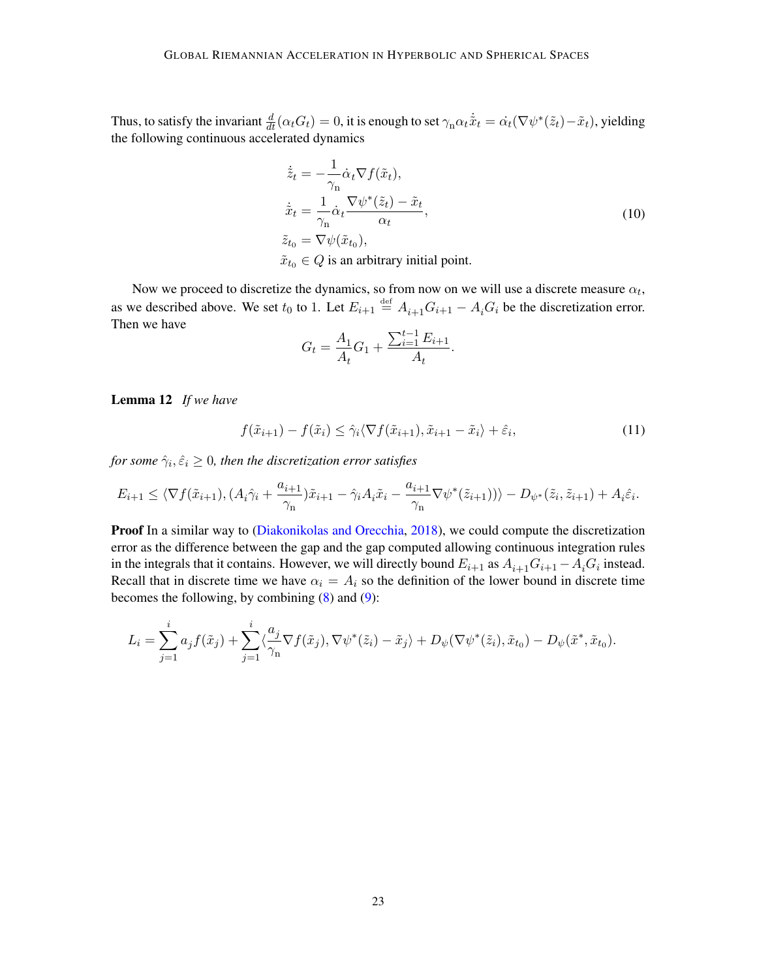Thus, to satisfy the invariant  $\frac{d}{dt}(\alpha_t G_t) = 0$ , it is enough to set  $\gamma_n \alpha_t \dot{\tilde{x}}_t = \dot{\alpha_t} (\nabla \psi^*(\tilde{z}_t) - \tilde{x}_t)$  $\gamma_n \alpha_t \dot{\tilde{x}}_t = \dot{\alpha_t} (\nabla \psi^*(\tilde{z}_t) - \tilde{x}_t)$  $\gamma_n \alpha_t \dot{\tilde{x}}_t = \dot{\alpha_t} (\nabla \psi^*(\tilde{z}_t) - \tilde{x}_t)$ , yielding the following continuous accelerated dynamics

<span id="page-22-5"></span><span id="page-22-1"></span><span id="page-22-0"></span>
$$
\dot{\tilde{z}}_t = -\frac{1}{\gamma_n} \dot{\alpha}_t \nabla f(\tilde{x}_t),
$$
\n
$$
\dot{\tilde{x}}_t = \frac{1}{\gamma_n} \dot{\alpha}_t \frac{\nabla \psi^*(\tilde{z}_t) - \tilde{x}_t}{\alpha_t},
$$
\n
$$
\tilde{z}_{t_0} = \nabla \psi(\tilde{x}_{t_0}),
$$
\n
$$
\tilde{x}_{t_0} \in Q \text{ is an arbitrary initial point.}
$$
\n(10)

Now we proceed to discretize the dynamics, so from now on we will use a discrete measure  $\alpha_t$ , as we described above. We set  $t_0$  to 1. Let  $E_{i+1} \stackrel{\text{def}}{=} A_{i+1} G_{i+1} - A_i G_i$  be the discretization error. Then we have

<span id="page-22-2"></span>
$$
G_t = \frac{A_1}{A_t} G_1 + \frac{\sum_{i=1}^{t-1} E_{i+1}}{A_t}.
$$

<span id="page-22-6"></span>Lemma 12 *If we have*

<span id="page-22-4"></span>
$$
f(\tilde{x}_{i+1}) - f(\tilde{x}_i) \le \hat{\gamma}_i \langle \nabla f(\tilde{x}_{i+1}), \tilde{x}_{i+1} - \tilde{x}_i \rangle + \hat{\varepsilon}_i,\tag{11}
$$

<span id="page-22-3"></span>for some  $\hat{\gamma}_i, \hat{\varepsilon}_i \geq 0$ , then the discretization error satisfies

$$
E_{i+1} \leq \langle \nabla f(\tilde{x}_{i+1}), (A_i \hat{\gamma}_i + \frac{a_{i+1}}{\gamma_n}) \tilde{x}_{i+1} - \hat{\gamma}_i A_i \tilde{x}_i - \frac{a_{i+1}}{\gamma_n} \nabla \psi^*(\tilde{z}_{i+1}) \rangle \rangle - D_{\psi^*}(\tilde{z}_i, \tilde{z}_{i+1}) + A_i \hat{\varepsilon}_i.
$$

Proof In a similar way to [\(Diakonikolas and Orecchia,](#page-15-3) [2018\)](#page-15-3), we could compute the discretization error as the difference between the gap and the gap computed allowing continuous integration rules in the integrals that it contains. However, we will directly bound  $E_{i+1}$  as  $A_{i+1}G_{i+1} - A_iG_i$  instead. Recall that in discrete time we have  $\alpha_i = A_i$  so the definition of the lower bound in discrete time becomes the following, by combining  $(8)$  and  $(9)$ :

$$
L_i = \sum_{j=1}^i a_j f(\tilde{x}_j) + \sum_{j=1}^i \langle \frac{a_j}{\gamma_n} \nabla f(\tilde{x}_j), \nabla \psi^*(\tilde{z}_i) - \tilde{x}_j \rangle + D_{\psi}(\nabla \psi^*(\tilde{z}_i), \tilde{x}_{t_0}) - D_{\psi}(\tilde{x}^*, \tilde{x}_{t_0}).
$$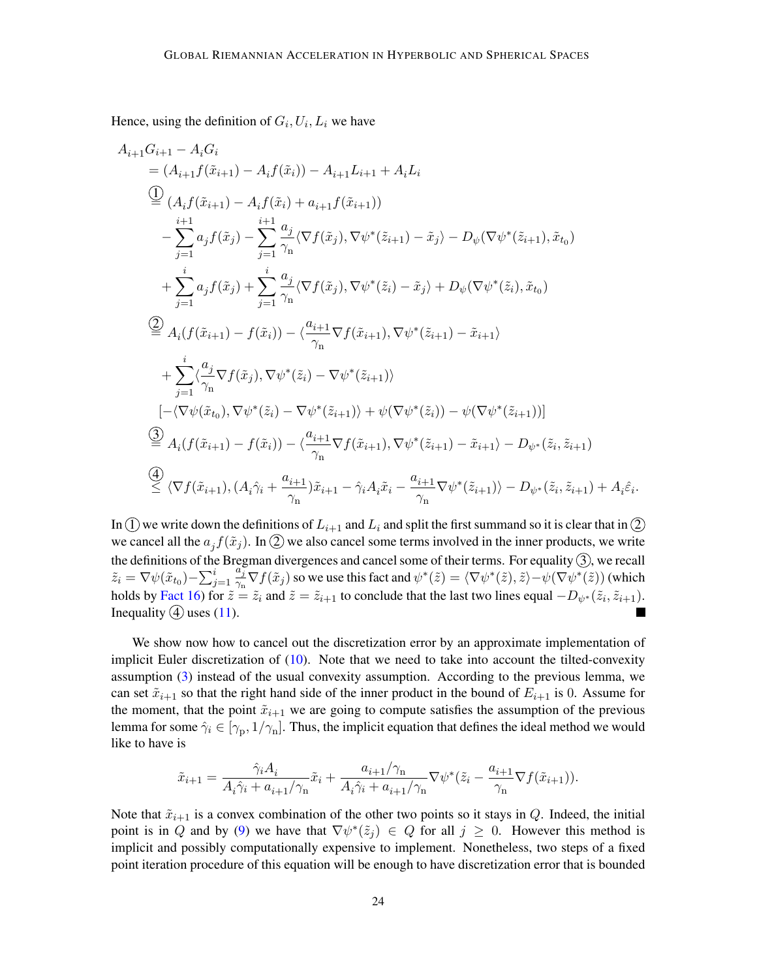Hence[,](#page-21-1) using the definition of  $G_i, U_i, L_i$  we have

$$
A_{i+1}G_{i+1} - A_iG_i
$$
  
\n
$$
= (A_{i+1}f(\tilde{x}_{i+1}) - A_i f(\tilde{x}_i)) - A_{i+1}L_{i+1} + A_iL_i
$$
  
\n
$$
\overset{(1)}{=} (A_i f(\tilde{x}_{i+1}) - A_i f(\tilde{x}_i) + a_{i+1} f(\tilde{x}_{i+1}))
$$
  
\n
$$
- \sum_{j=1}^{i+1} a_j f(\tilde{x}_j) - \sum_{j=1}^{i+1} \frac{a_j}{\gamma_n} \langle \nabla f(\tilde{x}_j), \nabla \psi^*(\tilde{z}_{i+1}) - \tilde{x}_j \rangle - D_{\psi}(\nabla \psi^*(\tilde{z}_{i+1}), \tilde{x}_{t_0})
$$
  
\n
$$
+ \sum_{j=1}^{i} a_j f(\tilde{x}_j) + \sum_{j=1}^{i} \frac{a_j}{\gamma_n} \langle \nabla f(\tilde{x}_j), \nabla \psi^*(\tilde{z}_i) - \tilde{x}_j \rangle + D_{\psi}(\nabla \psi^*(\tilde{z}_i), \tilde{x}_{t_0})
$$
  
\n
$$
\overset{(2)}{=} A_i(f(\tilde{x}_{i+1}) - f(\tilde{x}_i)) - \langle \frac{a_{i+1}}{\gamma_n} \nabla f(\tilde{x}_{i+1}), \nabla \psi^*(\tilde{z}_{i+1}) - \tilde{x}_{i+1} \rangle
$$
  
\n
$$
+ \sum_{j=1}^{i} \langle \frac{a_j}{\gamma_n} \nabla f(\tilde{x}_j), \nabla \psi^*(\tilde{z}_i) - \nabla \psi^*(\tilde{z}_{i+1}) \rangle
$$
  
\n
$$
[-\langle \nabla \psi(\tilde{x}_{t_0}), \nabla \psi^*(\tilde{z}_i) - \nabla \psi^*(\tilde{z}_{i+1}) \rangle + \psi(\nabla \psi^*(\tilde{z}_i)) - \psi(\nabla \psi^*(\tilde{z}_{i+1}))]
$$
  
\n
$$
\overset{(3)}{=} A_i(f(\tilde{x}_{i+1}) - f(\tilde{x}_i)) - \langle \frac{a_{i+1}}{\gamma_n} \nabla f(\tilde{x}_{i+1}), \nabla \psi
$$

In (1) we write down the definitions of  $L_{i+1}$  $L_{i+1}$  $L_{i+1}$  and  $L_i$  and split the first summand so it is clear that in (2) we cancel all the  $a_j f(\tilde{x}_j)$ . In (2) we also cancel some terms involved in the inner products, we write the definitions of the Bregman divergences and cancel some of their terms. For equality  $(3)$ , we recall  $\tilde{z}_i = \nabla \psi(\tilde{x}_{t_0}) - \sum_{j=1}^i$  $a_j^{\prime}$  $\frac{a_j}{\gamma_n} \nabla f(\tilde{x}_j)$  so we use this fact and  $\psi^*(\tilde{z}) = \langle \nabla \psi^*(\tilde{z}), \tilde{z} \rangle - \psi(\nabla \psi^*(\tilde{z}))$  $\psi^*(\tilde{z}) = \langle \nabla \psi^*(\tilde{z}), \tilde{z} \rangle - \psi(\nabla \psi^*(\tilde{z}))$  $\psi^*(\tilde{z}) = \langle \nabla \psi^*(\tilde{z}), \tilde{z} \rangle - \psi(\nabla \psi^*(\tilde{z}))$  (which holds by [Fact 16\)](#page-32-0) for  $\tilde{z} = \tilde{z}_i$  and  $\tilde{z} = \tilde{z}_{i+1}$  $\tilde{z} = \tilde{z}_{i+1}$  $\tilde{z} = \tilde{z}_{i+1}$  to conclude that the last two lines equal  $-D_{\psi^*}(\tilde{z}_i, \tilde{z}_{i+1})$  $-D_{\psi^*}(\tilde{z}_i, \tilde{z}_{i+1})$  $-D_{\psi^*}(\tilde{z}_i, \tilde{z}_{i+1})$ . Inequality  $(4)$  uses  $(11)$ .

We show now how to cancel out the discretization error by an approximate implementation of implicit Euler discretization of  $(10)$ . Note that we need to take into account the tilted-convexity assumption [\(3\)](#page-7-1) instead of the usual convexity assumption. According to the previous lemma, we can set  $\tilde{x}_{i+1}$  $\tilde{x}_{i+1}$  $\tilde{x}_{i+1}$  so that the right hand side of the inner product in the bound of  $E_{i+1}$  is 0. Assume for the moment, that the point  $\tilde{x}_{i+1}$  $\tilde{x}_{i+1}$  $\tilde{x}_{i+1}$  we are going to compute satisfies the assumption of the previous lemma for some  $\hat{\gamma}_i \in [\gamma_{\rm p}, 1/\gamma_{\rm n}]$  $\hat{\gamma}_i \in [\gamma_{\rm p}, 1/\gamma_{\rm n}]$  $\hat{\gamma}_i \in [\gamma_{\rm p}, 1/\gamma_{\rm n}]$ . Thus, the implicit equation that defines the ideal method we would like to have is

$$
\tilde{x}_{i+1}=\frac{\hat{\gamma}_i A_i}{A_i\hat{\gamma}_i+a_{i+1}/\gamma_{\rm n}}\tilde{x}_i+\frac{a_{i+1}/\gamma_{\rm n}}{A_i\hat{\gamma}_i+a_{i+1}/\gamma_{\rm n}}\nabla\psi^*(\tilde{z}_i-\frac{a_{i+1}}{\gamma_{\rm n}}\nabla f(\tilde{x}_{i+1})).
$$

Note that  $\tilde{x}_{i+1}$  $\tilde{x}_{i+1}$  $\tilde{x}_{i+1}$  is a convex combination of the other two points so it stays in Q. Indeed, the initial point is in Q and by [\(9\)](#page-21-4) we have that  $\nabla \psi^*(\tilde{z}_j) \in Q$  $\nabla \psi^*(\tilde{z}_j) \in Q$  $\nabla \psi^*(\tilde{z}_j) \in Q$  for all  $j \geq 0$ . However this method is implicit and possibly computationally expensive to implement. Nonetheless, two steps of a fixed point iteration procedure of this equation will be enough to have discretization error that is bounded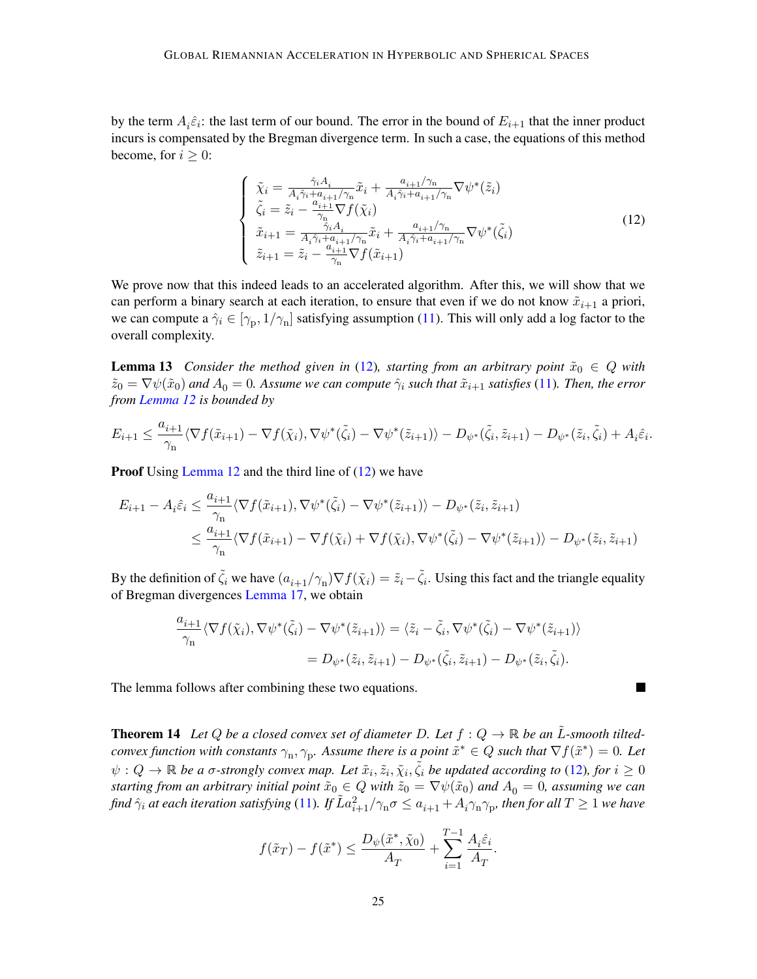by the term  $A_i\hat{\varepsilon}_i$ : the last term of our bound. The error in the bound of  $E_{i+1}$  that the inner product incurs is compensated by the Bregman divergence term. In such a case, the equations of this method become, for  $i \geq 0$ :

<span id="page-24-5"></span><span id="page-24-4"></span><span id="page-24-3"></span><span id="page-24-1"></span><span id="page-24-0"></span>
$$
\begin{cases}\n\tilde{\chi}_i = \frac{\hat{\gamma}_i A_i}{A_i \hat{\gamma}_i + a_{i+1}/\gamma_{\rm n}} \tilde{x}_i + \frac{a_{i+1}/\gamma_{\rm n}}{A_i \hat{\gamma}_i + a_{i+1}/\gamma_{\rm n}} \nabla \psi^*(\tilde{z}_i) \\
\tilde{\zeta}_i = \tilde{z}_i - \frac{a_{i+1}}{\gamma_{\rm n}} \nabla f(\tilde{\chi}_i) \\
\tilde{x}_{i+1} = \frac{\hat{\gamma}_i A_i}{A_i \hat{\gamma}_i + a_{i+1}/\gamma_{\rm n}} \tilde{x}_i + \frac{a_{i+1}/\gamma_{\rm n}}{A_i \hat{\gamma}_i + a_{i+1}/\gamma_{\rm n}} \nabla \psi^*(\tilde{\zeta}_i) \\
\tilde{z}_{i+1} = \tilde{z}_i - \frac{a_{i+1}}{\gamma_{\rm n}} \nabla f(\tilde{x}_{i+1})\n\end{cases} \tag{12}
$$

<span id="page-24-2"></span>We prove now that this indeed leads to an accelerated algorithm. After this, we will show that we can perform a binary search at each iteration, to ensure that even if we do not know  $\tilde{x}_{i+1}$  $\tilde{x}_{i+1}$  $\tilde{x}_{i+1}$  a priori, we can compute a  $\hat{\gamma}_i \in [\gamma_{\rm p}, 1/\gamma_{\rm n}]$  $\hat{\gamma}_i \in [\gamma_{\rm p}, 1/\gamma_{\rm n}]$  $\hat{\gamma}_i \in [\gamma_{\rm p}, 1/\gamma_{\rm n}]$  satisfying assumption [\(11\)](#page-22-4). This will only add a log factor to the overall complexity.

<span id="page-24-7"></span>**Lemma 13** *Consider the method given in* [\(12\)](#page-24-5), *starting from an arbitrary point*  $\tilde{x}_0 \in Q$  *with*  $\tilde{z}_0 = \nabla \psi(\tilde{x}_0)$  and  $A_0 = 0$ . Assume we can compute  $\hat{\gamma}_i$  such that  $\tilde{x}_{i+1}$  $\tilde{x}_{i+1}$  $\tilde{x}_{i+1}$  satisfies [\(11\)](#page-22-4). Then, the error *from [Lemma 12](#page-22-6) is bounded by*

$$
E_{i+1} \leq \frac{a_{i+1}}{\gamma_n} \langle \nabla f(\tilde{x}_{i+1}) - \nabla f(\tilde{\chi}_i), \nabla \psi^*(\tilde{\zeta}_i) - \nabla \psi^*(\tilde{z}_{i+1}) \rangle - D_{\psi^*}(\tilde{\zeta}_i, \tilde{z}_{i+1}) - D_{\psi^*}(\tilde{z}_i, \tilde{\zeta}_i) + A_i \hat{\varepsilon}_i.
$$

Proof Using [Lemma 12](#page-22-6) and the third line of [\(12\)](#page-24-5) we have

$$
E_{i+1} - A_i \hat{\varepsilon}_i \leq \frac{a_{i+1}}{\gamma_n} \langle \nabla f(\tilde{x}_{i+1}), \nabla \psi^*(\tilde{\zeta}_i) - \nabla \psi^*(\tilde{z}_{i+1}) \rangle - D_{\psi^*}(\tilde{z}_i, \tilde{z}_{i+1})
$$
  

$$
\leq \frac{a_{i+1}}{\gamma_n} \langle \nabla f(\tilde{x}_{i+1}) - \nabla f(\tilde{\chi}_i) + \nabla f(\tilde{\chi}_i), \nabla \psi^*(\tilde{\zeta}_i) - \nabla \psi^*(\tilde{z}_{i+1}) \rangle - D_{\psi^*}(\tilde{z}_i, \tilde{z}_{i+1})
$$

By the definition of  $\tilde{\zeta}_i$  we have  $(a_{i+1}/\gamma_n)\nabla f(\tilde{\chi}_i) = \tilde{z}_i - \tilde{\zeta}_i$  $(a_{i+1}/\gamma_n)\nabla f(\tilde{\chi}_i) = \tilde{z}_i - \tilde{\zeta}_i$  $(a_{i+1}/\gamma_n)\nabla f(\tilde{\chi}_i) = \tilde{z}_i - \tilde{\zeta}_i$  $(a_{i+1}/\gamma_n)\nabla f(\tilde{\chi}_i) = \tilde{z}_i - \tilde{\zeta}_i$  $(a_{i+1}/\gamma_n)\nabla f(\tilde{\chi}_i) = \tilde{z}_i - \tilde{\zeta}_i$ . Using this fact and the triangle equality of Bregman divergences [Lemma 17,](#page-32-1) we obtain

$$
\frac{a_{i+1}}{\gamma_n} \langle \nabla f(\tilde{\chi}_i), \nabla \psi^*(\tilde{\zeta}_i) - \nabla \psi^*(\tilde{z}_{i+1}) \rangle = \langle \tilde{z}_i - \tilde{\zeta}_i, \nabla \psi^*(\tilde{\zeta}_i) - \nabla \psi^*(\tilde{z}_{i+1}) \rangle
$$
  
=  $D_{\psi^*}(\tilde{z}_i, \tilde{z}_{i+1}) - D_{\psi^*}(\tilde{\zeta}_i, \tilde{z}_{i+1}) - D_{\psi^*}(\tilde{z}_i, \tilde{\zeta}_i).$ 

L.

The lemma follows after combining these two equations.

<span id="page-24-8"></span>**Theorem 14** Let Q be a closed convex set of diameter D. Let  $f: Q \to \mathbb{R}$  be an  $\tilde{L}$ -smooth tilted*convex function with constants*  $\gamma_n, \gamma_p$ . Assume there is a point  $\tilde{x}^* \in Q$  such that  $\nabla f(\tilde{x}^*) = 0$ . Let  $\psi: Q \to \mathbb{R}$  be a  $\sigma$ -strongly convex map. Let  $\tilde{x}_i, \tilde{z}_i, \tilde{\chi}_i, \tilde{\zeta}_i$  be updated according to [\(12\)](#page-24-5), for  $i \geq 0$ *starting from an arbitrary initial point*  $\tilde{x}_0 \in Q$  *with*  $\tilde{z}_0 = \nabla \psi(\tilde{x}_0)$  *and*  $A_0 = 0$ *, assuming we can* find  $\hat\gamma_i$  at each iteration satisfying [\(11\)](#page-22-4). If  $\tilde La_{i+1}^2/\gamma_{\rm n}\sigma\le a_{i+1}+A_i\gamma_{\rm n}\gamma_{\rm p}$  $\tilde La_{i+1}^2/\gamma_{\rm n}\sigma\le a_{i+1}+A_i\gamma_{\rm n}\gamma_{\rm p}$  $\tilde La_{i+1}^2/\gamma_{\rm n}\sigma\le a_{i+1}+A_i\gamma_{\rm n}\gamma_{\rm p}$  $\tilde La_{i+1}^2/\gamma_{\rm n}\sigma\le a_{i+1}+A_i\gamma_{\rm n}\gamma_{\rm p}$  $\tilde La_{i+1}^2/\gamma_{\rm n}\sigma\le a_{i+1}+A_i\gamma_{\rm n}\gamma_{\rm p}$ , then for all  $T\ge1$  we have

<span id="page-24-6"></span>
$$
f(\tilde{x}_T) - f(\tilde{x}^*) \le \frac{D_{\psi}(\tilde{x}^*, \tilde{\chi}_0)}{A_T} + \sum_{i=1}^{T-1} \frac{A_i \hat{\varepsilon}_i}{A_T}.
$$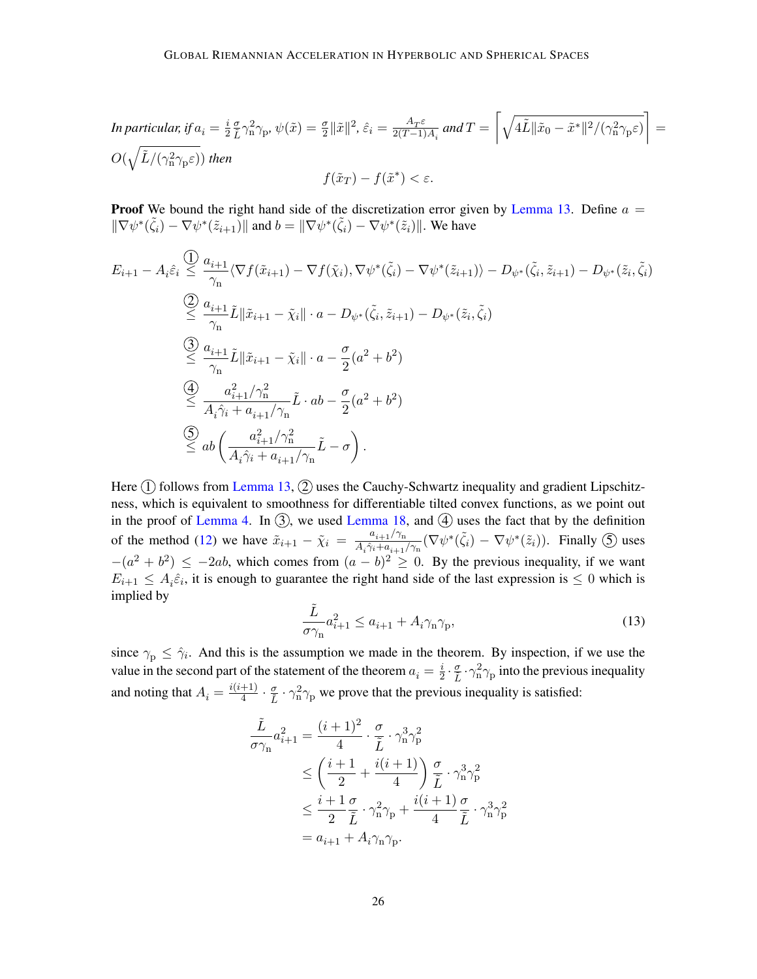<span id="page-25-0"></span>In particular, if 
$$
a_i = \frac{i}{2} \frac{\sigma}{L} \gamma_n^2 \gamma_p
$$
,  $\psi(\tilde{x}) = \frac{\sigma}{2} ||\tilde{x}||^2$ ,  $\hat{\varepsilon}_i = \frac{A_T \varepsilon}{2(T-1)A_i}$  and  $T = \left[ \sqrt{4\tilde{L} ||\tilde{x}_0 - \tilde{x}^*||^2 / (\gamma_n^2 \gamma_p \varepsilon)} \right] =$   
 $O(\sqrt{\tilde{L}/(\gamma_n^2 \gamma_p \varepsilon)})$  then  
 $f(\tilde{x}_T) - f(\tilde{x}^*) < \varepsilon$ .

**Proof** We bound the right hand side of the discretization error given by [Lemma 13.](#page-24-7) Define  $a =$  $\|\nabla \psi^*(\tilde{\zeta}_i) - \nabla \psi^*(\tilde{z}_{i+1})\|$  $\|\nabla \psi^*(\tilde{\zeta}_i) - \nabla \psi^*(\tilde{z}_{i+1})\|$  $\|\nabla \psi^*(\tilde{\zeta}_i) - \nabla \psi^*(\tilde{z}_{i+1})\|$  $\|\nabla \psi^*(\tilde{\zeta}_i) - \nabla \psi^*(\tilde{z}_{i+1})\|$  $\|\nabla \psi^*(\tilde{\zeta}_i) - \nabla \psi^*(\tilde{z}_{i+1})\|$  and  $b = \|\nabla \psi^*(\tilde{\zeta}_i) - \nabla \psi^*(\tilde{z}_i)\|$ . We have

$$
E_{i+1} - A_i \hat{\varepsilon}_i \leq \frac{0}{\gamma_n} \langle \nabla f(\tilde{x}_{i+1}) - \nabla f(\tilde{\chi}_i), \nabla \psi^*(\tilde{\zeta}_i) - \nabla \psi^*(\tilde{z}_{i+1}) \rangle - D_{\psi^*}(\tilde{\zeta}_i, \tilde{z}_{i+1}) - D_{\psi^*}(\tilde{z}_i, \tilde{\zeta}_i)
$$
  
\n
$$
\overset{(2)}{\leq} \frac{a_{i+1}}{\gamma_n} \tilde{L} \|\tilde{x}_{i+1} - \tilde{\chi}_i\| \cdot a - D_{\psi^*}(\tilde{\zeta}_i, \tilde{z}_{i+1}) - D_{\psi^*}(\tilde{z}_i, \tilde{\zeta}_i)
$$
  
\n
$$
\overset{(3)}{\leq} \frac{a_{i+1}}{\gamma_n} \tilde{L} \|\tilde{x}_{i+1} - \tilde{\chi}_i\| \cdot a - \frac{\sigma}{2} (a^2 + b^2)
$$
  
\n
$$
\overset{(4)}{\leq} \frac{a_{i+1}^2 / \gamma_n^2}{A_i \hat{\gamma}_i + a_{i+1} / \gamma_n} \tilde{L} \cdot ab - \frac{\sigma}{2} (a^2 + b^2)
$$
  
\n
$$
\overset{(5)}{\leq} ab \left( \frac{a_{i+1}^2 / \gamma_n^2}{A_i \hat{\gamma}_i + a_{i+1} / \gamma_n} \tilde{L} - \sigma \right).
$$

Here  $(1)$  follows from [Lemma 13,](#page-24-7)  $(2)$  uses the Cauchy-Schwartz inequality and gradient Lipschitzness, which is equivalent to smoothness for differentiable tilted convex functions, as we point out in the proof of [Lemma 4.](#page-8-7) In  $(3)$ , we used [Lemma 18,](#page-32-2) and  $(4)$  uses the fact that by the definition of the method [\(12\)](#page-24-5) we have  $\tilde{x}_{i+1} - \tilde{\chi}_i = \frac{a_{i+1}/\gamma_n}{A\hat{\chi}_i + a_{i+1}}$  $\tilde{x}_{i+1} - \tilde{\chi}_i = \frac{a_{i+1}/\gamma_n}{A\hat{\chi}_i + a_{i+1}}$  $\tilde{x}_{i+1} - \tilde{\chi}_i = \frac{a_{i+1}/\gamma_n}{A\hat{\chi}_i + a_{i+1}}$  $\tilde{x}_{i+1} - \tilde{\chi}_i = \frac{a_{i+1}/\gamma_n}{A\hat{\chi}_i + a_{i+1}}$  $\tilde{x}_{i+1} - \tilde{\chi}_i = \frac{a_{i+1}/\gamma_n}{A\hat{\chi}_i + a_{i+1}}$  $\frac{a_{i+1}/\gamma_n}{A_i\hat{\gamma}_i + a_{i+1}/\gamma_n}(\nabla \psi^*(\tilde{\zeta}_i) - \nabla \psi^*(\tilde{z}_i)).$  $\frac{a_{i+1}/\gamma_n}{A_i\hat{\gamma}_i + a_{i+1}/\gamma_n}(\nabla \psi^*(\tilde{\zeta}_i) - \nabla \psi^*(\tilde{z}_i)).$  $\frac{a_{i+1}/\gamma_n}{A_i\hat{\gamma}_i + a_{i+1}/\gamma_n}(\nabla \psi^*(\tilde{\zeta}_i) - \nabla \psi^*(\tilde{z}_i)).$  $\frac{a_{i+1}/\gamma_n}{A_i\hat{\gamma}_i + a_{i+1}/\gamma_n}(\nabla \psi^*(\tilde{\zeta}_i) - \nabla \psi^*(\tilde{z}_i)).$  $\frac{a_{i+1}/\gamma_n}{A_i\hat{\gamma}_i + a_{i+1}/\gamma_n}(\nabla \psi^*(\tilde{\zeta}_i) - \nabla \psi^*(\tilde{z}_i)).$  $\frac{a_{i+1}/\gamma_n}{A_i\hat{\gamma}_i + a_{i+1}/\gamma_n}(\nabla \psi^*(\tilde{\zeta}_i) - \nabla \psi^*(\tilde{z}_i)).$  $\frac{a_{i+1}/\gamma_n}{A_i\hat{\gamma}_i + a_{i+1}/\gamma_n}(\nabla \psi^*(\tilde{\zeta}_i) - \nabla \psi^*(\tilde{z}_i)).$  Finally  $\circled{S}$  uses  $-(a^2 + b^2) \le -2ab$ , which comes from  $(a - b)^2 \ge 0$ . By the previous inequality, if we want  $E_{i+1} \leq A_i \hat{\varepsilon}_i$ , it is enough to guarantee the right hand side of the last expression is  $\leq 0$  which is implied by

<span id="page-25-1"></span>
$$
\frac{\tilde{L}}{\sigma \gamma_{\rm n}} a_{i+1}^2 \le a_{i+1} + A_i \gamma_{\rm n} \gamma_{\rm p},\tag{13}
$$

since  $\gamma_{\rm p} \leq \hat{\gamma}_i$ . And this is the assumption we made in the theorem. By inspection, if we use the value in the second part of the statement of the theorem  $a_i = \frac{i}{2}$  $\frac{i}{2} \cdot \frac{\sigma}{\tilde{L}} \cdot \gamma_n^2 \gamma_p$  into the previous inequality and noting that  $A_i = \frac{i(i+1)}{4}$  $\frac{+1}{4} \cdot \frac{\sigma}{\tilde{L}} \cdot \gamma_n^2 \gamma_p$  we prove that the previous inequality is satisfied:

$$
\tilde{L}_{\sigma\gamma_{n}} a_{i+1}^{2} = \frac{(i+1)^{2}}{4} \cdot \frac{\sigma}{\tilde{L}} \cdot \gamma_{n}^{3} \gamma_{p}^{2}
$$
\n
$$
\leq \left(\frac{i+1}{2} + \frac{i(i+1)}{4}\right) \frac{\sigma}{\tilde{L}} \cdot \gamma_{n}^{3} \gamma_{p}^{2}
$$
\n
$$
\leq \frac{i+1}{2} \frac{\sigma}{\tilde{L}} \cdot \gamma_{n}^{2} \gamma_{p} + \frac{i(i+1)}{4} \frac{\sigma}{\tilde{L}} \cdot \gamma_{n}^{3} \gamma_{p}^{2}
$$
\n
$$
= a_{i+1} + A_{i} \gamma_{n} \gamma_{p}.
$$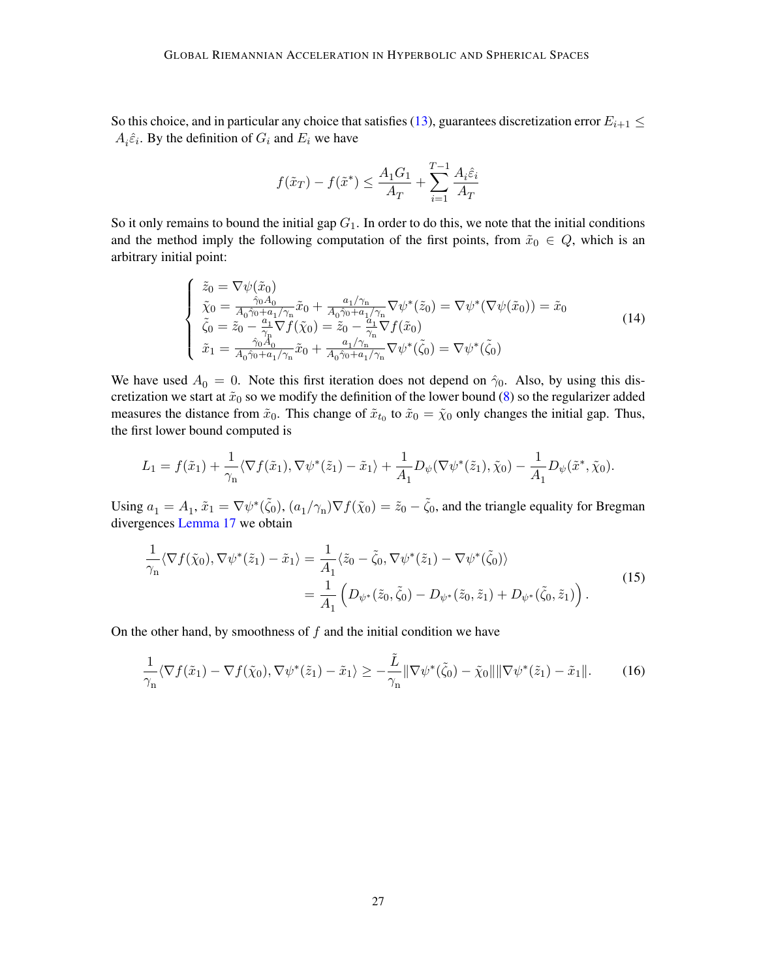So this choice, and in particular any choice that satisfies [\(13\)](#page-25-1), guarantees discretization error  $E_{i+1} \leq$  $A_i \hat{\varepsilon}_i$ . By the definition of  $G_i$  and  $E_i$  we have

$$
f(\tilde{x}_T) - f(\tilde{x}^*) \le \frac{A_1 G_1}{A_T} + \sum_{i=1}^{T-1} \frac{A_i \hat{\varepsilon}_i}{A_T}
$$

So it only remains to bound the initial gap  $G_1$ . In order to do this, we note that the initial conditions and the method imply the following computation of the first points, from  $\tilde{x}_0 \in Q$ , which is an arbitrary initial point:

$$
\begin{cases}\n\tilde{z}_{0} = \nabla \psi(\tilde{x}_{0}) \\
\tilde{\chi}_{0} = \frac{\hat{\gamma}_{0} A_{0}}{A_{0} \hat{\gamma}_{0} + a_{1} / \gamma_{\mathrm{n}}} \tilde{x}_{0} + \frac{a_{1} / \gamma_{\mathrm{n}}}{A_{0} \hat{\gamma}_{0} + a_{1} / \gamma_{\mathrm{n}}} \nabla \psi^{*}(\tilde{z}_{0}) = \nabla \psi^{*}(\nabla \psi(\tilde{x}_{0})) = \tilde{x}_{0} \\
\tilde{\zeta}_{0} = \tilde{z}_{0} - \frac{a_{1}}{\gamma_{\mathrm{n}}} \nabla f(\tilde{\chi}_{0}) = \tilde{z}_{0} - \frac{a_{1}}{\gamma_{\mathrm{n}}} \nabla f(\tilde{x}_{0}) \\
\tilde{x}_{1} = \frac{\hat{\gamma}_{0} A_{0}}{A_{0} \hat{\gamma}_{0} + a_{1} / \gamma_{\mathrm{n}}} \tilde{x}_{0} + \frac{a_{1} / \gamma_{\mathrm{n}}}{A_{0} \hat{\gamma}_{0} + a_{1} / \gamma_{\mathrm{n}}} \nabla \psi^{*}(\tilde{\zeta}_{0}) = \nabla \psi^{*}(\tilde{\zeta}_{0})\n\end{cases} (14)
$$

We have used  $A_0 = 0$ . Note this first iteration does not depend on  $\hat{\gamma}_0$ . Also, by using this discretization we start at  $\tilde{x}_0$  so we modify the definition of the lower bound [\(8\)](#page-21-3) so the regularizer added measures the distance from  $\tilde{x}_0$ . This change of  $\tilde{x}_{t_0}$  to  $\tilde{x}_0 = \tilde{\chi}_0$  only changes the initial gap. Thus, the first lower bound computed is

$$
L_1 = f(\tilde{x}_1) + \frac{1}{\gamma_n} \langle \nabla f(\tilde{x}_1), \nabla \psi^*(\tilde{z}_1) - \tilde{x}_1 \rangle + \frac{1}{A_1} D_{\psi}(\nabla \psi^*(\tilde{z}_1), \tilde{\chi}_0) - \frac{1}{A_1} D_{\psi}(\tilde{x}^*, \tilde{\chi}_0).
$$

Using  $a_1 = A_1$ ,  $\tilde{x}_1 = \nabla \psi^*(\tilde{\zeta}_0)$  $\tilde{x}_1 = \nabla \psi^*(\tilde{\zeta}_0)$  $\tilde{x}_1 = \nabla \psi^*(\tilde{\zeta}_0)$ ,  $(a_1/\gamma_n)\nabla f(\tilde{\chi}_0) = \tilde{z}_0 - \tilde{\zeta}_0$  $(a_1/\gamma_n)\nabla f(\tilde{\chi}_0) = \tilde{z}_0 - \tilde{\zeta}_0$  $(a_1/\gamma_n)\nabla f(\tilde{\chi}_0) = \tilde{z}_0 - \tilde{\zeta}_0$ , and the triangle equality for Bregman divergences [Lemma 17](#page-32-1) we obtain

<span id="page-26-0"></span>
$$
\frac{1}{\gamma_{n}}\langle \nabla f(\tilde{\chi}_{0}), \nabla \psi^{*}(\tilde{z}_{1}) - \tilde{x}_{1} \rangle = \frac{1}{A_{1}}\langle \tilde{z}_{0} - \tilde{\zeta}_{0}, \nabla \psi^{*}(\tilde{z}_{1}) - \nabla \psi^{*}(\tilde{\zeta}_{0}) \rangle \n= \frac{1}{A_{1}} \left( D_{\psi^{*}}(\tilde{z}_{0}, \tilde{\zeta}_{0}) - D_{\psi^{*}}(\tilde{z}_{0}, \tilde{z}_{1}) + D_{\psi^{*}}(\tilde{\zeta}_{0}, \tilde{z}_{1}) \right).
$$
\n(15)

On the other hand, by smoothness of  $f$  and the initial condition we have

<span id="page-26-1"></span>
$$
\frac{1}{\gamma_n} \langle \nabla f(\tilde{x}_1) - \nabla f(\tilde{x}_0), \nabla \psi^*(\tilde{z}_1) - \tilde{x}_1 \rangle \ge -\frac{\tilde{L}}{\gamma_n} \|\nabla \psi^*(\tilde{\zeta}_0) - \tilde{x}_0\| \|\nabla \psi^*(\tilde{z}_1) - \tilde{x}_1\|.
$$
 (16)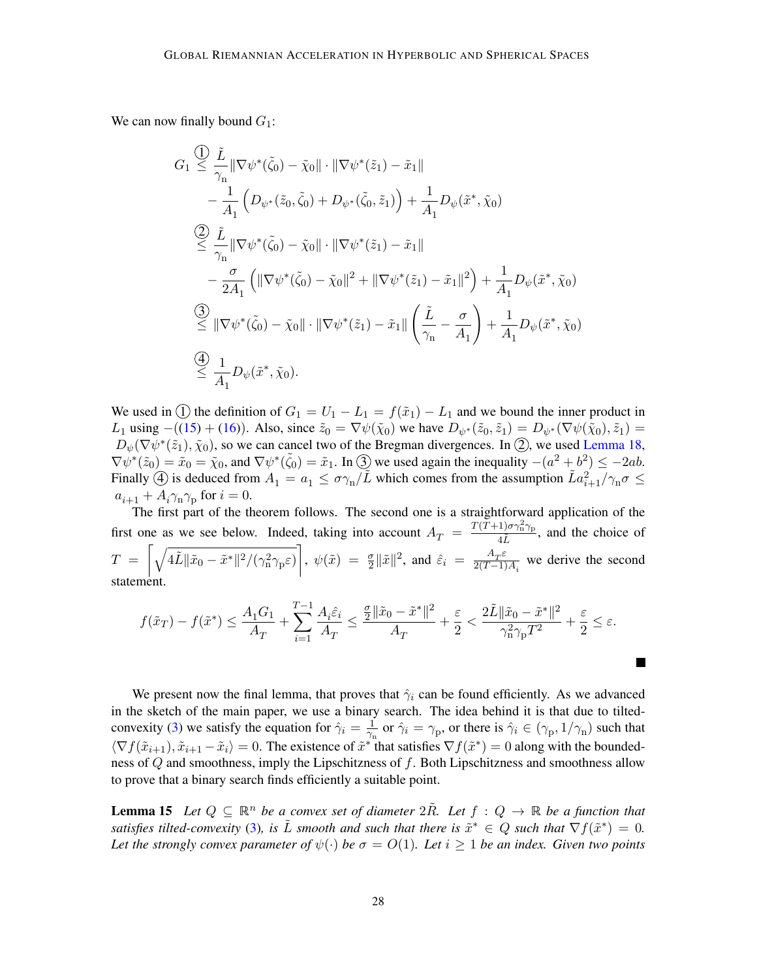We can now finally bound  $G_1$ :

$$
G_{1} \leq \frac{\tilde{L}}{\gamma_{n}} \|\nabla \psi^{*}(\tilde{\zeta}_{0}) - \tilde{\chi}_{0}\| \cdot \|\nabla \psi^{*}(\tilde{z}_{1}) - \tilde{x}_{1}\| - \frac{1}{A_{1}} \left( D_{\psi^{*}}(\tilde{z}_{0}, \tilde{\zeta}_{0}) + D_{\psi^{*}}(\tilde{\zeta}_{0}, \tilde{z}_{1}) \right) + \frac{1}{A_{1}} D_{\psi}(\tilde{x}^{*}, \tilde{\chi}_{0}) \n\overset{(2)}{\leq} \frac{\tilde{L}}{\gamma_{n}} \|\nabla \psi^{*}(\tilde{\zeta}_{0}) - \tilde{\chi}_{0}\| \cdot \|\nabla \psi^{*}(\tilde{z}_{1}) - \tilde{x}_{1}\| - \frac{\sigma}{2A_{1}} \left( \|\nabla \psi^{*}(\tilde{\zeta}_{0}) - \tilde{\chi}_{0}\|^{2} + \|\nabla \psi^{*}(\tilde{z}_{1}) - \tilde{x}_{1}\|^{2} \right) + \frac{1}{A_{1}} D_{\psi}(\tilde{x}^{*}, \tilde{\chi}_{0}) \n\overset{(3)}{\leq} \|\nabla \psi^{*}(\tilde{\zeta}_{0}) - \tilde{\chi}_{0}\| \cdot \|\nabla \psi^{*}(\tilde{z}_{1}) - \tilde{x}_{1}\| \left( \frac{\tilde{L}}{\gamma_{n}} - \frac{\sigma}{A_{1}} \right) + \frac{1}{A_{1}} D_{\psi}(\tilde{x}^{*}, \tilde{\chi}_{0}) \n\overset{(4)}{\leq} \frac{1}{A_{1}} D_{\psi}(\tilde{x}^{*}, \tilde{\chi}_{0}).
$$

We used in (1) the definition of  $G_1 = U_1 - L_1 = f(\tilde{x}_1) - L_1$  and we bound the inner product in L<sub>1</sub> using −([\(15\)](#page-26-0) + [\(16\)](#page-26-1)). Also, since  $\tilde{z}_0 = \nabla \psi(\tilde{\chi}_0)$  we have  $D_{\psi^*}(\tilde{z}_0, \tilde{z}_1) = D_{\psi^*}(\nabla \psi(\tilde{\chi}_0), \tilde{z}_1)$  $D_{\psi^*}(\tilde{z}_0, \tilde{z}_1) = D_{\psi^*}(\nabla \psi(\tilde{\chi}_0), \tilde{z}_1)$  $D_{\psi^*}(\tilde{z}_0, \tilde{z}_1) = D_{\psi^*}(\nabla \psi(\tilde{\chi}_0), \tilde{z}_1)$  =  $D_{\psi}(\nabla\psi^*(\tilde{z}_1), \tilde{\chi}_0)$  $D_{\psi}(\nabla\psi^*(\tilde{z}_1), \tilde{\chi}_0)$  $D_{\psi}(\nabla\psi^*(\tilde{z}_1), \tilde{\chi}_0)$ , so we can cancel two of the Bregman divergences. In  $(2)$ , we used [Lemma 18,](#page-32-2)  $\nabla \psi^*(\tilde{z}_0) = \tilde{x}_0 = \tilde{\chi}_0$  $\nabla \psi^*(\tilde{z}_0) = \tilde{x}_0 = \tilde{\chi}_0$  $\nabla \psi^*(\tilde{z}_0) = \tilde{x}_0 = \tilde{\chi}_0$ , and  $\nabla \psi^*(\tilde{\zeta}_0) = \tilde{x}_1$ . In  $\tilde{z}_0$  we used again the inequality  $-(a^2 + b^2) \le -2ab$ . Finally  $\hat{A}$  is deduced from  $A_1 = a_1 \leq \sigma \gamma_n / \tilde{L}$  $A_1 = a_1 \leq \sigma \gamma_n / \tilde{L}$  $A_1 = a_1 \leq \sigma \gamma_n / \tilde{L}$  which comes from the assumption  $\tilde{L} a_{i+1}^2 / \gamma_n \sigma \leq$  $\tilde{L} a_{i+1}^2 / \gamma_n \sigma \leq$  $\tilde{L} a_{i+1}^2 / \gamma_n \sigma \leq$  $a_{i+1} + A_i \gamma_n \gamma_p$  $a_{i+1} + A_i \gamma_n \gamma_p$  $a_{i+1} + A_i \gamma_n \gamma_p$  for  $i = 0$ .

The first part of the theorem follows. The second one is a straightforward application of the first one as we see below. Indeed, taking into account  $A_T = \frac{T(T+1)\sigma_{11}^2 \gamma_{\rm p}}{4\tilde{L}}$  $rac{100 \text{ m/s}}{4\tilde{L}}$ , and the choice of  $T \;=\; \bigg[\sqrt{4\tilde{L}\|\tilde{x}_{0}-\tilde{x}^*\|^2/(\gamma_{\rm n}^2\gamma_{\rm p}\varepsilon)}\bigg],\; \psi(\tilde{x}) \;=\; \tfrac{\sigma}{2}\|\tilde{x}\|^2,\; \text{and}\;\hat{\varepsilon}_{i} \;=\; \tfrac{A_T\varepsilon}{2(T-1)}$  $T \;=\; \bigg[\sqrt{4\tilde{L}\|\tilde{x}_{0}-\tilde{x}^*\|^2/(\gamma_{\rm n}^2\gamma_{\rm p}\varepsilon)}\bigg],\; \psi(\tilde{x}) \;=\; \tfrac{\sigma}{2}\|\tilde{x}\|^2,\; \text{and}\;\hat{\varepsilon}_{i} \;=\; \tfrac{A_T\varepsilon}{2(T-1)}$  $T \;=\; \bigg[\sqrt{4\tilde{L}\|\tilde{x}_{0}-\tilde{x}^*\|^2/(\gamma_{\rm n}^2\gamma_{\rm p}\varepsilon)}\bigg],\; \psi(\tilde{x}) \;=\; \tfrac{\sigma}{2}\|\tilde{x}\|^2,\; \text{and}\;\hat{\varepsilon}_{i} \;=\; \tfrac{A_T\varepsilon}{2(T-1)}$  $\frac{A_T c}{2(T-1)A_i}$  we derive the second statement.

$$
f(\tilde{x}_T) - f(\tilde{x}^*) \le \frac{A_1 G_1}{A_T} + \sum_{i=1}^{T-1} \frac{A_i \hat{\varepsilon}_i}{A_T} \le \frac{\frac{\sigma}{2} \|\tilde{x}_0 - \tilde{x}^*\|^2}{A_T} + \frac{\varepsilon}{2} < \frac{2\tilde{L} \|\tilde{x}_0 - \tilde{x}^*\|^2}{\gamma_n^2 \gamma_p T^2} + \frac{\varepsilon}{2} \le \varepsilon.
$$

**In the Second** 

We present now the final lemma, that proves that  $\hat{\gamma}_i$  can be found efficiently. As we advanced in the sketch of the main paper, we use a binary search. The idea behind it is that due to tilted-convexity [\(3\)](#page-7-1) we satisfy the equation for  $\hat{\gamma}_i = \frac{1}{\gamma}$  $\frac{1}{\gamma_{\rm n}}$  or  $\hat{\gamma}_i = \gamma_{\rm p}$ , or there is  $\hat{\gamma}_i \in (\gamma_{\rm p}, 1/\gamma_{\rm n})$  $\hat{\gamma}_i \in (\gamma_{\rm p}, 1/\gamma_{\rm n})$  $\hat{\gamma}_i \in (\gamma_{\rm p}, 1/\gamma_{\rm n})$  such that  $\langle \nabla f(\tilde{x}_{i+1}), \tilde{x}_{i+1} - \tilde{x}_i \rangle = 0$  $\langle \nabla f(\tilde{x}_{i+1}), \tilde{x}_{i+1} - \tilde{x}_i \rangle = 0$  $\langle \nabla f(\tilde{x}_{i+1}), \tilde{x}_{i+1} - \tilde{x}_i \rangle = 0$ . The existence of  $\tilde{x}^*$  that satisfies  $\nabla f(\tilde{x}^*) = 0$  along with the boundedness of  $Q$  and smoothness, imply the Lipschitzness of  $f$ . Both Lipschitzness and smoothness allow to prove that a binary search finds efficiently a suitable point.

<span id="page-27-0"></span>**Lemma 15** Let  $Q \subseteq \mathbb{R}^n$  be a convex set of diameter  $2R$ . Let  $f: Q \to \mathbb{R}$  be a function that satisfies tilted-convexity [\(3\)](#page-7-1), is  $\tilde{L}$  smooth and such that there is  $\tilde{x}^* \in Q$  such that  $\nabla f(\tilde{x}^*) = 0$ . Let the strongly convex parameter of  $\psi(\cdot)$  be  $\sigma = O(1)$ . Let  $i \geq 1$  be an index. Given two points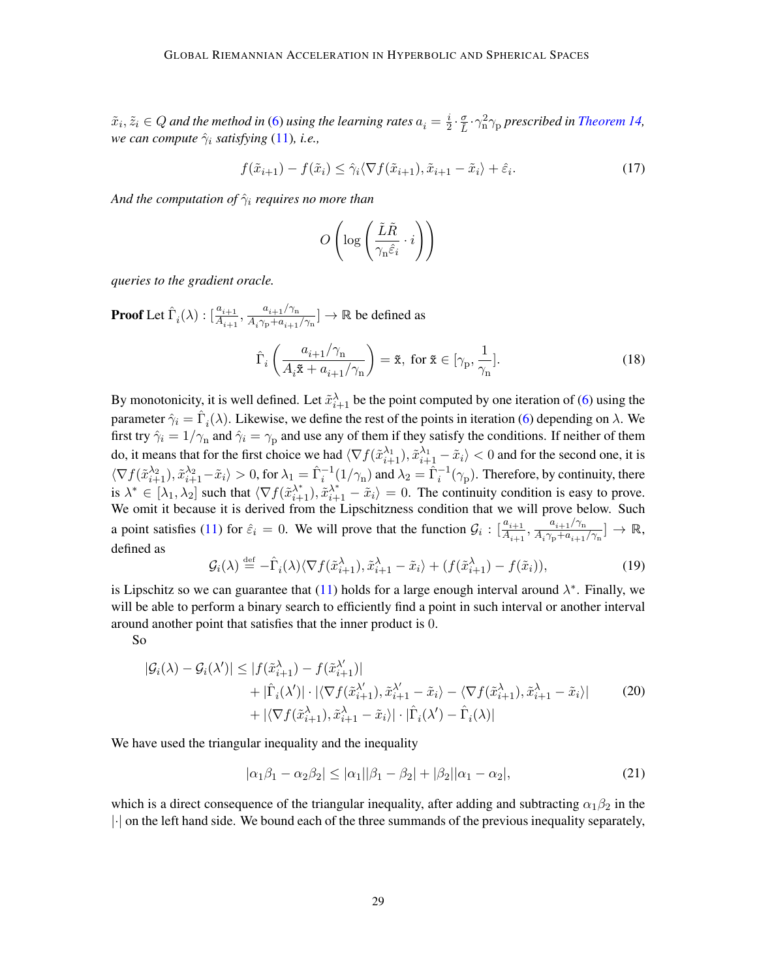$\tilde{x}_i, \tilde{z}_i \in Q$  and the method in [\(6\)](#page-9-3) using the learning rates  $a_i = \frac{i}{2}$  $\frac{i}{2} \cdot \frac{\sigma}{\tilde{L}} \cdot \gamma_{\rm n}^2 \gamma_{\rm p}$  prescribed in [Theorem 14,](#page-24-8) *we can compute*  $\hat{\gamma}_i$  *satisfying* [\(11\)](#page-22-4)*, i.e.,* 

<span id="page-28-3"></span>
$$
f(\tilde{x}_{i+1}) - f(\tilde{x}_i) \le \hat{\gamma}_i \langle \nabla f(\tilde{x}_{i+1}), \tilde{x}_{i+1} - \tilde{x}_i \rangle + \hat{\varepsilon}_i. \tag{17}
$$

*And the computation of*  $\hat{\gamma}_i$  *requires no more than* 

$$
O\left(\log\left(\frac{\tilde{L}\tilde{R}}{\gamma_{\rm n}\hat{\varepsilon}_i}\cdot i\right)\right)
$$

*queries to the gradient oracle.*

 $\mathbf{Proof}\ \mathbf{Let}\ \hat{\Gamma}_i(\lambda): [\frac{a_{i+1}}{A_{i+1}},\frac{a_{i+1}/\gamma_{\mathrm{n}}}{A_i\gamma_{\mathrm{p}}+a_{i+1}}]$  $\mathbf{Proof}\ \mathbf{Let}\ \hat{\Gamma}_i(\lambda): [\frac{a_{i+1}}{A_{i+1}},\frac{a_{i+1}/\gamma_{\mathrm{n}}}{A_i\gamma_{\mathrm{p}}+a_{i+1}}]$  $\mathbf{Proof}\ \mathbf{Let}\ \hat{\Gamma}_i(\lambda): [\frac{a_{i+1}}{A_{i+1}},\frac{a_{i+1}/\gamma_{\mathrm{n}}}{A_i\gamma_{\mathrm{p}}+a_{i+1}}]$  $\mathbf{Proof}\ \mathbf{Let}\ \hat{\Gamma}_i(\lambda): [\frac{a_{i+1}}{A_{i+1}},\frac{a_{i+1}/\gamma_{\mathrm{n}}}{A_i\gamma_{\mathrm{p}}+a_{i+1}}]$  $\mathbf{Proof}\ \mathbf{Let}\ \hat{\Gamma}_i(\lambda): [\frac{a_{i+1}}{A_{i+1}},\frac{a_{i+1}/\gamma_{\mathrm{n}}}{A_i\gamma_{\mathrm{p}}+a_{i+1}}]$  $\frac{a_{i+1}}{A_i \gamma_{\rm p} + a_{i+1}/\gamma_{\rm n}}$  $\frac{a_{i+1}}{A_i \gamma_{\rm p} + a_{i+1}/\gamma_{\rm n}}$  $\frac{a_{i+1}}{A_i \gamma_{\rm p} + a_{i+1}/\gamma_{\rm n}}$  $\frac{a_{i+1}}{A_i \gamma_{\rm p} + a_{i+1}/\gamma_{\rm n}}$  $\frac{a_{i+1}}{A_i \gamma_{\rm p} + a_{i+1}/\gamma_{\rm n}}$   $\rightarrow \mathbb{R}$  be defined as

<span id="page-28-4"></span><span id="page-28-0"></span>
$$
\hat{\Gamma}_i \left( \frac{a_{i+1}/\gamma_n}{A_i \tilde{\mathbf{x}} + a_{i+1}/\gamma_n} \right) = \tilde{\mathbf{x}}, \text{ for } \tilde{\mathbf{x}} \in [\gamma_p, \frac{1}{\gamma_n}].
$$
\n(18)

By monotonicity, it is well defined. Let  $\tilde{x}_{i+1}^{\lambda}$  $\tilde{x}_{i+1}^{\lambda}$  $\tilde{x}_{i+1}^{\lambda}$  be the point computed by one iteration of [\(6\)](#page-9-3) using the parameter  $\hat{\gamma}_i = \hat{\Gamma}_i(\lambda)$ . Likewise, we define the rest of the points in iteration [\(6\)](#page-9-3) depending on  $\lambda$ . We first try  $\hat{\gamma}_i = 1/\gamma_n$  $\hat{\gamma}_i = 1/\gamma_n$  $\hat{\gamma}_i = 1/\gamma_n$  and  $\hat{\gamma}_i = \gamma_p$  and use any of them if they satisfy the conditions. If neither of them do, it means that for the first choice we had  $\langle \nabla f(\tilde{x}_{i+1}^{\lambda_1}), \tilde{x}_{i+1}^{\lambda_1} - \tilde{x}_i \rangle < 0$  $\langle \nabla f(\tilde{x}_{i+1}^{\lambda_1}), \tilde{x}_{i+1}^{\lambda_1} - \tilde{x}_i \rangle < 0$  $\langle \nabla f(\tilde{x}_{i+1}^{\lambda_1}), \tilde{x}_{i+1}^{\lambda_1} - \tilde{x}_i \rangle < 0$  and for the second one, it is  $\langle \nabla f(\tilde{x}_{i+1}^{\lambda_2}), \tilde{x}_{i+1}^{\lambda_2} - \tilde{x}_i \rangle > 0$  $\langle \nabla f(\tilde{x}_{i+1}^{\lambda_2}), \tilde{x}_{i+1}^{\lambda_2} - \tilde{x}_i \rangle > 0$  $\langle \nabla f(\tilde{x}_{i+1}^{\lambda_2}), \tilde{x}_{i+1}^{\lambda_2} - \tilde{x}_i \rangle > 0$ , for  $\lambda_1 = \hat{\Gamma}_i^{-1}(1/\gamma_n)$  $\lambda_1 = \hat{\Gamma}_i^{-1}(1/\gamma_n)$  $\lambda_1 = \hat{\Gamma}_i^{-1}(1/\gamma_n)$  and  $\lambda_2 = \hat{\Gamma}_i^{-1}(\gamma_p)$ . Therefore, by continuity, there is  $\lambda^* \in [\lambda_1, \lambda_2]$  such that  $\langle \nabla f(\tilde{x}_{i+1}^{\lambda^*}), \tilde{x}_{i+1}^{\lambda^*} - \tilde{x}_i \rangle = 0$  $\langle \nabla f(\tilde{x}_{i+1}^{\lambda^*}), \tilde{x}_{i+1}^{\lambda^*} - \tilde{x}_i \rangle = 0$  $\langle \nabla f(\tilde{x}_{i+1}^{\lambda^*}), \tilde{x}_{i+1}^{\lambda^*} - \tilde{x}_i \rangle = 0$ . The continuity condition is easy to prove. We omit it because it is derived from the Lipschitzness condition that we will prove below. Such a point satisfies [\(11\)](#page-22-4) for  $\hat{\varepsilon}_i = 0$ . We will prove that the function  $\mathcal{G}_i : [\frac{a_{i+1}}{A_{i+1}}, \frac{a_{i+1}/\gamma_n}{A_i \gamma_p + a_{i+1}}]$  $\mathcal{G}_i : [\frac{a_{i+1}}{A_{i+1}}, \frac{a_{i+1}/\gamma_n}{A_i \gamma_p + a_{i+1}}]$  $\mathcal{G}_i : [\frac{a_{i+1}}{A_{i+1}}, \frac{a_{i+1}/\gamma_n}{A_i \gamma_p + a_{i+1}}]$  $\mathcal{G}_i : [\frac{a_{i+1}}{A_{i+1}}, \frac{a_{i+1}/\gamma_n}{A_i \gamma_p + a_{i+1}}]$  $\mathcal{G}_i : [\frac{a_{i+1}}{A_{i+1}}, \frac{a_{i+1}/\gamma_n}{A_i \gamma_p + a_{i+1}}]$  $\frac{a_{i+1}/\gamma_n}{A_i\gamma_{\rm p}+a_{i+1}/\gamma_{\rm n}}]\rightarrow\mathbb{R},$  $\frac{a_{i+1}/\gamma_n}{A_i\gamma_{\rm p}+a_{i+1}/\gamma_{\rm n}}]\rightarrow\mathbb{R},$  $\frac{a_{i+1}/\gamma_n}{A_i\gamma_{\rm p}+a_{i+1}/\gamma_{\rm n}}]\rightarrow\mathbb{R},$  $\frac{a_{i+1}/\gamma_n}{A_i\gamma_{\rm p}+a_{i+1}/\gamma_{\rm n}}]\rightarrow\mathbb{R},$  $\frac{a_{i+1}/\gamma_n}{A_i\gamma_{\rm p}+a_{i+1}/\gamma_{\rm n}}]\rightarrow\mathbb{R},$ defined as

<span id="page-28-5"></span><span id="page-28-1"></span>
$$
\mathcal{G}_i(\lambda) \stackrel{\text{def}}{=} -\hat{\Gamma}_i(\lambda) \langle \nabla f(\tilde{x}_{i+1}^{\lambda}), \tilde{x}_{i+1}^{\lambda} - \tilde{x}_i \rangle + (f(\tilde{x}_{i+1}^{\lambda}) - f(\tilde{x}_i)), \tag{19}
$$

is Lipschitz so we can guarantee that [\(11\)](#page-22-4) holds for a large enough interval around  $\lambda^*$ . Finally, we will be able to perform a binary search to efficiently find a point in such interval or another interval around another point that satisfies that the inner product is 0.

So

$$
|\mathcal{G}_{i}(\lambda) - \mathcal{G}_{i}(\lambda')| \leq |f(\tilde{x}_{i+1}^{\lambda}) - f(\tilde{x}_{i+1}^{\lambda'})| + |\tilde{\Gamma}_{i}(\lambda')| \cdot |\langle \nabla f(\tilde{x}_{i+1}^{\lambda'}, \tilde{x}_{i+1}^{\lambda'} - \tilde{x}_{i}) - \langle \nabla f(\tilde{x}_{i+1}^{\lambda'}, \tilde{x}_{i+1}^{\lambda} - \tilde{x}_{i})| + |\langle \nabla f(\tilde{x}_{i+1}^{\lambda'}, \tilde{x}_{i+1}^{\lambda} - \tilde{x}_{i})| \cdot |\hat{\Gamma}_{i}(\lambda') - \hat{\Gamma}_{i}(\lambda)|
$$
\n(20)

We have used the triangular inequality and the inequality

<span id="page-28-2"></span>
$$
|\alpha_1 \beta_1 - \alpha_2 \beta_2| \le |\alpha_1||\beta_1 - \beta_2| + |\beta_2||\alpha_1 - \alpha_2|,\tag{21}
$$

which is a direct consequence of the triangular inequality, after adding and subtracting  $\alpha_1\beta_2$  in the |·| on the left hand side. We bound each of the three summands of the previous inequality separately,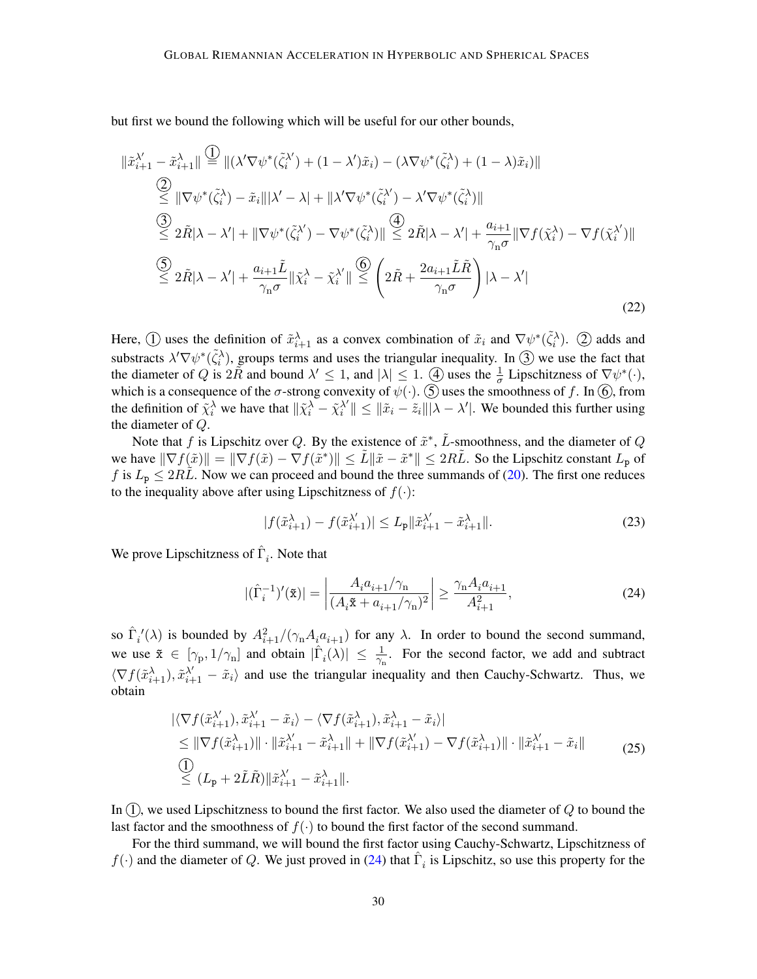but first we bound the following which will be useful for our other bounds,

$$
\|\tilde{x}_{i+1}^{\lambda'} - \tilde{x}_{i+1}^{\lambda}\| \stackrel{\text{(1)}}{=} \|(\lambda' \nabla \psi^*(\tilde{\zeta}_i^{\lambda'}) + (1 - \lambda')\tilde{x}_i) - (\lambda \nabla \psi^*(\tilde{\zeta}_i^{\lambda}) + (1 - \lambda)\tilde{x}_i) \|
$$
\n
$$
\stackrel{\text{(2)}}{\leq} \|\nabla \psi^*(\tilde{\zeta}_i^{\lambda}) - \tilde{x}_i\| \lambda' - \lambda\| + \|\lambda' \nabla \psi^*(\tilde{\zeta}_i^{\lambda'}) - \lambda' \nabla \psi^*(\tilde{\zeta}_i^{\lambda}) \|
$$
\n
$$
\stackrel{\text{(3)}}{\leq} 2\tilde{R}|\lambda - \lambda'| + \|\nabla \psi^*(\tilde{\zeta}_i^{\lambda'}) - \nabla \psi^*(\tilde{\zeta}_i^{\lambda})\| \stackrel{\text{(4)}}{\leq} 2\tilde{R}|\lambda - \lambda'| + \frac{a_{i+1}}{\gamma_n \sigma} \|\nabla f(\tilde{\chi}_i^{\lambda'}) - \nabla f(\tilde{\chi}_i^{\lambda'}) \|
$$
\n
$$
\stackrel{\text{(5)}}{\leq} 2\tilde{R}|\lambda - \lambda'| + \frac{a_{i+1}\tilde{L}}{\gamma_n \sigma} \|\tilde{\chi}_i^{\lambda} - \tilde{\chi}_i^{\lambda'}\| \stackrel{\text{(6)}}{\leq} \left(2\tilde{R} + \frac{2a_{i+1}\tilde{L}\tilde{R}}{\gamma_n \sigma}\right) |\lambda - \lambda'|
$$
\n
$$
\tag{22}
$$

Here,  $\overline{1}$  uses the definition of  $\tilde{x}_{i+1}$  $\tilde{x}_{i+1}$  $\tilde{x}_{i+1}$  as a convex combination of  $\tilde{x}_i$  and  $\nabla \psi^*(\tilde{\zeta}_i)$  $\nabla \psi^*(\tilde{\zeta}_i)$  $\nabla \psi^*(\tilde{\zeta}_i)$ .  $\overline{2}$  adds and substracts  $\lambda' \nabla \psi^*(\tilde{\zeta}_i)$  $\lambda' \nabla \psi^*(\tilde{\zeta}_i)$  $\lambda' \nabla \psi^*(\tilde{\zeta}_i)$ , groups terms and uses the triangular inequality. In  $\circled{3}$  we use the fact that the diameter of Q is  $2\tilde{R}$  and bound  $\lambda' \leq 1$ , and  $|\lambda| \leq 1$ . (4) uses the  $\frac{1}{\sigma}$  Lipschitzness of  $\nabla \psi^*(\cdot)$  $\nabla \psi^*(\cdot)$  $\nabla \psi^*(\cdot)$ , which is a consequence of the  $\sigma$ -strong convexity of  $\psi(\cdot)$ .  $\circled{S}$  uses the smoothness of f. In  $\circled{6}$ , from the definition of  $\tilde{\chi}_i^{\lambda}$  we have that  $\|\tilde{\chi}_i^{\lambda} - \tilde{\chi}_i^{\lambda'}\|$  $\|\hat{x}^{\prime}\| \leq \|\tilde{x}_i - \tilde{z}_i\| |\lambda - \lambda'|$ . We bounded this further using the diameter of  $Q$ .

Note that f is Lipschitz over Q. By the existence of  $\tilde{x}^*$ ,  $\tilde{L}$ -smoothness, and the diameter of Q we have  $\|\nabla f(\tilde{x})\| = \|\nabla f(\tilde{x}) - \nabla f(\tilde{x}^*)\| \le \tilde{L} \|\tilde{x} - \tilde{x}^*\| \le 2R\tilde{L}$ . So the Lipschitz constant  $L_p$  of f is  $L_p \leq 2RL$ . Now we can proceed and bound the three summands of [\(20\)](#page-28-2). The first one reduces to the inequality above after using Lipschitzness of  $f(\cdot)$ :

<span id="page-29-1"></span>
$$
|f(\tilde{x}_{i+1}^{\lambda}) - f(\tilde{x}_{i+1}^{\lambda'})| \le L_{\mathbf{p}} \|\tilde{x}_{i+1}^{\lambda'} - \tilde{x}_{i+1}^{\lambda}\|.
$$
 (23)

We prove Lipschitzness of  $\hat{\Gamma}_i$ . Note that

<span id="page-29-2"></span><span id="page-29-0"></span>
$$
|(\hat{\Gamma}_i^{-1})'(\tilde{\mathbf{x}})| = \left| \frac{A_i a_{i+1} / \gamma_n}{(A_i \tilde{\mathbf{x}} + a_{i+1} / \gamma_n)^2} \right| \ge \frac{\gamma_n A_i a_{i+1}}{A_{i+1}^2},\tag{24}
$$

so  $\hat{\Gamma}_i'(\lambda)$  is bounded by  $A_{i+1}^2/(\gamma_n A_i a_{i+1})$  $A_{i+1}^2/(\gamma_n A_i a_{i+1})$  $A_{i+1}^2/(\gamma_n A_i a_{i+1})$  for any  $\lambda$ . In order to bound the second summand, we use  $\tilde{x} \in [\gamma_p, 1/\gamma_n]$  $\tilde{x} \in [\gamma_p, 1/\gamma_n]$  $\tilde{x} \in [\gamma_p, 1/\gamma_n]$  and obtain  $|\hat{\Gamma}_i(\lambda)| \leq \frac{1}{\gamma_n}$ . For the second factor, we add and subtract  $\langle \nabla f(\tilde{x}_{i+1}^{\lambda}), \tilde{x}_{i+1}^{\lambda'} - \tilde{x}_i \rangle$  $\langle \nabla f(\tilde{x}_{i+1}^{\lambda}), \tilde{x}_{i+1}^{\lambda'} - \tilde{x}_i \rangle$  $\langle \nabla f(\tilde{x}_{i+1}^{\lambda}), \tilde{x}_{i+1}^{\lambda'} - \tilde{x}_i \rangle$  and use the triangular inequality and then Cauchy-Schwartz. Thus, we obtain

$$
\begin{split} &|\langle \nabla f(\tilde{x}_{i+1}^{\lambda'}, \tilde{x}_{i+1}^{\lambda'} - \tilde{x}_i \rangle - \langle \nabla f(\tilde{x}_{i+1}^{\lambda}), \tilde{x}_{i+1}^{\lambda} - \tilde{x}_i \rangle| \\ &\leq \|\nabla f(\tilde{x}_{i+1}^{\lambda})\| \cdot \|\tilde{x}_{i+1}^{\lambda'} - \tilde{x}_{i+1}^{\lambda}\| + \|\nabla f(\tilde{x}_{i+1}^{\lambda'}) - \nabla f(\tilde{x}_{i+1}^{\lambda})\| \cdot \|\tilde{x}_{i+1}^{\lambda'} - \tilde{x}_i\| \\ &\stackrel{\text{(1)}}{\leq} (L_{\mathbf{p}} + 2\tilde{L}\tilde{R}) \|\tilde{x}_{i+1}^{\lambda'} - \tilde{x}_{i+1}^{\lambda}\|. \end{split} \tag{25}
$$

In  $(1)$ , we used Lipschitzness to bound the first factor. We also used the diameter of  $Q$  to bound the last factor and the smoothness of  $f(\cdot)$  to bound the first factor of the second summand.

For the third summand, we will bound the first factor using Cauchy-Schwartz, Lipschitzness of  $f(\cdot)$  and the diameter of Q. We just proved in [\(24\)](#page-29-0) that  $\hat{\Gamma}_i$  is Lipschitz, so use this property for the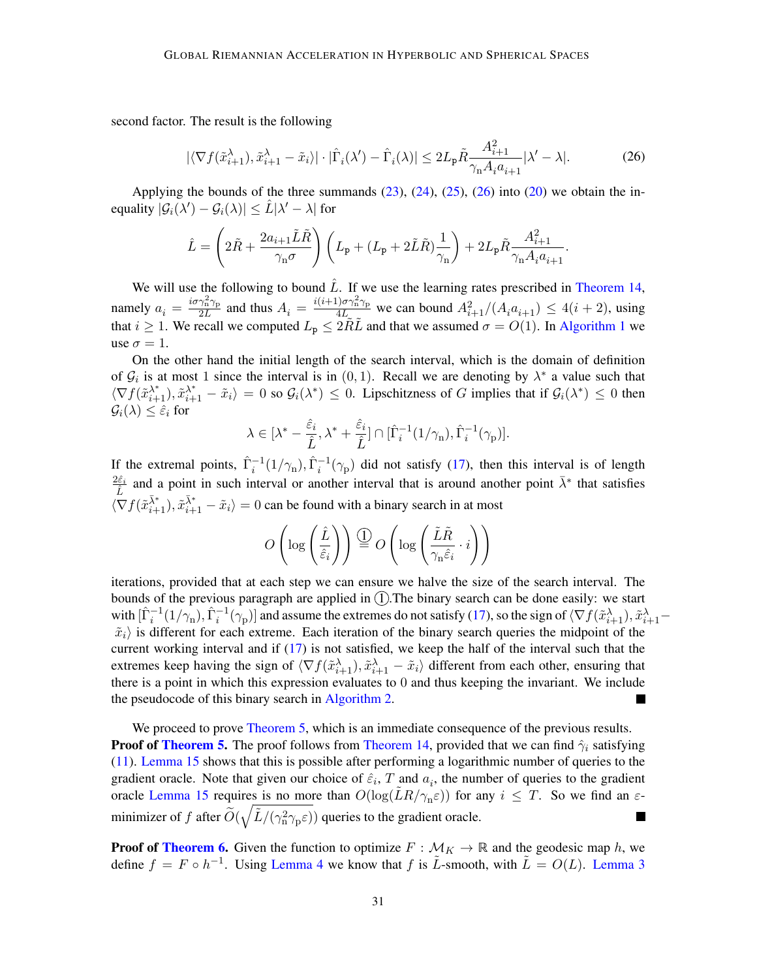second factor. The result is the following

<span id="page-30-2"></span>
$$
|\langle \nabla f(\tilde{x}_{i+1}^{\lambda}), \tilde{x}_{i+1}^{\lambda} - \tilde{x}_i \rangle| \cdot |\hat{\Gamma}_i(\lambda') - \hat{\Gamma}_i(\lambda)| \le 2L_p \tilde{R} \frac{A_{i+1}^2}{\gamma_n A_i a_{i+1}} |\lambda' - \lambda|.
$$
 (26)

Applying the bounds of the three summands  $(23)$ ,  $(24)$ ,  $(25)$ ,  $(26)$  into  $(20)$  we obtain the inequality  $|\mathcal{G}_i(\lambda') - \mathcal{G}_i(\lambda)| \leq \hat{L} |\lambda' - \lambda|$  $|\mathcal{G}_i(\lambda') - \mathcal{G}_i(\lambda)| \leq \hat{L} |\lambda' - \lambda|$  for

$$
\hat{L} = \left(2\tilde{R} + \frac{2a_{i+1}\tilde{L}\tilde{R}}{\gamma_{n}\sigma}\right)\left(L_{\mathbf{p}} + (L_{\mathbf{p}} + 2\tilde{L}\tilde{R})\frac{1}{\gamma_{n}}\right) + 2L_{\mathbf{p}}\tilde{R}\frac{A_{i+1}^{2}}{\gamma_{n}A_{i}a_{i+1}}.
$$

We will use the following to bound  $\hat{L}$ . If we use the learning rates prescribed in [Theorem 14,](#page-24-8) namely  $a_i = \frac{i\sigma\gamma_n^2\gamma_p}{2L}$  $\frac{\gamma_n^2 \gamma_p}{2L}$  and thus  $A_i = \frac{i(i+1)\sigma \gamma_n^2 \gamma_p}{4L}$  $A_i = \frac{i(i+1)\sigma \gamma_n^2 \gamma_p}{4L}$  $A_i = \frac{i(i+1)\sigma \gamma_n^2 \gamma_p}{4L}$  we can bound  $A_{i+1}^2/(A_i a_{i+1}) \leq 4(i+2)$ , using that  $i \geq 1$ . We recall we computed  $L_p \leq 2\widetilde{R}\widetilde{L}$  and that we assumed  $\sigma = O(1)$ . In [Algorithm 1](#page-10-1) we use  $\sigma = 1$ .

On the other hand the initial length of the search interval, which is the domain of definition of  $G_i$  is at most 1 since the interval is in  $(0, 1)$ . Recall we are denoting by  $\lambda^*$  a value such that  $\langle \nabla f(\tilde{x}_{i+1}^{\lambda^*}), \tilde{x}_{i+1}^{\lambda^*} - \tilde{x}_i \rangle = 0$  $\langle \nabla f(\tilde{x}_{i+1}^{\lambda^*}), \tilde{x}_{i+1}^{\lambda^*} - \tilde{x}_i \rangle = 0$  $\langle \nabla f(\tilde{x}_{i+1}^{\lambda^*}), \tilde{x}_{i+1}^{\lambda^*} - \tilde{x}_i \rangle = 0$  so  $\mathcal{G}_i(\lambda^*) \leq 0$ . Lipschitzness of G implies that if  $\mathcal{G}_i(\lambda^*) \leq 0$  then  $\mathcal{G}_i(\lambda) \leq \hat{\varepsilon}_i$  for

$$
\lambda\in [\lambda^*-\frac{\hat\varepsilon_i}{\hat L},\lambda^*+\frac{\hat\varepsilon_i}{\hat L}]\cap[\hat\Gamma_i^{-1}(1/\gamma_{\rm n}),\hat\Gamma_i^{-1}(\gamma_{\rm p})].
$$

If the extremal points,  $\hat{\Gamma}_i^{-1}(1/\gamma_{\rm n}), \hat{\Gamma}_i^{-1}(\gamma_{\rm p})$  $\hat{\Gamma}_i^{-1}(1/\gamma_{\rm n}), \hat{\Gamma}_i^{-1}(\gamma_{\rm p})$  $\hat{\Gamma}_i^{-1}(1/\gamma_{\rm n}), \hat{\Gamma}_i^{-1}(\gamma_{\rm p})$  did not satisfy [\(17\)](#page-28-3), then this interval is of length  $2\hat{\varepsilon}_i$  $\hat{t}$  and a point in such interval or another interval that is around another point  $\bar{\lambda}^*$  that satisfies  $\langle \nabla f(\tilde{x}_{i+1}^{\bar{\lambda}^*}), \tilde{x}_{i+1}^{\bar{\lambda}^*} - \tilde{x}_i \rangle = 0$  $\langle \nabla f(\tilde{x}_{i+1}^{\bar{\lambda}^*}), \tilde{x}_{i+1}^{\bar{\lambda}^*} - \tilde{x}_i \rangle = 0$  $\langle \nabla f(\tilde{x}_{i+1}^{\bar{\lambda}^*}), \tilde{x}_{i+1}^{\bar{\lambda}^*} - \tilde{x}_i \rangle = 0$  can be found with a binary search in at most

$$
O\left(\log\left(\frac{\hat{L}}{\hat{\varepsilon}_i}\right)\right) \overset{\text{(1)}}{=} O\left(\log\left(\frac{\tilde{L}\tilde{R}}{\gamma_n \hat{\varepsilon}_i}\cdot i\right)\right)
$$

iterations, provided that at each step we can ensure we halve the size of the search interval. The bounds of the previous paragraph are applied in  $(1)$ . The binary search can be done easily: we start with  $[\hat{\Gamma}_i^{-1}(1/\gamma_n), \hat{\Gamma}_i^{-1}(\gamma_p)]$  $[\hat{\Gamma}_i^{-1}(1/\gamma_n), \hat{\Gamma}_i^{-1}(\gamma_p)]$  $[\hat{\Gamma}_i^{-1}(1/\gamma_n), \hat{\Gamma}_i^{-1}(\gamma_p)]$  and assume the extremes do not satisfy [\(17\)](#page-28-3), so the sign of  $\langle \nabla f(\tilde{x}_{i+1}^{\lambda}), \tilde{x}_{i+1}^{\lambda} \langle \nabla f(\tilde{x}_{i+1}^{\lambda}), \tilde{x}_{i+1}^{\lambda} \langle \nabla f(\tilde{x}_{i+1}^{\lambda}), \tilde{x}_{i+1}^{\lambda} \tilde{x}_i$ ) is different for each extreme. Each iteration of the binary search queries the midpoint of the current working interval and if  $(17)$  is not satisfied, we keep the half of the interval such that the extremes keep having the sign of  $\langle \nabla f(\tilde{x}_{i+1}^{\lambda}), \tilde{x}_{i+1}^{\lambda} - \tilde{x}_i \rangle$  $\langle \nabla f(\tilde{x}_{i+1}^{\lambda}), \tilde{x}_{i+1}^{\lambda} - \tilde{x}_i \rangle$  $\langle \nabla f(\tilde{x}_{i+1}^{\lambda}), \tilde{x}_{i+1}^{\lambda} - \tilde{x}_i \rangle$  different from each other, ensuring that there is a point in which this expression evaluates to 0 and thus keeping the invariant. We include the pseudocode of this binary search in [Algorithm 2.](#page-31-0) ٠

<span id="page-30-0"></span>We proceed to prove [Theorem 5,](#page-8-0) which is an immediate consequence of the previous results. **Proof of [Theorem 5.](#page-8-0)** The proof follows from [Theorem 14,](#page-24-8) provided that we can find  $\hat{\gamma}_i$  satisfying [\(11\)](#page-22-4). [Lemma 15](#page-27-0) shows that this is possible after performing a logarithmic number of queries to the gradient oracle. Note that given our choice of  $\hat{\varepsilon}_i$ ,  $T$  and  $a_i$ , the number of queries to the gradient oracle [Lemma 15](#page-27-0) requires is no more than  $O(log(\tilde{L}R/\gamma_{n}\varepsilon))$  $O(log(\tilde{L}R/\gamma_{n}\varepsilon))$  $O(log(\tilde{L}R/\gamma_{n}\varepsilon))$  for any  $i \leq T$ . So we find an  $\varepsilon$ minimizer of f after  $\widetilde{O}(\sqrt{\widetilde{L}/(\gamma_{\rm n}^2 \gamma_{\rm p} \varepsilon)})$  queries to the gradient oracle.

<span id="page-30-3"></span><span id="page-30-1"></span>**Proof of [Theorem 6.](#page-8-1)** Given the function to optimize  $F : \mathcal{M}_K \to \mathbb{R}$  and the geodesic map h, we define  $f = F \circ h^{-1}$ . Using [Lemma 4](#page-8-7) we know that f is  $\tilde{L}$ -smooth, with  $\tilde{L} = O(L)$ . [Lemma 3](#page-6-0)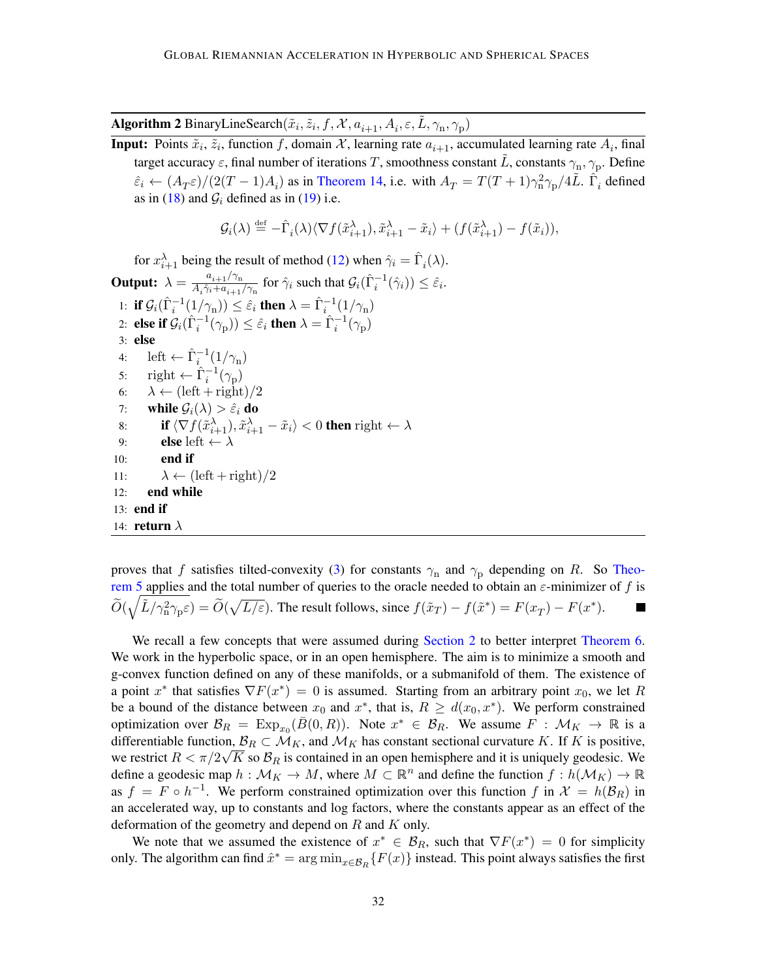Algorithm 2 BinaryLineSearch $(\tilde{x}_i, \tilde{z}_i, f, \mathcal{X}, a_{i+1}, A_i, \varepsilon, \tilde{L}, \gamma_n, \gamma_p)$  $(\tilde{x}_i, \tilde{z}_i, f, \mathcal{X}, a_{i+1}, A_i, \varepsilon, \tilde{L}, \gamma_n, \gamma_p)$  $(\tilde{x}_i, \tilde{z}_i, f, \mathcal{X}, a_{i+1}, A_i, \varepsilon, \tilde{L}, \gamma_n, \gamma_p)$  $(\tilde{x}_i, \tilde{z}_i, f, \mathcal{X}, a_{i+1}, A_i, \varepsilon, \tilde{L}, \gamma_n, \gamma_p)$  $(\tilde{x}_i, \tilde{z}_i, f, \mathcal{X}, a_{i+1}, A_i, \varepsilon, \tilde{L}, \gamma_n, \gamma_p)$ 

<span id="page-31-0"></span>**Input:** Points  $\tilde{x}_i$ ,  $\tilde{z}_i$ , function f, domain X, learning rate  $a_{i+1}$  $a_{i+1}$  $a_{i+1}$ , accumulated learning rate  $A_i$ , final target accuracy  $\varepsilon$ , final number of iterations  $T$ , smoothness constant  $\tilde{L}$ , constants  $\gamma_{\rm n},\gamma_{\rm p}.$  Define  $\hat{\varepsilon}_i \leftarrow (A_T \varepsilon)/(2(T-1)A_i)$  as in [Theorem 14,](#page-24-8) i.e. with  $A_T = T(T+1)\gamma_n^2 \gamma_p/4L$  $A_T = T(T+1)\gamma_n^2 \gamma_p/4L$  $A_T = T(T+1)\gamma_n^2 \gamma_p/4L$ .  $\hat{\Gamma}_i$  defined as in [\(18\)](#page-28-4) and  $\mathcal{G}_i$  defined as in [\(19\)](#page-28-5) i.e.

$$
\mathcal{G}_i(\lambda) \stackrel{\text{def}}{=} -\hat{\Gamma}_i(\lambda) \langle \nabla f(\tilde{x}_{i+1}^{\lambda}), \tilde{x}_{i+1}^{\lambda} - \tilde{x}_i \rangle + (f(\tilde{x}_{i+1}^{\lambda}) - f(\tilde{x}_i)),
$$

for  $x_{i+1}^{\lambda}$  $x_{i+1}^{\lambda}$  $x_{i+1}^{\lambda}$  being the result of method [\(12\)](#page-24-5) when  $\hat{\gamma}_i = \hat{\Gamma}_i(\lambda)$ . **Output:**  $\lambda = \frac{a_{i+1}/\gamma_n}{4 \hat{\gamma} + a}$  $\lambda = \frac{a_{i+1}/\gamma_n}{4 \hat{\gamma} + a}$  $\lambda = \frac{a_{i+1}/\gamma_n}{4 \hat{\gamma} + a}$  $\lambda = \frac{a_{i+1}/\gamma_n}{4 \hat{\gamma} + a}$  $\lambda = \frac{a_{i+1}/\gamma_n}{4 \hat{\gamma} + a}$  $\frac{a_{i+1}/\gamma_n}{A_i\hat{\gamma}_i + a_{i+1}/\gamma_n}$  $\frac{a_{i+1}/\gamma_n}{A_i\hat{\gamma}_i + a_{i+1}/\gamma_n}$  $\frac{a_{i+1}/\gamma_n}{A_i\hat{\gamma}_i + a_{i+1}/\gamma_n}$  $\frac{a_{i+1}/\gamma_n}{A_i\hat{\gamma}_i + a_{i+1}/\gamma_n}$  $\frac{a_{i+1}/\gamma_n}{A_i\hat{\gamma}_i + a_{i+1}/\gamma_n}$  for  $\hat{\gamma}_i$  such that  $\mathcal{G}_i(\hat{\Gamma}_i^{-1}(\hat{\gamma}_i)) \leq \hat{\varepsilon}_i$  $\mathcal{G}_i(\hat{\Gamma}_i^{-1}(\hat{\gamma}_i)) \leq \hat{\varepsilon}_i$  $\mathcal{G}_i(\hat{\Gamma}_i^{-1}(\hat{\gamma}_i)) \leq \hat{\varepsilon}_i$ . 1: if  $\mathcal{G}_i(\hat{\Gamma}_i^{-1}(1/\gamma_{\rm n})) \leq \hat{\varepsilon}_i$  $\mathcal{G}_i(\hat{\Gamma}_i^{-1}(1/\gamma_{\rm n})) \leq \hat{\varepsilon}_i$  $\mathcal{G}_i(\hat{\Gamma}_i^{-1}(1/\gamma_{\rm n})) \leq \hat{\varepsilon}_i$  then  $\lambda = \hat{\Gamma}_i^{-1}(1/\gamma_{\rm n})$  $\lambda = \hat{\Gamma}_i^{-1}(1/\gamma_{\rm n})$  $\lambda = \hat{\Gamma}_i^{-1}(1/\gamma_{\rm n})$ 2: else if  $\mathcal{G}_i(\hat{\Gamma}_i^{-1}(\gamma_{\mathrm{p}})) \le \hat{\varepsilon}_i$  $\mathcal{G}_i(\hat{\Gamma}_i^{-1}(\gamma_{\mathrm{p}})) \le \hat{\varepsilon}_i$  $\mathcal{G}_i(\hat{\Gamma}_i^{-1}(\gamma_{\mathrm{p}})) \le \hat{\varepsilon}_i$  then  $\lambda = \hat{\Gamma}_i^{-1}(\gamma_{\mathrm{p}})$ 3: else 4: left  $\leftarrow \hat{\Gamma}_i^{-1}(1/\gamma_n)$  $\leftarrow \hat{\Gamma}_i^{-1}(1/\gamma_n)$  $\leftarrow \hat{\Gamma}_i^{-1}(1/\gamma_n)$ 5: right  $\leftarrow \hat{\Gamma}_i^{-1}(\gamma_p)$ 6:  $\lambda \leftarrow (\text{left} + \text{right})/2$ 7: while  $\mathcal{G}_i(\lambda) > \hat{\varepsilon}_i$  do 8: **if**  $\langle \nabla f(\tilde{x}_{i+1}^{\lambda}), \tilde{x}_{i+1}^{\lambda} - \tilde{x}_i \rangle < 0$  $\langle \nabla f(\tilde{x}_{i+1}^{\lambda}), \tilde{x}_{i+1}^{\lambda} - \tilde{x}_i \rangle < 0$  $\langle \nabla f(\tilde{x}_{i+1}^{\lambda}), \tilde{x}_{i+1}^{\lambda} - \tilde{x}_i \rangle < 0$  then right  $\leftarrow \lambda$ 9: **else** left  $\leftarrow \lambda$  $10:$  end if 11:  $\lambda \leftarrow (\text{left} + \text{right})/2$ 12: end while 13: end if 14: **return**  $\lambda$ 

proves that f satisfies tilted-convexity [\(3\)](#page-7-1) for constants  $\gamma_n$  and  $\gamma_p$  depending on R. So [Theo](#page-8-0)[rem 5](#page-8-0) applies and the total number of queries to the oracle needed to obtain an  $\varepsilon$ -minimizer of f is  $\widetilde{O}(\sqrt{\tilde{L}/\gamma_{\rm n}^2\gamma_{\rm p}\varepsilon})=\widetilde{O}(\sqrt{L/\varepsilon}).$  $\widetilde{O}(\sqrt{\tilde{L}/\gamma_{\rm n}^2\gamma_{\rm p}\varepsilon})=\widetilde{O}(\sqrt{L/\varepsilon}).$  $\widetilde{O}(\sqrt{\tilde{L}/\gamma_{\rm n}^2\gamma_{\rm p}\varepsilon})=\widetilde{O}(\sqrt{L/\varepsilon}).$  The result follows, since  $f(\tilde{x}_T)-f(\tilde{x}^*)=F(x_T)-F(x^*).$ 

We recall a few concepts that were assumed during [Section 2](#page-5-0) to better interpret [Theorem 6.](#page-8-1) We work in the hyperbolic space, or in an open hemisphere. The aim is to minimize a smooth and g-convex function defined on any of these manifolds, or a submanifold of them. The existence of a point  $x^*$  that satisfies  $\nabla F(x^*) = 0$  is assumed. Starting from an arbitrary point  $x_0$ , we let R be a bound of the distance between  $x_0$  and  $x^*$ , that is,  $R \ge d(x_0, x^*)$ . We perform constrained optimization over  $\mathcal{B}_R = \text{Exp}_{x_0}(\bar{B}(0,R))$  $\mathcal{B}_R = \text{Exp}_{x_0}(\bar{B}(0,R))$  $\mathcal{B}_R = \text{Exp}_{x_0}(\bar{B}(0,R))$ . Note  $x^* \in \mathcal{B}_R$ . We assume  $F : \mathcal{M}_K \to \mathbb{R}$  is a differentiable function,  $\mathcal{B}_R \subset \mathcal{M}_K$ , and  $\mathcal{M}_K$  has constant sectional curvature K. If K is positive, we restrict  $R < \pi/2\sqrt{K}$  so  $\mathcal{B}_R$  is contained in an open hemisphere and it is uniquely geodesic. We define a geodesic map  $h: \mathcal{M}_K \to M$ , where  $M \subset \mathbb{R}^n$  and define the function  $f: h(\mathcal{M}_K) \to \mathbb{R}$ as  $f = F \circ h^{-1}$ . We perform constrained optimization over this function f in  $\mathcal{X} = h(\mathcal{B}_R)$  in an accelerated way, up to constants and log factors, where the constants appear as an effect of the deformation of the geometry and depend on  $R$  and  $K$  only.

We note that we assumed the existence of  $x^* \in \mathcal{B}_R$ , such that  $\nabla F(x^*) = 0$  for simplicity only. The algorithm can find  $\hat{x}^* = \arg \min_{x \in \mathcal{B}_R} \{F(x)\}\$ instead. This point always satisfies the first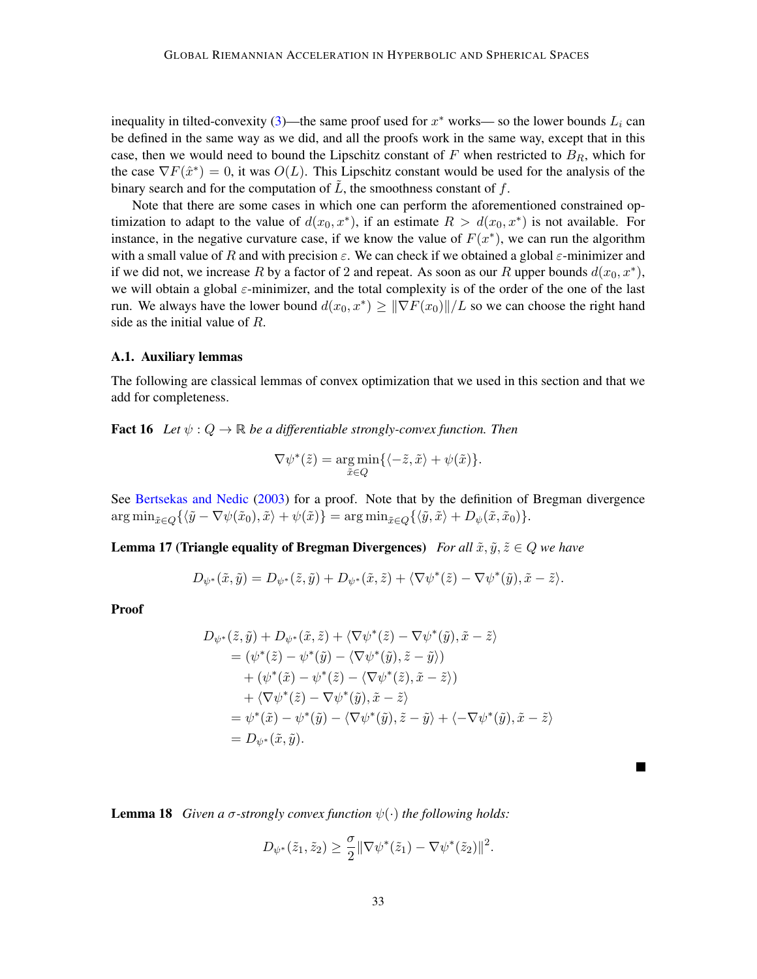inequality in tilted-convexity [\(3\)](#page-7-1)—the same proof used for  $x^*$  works— so the lower bounds  $L_i$  can be defined in the same way as we did, and all the proofs work in the same way, except that in this case, then we would need to bound the Lipschitz constant of  $F$  when restricted to  $B_R$ , which for the case  $\nabla F(\hat{x}^*) = 0$ , it was  $O(L)$ . This Lipschitz constant would be used for the analysis of the binary search and for the computation of  $\tilde{L}$ , the smoothness constant of f.

Note that there are some cases in which one can perform the aforementioned constrained optimization to adapt to the value of  $d(x_0, x^*)$ , if an estimate  $R > d(x_0, x^*)$  is not available. For instance, in the negative curvature case, if we know the value of  $F(x^*)$ , we can run the algorithm with a small value of R and with precision  $\varepsilon$ . We can check if we obtained a global  $\varepsilon$ -minimizer and if we did not, we increase R by a factor of 2 and repeat. As soon as our R upper bounds  $d(x_0, x^*)$ , we will obtain a global  $\varepsilon$ -minimizer, and the total complexity is of the order of the one of the last run. We always have the lower bound  $d(x_0, x^*) \ge ||\nabla F(x_0)||/L$  so we can choose the right hand side as the initial value of *.* 

#### A.1. Auxiliary lemmas

The following are classical lemmas of convex optimization that we used in this section and that we add for completeness.

<span id="page-32-0"></span>**Fact 16** *Let*  $\psi$  :  $Q \to \mathbb{R}$  *be a differentiable strongly-convex function. Then* 

$$
\nabla \psi^*(\tilde{z}) = \underset{\tilde{x} \in Q}{\arg \min} \{ \langle -\tilde{z}, \tilde{x} \rangle + \psi(\tilde{x}) \}.
$$

See [Bertsekas and Nedic](#page-14-10) [\(2003\)](#page-14-10) for a proof. Note that by the definition of Bregman divergence  $\arg \min_{\tilde{x} \in O} \{ \langle \tilde{y} - \nabla \psi(\tilde{x}_0), \tilde{x} \rangle + \psi(\tilde{x}) \} = \arg \min_{\tilde{x} \in O} \{ \langle \tilde{y}, \tilde{x} \rangle + D_{\psi}(\tilde{x}, \tilde{x}_0) \}.$ 

<span id="page-32-1"></span>**Lemma 17 (Triangle equality of Bregman Divergences)** *For all*  $\tilde{x}, \tilde{y}, \tilde{z} \in Q$  *we have* 

$$
D_{\psi^*}(\tilde{x}, \tilde{y}) = D_{\psi^*}(\tilde{z}, \tilde{y}) + D_{\psi^*}(\tilde{x}, \tilde{z}) + \langle \nabla \psi^*(\tilde{z}) - \nabla \psi^*(\tilde{y}), \tilde{x} - \tilde{z} \rangle.
$$

Proof

$$
D_{\psi^*}(\tilde{z}, \tilde{y}) + D_{\psi^*}(\tilde{x}, \tilde{z}) + \langle \nabla \psi^*(\tilde{z}) - \nabla \psi^*(\tilde{y}), \tilde{x} - \tilde{z} \rangle
$$
  
\n
$$
= (\psi^*(\tilde{z}) - \psi^*(\tilde{y}) - \langle \nabla \psi^*(\tilde{y}), \tilde{z} - \tilde{y} \rangle)
$$
  
\n
$$
+ (\psi^*(\tilde{x}) - \psi^*(\tilde{z}) - \langle \nabla \psi^*(\tilde{z}), \tilde{x} - \tilde{z} \rangle)
$$
  
\n
$$
+ \langle \nabla \psi^*(\tilde{z}) - \nabla \psi^*(\tilde{y}), \tilde{x} - \tilde{z} \rangle
$$
  
\n
$$
= \psi^*(\tilde{x}) - \psi^*(\tilde{y}) - \langle \nabla \psi^*(\tilde{y}), \tilde{z} - \tilde{y} \rangle + \langle -\nabla \psi^*(\tilde{y}), \tilde{x} - \tilde{z} \rangle
$$
  
\n
$$
= D_{\psi^*}(\tilde{x}, \tilde{y}).
$$

<span id="page-32-2"></span>**Lemma 18** *Given a*  $\sigma$ *-strongly convex function*  $\psi(\cdot)$  *the following holds:* 

$$
D_{\psi^*}(\tilde{z}_1, \tilde{z}_2) \ge \frac{\sigma}{2} \|\nabla \psi^*(\tilde{z}_1) - \nabla \psi^*(\tilde{z}_2)\|^2.
$$

 $\blacksquare$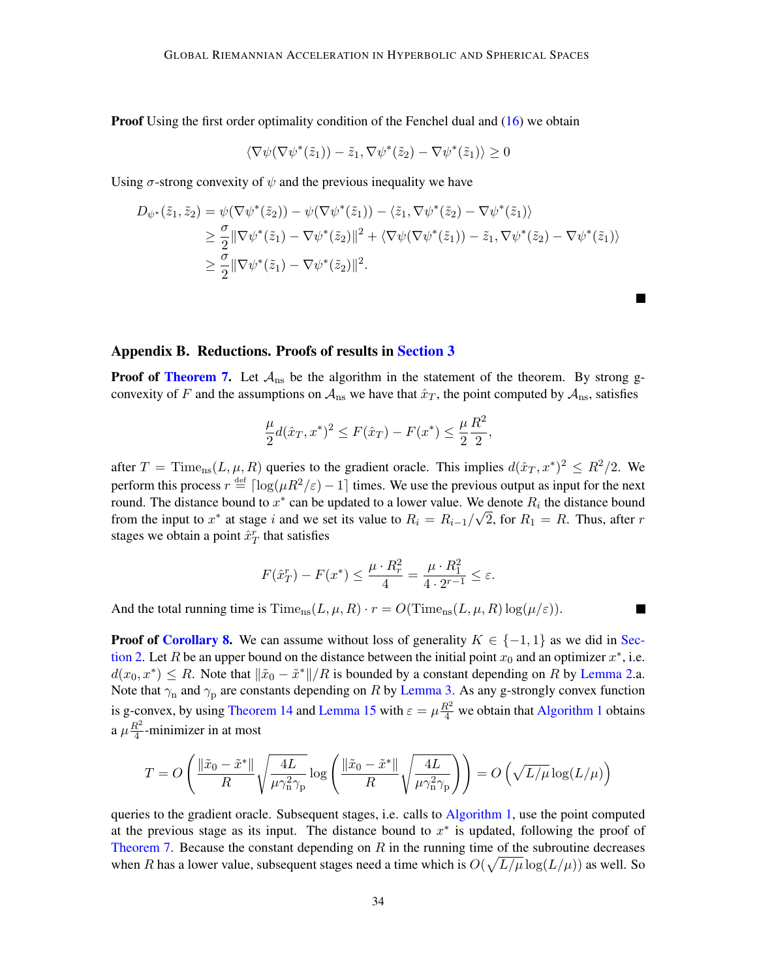**Proof** Using the first order optimality condition of the Fenchel dual and  $(16)$  we obtain

$$
\langle \nabla \psi(\nabla \psi^*(\tilde{z}_1)) - \tilde{z}_1, \nabla \psi^*(\tilde{z}_2) - \nabla \psi^*(\tilde{z}_1) \rangle \ge 0
$$

Using  $\sigma$ -strong convexity of  $\psi$  and the previous inequality we have

$$
D_{\psi^*}(\tilde{z}_1, \tilde{z}_2) = \psi(\nabla \psi^*(\tilde{z}_2)) - \psi(\nabla \psi^*(\tilde{z}_1)) - \langle \tilde{z}_1, \nabla \psi^*(\tilde{z}_2) - \nabla \psi^*(\tilde{z}_1) \rangle
$$
  
\n
$$
\geq \frac{\sigma}{2} \|\nabla \psi^*(\tilde{z}_1) - \nabla \psi^*(\tilde{z}_2)\|^2 + \langle \nabla \psi(\nabla \psi^*(\tilde{z}_1)) - \tilde{z}_1, \nabla \psi^*(\tilde{z}_2) - \nabla \psi^*(\tilde{z}_1) \rangle
$$
  
\n
$$
\geq \frac{\sigma}{2} \|\nabla \psi^*(\tilde{z}_1) - \nabla \psi^*(\tilde{z}_2)\|^2.
$$

**In the Second** 

#### <span id="page-33-0"></span>Appendix B. Reductions. Proofs of results in [Section 3](#page-10-0)

**Proof of [Theorem 7.](#page-10-5)** Let  $A_{ns}$  be the algorithm in the statement of the theorem. By strong gconvexity of F and the assumptions on  $A_{\text{ns}}$  we have that  $\hat{x}_T$ , the point computed by  $A_{\text{ns}}$ , satisfies

<span id="page-33-1"></span>
$$
\frac{\mu}{2}d(\hat{x}_T, x^*)^2 \le F(\hat{x}_T) - F(x^*) \le \frac{\mu}{2}\frac{R^2}{2},
$$

after  $T = \text{Time}_{\text{ns}}(L, \mu, R)$  $T = \text{Time}_{\text{ns}}(L, \mu, R)$  $T = \text{Time}_{\text{ns}}(L, \mu, R)$  $T = \text{Time}_{\text{ns}}(L, \mu, R)$  $T = \text{Time}_{\text{ns}}(L, \mu, R)$  queries to the gradient oracle. This implies  $d(\hat{x}_T, x^*)^2 \leq R^2/2$ . We perform this process  $r \stackrel{\text{def}}{=} \lceil \log(\mu R^2/\varepsilon) - 1 \rceil$  $r \stackrel{\text{def}}{=} \lceil \log(\mu R^2/\varepsilon) - 1 \rceil$  $r \stackrel{\text{def}}{=} \lceil \log(\mu R^2/\varepsilon) - 1 \rceil$  times. We use the previous output as input for the next round. The distance bound to  $x^*$  can be updated to a lower value. We denote  $R_i$  the distance bound from the input to  $x^*$  at stage i and we set its value to  $R_i = R_{i-1}/\sqrt{2}$ , for  $R_1 = R$ . Thus, after r stages we obtain a point  $\hat{x}_T^r$  that satisfies

<span id="page-33-2"></span>
$$
F(\hat{x}_T^r) - F(x^*) \le \frac{\mu \cdot R_r^2}{4} = \frac{\mu \cdot R_1^2}{4 \cdot 2^{r-1}} \le \varepsilon.
$$

And the total running time is  $\text{Time}_{\text{ns}}(L, \mu, R) \cdot r = O(\text{Time}_{\text{ns}}(L, \mu, R) \log(\mu/\varepsilon)).$  $\text{Time}_{\text{ns}}(L, \mu, R) \cdot r = O(\text{Time}_{\text{ns}}(L, \mu, R) \log(\mu/\varepsilon)).$  $\text{Time}_{\text{ns}}(L, \mu, R) \cdot r = O(\text{Time}_{\text{ns}}(L, \mu, R) \log(\mu/\varepsilon)).$  $\text{Time}_{\text{ns}}(L, \mu, R) \cdot r = O(\text{Time}_{\text{ns}}(L, \mu, R) \log(\mu/\varepsilon)).$  $\text{Time}_{\text{ns}}(L, \mu, R) \cdot r = O(\text{Time}_{\text{ns}}(L, \mu, R) \log(\mu/\varepsilon)).$  $\text{Time}_{\text{ns}}(L, \mu, R) \cdot r = O(\text{Time}_{\text{ns}}(L, \mu, R) \log(\mu/\varepsilon)).$  $\text{Time}_{\text{ns}}(L, \mu, R) \cdot r = O(\text{Time}_{\text{ns}}(L, \mu, R) \log(\mu/\varepsilon)).$ 

**Proof of [Corollary 8.](#page-11-0)** We can assume without loss of generality  $K \in \{-1, 1\}$  as we did in [Sec](#page-5-0)[tion 2.](#page-5-0) Let R be an upper bound on the distance between the initial point  $x_0$  and an optimizer  $x^*$ , i.e.  $d(x_0, x^*) \le R$ . Note that  $\|\tilde{x}_0 - \tilde{x}^*\|/R$  $\|\tilde{x}_0 - \tilde{x}^*\|/R$  $\|\tilde{x}_0 - \tilde{x}^*\|/R$  is bounded by a constant depending on R by [Lemma 2.](#page-6-3)a. Note that  $\gamma_n$  and  $\gamma_p$  are constants depending on R by [Lemma 3.](#page-6-0) As any g-strongly convex function is g-convex, by using [Theorem 14](#page-24-8) and [Lemma 15](#page-27-0) with  $\varepsilon = \mu \frac{R^2}{4}$  we obtain that [Algorithm 1](#page-10-1) obtains a  $\mu \frac{R^2}{4}$  $\frac{d^2}{4}$ -minimizer in at most

$$
T = O\left(\frac{\|\tilde{x}_0 - \tilde{x}^*\|}{R} \sqrt{\frac{4L}{\mu \gamma_n^2 \gamma_p}} \log\left(\frac{\|\tilde{x}_0 - \tilde{x}^*\|}{R} \sqrt{\frac{4L}{\mu \gamma_n^2 \gamma_p}}\right)\right) = O\left(\sqrt{L/\mu} \log(L/\mu)\right)
$$

queries to the gradient oracle. Subsequent stages, i.e. calls to [Algorithm 1,](#page-10-1) use the point computed at the previous stage as its input. The distance bound to  $x^*$  is updated, following the proof of [Theorem 7.](#page-10-5) Because the constant depending on  $R$  in the running time of the subroutine decreases when R has a lower value, subsequent stages need a time which is  $O(\sqrt{L/\mu} \log(L/\mu))$  $O(\sqrt{L/\mu} \log(L/\mu))$  $O(\sqrt{L/\mu} \log(L/\mu))$  as well. So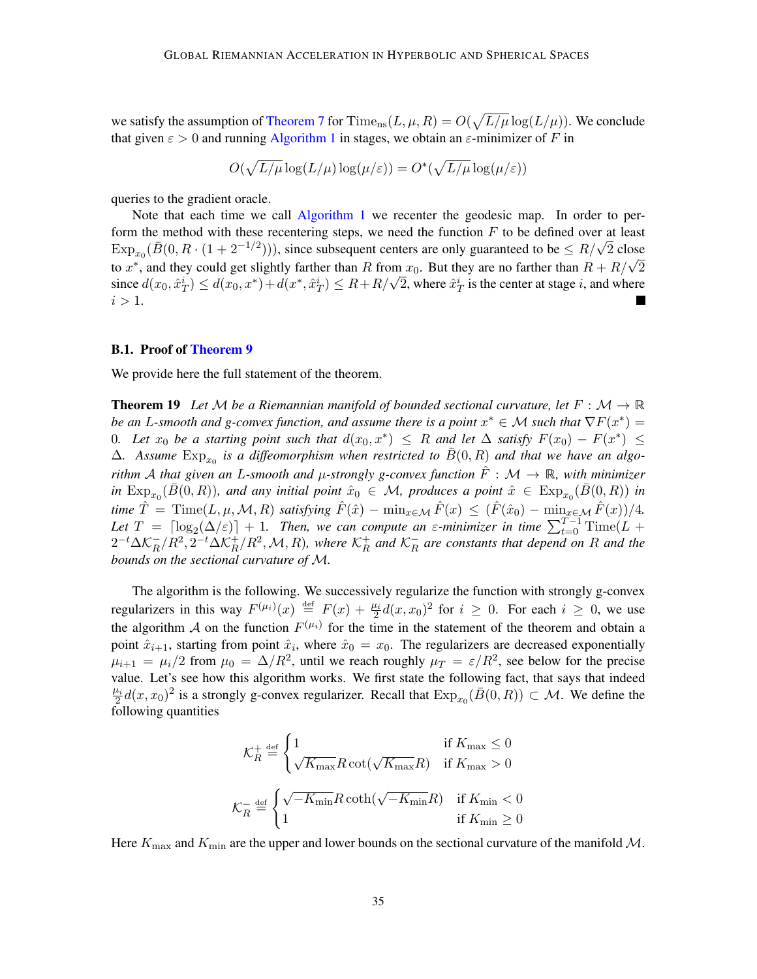we satisfy the assumption of [Theorem 7](#page-10-5) for  $\mathrm{Time_{ns}}(L, \mu, R) = O(\sqrt{L/\mu} \log(L/\mu))$  $\mathrm{Time_{ns}}(L, \mu, R) = O(\sqrt{L/\mu} \log(L/\mu))$  $\mathrm{Time_{ns}}(L, \mu, R) = O(\sqrt{L/\mu} \log(L/\mu))$  $\mathrm{Time_{ns}}(L, \mu, R) = O(\sqrt{L/\mu} \log(L/\mu))$  $\mathrm{Time_{ns}}(L, \mu, R) = O(\sqrt{L/\mu} \log(L/\mu))$  $\mathrm{Time_{ns}}(L, \mu, R) = O(\sqrt{L/\mu} \log(L/\mu))$  $\mathrm{Time_{ns}}(L, \mu, R) = O(\sqrt{L/\mu} \log(L/\mu))$ . We conclude that given  $\varepsilon > 0$  and running [Algorithm 1](#page-10-1) in stages, we obtain an  $\varepsilon$ -minimizer of F in

$$
O(\sqrt{L/\mu} \log(L/\mu) \log(\mu/\varepsilon)) = O^*(\sqrt{L/\mu} \log(\mu/\varepsilon))
$$

queries to the gradient oracle.

Note that each time we call [Algorithm 1](#page-10-1) we recenter the geodesic map. In order to perform the method with these recentering steps, we need the function  $F$  to be defined over at least  $\text{Exp}_{x_0}(\bar{B}(0, R \cdot (1 + 2^{-1/2}))),$  $\text{Exp}_{x_0}(\bar{B}(0, R \cdot (1 + 2^{-1/2}))),$  $\text{Exp}_{x_0}(\bar{B}(0, R \cdot (1 + 2^{-1/2}))),$  $\text{Exp}_{x_0}(\bar{B}(0, R \cdot (1 + 2^{-1/2}))),$  $\text{Exp}_{x_0}(\bar{B}(0, R \cdot (1 + 2^{-1/2}))),$  since subsequent centers are only guaranteed to be  $\leq R/\sqrt{2}$  close to  $x^*$ , and they could get slightly farther than R from  $x_0$ . But they are no farther than  $R + R$ [/](#page-2-0) √  $\lim_{\sqrt{2}} x_0$ . But they are no farther than  $R + R/\sqrt{2}$ since  $d(x_0, \hat{x}_T^i) \leq d(x_0, x^*) + d(x^*, \hat{x}_T^i) \leq R + R/\sqrt{2}$  $d(x_0, \hat{x}_T^i) \leq d(x_0, x^*) + d(x^*, \hat{x}_T^i) \leq R + R/\sqrt{2}$  $d(x_0, \hat{x}_T^i) \leq d(x_0, x^*) + d(x^*, \hat{x}_T^i) \leq R + R/\sqrt{2}$ , where  $\hat{x}_T^i$  is the center at stage *i*, and where  $i > 1$ .

#### B.1. Proof of [Theorem 9](#page-11-3)

<span id="page-34-0"></span>We provide here the full statement of the theorem.

**Theorem 19** Let M be a Riemannian manifold of bounded sectional curvature, let  $F : \mathcal{M} \to \mathbb{R}$ *be an L-smooth and g-convex function, and assume there is a point*  $x^* \in \mathcal{M}$  such that  $\nabla F(x^*) =$ 0. Let  $x_0$  be a starting point such that  $d(x_0, x^*) \leq R$  and let  $\Delta$  satisfy  $F(x_0) - F(x^*) \leq R$  $\Delta$ . Assume  $\mathrm{Exp}_{x_0}$  $\mathrm{Exp}_{x_0}$  $\mathrm{Exp}_{x_0}$  is a diffeomorphism when restricted to  $\overline{B}(0,R)$  and that we have an algo*rithm* A that given an L-smooth and  $\mu$ -strongly g-convex function  $\tilde{F} : \mathcal{M} \to \mathbb{R}$ , with minimizer  $\lim_{n \to \infty} \text{Exp}_{x_0}(\bar{B}(0,R))$  $\lim_{n \to \infty} \text{Exp}_{x_0}(\bar{B}(0,R))$  $\lim_{n \to \infty} \text{Exp}_{x_0}(\bar{B}(0,R))$ , and any initial point  $\hat{x}_0 \in \mathcal{M}$ , produces a point  $\hat{x} \in \text{Exp}_{x_0}(\bar{B}(0,R))$  in *time*  $\hat{T} = \text{Time}(L, \mu, \mathcal{M}, R)$  $\hat{T} = \text{Time}(L, \mu, \mathcal{M}, R)$  $\hat{T} = \text{Time}(L, \mu, \mathcal{M}, R)$  *satisfying*  $\hat{F}(\hat{x}) - \min_{x \in \mathcal{M}} \hat{F}(x) \leq (\hat{F}(\hat{x}_0) - \min_{x \in \mathcal{M}} \hat{F}(x))/4$ . Let  $T = \lceil \log_2(\Delta/\varepsilon) \rceil + 1$  $T = \lceil \log_2(\Delta/\varepsilon) \rceil + 1$  $T = \lceil \log_2(\Delta/\varepsilon) \rceil + 1$ . Then, we can compute an  $\varepsilon$ -minimizer in time  $\sum_{t=0}^{T-1}$  [Time\(](#page-10-3)L +  $2^{-t} \Delta \mathcal{K}_B^ R^-/R^2, 2^{-t}\Delta \mathcal{K}_R^+$  $R^-/R^2, 2^{-t}\Delta \mathcal{K}_R^+$  $R^-/R^2, 2^{-t}\Delta \mathcal{K}_R^+$  $^+_R/R^2, \mathcal{M}, R$  $^+_R/R^2, \mathcal{M}, R$  $^+_R/R^2, \mathcal{M}, R$ ), where  $\mathcal{K}^+_R$  $R^+$  *and*  $K^-$ <sup>*R*</sup></sub>  $R$  *are constants that depend on*  $R$  *and the bounds on the sectional curvature of* [ℳ](#page-2-1)*.*

<span id="page-34-4"></span><span id="page-34-3"></span>The algorithm is the following. We successively regularize the function with strongly g-convex regularizers in this way  $F^{(\mu_i)}(x) \stackrel{\text{def}}{=} F(x) + \frac{\mu_i}{2} d(x, x_0)^2$  for  $i \ge 0$ . For each  $i \ge 0$ , we use the algorithm A on the function  $F^{(\mu_i)}$  for the time in the statement of the theorem and obtain a point  $\hat{x}_{i+1}$ , starting from point  $\hat{x}_i$ , where  $\hat{x}_0 = x_0$ . The regularizers are decreased exponentially  $\mu_{i+1} = \mu_i/2$  $\mu_{i+1} = \mu_i/2$  $\mu_{i+1} = \mu_i/2$  $\mu_{i+1} = \mu_i/2$  $\mu_{i+1} = \mu_i/2$  from  $\mu_0 = \Delta/R^2$ , until we reach roughly  $\mu_T = \varepsilon/R^2$ , see below for the precise value. Let's see how this algorithm works. We first state the following fact, that says that indeed  $\frac{\mu_i}{2}d(x,x_0)^2$  is a strongly g-convex regularizer. Recall that  $\text{Exp}_{x_0}(\bar{B}(0,R)) \subset \mathcal{M}$  $\text{Exp}_{x_0}(\bar{B}(0,R)) \subset \mathcal{M}$  $\text{Exp}_{x_0}(\bar{B}(0,R)) \subset \mathcal{M}$ . We define the following quantities

<span id="page-34-2"></span><span id="page-34-1"></span>
$$
\mathcal{K}_R^+ \stackrel{\text{def}}{=} \begin{cases} 1 & \text{if } K_{\text{max}} \leq 0 \\ \sqrt{K_{\text{max}}} R \cot(\sqrt{K_{\text{max}}} R) & \text{if } K_{\text{max}} > 0 \end{cases}
$$

$$
\mathcal{K}_R^- \stackrel{\text{def}}{=} \begin{cases} \sqrt{-K_{\text{min}}} R \coth(\sqrt{-K_{\text{min}}} R) & \text{if } K_{\text{min}} < 0 \\ 1 & \text{if } K_{\text{min}} \geq 0 \end{cases}
$$

<span id="page-34-5"></span>Here  $K_{\text{max}}$  and  $K_{\text{min}}$  are the upper and lower bounds on the sectional curvature of the manifold M.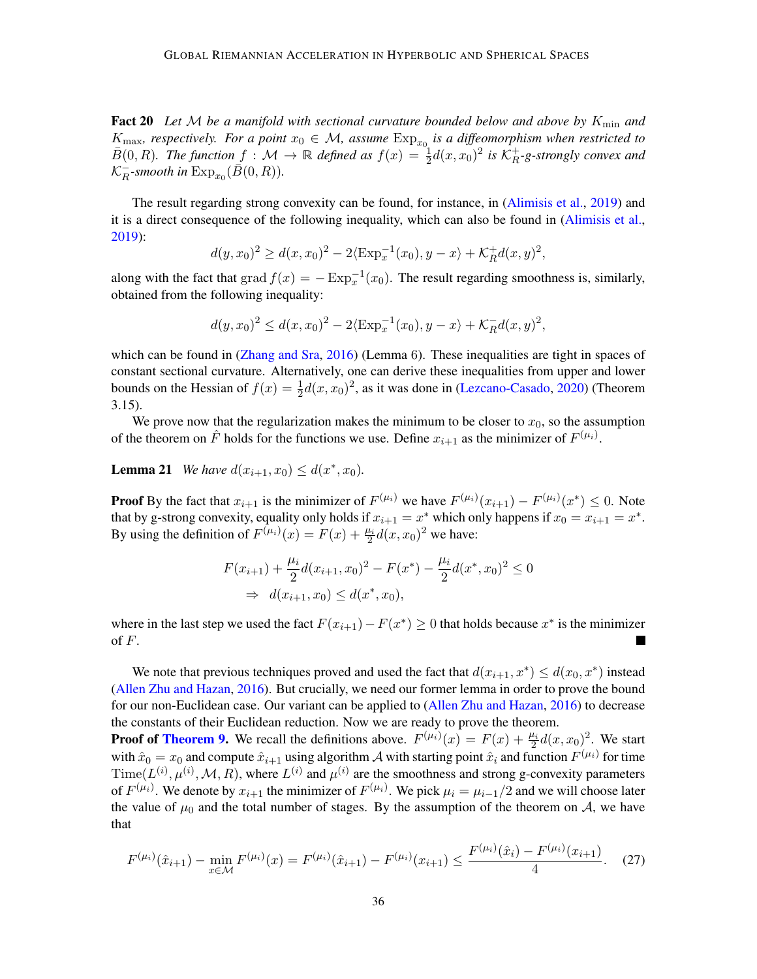Fact 20 Let M be a manifold with sectional curvature bounded below and above by K<sub>min</sub> and  $K_{\text{max}}$ , respectively. For a point  $x_0 \in \mathcal{M}$ , assume  $\text{Exp}_{x_0}$  $\text{Exp}_{x_0}$  $\text{Exp}_{x_0}$  is a diffeomorphism when restricted to  $\bar{B}(0, R)$ . The function  $f : \mathcal{M} \to \mathbb{R}$  defined as  $f(x) = \frac{1}{2}d(x, x_0)^2$  is  $\mathcal{K}_R^+$  *-g-strongly convex and*  ${\cal K}^{\pm}_{B}$  $\frac{1}{R}$ -smooth in  $\text{Exp}_{x_0}(\overline{B}(0,R)).$  $\text{Exp}_{x_0}(\overline{B}(0,R)).$  $\text{Exp}_{x_0}(\overline{B}(0,R)).$ 

The result regarding strong convexity can be found, for instance, in [\(Alimisis et al.,](#page-13-7) [2019\)](#page-13-7) and it is a direct consequence of the following inequality, which can also be found in [\(Alimisis et al.,](#page-13-7) [2019\)](#page-13-7):

$$
d(y, x_0)^2 \ge d(x, x_0)^2 - 2\langle \text{Exp}_x^{-1}(x_0), y - x \rangle + \mathcal{K}_R^+ d(x, y)^2
$$

,

along with the fact that  $\text{grad } f(x) = -\text{Exp}_x^{-1}(x_0)$  $\text{grad } f(x) = -\text{Exp}_x^{-1}(x_0)$  $\text{grad } f(x) = -\text{Exp}_x^{-1}(x_0)$ . The result regarding smoothness is, similarly, obtained from the following inequality:

$$
d(y, x_0)^2 \le d(x, x_0)^2 - 2\langle \text{Exp}_x^{-1}(x_0), y - x \rangle + \mathcal{K}_R^{-1}(x, y)^2,
$$

which can be found in [\(Zhang and Sra,](#page-19-2) [2016\)](#page-19-2) (Lemma 6). These inequalities are tight in spaces of constant sectional curvature. Alternatively, one can derive these inequalities from upper and lower bounds on the Hessian of  $f(x) = \frac{1}{2}d(x, x_0)^2$ , as it was done in [\(Lezcano-Casado,](#page-17-8) [2020\)](#page-17-8) (Theorem 3.15).

We prove now that the regularization makes the minimum to be closer to  $x_0$ , so the assumption of the theorem on  $\hat{F}$  holds for the functions we use. Define  $x_{i+1}$  as the minimizer of  $F^{(\mu_i)}$ .

<span id="page-35-0"></span>**Lemma 21** *We have*  $d(x_{i+1}, x_0) \leq d(x^*, x_0)$ *.* 

**Proof** By the fact that  $x_{i+1}$  is the minimizer of  $F^{(\mu_i)}$  we have  $F^{(\mu_i)}(x_{i+1}) - F^{(\mu_i)}(x^*) \leq 0$ . Note that by g-strong convexity, equality only holds if  $x_{i+1} = x^*$  which only happens if  $x_0 = x_{i+1} = x^*$ . By using the definition of  $F^{(\mu_i)}(x) = F(x) + \frac{\mu_i}{2} d(x, x_0)^2$  we have:

$$
F(x_{i+1}) + \frac{\mu_i}{2}d(x_{i+1}, x_0)^2 - F(x^*) - \frac{\mu_i}{2}d(x^*, x_0)^2 \le 0
$$
  
\n
$$
\Rightarrow d(x_{i+1}, x_0) \le d(x^*, x_0),
$$

where in the last step we used the fact  $F(x_{i+1}) - F(x^*) \ge 0$  that holds because  $x^*$  is the minimizer of  $F$ .

We note that previous techniques proved and used the fact that  $d(x_{i+1}, x^*) \leq d(x_0, x^*)$  instead [\(Allen Zhu and Hazan,](#page-13-6) [2016\)](#page-13-6). But crucially, we need our former lemma in order to prove the bound for our non-Euclidean case. Our variant can be applied to [\(Allen Zhu and Hazan,](#page-13-6) [2016\)](#page-13-6) to decrease the constants of their Euclidean reduction. Now we are ready to prove the theorem.

**Proof of [Theorem 9.](#page-11-3)** We recall the definitions above.  $F^{(\mu_i)}(x) = F(x) + \frac{\mu_i}{2}d(x, x_0)^2$ . We start with  $\hat{x}_0 = x_0$  and compute  $\hat{x}_{i+1}$  using algorithm  $\cal A$  with starting point  $\hat{x}_i$  and function  $F^{(\mu_i)}$  for time  $Time(L^{(i)}, \mu^{(i)}, \mathcal{M}, R)$  $Time(L^{(i)}, \mu^{(i)}, \mathcal{M}, R)$ , where  $L^{(i)}$  and  $\mu^{(i)}$  are the smoothness and strong g-convexity parameters of  $F^{(\mu_i)}$ . We denote by  $x_{i+1}$  the minimizer of  $F^{(\mu_i)}$ . We pick  $\mu_i = \mu_{i-1}/2$  and we will choose later the value of  $\mu_0$  and the total number of stages. By the assumption of the theorem on  $A$ , we have that

$$
F^{(\mu_i)}(\hat{x}_{i+1}) - \min_{x \in \mathcal{M}} F^{(\mu_i)}(x) = F^{(\mu_i)}(\hat{x}_{i+1}) - F^{(\mu_i)}(x_{i+1}) \le \frac{F^{(\mu_i)}(\hat{x}_i) - F^{(\mu_i)}(x_{i+1})}{4}.
$$
 (27)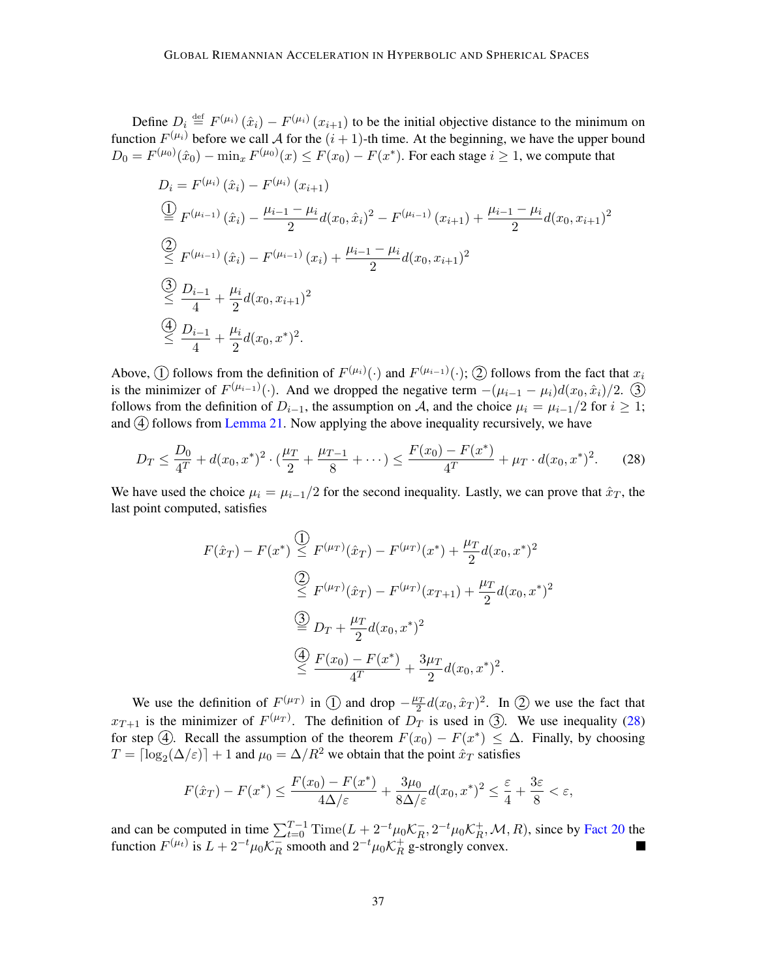<span id="page-36-0"></span>Define  $D_i \stackrel{\text{def}}{=} F^{(\mu_i)}(\hat{x}_i) - F^{(\mu_i)}(x_{i+1})$  to be the initial objective distance to the minimum on function  $F^{(\mu_i)}$  before we call A for the  $(i + 1)$ -th time. At the beginning, we have the upper bound  $D_0 = F^{(\mu_0)}(\hat{x}_0) - \min_x F^{(\mu_0)}(x) \le F(x_0) - F(x^*)$ . For each stage  $i \ge 1$ , we compute that

$$
D_{i} = F^{(\mu_{i})}(\hat{x}_{i}) - F^{(\mu_{i})}(x_{i+1})
$$
\n
$$
\stackrel{(1)}{\stackrel{\text{def}}{=} F^{(\mu_{i-1})}(\hat{x}_{i}) - \frac{\mu_{i-1} - \mu_{i}}{2}d(x_{0}, \hat{x}_{i})^{2} - F^{(\mu_{i-1})}(x_{i+1}) + \frac{\mu_{i-1} - \mu_{i}}{2}d(x_{0}, x_{i+1})^{2}
$$
\n
$$
\stackrel{(2)}{\stackrel{\text{def}}{=} F^{(\mu_{i-1})}(\hat{x}_{i}) - F^{(\mu_{i-1})}(x_{i}) + \frac{\mu_{i-1} - \mu_{i}}{2}d(x_{0}, x_{i+1})^{2}
$$
\n
$$
\stackrel{(3)}{\stackrel{\text{def}}{=} \frac{D_{i-1}}{4} + \frac{\mu_{i}}{2}d(x_{0}, x_{i+1})^{2}
$$
\n
$$
\stackrel{(4)}{\stackrel{\text{def}}{=} \frac{D_{i-1}}{4} + \frac{\mu_{i}}{2}d(x_{0}, x^{*})^{2}.
$$

Above,  $\textcircled{1}$  follows from the definition of  $F^{(\mu_i)}(\cdot)$  and  $F^{(\mu_{i-1})}(\cdot)$ ;  $\textcircled{2}$  follows from the fact that  $x_i$ is the minimizer of  $F^{(\mu_{i-1})}(\cdot)$ . And we dropped the negative term  $-(\mu_{i-1} - \mu_i)d(x_0, \hat{x}_i)/2$ .  $\overline{3}$ follows from the definition of  $D_{i-1}$ , the assumption on A, and the choice  $\mu_i = \mu_{i-1}/2$  for  $i \ge 1$ ; and  $\overline{4}$  follows from [Lemma 21.](#page-35-0) Now applying the above inequality recursively, we have

<span id="page-36-1"></span>
$$
D_T \le \frac{D_0}{4^T} + d(x_0, x^*)^2 \cdot \left(\frac{\mu_T}{2} + \frac{\mu_{T-1}}{8} + \dots\right) \le \frac{F(x_0) - F(x^*)}{4^T} + \mu_T \cdot d(x_0, x^*)^2. \tag{28}
$$

We have used the choice  $\mu_i = \mu_{i-1}/2$  for the second inequality. Lastly, we can prove that  $\hat{x}_T$ , the last point computed, satisfies

$$
F(\hat{x}_T) - F(x^*) \leq F^{(\mu_T)}(\hat{x}_T) - F^{(\mu_T)}(x^*) + \frac{\mu_T}{2}d(x_0, x^*)^2
$$
  
\n
$$
\overset{(2)}{\leq} F^{(\mu_T)}(\hat{x}_T) - F^{(\mu_T)}(x_{T+1}) + \frac{\mu_T}{2}d(x_0, x^*)^2
$$
  
\n
$$
\overset{(3)}{\leq} D_T + \frac{\mu_T}{2}d(x_0, x^*)^2
$$
  
\n
$$
\overset{(4)}{\leq} \frac{F(x_0) - F(x^*)}{4^T} + \frac{3\mu_T}{2}d(x_0, x^*)^2.
$$

We use the definition of  $F^{(\mu_T)}$  in  $\textcircled{1}$  and drop  $-\frac{\mu_T}{2}d(x_0, \hat{x}_T)^2$ . In  $\textcircled{2}$  we use the fact that  $x_{T+1}$  is the minimizer of  $F^{(\mu_T)}$ . The definition of  $D_T$  is used in  $\Im$ . We use inequality [\(28\)](#page-36-1) for step  $\Theta$ . Recall the assumption of the theorem  $F(x_0) - F(x^*) \leq \Delta$ . Finally, by choosing  $T = \lceil \log_2(\Delta/\varepsilon) \rceil + 1$  $T = \lceil \log_2(\Delta/\varepsilon) \rceil + 1$  $T = \lceil \log_2(\Delta/\varepsilon) \rceil + 1$  and  $\mu_0 = \Delta/R^2$  we obtain that the point  $\hat{x}_T$  satisfies

$$
F(\hat x_T) - F(x^*) \le \frac{F(x_0) - F(x^*)}{4\Delta/\varepsilon} + \frac{3\mu_0}{8\Delta/\varepsilon} d(x_0, x^*)^2 \le \frac{\varepsilon}{4} + \frac{3\varepsilon}{8} < \varepsilon,
$$

and can be computed in time  $\sum_{t=0}^{T-1} \text{Time}(L + 2^{-t} \mu_0 \mathcal{K}_R^-)$  $R^{-}_{R}$ ,  $2^{-t} \mu_0 \mathcal{K}_R^{+}$  $<sub>R</sub><sup>+</sup>, M, R$ ), since by [Fact 20](#page-34-5) the</sub> function  $F^{(\mu_t)}$  is  $L + 2^{-t} \mu_0 \mathcal{K}_R^ \frac{1}{R}$  smooth and  $2^{-t} \mu_0 \mathcal{K}_R^+$  $_R^+$  g-strongly convex.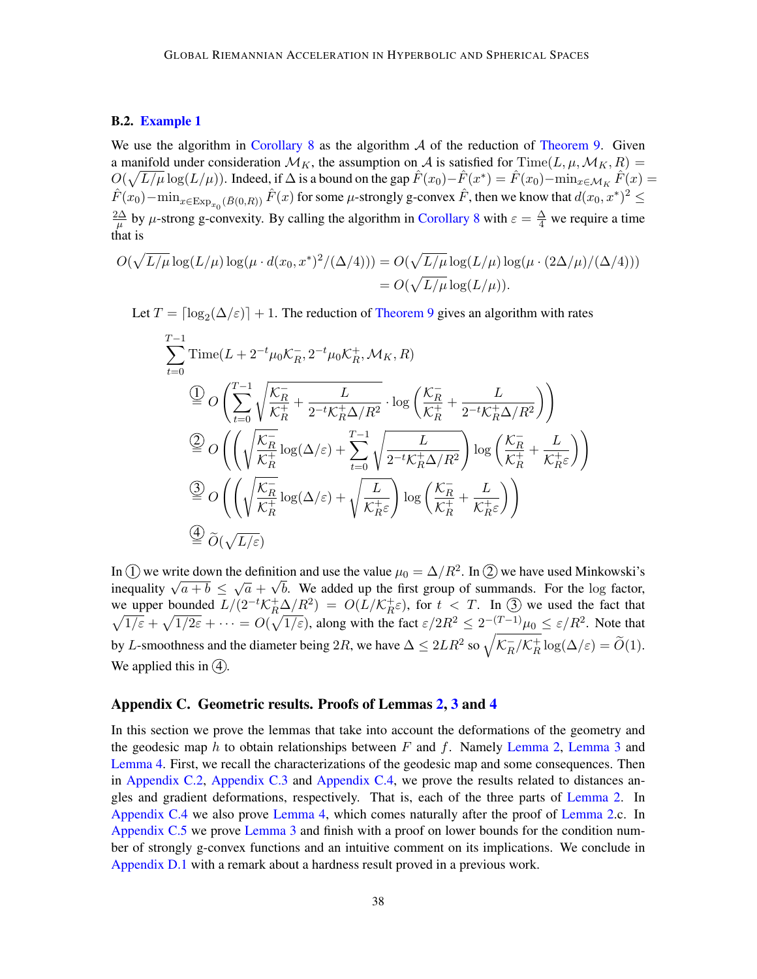## B.2. [Example 1](#page-11-1)

<span id="page-37-1"></span>We use the algorithm in [Corollary 8](#page-11-0) as the algorithm  $A$  of the reduction of [Theorem 9.](#page-11-3) Given a manifold under consideration  $\mathcal{M}_K$ , the assumption on A is satisfied for [Time\(](#page-10-3)L[,](#page-3-1)  $\mu$ ,  $\mathcal{M}_K$ , R) =  $O(\sqrt{L/\mu}\log(L/\mu))$  $O(\sqrt{L/\mu}\log(L/\mu))$  $O(\sqrt{L/\mu}\log(L/\mu))$ . Indeed, if  $\Delta$  is a bound on the gap  $\hat{F}(x_0) - \hat{F}(x^*) = \hat{F}(x_0) - \min_{x \in \mathcal{M}_K} \hat{F}(x) =$  $\hat{F}(x_0) - \min_{x \in \text{Exp}_{x_0}(\bar{B}(0,R))} \hat{F}(x)$  $\hat{F}(x_0) - \min_{x \in \text{Exp}_{x_0}(\bar{B}(0,R))} \hat{F}(x)$  $\hat{F}(x_0) - \min_{x \in \text{Exp}_{x_0}(\bar{B}(0,R))} \hat{F}(x)$  $\hat{F}(x_0) - \min_{x \in \text{Exp}_{x_0}(\bar{B}(0,R))} \hat{F}(x)$  $\hat{F}(x_0) - \min_{x \in \text{Exp}_{x_0}(\bar{B}(0,R))} \hat{F}(x)$  $\hat{F}(x_0) - \min_{x \in \text{Exp}_{x_0}(\bar{B}(0,R))} \hat{F}(x)$  $\hat{F}(x_0) - \min_{x \in \text{Exp}_{x_0}(\bar{B}(0,R))} \hat{F}(x)$  for some  $\mu$ -strongly g-convex  $\hat{F}$ , then we know that  $d(x_0, x^*)^2 \le$  $2\Delta$  $\frac{\partial \Delta}{\partial \mu}$  by  $\mu$ -strong g-convexity. By calling the algorithm in [Corollary 8](#page-11-0) with  $\varepsilon = \frac{\Delta}{4}$  we require a time that is

$$
O(\sqrt{L/\mu} \log(L/\mu) \log(\mu \cdot d(x_0, x^*)^2/(\Delta/4))) = O(\sqrt{L/\mu} \log(L/\mu) \log(\mu \cdot (2\Delta/\mu)/(\Delta/4)))
$$
  
= 
$$
O(\sqrt{L/\mu} \log(L/\mu)).
$$

Let  $T = \lceil \log_2(\Delta/\varepsilon) \rceil + 1$  $T = \lceil \log_2(\Delta/\varepsilon) \rceil + 1$  $T = \lceil \log_2(\Delta/\varepsilon) \rceil + 1$ . The reduction of [Theorem 9](#page-11-3) gives an algorithm with rates

$$
\sum_{t=0}^{T-1} \text{Time}(L + 2^{-t} \mu_0 \mathcal{K}_R^-, 2^{-t} \mu_0 \mathcal{K}_R^+, \mathcal{M}_K, R)
$$
\n
$$
\stackrel{(1)}{=} O\left(\sum_{t=0}^{T-1} \sqrt{\frac{\mathcal{K}_R^-}{\mathcal{K}_R^+} + \frac{L}{2^{-t} \mathcal{K}_R^+ \Delta/R^2}} \cdot \log\left(\frac{\mathcal{K}_R^-}{\mathcal{K}_R^+} + \frac{L}{2^{-t} \mathcal{K}_R^+ \Delta/R^2}\right)\right)
$$
\n
$$
\stackrel{(2)}{=} O\left(\left(\sqrt{\frac{\mathcal{K}_R^-}{\mathcal{K}_R^+}} \log(\Delta/\varepsilon) + \sum_{t=0}^{T-1} \sqrt{\frac{L}{2^{-t} \mathcal{K}_R^+ \Delta/R^2}}\right) \log\left(\frac{\mathcal{K}_R^-}{\mathcal{K}_R^+} + \frac{L}{\mathcal{K}_R^+ \varepsilon}\right)\right)
$$
\n
$$
\stackrel{(3)}{=} O\left(\left(\sqrt{\frac{\mathcal{K}_R^-}{\mathcal{K}_R^+}} \log(\Delta/\varepsilon) + \sqrt{\frac{L}{\mathcal{K}_R^+ \varepsilon}}\right) \log\left(\frac{\mathcal{K}_R^-}{\mathcal{K}_R^+} + \frac{L}{\mathcal{K}_R^+ \varepsilon}\right)\right)
$$
\n
$$
\stackrel{(4)}{=} \widetilde{O}(\sqrt{L/\varepsilon})
$$

In  $\overline{1}$  we write down the definition and use the value  $\mu_0 = \Delta/R^2$  $\mu_0 = \Delta/R^2$  $\mu_0 = \Delta/R^2$ . In  $\overline{2}$  we have used Minkowski's in  $\bigcup$  we write down the definition and use the value  $\mu_0 = \Delta/\pi$ . In  $\bigcup$  we have used Minkowski s<br>inequality  $\sqrt{a+b} \le \sqrt{a} + \sqrt{b}$ . We added up the first group of summands. For the log factor, we upper bounded  $L/(2^{-t} \mathcal{K}_R^+ \Delta/R^2) = O(L/\mathcal{K}_R^+$  $L/(2^{-t} \mathcal{K}_R^+ \Delta/R^2) = O(L/\mathcal{K}_R^+$  $L/(2^{-t} \mathcal{K}_R^+ \Delta/R^2) = O(L/\mathcal{K}_R^+$  $_{R}^{+}\varepsilon$ ), for  $t < T$ . In (3) we used the fact that  $\sqrt{1/\varepsilon} + \sqrt{1/2\varepsilon} + \cdots = O(\sqrt{1/\varepsilon})$  $\sqrt{1/\varepsilon} + \sqrt{1/2\varepsilon} + \cdots = O(\sqrt{1/\varepsilon})$  $\sqrt{1/\varepsilon} + \sqrt{1/2\varepsilon} + \cdots = O(\sqrt{1/\varepsilon})$ , along with the fact  $\varepsilon/2R^2 \leq 2^{-(T-1)}\mu_0 \leq \varepsilon/R^2$ . Note that by L-smoothness and the diameter being  $2R$ , we have  $\Delta \leq 2LR^2$  so  $\sqrt{\mathcal{K}_R^-}$  $R_R^-/\mathcal{K}_R^+$  $\frac{1}{R} \log(\Delta/\varepsilon) = O(1).$  $\frac{1}{R} \log(\Delta/\varepsilon) = O(1).$  $\frac{1}{R} \log(\Delta/\varepsilon) = O(1).$ We applied this in  $(4)$ .

#### <span id="page-37-0"></span>Appendix C. Geometric results. Proofs of Lemmas [2,](#page-6-3) [3](#page-6-0) and [4](#page-8-7)

In this section we prove the lemmas that take into account the deformations of the geometry and the geodesic map  $h$  to obtain relationships between  $F$  and  $f$ . Namely [Lemma 2,](#page-6-3) [Lemma 3](#page-6-0) and [Lemma 4.](#page-8-7) First, we recall the characterizations of the geodesic map and some consequences. Then in [Appendix C.2,](#page-39-0) [Appendix C.3](#page-44-0) and [Appendix C.4,](#page-46-0) we prove the results related to distances angles and gradient deformations, respectively. That is, each of the three parts of [Lemma 2.](#page-6-3) In [Appendix C.4](#page-46-0) we also prove [Lemma 4,](#page-8-7) which comes naturally after the proof of [Lemma 2.](#page-6-3)c. In [Appendix C.5](#page-50-1) we prove [Lemma 3](#page-6-0) and finish with a proof on lower bounds for the condition number of strongly g-convex functions and an intuitive comment on its implications. We conclude in [Appendix D.1](#page-57-1) with a remark about a hardness result proved in a previous work.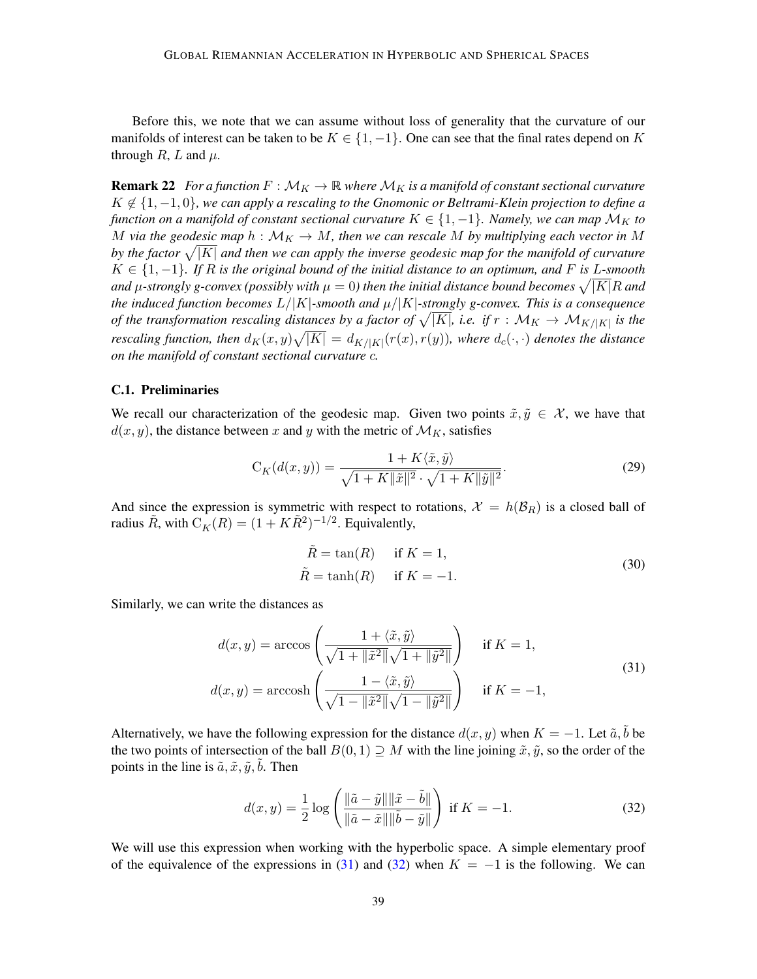Before this, we note that we can assume without loss of generality that the curvature of our manifolds of interest can be taken to be  $K \in \{1, -1\}$ . One can see that the final rates depend on K through  $R$ ,  $L$  and  $\mu$ .

<span id="page-38-0"></span>**Remark 22** *For a function*  $F : \mathcal{M}_K \to \mathbb{R}$  *where*  $\mathcal{M}_K$  *is a manifold of constant sectional curvature*  ̸∈ {1, −1, 0}*, we can apply a rescaling to the Gnomonic or Beltrami-Klein projection to define a function on a manifold of constant sectional curvature*  $K \in \{1, -1\}$ *. Namely, we can map*  $\mathcal{M}_K$  to *M* via the geodesic map  $h : \mathcal{M}_K \to M$ , then we can rescale M by multiplying each vector in M by the factor  $\sqrt{|K|}$  and then we can apply the inverse geodesic map for the manifold of curvature  $K ∈ \{1, -1\}$ . If R is the original bound of the initial distance to an optimum, and F is L-smooth and  $\mu$ -strongly g-convex (possibly with  $\mu=0$ ) then the initial distance bound becomes  $\sqrt{|K|}R$  and *the induced function becomes*  $L/|K|$  $L/|K|$  $L/|K|$ -smooth and  $\mu/|K|$ -strongly g-convex. This is a consequence *of the transformation rescaling distances by a factor of*  $\sqrt{|K|}$ , *i.e. if*  $r : \mathcal{M}_K \to \mathcal{M}_{K/|K|}$  $r : \mathcal{M}_K \to \mathcal{M}_{K/|K|}$  $r : \mathcal{M}_K \to \mathcal{M}_{K/|K|}$  *is the* rescaling function, then  $d_K(x,y)\sqrt{|K|} = d_{K/|K|}(r(x),r(y))$  $d_K(x,y)\sqrt{|K|} = d_{K/|K|}(r(x),r(y))$  $d_K(x,y)\sqrt{|K|} = d_{K/|K|}(r(x),r(y))$ , where  $d_c(\cdot,\cdot)$  denotes the distance *on the manifold of constant sectional curvature .*

## C.1. Preliminaries

We recall our characterization of the geodesic map. Given two points  $\tilde{x}, \tilde{y} \in \mathcal{X}$ , we have that  $d(x, y)$ , the distance between x and y with the metric of  $\mathcal{M}_K$ , satisfies

<span id="page-38-4"></span>
$$
C_K(d(x,y)) = \frac{1 + K\langle \tilde{x}, \tilde{y} \rangle}{\sqrt{1 + K \|\tilde{x}\|^2} \cdot \sqrt{1 + K \|\tilde{y}\|^2}}.
$$
\n(29)

And since the expression is symmetric with respect to rotations,  $\mathcal{X} = h(\mathcal{B}_R)$  is a closed ball of radius  $\tilde{R}$ , with  $C_K(R) = (1 + K\tilde{R}^2)^{-1/2}$  $C_K(R) = (1 + K\tilde{R}^2)^{-1/2}$ . Equivalently,

<span id="page-38-3"></span><span id="page-38-1"></span>
$$
\tilde{R} = \tan(R) \quad \text{if } K = 1,
$$
  
\n
$$
\tilde{R} = \tanh(R) \quad \text{if } K = -1.
$$
\n(30)

Similarly, we can write the distances as

$$
d(x,y) = \arccos\left(\frac{1 + \langle \tilde{x}, \tilde{y} \rangle}{\sqrt{1 + ||\tilde{x}^2||} \sqrt{1 + ||\tilde{y}^2||}}\right) \quad \text{if } K = 1,
$$
  

$$
d(x,y) = \arccos\left(\frac{1 - \langle \tilde{x}, \tilde{y} \rangle}{\sqrt{1 - ||\tilde{x}^2||} \sqrt{1 - ||\tilde{y}^2||}}\right) \quad \text{if } K = -1,
$$
 (31)

Alternatively, we have the following expression for the distance  $d(x, y)$  when  $K = -1$ . Let  $\tilde{a}, \tilde{b}$  be the two points of intersection of the ball  $B(0, 1) \supseteq M$  with the line joining  $\tilde{x}, \tilde{y}$ , so the order of the points in the line is  $\tilde{a}, \tilde{x}, \tilde{y}, \tilde{b}$ . Then

<span id="page-38-2"></span>
$$
d(x,y) = \frac{1}{2} \log \left( \frac{\|\tilde{a} - \tilde{y}\| \|\tilde{x} - \tilde{b}\|}{\|\tilde{a} - \tilde{x}\| \|\tilde{b} - \tilde{y}\|} \right) \text{ if } K = -1.
$$
 (32)

We will use this expression when working with the hyperbolic space. A simple elementary proof of the equivalence of the expressions in [\(31\)](#page-38-1) and [\(32\)](#page-38-2) when  $K = -1$  is the following. We can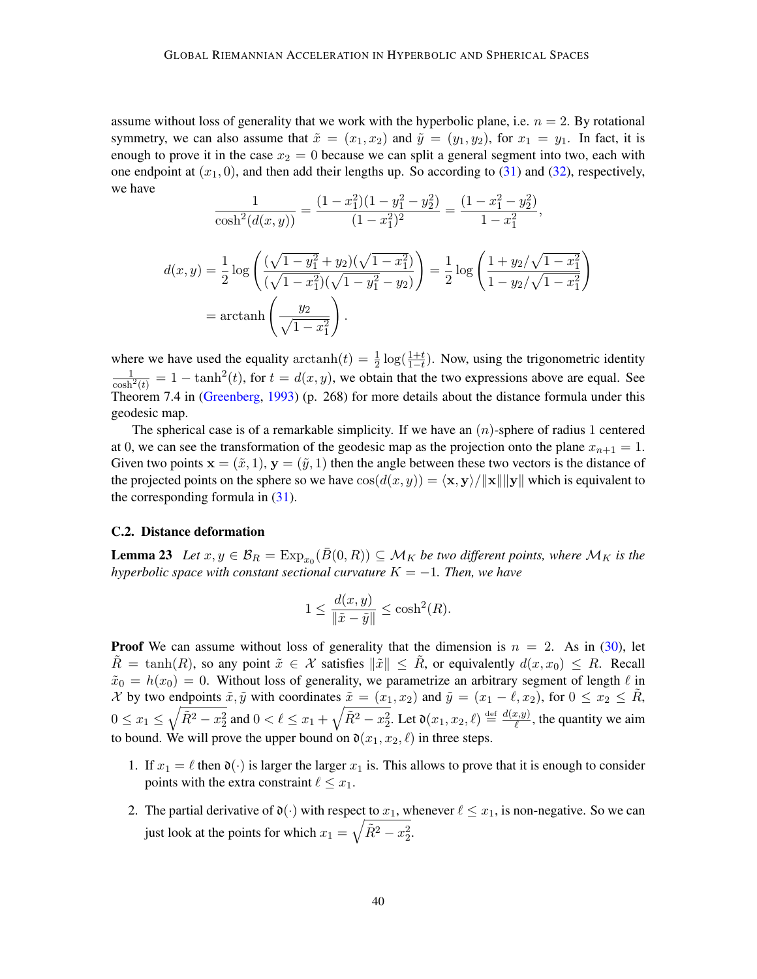assume without loss of generality that we work with the hyperbolic plane, i.e.  $n = 2$ . By rotational symmetry, we can also assume that  $\tilde{x} = (x_1, x_2)$  and  $\tilde{y} = (y_1, y_2)$ , for  $x_1 = y_1$ . In fact, it is enough to prove it in the case  $x_2 = 0$  because we can split a general segment into two, each with one endpoint at  $(x_1, 0)$ , and then add their lengths up. So according to [\(31\)](#page-38-1) and [\(32\)](#page-38-2), respectively, we have

$$
\frac{1}{\cosh^2(d(x,y))} = \frac{(1-x_1^2)(1-y_1^2-y_2^2)}{(1-x_1^2)^2} = \frac{(1-x_1^2-y_2^2)}{1-x_1^2},
$$

$$
d(x,y) = \frac{1}{2}\log\left(\frac{(\sqrt{1-y_1^2}+y_2)(\sqrt{1-x_1^2})}{(\sqrt{1-x_1^2})(\sqrt{1-y_1^2}-y_2)}\right) = \frac{1}{2}\log\left(\frac{1+y_2/\sqrt{1-x_1^2}}{1-y_2/\sqrt{1-x_1^2}}\right)
$$

$$
= \arctanh\left(\frac{y_2}{\sqrt{1-x_1^2}}\right).
$$

where we have used the equality  $\arctanh(t) = \frac{1}{2} \log(\frac{1+t}{1-t})$ . Now, using the trigonometric identity  $\frac{1}{\cosh^2(t)} = 1 - \tanh^2(t)$ , for  $t = d(x, y)$ , we obtain that the two expressions above are equal. See Theorem 7.4 in [\(Greenberg,](#page-15-9) [1993\)](#page-15-9) (p. 268) for more details about the distance formula under this geodesic map.

The spherical case is of a remarkable simplicity. If we have an  $(n)$ -sphere of radius 1 centered at 0, we can see the transformation of the geodesic map as the projection onto the plane  $x_{n+1} = 1$ . Given two points  $\mathbf{x} = (\tilde{x}, 1), \mathbf{y} = (\tilde{y}, 1)$  then the angle between these two vectors is the distance of the projected points on the sphere so we have  $\cos(d(x, y)) = \langle x, y \rangle / ||x|| ||y||$  which is equivalent to the corresponding formula in  $(31)$ .

## <span id="page-39-0"></span>C.2. Distance deformation

<span id="page-39-1"></span>**Lemma 23** Let  $x, y \in \mathcal{B}_R = \text{Exp}_{x_0}(\overline{B}(0,R)) \subseteq \mathcal{M}_K$  $x, y \in \mathcal{B}_R = \text{Exp}_{x_0}(\overline{B}(0,R)) \subseteq \mathcal{M}_K$  $x, y \in \mathcal{B}_R = \text{Exp}_{x_0}(\overline{B}(0,R)) \subseteq \mathcal{M}_K$  be two different points, where  $\mathcal{M}_K$  is the *hyperbolic space with constant sectional curvature*  $K = -1$ *. Then, we have* 

$$
1 \le \frac{d(x, y)}{\|\tilde{x} - \tilde{y}\|} \le \cosh^2(R).
$$

**Proof** We can assume without loss of generality that the dimension is  $n = 2$ . As in [\(30\)](#page-38-3), let  $\tilde{R} = \tanh(R)$ , so any point  $\tilde{x} \in \mathcal{X}$  satisfies  $\|\tilde{x}\| \leq \tilde{R}$ , or equivalently  $d(x, x_0) \leq R$ . Recall  $\tilde{x}_0 = h(x_0) = 0$ . Without loss of generality, we parametrize an arbitrary segment of length  $\ell$  in  $\mathcal X$  by two endpoints  $\tilde x$ ,  $\tilde y$  with coordinates  $\tilde x = (x_1, x_2)$  and  $\tilde y = (x_1 - \ell, x_2)$ , for  $0 \le x_2 \le \tilde R$ ,  $0\leq x_1\leq \sqrt{\tilde{R}^2-x_2^2}$  and  $0<\ell\leq x_1+\sqrt{\tilde{R}^2-x_2^2}.$  Let  $\mathfrak{d}(x_1,x_2,\ell)\stackrel{\text{def}}{=}\frac{d(x,y)}{\ell}$  $\frac{f(x,y)}{g}$ , the quantity we aim to bound. We will prove the upper bound on  $\mathfrak{d}(x_1, x_2, \ell)$  in three steps.

- 1. If  $x_1 = \ell$  then  $\mathfrak{d}(\cdot)$  is larger the larger  $x_1$  is. This allows to prove that it is enough to consider points with the extra constraint  $\ell \leq x_1$ .
- 2. The partial derivative of  $\mathfrak{d}(\cdot)$  with respect to  $x_1$ , whenever  $\ell \leq x_1$ , is non-negative. So we can just look at the points for which  $x_1 = \sqrt{\tilde{R}^2 - x_2^2}$ .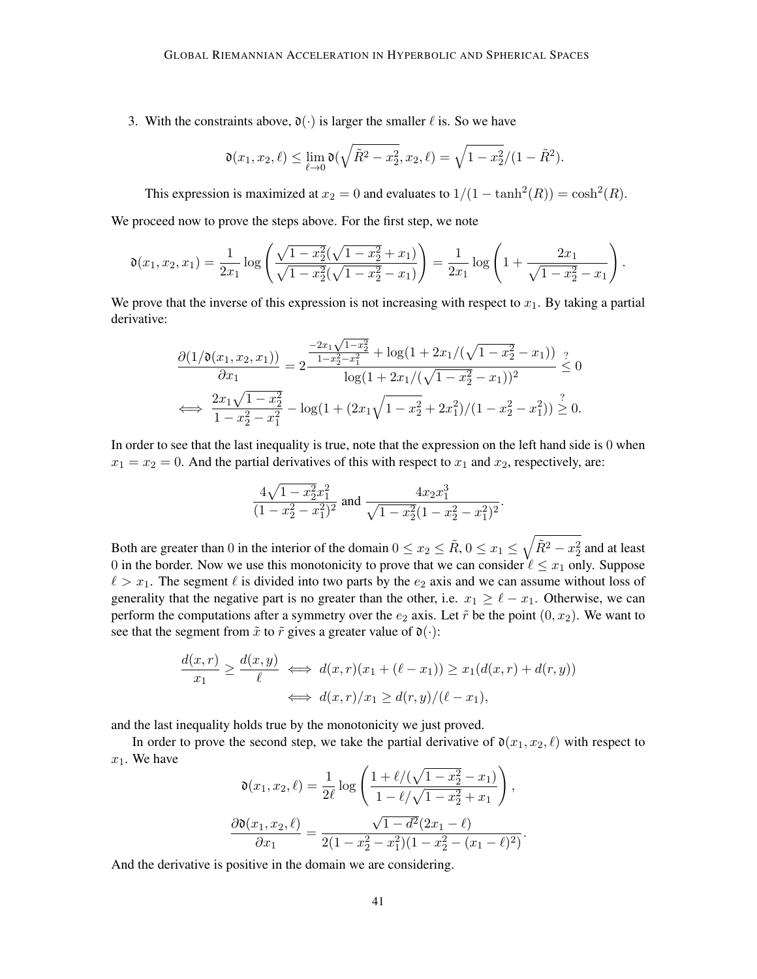3. With the constraints above,  $\mathfrak{d}(\cdot)$  is larger the smaller  $\ell$  is. So we have

$$
\mathfrak{d}(x_1, x_2, \ell) \le \lim_{\ell \to 0} \mathfrak{d}(\sqrt{\tilde{R}^2 - x_2^2}, x_2, \ell) = \sqrt{1 - x_2^2}/(1 - \tilde{R}^2).
$$

This expression is maximized at  $x_2 = 0$  and evaluates to  $1/(1 - \tanh^2(R)) = \cosh^2(R)$ .

We proceed now to prove the steps above. For the first step, we note

$$
\mathfrak{d}(x_1, x_2, x_1) = \frac{1}{2x_1} \log \left( \frac{\sqrt{1 - x_2^2} (\sqrt{1 - x_2^2} + x_1)}{\sqrt{1 - x_2^2} (\sqrt{1 - x_2^2} - x_1)} \right) = \frac{1}{2x_1} \log \left( 1 + \frac{2x_1}{\sqrt{1 - x_2^2} - x_1} \right).
$$

We prove that the inverse of this expression is not increasing with respect to  $x_1$ . By taking a partial derivative:

$$
\frac{\partial (1/\mathfrak{d}(x_1, x_2, x_1))}{\partial x_1} = 2 \frac{\frac{-2x_1 \sqrt{1 - x_2^2}}{1 - x_2^2 - x_1^2} + \log(1 + 2x_1/(\sqrt{1 - x_2^2} - x_1))}{\log(1 + 2x_1/(\sqrt{1 - x_2^2} - x_1))^2} \leq 0
$$
  

$$
\iff \frac{2x_1 \sqrt{1 - x_2^2}}{1 - x_2^2 - x_1^2} - \log(1 + (2x_1\sqrt{1 - x_2^2} + 2x_1^2)/(1 - x_2^2 - x_1^2)) \geq 0.
$$

In order to see that the last inequality is true, note that the expression on the left hand side is 0 when  $x_1 = x_2 = 0$ . And the partial derivatives of this with respect to  $x_1$  and  $x_2$ , respectively, are:

$$
\frac{4\sqrt{1-x_2^2}x_1^2}{(1-x_2^2-x_1^2)^2}
$$
 and 
$$
\frac{4x_2x_1^3}{\sqrt{1-x_2^2}(1-x_2^2-x_1^2)^2}.
$$

Both are greater than 0 in the interior of the domain  $0 \le x_2 \le \tilde{R}$ ,  $0 \le x_1 \le \sqrt{\tilde{R}^2 - x_2^2}$  and at least 0 in the border. Now we use this monotonicity to prove that we can consider  $\ell \leq x_1$  only. Suppose  $\ell > x_1$ . The segment  $\ell$  is divided into two parts by the  $e_2$  axis and we can assume without loss of generality that the negative part is no greater than the other, i.e.  $x_1 \geq \ell - x_1$ . Otherwise, we can perform the computations after a symmetry over the  $e_2$  axis. Let  $\tilde{r}$  be the point  $(0, x_2)$ . We want to see that the segment from  $\tilde{x}$  to  $\tilde{r}$  gives a greater value of  $\mathfrak{d}(\cdot)$ :

$$
\frac{d(x,r)}{x_1} \ge \frac{d(x,y)}{\ell} \iff d(x,r)(x_1 + (\ell - x_1)) \ge x_1(d(x,r) + d(r,y))
$$
  

$$
\iff d(x,r)/x_1 \ge d(r,y)/(\ell - x_1),
$$

and the last inequality holds true by the monotonicity we just proved.

In order to prove the second step, we take the partial derivative of  $\mathfrak{d}(x_1, x_2, \ell)$  with respect to  $x_1$ . We have

$$
\mathfrak{d}(x_1, x_2, \ell) = \frac{1}{2\ell} \log \left( \frac{1 + \ell/(\sqrt{1 - x_2^2} - x_1)}{1 - \ell/\sqrt{1 - x_2^2} + x_1} \right),
$$

$$
\frac{\partial \mathfrak{d}(x_1, x_2, \ell)}{\partial x_1} = \frac{\sqrt{1 - d^2}(2x_1 - \ell)}{2(1 - x_2^2 - x_1^2)(1 - x_2^2 - (x_1 - \ell)^2)}.
$$

And the derivative is positive in the domain we are considering.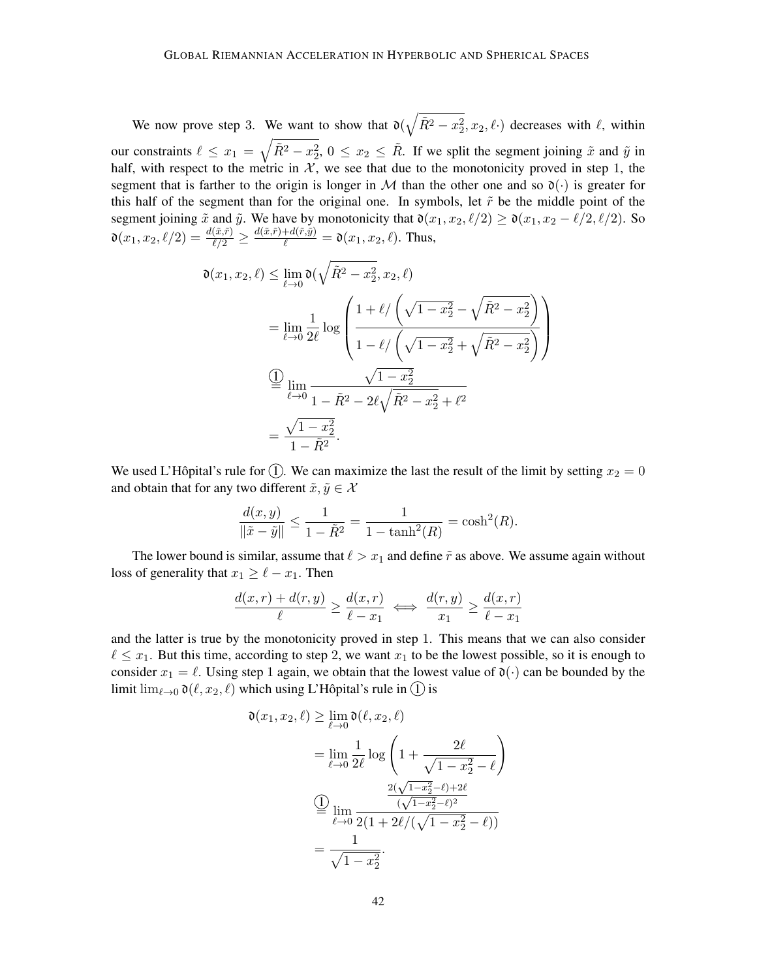We now prove step 3. We want to show that  $\mathfrak{d}(\sqrt{\tilde{R}^2 - x_2^2}, x_2, \ell)$  decreases with  $\ell$ , within our constraints  $\ell \leq x_1 = \sqrt{\tilde{R}^2 - x_2^2}$ ,  $0 \leq x_2 \leq \tilde{R}$ . If we split the segment joining  $\tilde{x}$  and  $\tilde{y}$  in half, with respect to the metric in  $\mathcal{X}$ , we see that due to the monotonicity proved in step 1, the segment that is farther to the origin is longer in M than the other one and so  $\mathfrak{d}(\cdot)$  is greater for this half of the segment than for the original one. In symbols, let  $\tilde{r}$  be the middle point of the segment joining  $\tilde{x}$  and  $\tilde{y}$ . We have by monotonicity that  $\mathfrak{d}(x_1, x_2, \ell/2) \geq \mathfrak{d}(x_1, x_2 - \ell/2, \ell/2)$ . So  $\mathfrak{d}(x_1, x_2, \ell/2) = \frac{d(\tilde{x}, \tilde{r})}{\ell/2} \geq \frac{d(\tilde{x}, \tilde{r}) + d(\tilde{r}, \tilde{y})}{\ell} = \mathfrak{d}(x_1, x_2, \ell)$ . Thus,

$$
\mathfrak{d}(x_1, x_2, \ell) \le \lim_{\ell \to 0} \mathfrak{d}(\sqrt{\tilde{R}^2 - x_2^2}, x_2, \ell)
$$
  
= 
$$
\lim_{\ell \to 0} \frac{1}{2\ell} \log \left( \frac{1 + \ell / \left( \sqrt{1 - x_2^2} - \sqrt{\tilde{R}^2 - x_2^2} \right)}{1 - \ell / \left( \sqrt{1 - x_2^2} + \sqrt{\tilde{R}^2 - x_2^2} \right)} \right)
$$
  
= 
$$
\lim_{\ell \to 0} \frac{\sqrt{1 - x_2^2}}{1 - \tilde{R}^2 - 2\ell \sqrt{\tilde{R}^2 - x_2^2} + \ell^2}
$$
  
= 
$$
\frac{\sqrt{1 - x_2^2}}{1 - \tilde{R}^2}.
$$

We used L'Hôpital's rule for (1). We can maximize the last the result of the limit by setting  $x_2 = 0$ and obtain that for any two different  $\tilde{x}, \tilde{y} \in \mathcal{X}$ 

$$
\frac{d(x,y)}{\|\tilde{x} - \tilde{y}\|} \le \frac{1}{1 - \tilde{R}^2} = \frac{1}{1 - \tanh^2(R)} = \cosh^2(R).
$$

The lower bound is similar, assume that  $\ell > x_1$  and define  $\tilde{r}$  as above. We assume again without loss of generality that  $x_1 \geq \ell - x_1$ . Then

$$
\frac{d(x,r) + d(r,y)}{\ell} \ge \frac{d(x,r)}{\ell - x_1} \iff \frac{d(r,y)}{x_1} \ge \frac{d(x,r)}{\ell - x_1}
$$

and the latter is true by the monotonicity proved in step 1. This means that we can also consider  $\ell \leq x_1$ . But this time, according to step 2, we want  $x_1$  to be the lowest possible, so it is enough to consider  $x_1 = \ell$ . Using step 1 again, we obtain that the lowest value of  $\mathfrak{d}(\cdot)$  can be bounded by the limit  $\lim_{\ell \to 0} \mathfrak{d}(\ell, x_2, \ell)$  which using L'Hôpital's rule in (1) is

$$
\mathfrak{d}(x_1, x_2, \ell) \ge \lim_{\ell \to 0} \mathfrak{d}(\ell, x_2, \ell)
$$
  
= 
$$
\lim_{\ell \to 0} \frac{1}{2\ell} \log \left( 1 + \frac{2\ell}{\sqrt{1 - x_2^2} - \ell} \right)
$$
  

$$
\frac{2(\sqrt{1 - x_2^2} - \ell) + 2\ell}{(\sqrt{1 - x_2^2} - \ell)^2}
$$
  

$$
= \lim_{\ell \to 0} \frac{2(1 + 2\ell/(\sqrt{1 - x_2^2} - \ell))}{2(1 + 2\ell/(\sqrt{1 - x_2^2} - \ell))}
$$
  
= 
$$
\frac{1}{\sqrt{1 - x_2^2}}.
$$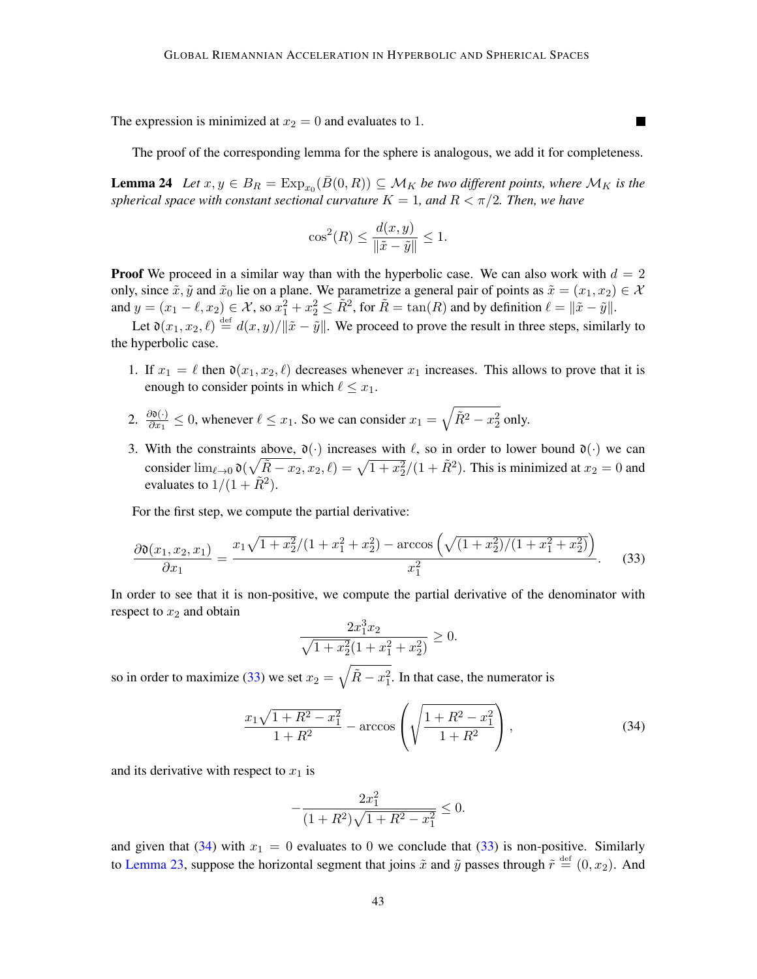The expression is minimized at  $x_2 = 0$  and evaluates to 1.

The proof of the corresponding lemma for the sphere is analogous, we add it for completeness.

**Contract** 

<span id="page-42-2"></span>**Lemma 24** Let  $x, y \in B_R = \text{Exp}_{x_0}(\overline{B}(0,R)) \subseteq \mathcal{M}_K$  $x, y \in B_R = \text{Exp}_{x_0}(\overline{B}(0,R)) \subseteq \mathcal{M}_K$  $x, y \in B_R = \text{Exp}_{x_0}(\overline{B}(0,R)) \subseteq \mathcal{M}_K$  be two different points, where  $\mathcal{M}_K$  is the *spherical space with constant sectional curvature*  $K = 1$ *, and*  $R < \pi/2$ *. Then, we have* 

$$
\cos^2(R) \le \frac{d(x, y)}{\|\tilde{x} - \tilde{y}\|} \le 1.
$$

**Proof** We proceed in a similar way than with the hyperbolic case. We can also work with  $d = 2$ only, since  $\tilde{x}, \tilde{y}$  and  $\tilde{x}_0$  lie on a plane. We parametrize a general pair of points as  $\tilde{x} = (x_1, x_2) \in \mathcal{X}$ and  $y = (x_1 - \ell, x_2) \in \mathcal{X}$ , so  $x_1^2 + x_2^2 \leq \overline{R}^2$ , for  $\overline{R} = \tan(R)$  and by definition  $\ell = ||\tilde{x} - \tilde{y}||$ .

Let  $\mathfrak{d}(x_1, x_2, \ell) \stackrel{\text{def}}{=} d(x, y)/\|\tilde{x} - \tilde{y}\|$ . We proceed to prove the result in three steps, similarly to the hyperbolic case.

- 1. If  $x_1 = \ell$  then  $\mathfrak{d}(x_1, x_2, \ell)$  decreases whenever  $x_1$  increases. This allows to prove that it is enough to consider points in which  $\ell \leq x_1$ .
- 2.  $\frac{\partial \mathfrak{d}(\cdot)}{\partial x_1} \leq 0$ , whenever  $\ell \leq x_1$ . So we can consider  $x_1 = \sqrt{\tilde{R}^2 x_2^2}$  only.
- 3. With the constraints above,  $\mathfrak{d}(\cdot)$  increases with  $\ell$ , so in order to lower bound  $\mathfrak{d}(\cdot)$  we can consider  $\lim_{\ell \to 0} \mathfrak{d}(\sqrt{\tilde{R} - x_2}, x_2, \ell) = \sqrt{1 + x_2^2}/(1 + \tilde{R}^2)$ . This is minimized at  $x_2 = 0$  and evaluates to  $1/(1 + \tilde{R}^2)$ .

For the first step, we compute the partial derivative:

<span id="page-42-0"></span>
$$
\frac{\partial \mathfrak{d}(x_1, x_2, x_1)}{\partial x_1} = \frac{x_1 \sqrt{1 + x_2^2} / (1 + x_1^2 + x_2^2) - \arccos\left(\sqrt{(1 + x_2^2) / (1 + x_1^2 + x_2^2)}\right)}{x_1^2}.
$$
(33)

In order to see that it is non-positive, we compute the partial derivative of the denominator with respect to  $x_2$  and obtain

$$
\frac{2x_1^3x_2}{\sqrt{1+x_2^2}(1+x_1^2+x_2^2)} \ge 0.
$$

so in order to maximize [\(33\)](#page-42-0) we set  $x_2 = \sqrt{\tilde{R} - x_1^2}$ . In that case, the numerator is

<span id="page-42-1"></span>
$$
\frac{x_1\sqrt{1+R^2-x_1^2}}{1+R^2} - \arccos\left(\sqrt{\frac{1+R^2-x_1^2}{1+R^2}}\right),\tag{34}
$$

and its derivative with respect to  $x_1$  is

$$
-\frac{2x_1^2}{(1+R^2)\sqrt{1+R^2-x_1^2}} \le 0.
$$

and given that [\(34\)](#page-42-1) with  $x_1 = 0$  evaluates to 0 we conclude that [\(33\)](#page-42-0) is non-positive. Similarly to [Lemma 23,](#page-39-1) suppose the horizontal segment that joins  $\tilde{x}$  and  $\tilde{y}$  passes through  $\tilde{r} \stackrel{\text{def}}{=} (0, x_2)$ . And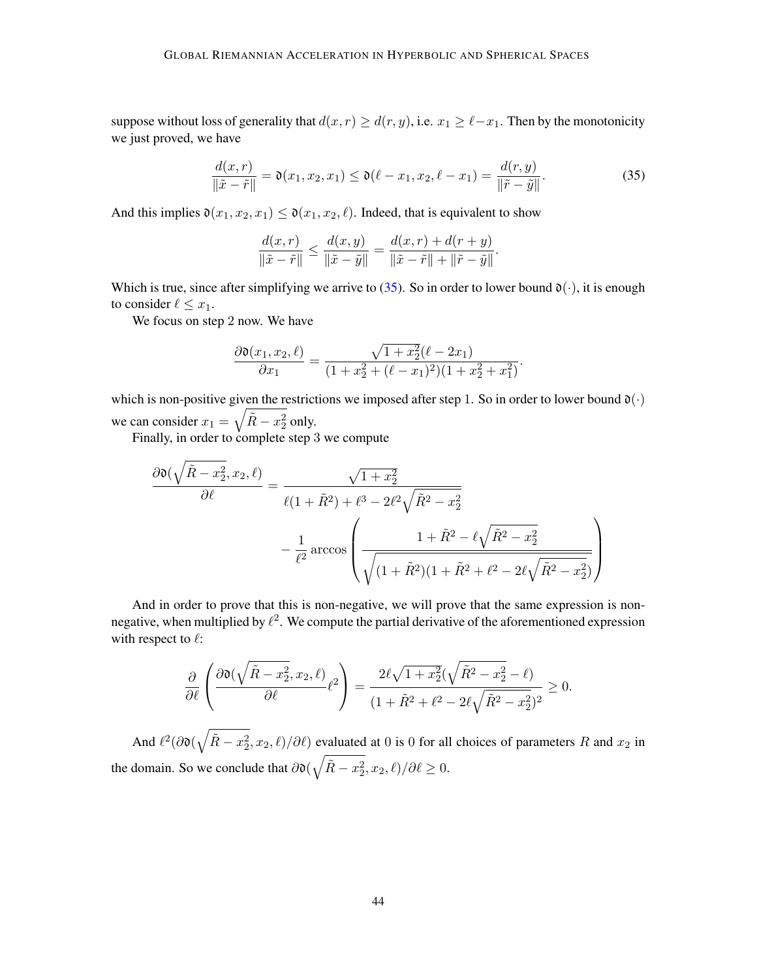suppose without loss of generality that  $d(x, r) \geq d(r, y)$ , i.e.  $x_1 \geq \ell - x_1$ . Then by the monotonicity we just proved, we have

<span id="page-43-0"></span>
$$
\frac{d(x,r)}{\|\tilde{x}-\tilde{r}\|} = \mathfrak{d}(x_1, x_2, x_1) \le \mathfrak{d}(\ell - x_1, x_2, \ell - x_1) = \frac{d(r,y)}{\|\tilde{r}-\tilde{y}\|}.
$$
\n(35)

.

And this implies  $\mathfrak{d}(x_1, x_2, x_1) \leq \mathfrak{d}(x_1, x_2, \ell)$ . Indeed, that is equivalent to show

$$
\frac{d(x,r)}{\|\tilde{x} - \tilde{r}\|} \le \frac{d(x,y)}{\|\tilde{x} - \tilde{y}\|} = \frac{d(x,r) + d(r+y)}{\|\tilde{x} - \tilde{r}\| + \|\tilde{r} - \tilde{y}\|}.
$$

Which is true, since after simplifying we arrive to [\(35\)](#page-43-0). So in order to lower bound  $\mathfrak{d}(\cdot)$ , it is enough to consider  $\ell \leq x_1$ .

We focus on step 2 now. We have

$$
\frac{\partial \mathfrak{d}(x_1, x_2, \ell)}{\partial x_1} = \frac{\sqrt{1 + x_2^2}(\ell - 2x_1)}{(1 + x_2^2 + (\ell - x_1)^2)(1 + x_2^2 + x_1^2)}
$$

which is non-positive given the restrictions we imposed after step 1. So in order to lower bound  $\mathfrak{d}(\cdot)$ we can consider  $x_1 = \sqrt{\tilde{R} - x_2^2}$  only.

Finally, in order to complete step 3 we compute

$$
\frac{\partial \mathfrak{d}(\sqrt{\tilde{R} - x_2^2}, x_2, \ell)}{\partial \ell} = \frac{\sqrt{1 + x_2^2}}{\ell(1 + \tilde{R}^2) + \ell^3 - 2\ell^2 \sqrt{\tilde{R}^2 - x_2^2}} - \frac{1}{\ell^2} \arccos\left(\frac{1 + \tilde{R}^2 - \ell \sqrt{\tilde{R}^2 - x_2^2}}{\sqrt{(1 + \tilde{R}^2)(1 + \tilde{R}^2 + \ell^2 - 2\ell \sqrt{\tilde{R}^2 - x_2^2})}}\right)
$$

And in order to prove that this is non-negative, we will prove that the same expression is nonnegative, when multiplied by  $\ell^2$ . We compute the partial derivative of the aforementioned expression with respect to  $\ell$ :

$$
\frac{\partial}{\partial \ell} \left( \frac{\partial \mathfrak{d}(\sqrt{\tilde{R} - x_2^2}, x_2, \ell)}{\partial \ell} \ell^2 \right) = \frac{2\ell \sqrt{1 + x_2^2} (\sqrt{\tilde{R}^2 - x_2^2} - \ell)}{(1 + \tilde{R}^2 + \ell^2 - 2\ell \sqrt{\tilde{R}^2 - x_2^2})^2} \ge 0.
$$

And  $\ell^2(\partial\mathfrak{d}(\sqrt{\tilde{R}-x_2^2},x_2,\ell)/\partial\ell)$  evaluated at 0 is 0 for all choices of parameters R and  $x_2$  in the domain. So we conclude that  $\partial \mathfrak{d}(\sqrt{\tilde{R} - x_2^2}, x_2, \ell)/\partial \ell \geq 0$ .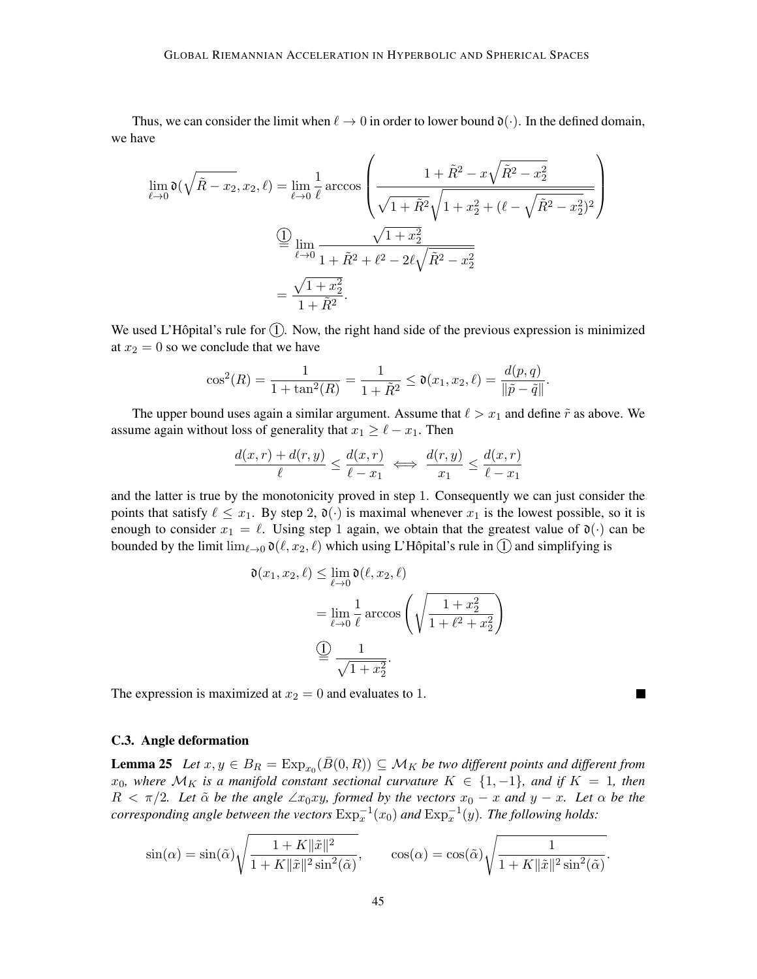Thus, we can consider the limit when  $\ell \to 0$  in order to lower bound  $\mathfrak{d}(\cdot)$ . In the defined domain, we have

$$
\lim_{\ell \to 0} \mathfrak{d}(\sqrt{\tilde{R} - x_2}, x_2, \ell) = \lim_{\ell \to 0} \frac{1}{\ell} \arccos\left(\frac{1 + \tilde{R}^2 - x\sqrt{\tilde{R}^2 - x_2^2}}{\sqrt{1 + \tilde{R}^2}\sqrt{1 + x_2^2 + (\ell - \sqrt{\tilde{R}^2 - x_2^2})^2}}\right)
$$
\n
$$
\frac{\textcircled{1}}{\equiv \lim_{\ell \to 0} \frac{\sqrt{1 + x_2^2}}{1 + \tilde{R}^2 + \ell^2 - 2\ell\sqrt{\tilde{R}^2 - x_2^2}}}
$$
\n
$$
= \frac{\sqrt{1 + x_2^2}}{1 + \tilde{R}^2}.
$$

We used L'Hôpital's rule for  $(1)$ . Now, the right hand side of the previous expression is minimized at  $x_2 = 0$  so we conclude that we have

$$
\cos^{2}(R) = \frac{1}{1 + \tan^{2}(R)} = \frac{1}{1 + \tilde{R}^{2}} \le \mathfrak{d}(x_{1}, x_{2}, \ell) = \frac{d(p, q)}{\|\tilde{p} - \tilde{q}\|}.
$$

The upper bound uses again a similar argument. Assume that  $\ell > x_1$  and define  $\tilde{r}$  as above. We assume again without loss of generality that  $x_1 \geq \ell - x_1$ . Then

$$
\frac{d(x,r) + d(r,y)}{\ell} \le \frac{d(x,r)}{\ell - x_1} \iff \frac{d(r,y)}{x_1} \le \frac{d(x,r)}{\ell - x_1}
$$

and the latter is true by the monotonicity proved in step 1. Consequently we can just consider the points that satisfy  $\ell \leq x_1$ . By step 2,  $\mathfrak{d}(\cdot)$  is maximal whenever  $x_1$  is the lowest possible, so it is enough to consider  $x_1 = \ell$ . Using step 1 again, we obtain that the greatest value of  $\mathfrak{d}(\cdot)$  can be bounded by the limit  $\lim_{\ell \to 0} \mathfrak{d}(\ell, x_2, \ell)$  which using L'Hôpital's rule in  $\Omega$  and simplifying is

$$
\mathfrak{d}(x_1, x_2, \ell) \leq \lim_{\ell \to 0} \mathfrak{d}(\ell, x_2, \ell)
$$

$$
= \lim_{\ell \to 0} \frac{1}{\ell} \arccos\left(\sqrt{\frac{1 + x_2^2}{1 + \ell^2 + x_2^2}}\right)
$$

$$
\stackrel{\textcircled{\tiny 1}}{=} \frac{1}{\sqrt{1 + x_2^2}}.
$$

П

The expression is maximized at  $x_2 = 0$  and evaluates to 1.

### <span id="page-44-0"></span>C.3. Angle deformation

<span id="page-44-1"></span>**Lemma 25** Let  $x, y \in B_R = \text{Exp}_{x_0}(\bar{B}(0,R)) \subseteq \mathcal{M}_K$  $x, y \in B_R = \text{Exp}_{x_0}(\bar{B}(0,R)) \subseteq \mathcal{M}_K$  $x, y \in B_R = \text{Exp}_{x_0}(\bar{B}(0,R)) \subseteq \mathcal{M}_K$  be two different points and different from  $x_0$ , where  $\mathcal{M}_K$  is a manifold constant sectional curvature  $K$  ∈ {1, -1}, and if  $K = 1$ , then  $R < \pi/2$ . Let  $\tilde{\alpha}$  be the angle  $\angle x_0xy$ , formed by the vectors  $x_0 - x$  and  $y - x$ . Let  $\alpha$  be the  $corresponding$  angle between the vectors  $\text{Exp}_x^{-1}(x_0)$  $\text{Exp}_x^{-1}(x_0)$  $\text{Exp}_x^{-1}(x_0)$  and  $\text{Exp}_x^{-1}(y)$ . The following holds:

$$
\sin(\alpha) = \sin(\tilde{\alpha}) \sqrt{\frac{1 + K \|\tilde{x}\|^2}{1 + K \|\tilde{x}\|^2 \sin^2(\tilde{\alpha})}}, \qquad \cos(\alpha) = \cos(\tilde{\alpha}) \sqrt{\frac{1}{1 + K \|\tilde{x}\|^2 \sin^2(\tilde{\alpha})}}.
$$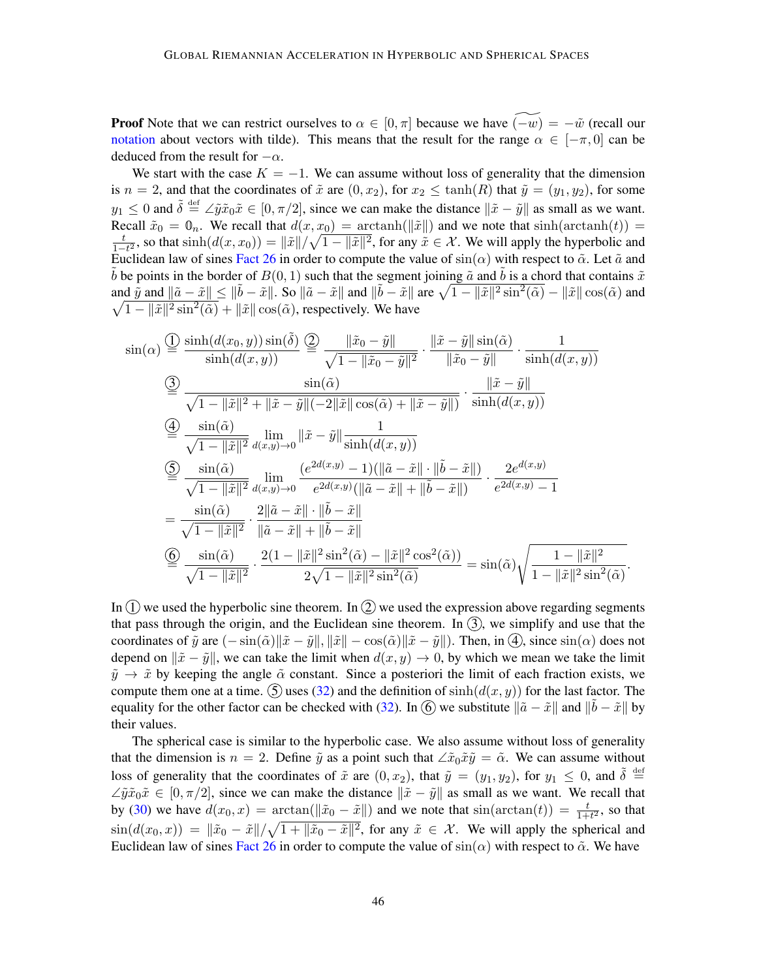**Proof** Note that we can restrict ourselves to  $\alpha \in [0, \pi]$  because we have  $\widetilde{(-w)} = -\tilde{w}$  (recall our [notation](#page-2-16) about vectors with tilde). This means that the result for the range  $\alpha \in [-\pi, 0]$  can be deduced from the result for  $-\alpha$ .

We start with the case  $K = -1$ . We can assume without loss of generality that the dimension is  $n = 2$ , and that the coordinates of  $\tilde{x}$  are  $(0, x_2)$ , for  $x_2 \le \tanh(R)$  that  $\tilde{y} = (y_1, y_2)$ , for some  $y_1 \leq 0$  and  $\tilde{\delta} \stackrel{\text{def}}{=} \angle \tilde{y} \tilde{x}_0 \tilde{x} \in [0, \pi/2]$ , since we can make the distance  $\|\tilde{x} - \tilde{y}\|$  as small as we want. Recall  $\tilde{x}_0 = \mathbf{0}_n$ . We recall that  $d(x, x_0) = \operatorname{arctanh}(\|\tilde{x}\|)$  and we note that  $\sinh(\operatorname{arctanh}(t)) =$  $\frac{1}{2}$  $\frac{t}{1-t^2}$ , so that  $\sinh(d(x, x_0)) = ||\tilde{x}|| / \sqrt{1 - ||\tilde{x}||^2}$ , for any  $\tilde{x} \in \mathcal{X}$ . We will apply the hyperbolic and Euclidean law of sines [Fact 26](#page-46-1) in order to compute the value of  $sin(\alpha)$  with respect to  $\tilde{\alpha}$ . Let  $\tilde{a}$  and b be points in the border of  $B(0, 1)$  such that the segment joining  $\tilde{a}$  and b is a chord that contains  $\tilde{x}$ and  $\tilde{y}$  and  $\|\tilde{a} - \tilde{x}\| \le \|\tilde{b} - \tilde{x}\|$ . So  $\|\tilde{a} - \tilde{x}\|$  and  $\|\tilde{b} - \tilde{x}\|$  are  $\sqrt{1 - \|\tilde{x}\|^2 \sin^2(\tilde{\alpha})} - \|\tilde{x}\| \cos(\tilde{\alpha})$  and  $\sqrt{1-\|\tilde{x}\|^2\sin^2(\tilde{\alpha})}$  +  $\|\tilde{x}\|\cos(\tilde{\alpha})$ , respectively. We have

$$
\sin(\alpha) \stackrel{\text{(1)}}{=} \frac{\sinh(d(x_0, y)) \sin(\tilde{\delta})}{\sinh(d(x, y))} \stackrel{\text{(2)}}{=} \frac{\|\tilde{x}_0 - \tilde{y}\|}{\sqrt{1 - \|\tilde{x}_0 - \tilde{y}\|^2}} \cdot \frac{\|\tilde{x} - \tilde{y}\| \sin(\tilde{\alpha})}{\|\tilde{x}_0 - \tilde{y}\|} \cdot \frac{1}{\sinh(d(x, y))}
$$
\n
$$
\stackrel{\text{(3)}}{=} \frac{\sin(\tilde{\alpha})}{\sqrt{1 - \|\tilde{x}\|^2 + \|\tilde{x} - \tilde{y}\| (-2\|\tilde{x}\| \cos(\tilde{\alpha}) + \|\tilde{x} - \tilde{y}\|)} \cdot \frac{\|\tilde{x} - \tilde{y}\|}{\sinh(d(x, y))}
$$
\n
$$
\stackrel{\text{(4)}}{=} \frac{\sin(\tilde{\alpha})}{\sqrt{1 - \|\tilde{x}\|^2}} \lim_{d(x, y) \to 0} \|\tilde{x} - \tilde{y}\| \frac{1}{\sinh(d(x, y))}
$$
\n
$$
\stackrel{\text{(5)}}{=} \frac{\sin(\tilde{\alpha})}{\sqrt{1 - \|\tilde{x}\|^2}} \lim_{d(x, y) \to 0} \frac{(e^{2d(x, y)} - 1)(\|\tilde{a} - \tilde{x}\| \cdot \|\tilde{b} - \tilde{x}\|)}{e^{2d(x, y)} \cdot e^{2d(x, y)} - 1}
$$
\n
$$
= \frac{\sin(\tilde{\alpha})}{\sqrt{1 - \|\tilde{x}\|^2}} \cdot \frac{2\|\tilde{a} - \tilde{x}\| \cdot \|\tilde{b} - \tilde{x}\|}{\|\tilde{a} - \tilde{x}\| + \|\tilde{b} - \tilde{x}\|}
$$
\n
$$
\stackrel{\text{(6)}}{=} \frac{\sin(\tilde{\alpha})}{\sqrt{1 - \|\tilde{x}\|^2}} \cdot \frac{2(1 - \|\tilde{x}\|^2 \sin^2(\tilde{\alpha}) - \|\tilde{x}\|^2 \cos^2(\tilde{\alpha}))}{2\sqrt{1 - \|\tilde{x}\|^2 \sin^2(\tilde{\alpha})}} = \sin(\tilde{\alpha}) \sqrt{\frac{1 - \|\tilde{x}\|^2 \sin^2(\tilde{\alpha})}{1 - \|\tilde{x}\|^2 \sin^2(\tilde{\alpha})}}
$$

In  $(1)$  we used the hyperbolic sine theorem. In  $(2)$  we used the expression above regarding segments that pass through the origin, and the Euclidean sine theorem. In  $(3)$ , we simplify and use that the coordinates of  $\tilde{y}$  are  $(-\sin(\tilde{\alpha})\|\tilde{x}-\tilde{y}\|, \|\tilde{x}\|-\cos(\tilde{\alpha})\|\tilde{x}-\tilde{y}\|$ . Then, in  $\tilde{A}$ , since  $\sin(\alpha)$  does not depend on  $\|\tilde{x} - \tilde{y}\|$ , we can take the limit when  $d(x, y) \to 0$ , by which we mean we take the limit  $\tilde{y} \rightarrow \tilde{x}$  by keeping the angle  $\tilde{\alpha}$  constant. Since a posteriori the limit of each fraction exists, we compute them one at a time. (5) uses [\(32\)](#page-38-2) and the definition of  $\sinh(d(x, y))$  for the last factor. The equality for the other factor can be checked with [\(32\)](#page-38-2). In  $\widehat{\mathbb{G}}$  we substitute  $\|\tilde{a} - \tilde{x}\|$  and  $\|\tilde{b} - \tilde{x}\|$  by their values.

.

The spherical case is similar to the hyperbolic case. We also assume without loss of generality that the dimension is  $n = 2$ . Define  $\tilde{y}$  as a point such that  $\angle \tilde{x}_0 \tilde{x} \tilde{y} = \tilde{\alpha}$ . We can assume without loss of generality that the coordinates of  $\tilde{x}$  are  $(0, x_2)$ , that  $\tilde{y} = (y_1, y_2)$ , for  $y_1 \le 0$ , and  $\tilde{\delta} \stackrel{\text{def}}{=}$  $\angle \tilde{y}\tilde{x}_0\tilde{x} \in [0, \pi/2]$ , since we can make the distance  $\|\tilde{x} - \tilde{y}\|$  as small as we want. We recall that by [\(30\)](#page-38-3) we have  $d(x_0, x) = \arctan(\|\tilde{x}_0 - \tilde{x}\|)$  and we note that  $\sin(\arctan(t)) = \frac{t}{1+t^2}$ , so that  $\sin(d(x_0, x)) = \|\tilde{x}_0 - \tilde{x}\| / \sqrt{1 + \|\tilde{x}_0 - \tilde{x}\|^2}$ , for any  $\tilde{x} \in \mathcal{X}$ . We will apply the spherical and Euclidean law of sines [Fact 26](#page-46-1) in order to compute the value of  $sin(\alpha)$  with respect to  $\tilde{\alpha}$ . We have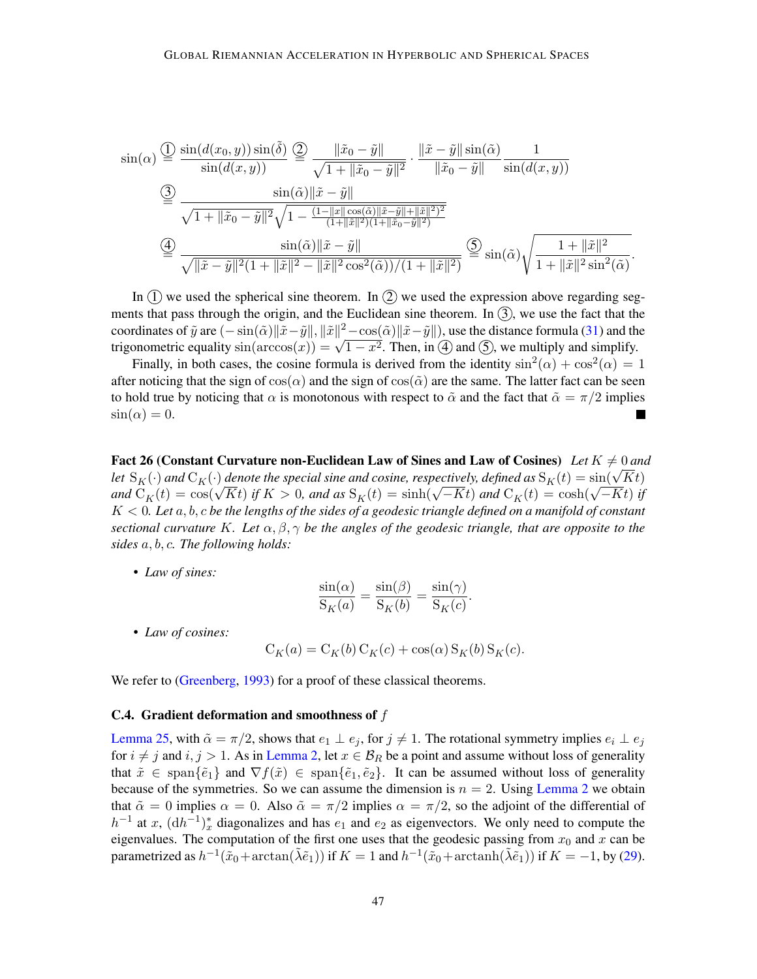$$
\sin(\alpha) \stackrel{\text{(1)}}{=} \frac{\sin(d(x_0, y)) \sin(\tilde{\delta})}{\sin(d(x, y))} \stackrel{\text{(2)}}{=} \frac{\|\tilde{x}_0 - \tilde{y}\|}{\sqrt{1 + \|\tilde{x}_0 - \tilde{y}\|^2}} \cdot \frac{\|\tilde{x} - \tilde{y}\| \sin(\tilde{\alpha})}{\|\tilde{x}_0 - \tilde{y}\|} \frac{1}{\sin(d(x, y))}
$$
\n
$$
\stackrel{\text{(3)}}{=} \frac{\sin(\tilde{\alpha}) \|\tilde{x} - \tilde{y}\|}{\sqrt{1 + \|\tilde{x}_0 - \tilde{y}\|^2} \sqrt{1 - \frac{(1 - \|x\| \cos(\tilde{\alpha}) \|\tilde{x} - \tilde{y}\| + \|\tilde{x}\|^2)^2}{(1 + \|\tilde{x}\|^2)(1 + \|\tilde{x}_0 - \tilde{y}\|^2)}}
$$
\n
$$
\stackrel{\text{(4)}}{=} \frac{\sin(\tilde{\alpha}) \|\tilde{x} - \tilde{y}\|}{\sqrt{\|\tilde{x} - \tilde{y}\|^2 (1 + \|\tilde{x}\|^2 - \|\tilde{x}\|^2 \cos^2(\tilde{\alpha}))/(1 + \|\tilde{x}\|^2)}} \stackrel{\text{(5)}}{=} \sin(\tilde{\alpha}) \sqrt{\frac{1 + \|\tilde{x}\|^2}{1 + \|\tilde{x}\|^2 \sin^2(\tilde{\alpha})}}.
$$

In  $(1)$  we used the spherical sine theorem. In  $(2)$  we used the expression above regarding segments that pass through the origin, and the Euclidean sine theorem. In  $(3)$ , we use the fact that the coordinates of  $\tilde{y}$  are  $(-\sin(\tilde{\alpha}) \|\tilde{x}-\tilde{y}\|, \|\tilde{x}\|^2-\cos(\tilde{\alpha}) \|\tilde{x}-\tilde{y}\|$ , use the distance formula [\(31\)](#page-38-1) and the coordinates of y are  $(-\sin(\alpha)||x-y||, ||x||^2 - \cos(\alpha)||x-y||$ , use the distance formula (51) and the trigonometric equality  $\sin(\arccos(x)) = \sqrt{1-x^2}$ . Then, in (4) and (5), we multiply and simplify.

Finally, in both cases, the cosine formula is derived from the identity  $\sin^2(\alpha) + \cos^2(\alpha) = 1$ after noticing that the sign of  $cos(\alpha)$  and the sign of  $cos(\tilde{\alpha})$  are the same. The latter fact can be seen to hold true by noticing that  $\alpha$  is monotonous with respect to  $\tilde{\alpha}$  and the fact that  $\tilde{\alpha} = \pi/2$  implies  $\sin(\alpha) = 0.$ 

<span id="page-46-2"></span><span id="page-46-1"></span>Fact 26 (Constant Curvature non-Euclidean Law of Sines and Law of Cosines) Let  $K \neq 0$  and *ract* 26 (Constant Curvature non-Euchdean Law of [S](#page-46-2)ines and Law of [C](#page-5-1)osines) Let  $K \neq 0$  and  $C_K(\cdot)$  denote the special sine and cosine, respectively, defined as  $S_K(t) = sin(\sqrt{K}t)$ *and*  $C_K(t)$  $C_K(t)$  *and*  $C_K(t)$  *aenote the spectal sine and cosine, respectively, defined as*  $S_K(t) = \sin(\sqrt{K}t)$  $S_K(t) = \sin(\sqrt{K}t)$  *if*  $K > 0$ *, and as*  $S_K(t) = \sinh(\sqrt{-K}t)$  *and*  $C_K(t) = \cosh(\sqrt{-K}t)$  *if*  $K > 0$ *, and as*  $S_K(t) = \sinh(\sqrt{-K}t)$  *and*  $C_K(t)$  $K < 0$ . Let  $a, b, c$  be the lengths of the sides of a geodesic triangle defined on a manifold of constant *sectional curvature K*. Let  $\alpha, \beta, \gamma$  be the angles of the geodesic triangle, that are opposite to the *sides*  $a, b, c$ . The following holds:

• *Law of sines:*

$$
\frac{\sin(\alpha)}{S_K(a)} = \frac{\sin(\beta)}{S_K(b)} = \frac{\sin(\gamma)}{S_K(c)}.
$$

• *Law of cosines:*

$$
C_K(a) = C_K(b) C_K(c) + \cos(\alpha) S_K(b) S_K(c).
$$

We refer to [\(Greenberg,](#page-15-9) [1993\)](#page-15-9) for a proof of these classical theorems.

## <span id="page-46-0"></span>C.4. Gradient deformation and smoothness of  $f$

[Lemma 25,](#page-44-1) with  $\tilde{\alpha} = \pi/2$ , shows that  $e_1 \perp e_j$ , for  $j \neq 1$ . The rotational symmetry implies  $e_i \perp e_j$ for  $i \neq j$  and  $i, j > 1$ . As in [Lemma 2,](#page-6-3) let  $x \in \mathcal{B}_R$  be a point and assume without loss of generality that  $\tilde{x} \in \text{span}\{\tilde{e}_1\}$  and  $\nabla f(\tilde{x}) \in \text{span}\{\tilde{e}_1, \tilde{e}_2\}$ . It can be assumed without loss of generality because of the symmetries. So we can assume the dimension is  $n = 2$ . Using [Lemma 2](#page-6-3) we obtain that  $\tilde{\alpha} = 0$  implies  $\alpha = 0$ . Also  $\tilde{\alpha} = \pi/2$  implies  $\alpha = \pi/2$ , so the adjoint of the differential of  $h^{-1}$  at x,  $(dh^{-1})^*$  diagonalizes and has  $e_1$  and  $e_2$  as eigenvectors. We only need to compute the eigenvalues. The computation of the first one uses that the geodesic passing from  $x_0$  and  $x$  can be parametrized as  $h^{-1}(\tilde{x}_0 + \arctan(\tilde{\lambda}\tilde{e}_1))$  if  $K = 1$  and  $h^{-1}(\tilde{x}_0 + \arctanh(\tilde{\lambda}\tilde{e}_1))$  if  $K = -1$ , by [\(29\)](#page-38-4).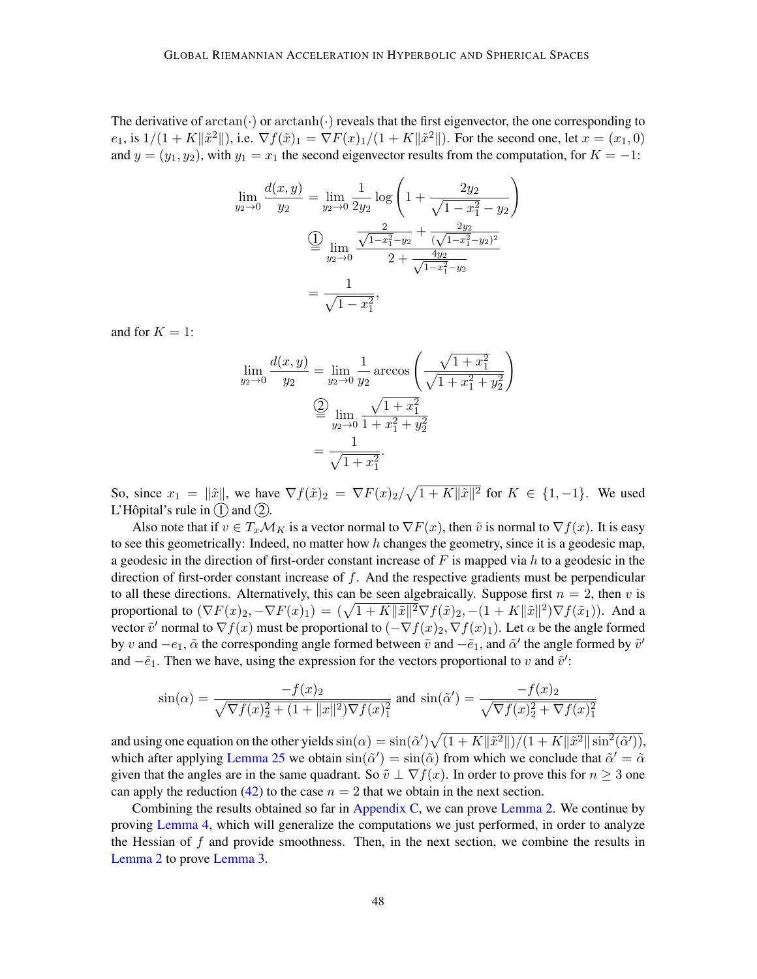The derivative of  $arctan(\cdot)$  or  $arctanh(\cdot)$  reveals that the first eigenvector, the one corresponding to  $e_1$ , is  $1/(1 + K\|\tilde{x}^2\|)$ , i.e.  $\nabla f(\tilde{x})_1 = \nabla F(x)_1/(1 + K\|\tilde{x}^2\|)$ . For the second one, let  $x = (x_1, 0)$ and  $y = (y_1, y_2)$ , with  $y_1 = x_1$  the second eigenvector results from the computation, for  $K = -1$ :

$$
\lim_{y_2 \to 0} \frac{d(x, y)}{y_2} = \lim_{y_2 \to 0} \frac{1}{2y_2} \log \left( 1 + \frac{2y_2}{\sqrt{1 - x_1^2} - y_2} \right)
$$

$$
\stackrel{\text{(1)}}{=} \lim_{y_2 \to 0} \frac{\frac{2}{\sqrt{1 - x_1^2} - y_2} + \frac{2y_2}{(\sqrt{1 - x_1^2} - y_2)^2}}{2 + \frac{4y_2}{\sqrt{1 - x_1^2} - y_2}}
$$

$$
= \frac{1}{\sqrt{1 - x_1^2}},
$$

and for  $K = 1$ :

$$
\lim_{y_2 \to 0} \frac{d(x, y)}{y_2} = \lim_{y_2 \to 0} \frac{1}{y_2} \arccos\left(\frac{\sqrt{1 + x_1^2}}{\sqrt{1 + x_1^2 + y_2^2}}\right)
$$

$$
\stackrel{\text{(2)}}{=} \lim_{y_2 \to 0} \frac{\sqrt{1 + x_1^2}}{1 + x_1^2 + y_2^2}
$$

$$
= \frac{1}{\sqrt{1 + x_1^2}}.
$$

So, since  $x_1 = \|\tilde{x}\|$ , we have  $\nabla f(\tilde{x})_2 = \nabla F(x)_2 / \sqrt{1 + K \|\tilde{x}\|^2}$  for  $K \in \{1, -1\}$ . We used L'Hôpital's rule in  $(1)$  and  $(2)$ .

Also note that if  $v \in T_x \mathcal{M}_K$  is a vector normal to  $\nabla F(x)$ , then  $\tilde{v}$  is normal to  $\nabla f(x)$ . It is easy to see this geometrically: Indeed, no matter how  $h$  changes the geometry, since it is a geodesic map, a geodesic in the direction of first-order constant increase of F is mapped via h to a geodesic in the direction of first-order constant increase of  $f$ . And the respective gradients must be perpendicular to all these directions. Alternatively, this can be seen algebraically. Suppose first  $n = 2$ , then v is proportional to  $(\nabla F(x)_2, -\nabla F(x)_1) = (\sqrt{1+K\|\tilde{x}\|^2}\nabla f(\tilde{x})_2, -(1+K\|\tilde{x}\|^2)\nabla f(\tilde{x}_1)).$  And a vector  $\tilde{v}'$  normal to  $\nabla f(x)$  must be proportional to  $(-\nabla f(x)_2, \nabla f(x)_1)$ . Let  $\alpha$  be the angle formed by v and  $-e_1$ ,  $\tilde{\alpha}$  the corresponding angle formed between  $\tilde{v}$  and  $-\tilde{e}_1$ , and  $\tilde{\alpha}'$  the angle formed by  $\tilde{v}'$ and  $-\tilde{e}_1$ . Then we have, using the expression for the vectors proportional to v and  $\tilde{v}'$ :

$$
\sin(\alpha) = \frac{-f(x)_2}{\sqrt{\nabla f(x)_2^2 + (1 + \|x\|^2)\nabla f(x)_1^2}} \text{ and } \sin(\tilde{\alpha}') = \frac{-f(x)_2}{\sqrt{\nabla f(x)_2^2 + \nabla f(x)_1^2}}
$$

and using one equation on the other yields  $\sin(\alpha) = \sin(\tilde{\alpha}') \sqrt{\frac{1 + K \|\tilde{x}^2\|}{1 + K \|\tilde{x}^2\| \sin^2(\tilde{\alpha}')}}$ , which after applying [Lemma 25](#page-44-1) we obtain  $\sin(\tilde{\alpha}') = \sin(\tilde{\alpha})$  from which we conclude that  $\tilde{\alpha}' = \tilde{\alpha}$ given that the angles are in the same quadrant. So  $\tilde{v} \perp \nabla f(x)$ . In order to prove this for  $n \geq 3$  one can apply the reduction [\(42\)](#page-52-0) to the case  $n = 2$  that we obtain in the next section.

Combining the results obtained so far in [Appendix C,](#page-37-0) we can prove [Lemma 2.](#page-6-3) We continue by proving [Lemma 4,](#page-8-7) which will generalize the computations we just performed, in order to analyze the Hessian of  $f$  and provide smoothness. Then, in the next section, we combine the results in [Lemma 2](#page-6-3) to prove [Lemma 3.](#page-6-0)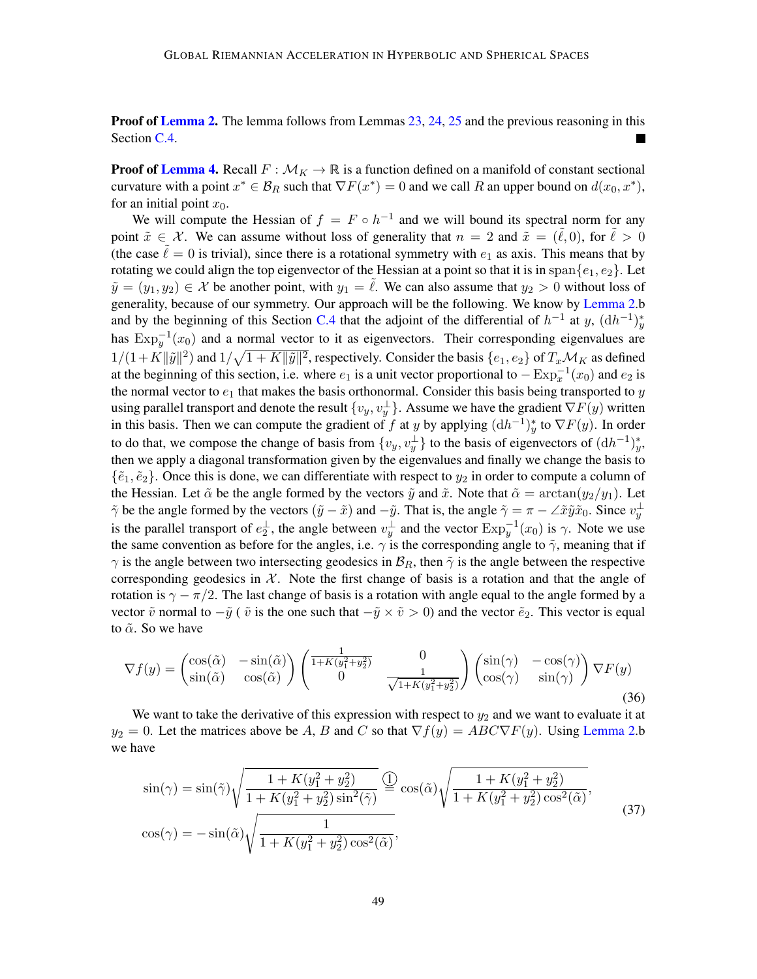<span id="page-48-0"></span>**Proof of [Lemma 2.](#page-6-3)** The lemma follows from Lemmas [23,](#page-39-1) [24,](#page-42-2) [25](#page-44-1) and the previous reasoning in this Section [C.4.](#page-46-0)

<span id="page-48-1"></span>**Proof of [Lemma 4.](#page-8-7)** Recall  $F : \mathcal{M}_K \to \mathbb{R}$  is a function defined on a manifold of constant sectional curvature with a point  $x^* \in \mathcal{B}_R$  such that  $\nabla F(x^*) = 0$  and we call R an upper bound on  $d(x_0, x^*)$ , for an initial point  $x_0$ .

We will compute the Hessian of  $f = F \circ h^{-1}$  and we will bound its spectral norm for any point  $\tilde{x} \in \mathcal{X}$ . We can assume without loss of generality that  $n = 2$  and  $\tilde{x} = (\tilde{\ell}, 0)$ , for  $\tilde{\ell} > 0$ (the case  $\ell = 0$  is trivial), since there is a rotational symmetry with  $e_1$  as axis. This means that by rotating we could align the top eigenvector of the Hessian at a point so that it is in span $\{e_1, e_2\}$ . Let  $\tilde{y} = (y_1, y_2) \in \mathcal{X}$  be another point, with  $y_1 = \ell$ . We can also assume that  $y_2 > 0$  without loss of generality, because of our symmetry. Our approach will be the following. We know by [Lemma 2.](#page-6-3)b and by the beginning of this Section [C.4](#page-46-0) that the adjoint of the differential of  $h^{-1}$  at y,  $(dh^{-1})_y^*$ has  $\text{Exp}_{y}^{-1}(x_0)$  $\text{Exp}_{y}^{-1}(x_0)$  $\text{Exp}_{y}^{-1}(x_0)$  and a normal vector to it as eigenvectors. Their corresponding eigenvalues are  $1/(1+K\|\tilde{y}\|^2)$  and  $1/\sqrt{1+K\|\tilde{y}\|^2}$ , respectively. Consider the basis  $\{e_1, e_2\}$  of  $T_x\mathcal{M}_K$  as defined at the beginning of this section, i.e. where  $e_1$  is a unit vector proportional to  $-\text{Exp}_x^{-1}(x_0)$  $-\text{Exp}_x^{-1}(x_0)$  $-\text{Exp}_x^{-1}(x_0)$  and  $e_2$  is the normal vector to  $e_1$  that makes the basis orthonormal. Consider this basis being transported to y using parallel transport and denote the result  $\{v_y, v_y^\perp\}$ . Assume we have the gradient  $\nabla F(y)$  written in this basis. Then we can compute the gradient of f at y by applying  $(dh^{-1})_y^*$  to  $\nabla F(y)$ . In order to do that, we compose the change of basis from  $\{v_y, v_y^{\perp}\}\$ to the basis of eigenvectors of  $(dh^{-1})_y^*$ , then we apply a diagonal transformation given by the eigenvalues and finally we change the basis to  $\{\tilde{e}_1, \tilde{e}_2\}$ . Once this is done, we can differentiate with respect to  $y_2$  in order to compute a column of the Hessian. Let  $\tilde{\alpha}$  be the angle formed by the vectors  $\tilde{y}$  and  $\tilde{x}$ . Note that  $\tilde{\alpha} = \arctan(y_2/y_1)$ . Let  $\tilde{\gamma}$  be the angle formed by the vectors  $(\tilde{y} - \tilde{x})$  and  $-\tilde{y}$ . That is, the angle  $\tilde{\gamma} = \pi - \angle \tilde{x} \tilde{y} \tilde{x}_0$ . Since  $v_y^{\perp}$ is the parallel transport of  $e_2^{\perp}$ , the angle between  $v_y^{\perp}$  and the vector  $\text{Exp}_y^{-1}(x_0)$  $\text{Exp}_y^{-1}(x_0)$  $\text{Exp}_y^{-1}(x_0)$  is  $\gamma$ . Note we use the same convention as before for the angles, i.e.  $\gamma$  is the corresponding angle to  $\tilde{\gamma}$ , meaning that if  $\gamma$  is the angle between two intersecting geodesics in  $\mathcal{B}_R$ , then  $\tilde{\gamma}$  is the angle between the respective corresponding geodesics in  $X$ . Note the first change of basis is a rotation and that the angle of rotation is  $\gamma - \pi/2$ . The last change of basis is a rotation with angle equal to the angle formed by a vector  $\tilde{v}$  normal to  $-\tilde{y}$  (  $\tilde{v}$  is the one such that  $-\tilde{y} \times \tilde{v} > 0$ ) and the vector  $\tilde{e}_2$ . This vector is equal to  $\tilde{\alpha}$ . So we have

<span id="page-48-3"></span>
$$
\nabla f(y) = \begin{pmatrix} \cos(\tilde{\alpha}) & -\sin(\tilde{\alpha}) \\ \sin(\tilde{\alpha}) & \cos(\tilde{\alpha}) \end{pmatrix} \begin{pmatrix} \frac{1}{1 + K(y_1^2 + y_2^2)} & 0 \\ 0 & \frac{1}{\sqrt{1 + K(y_1^2 + y_2^2)}} \end{pmatrix} \begin{pmatrix} \sin(\gamma) & -\cos(\gamma) \\ \cos(\gamma) & \sin(\gamma) \end{pmatrix} \nabla F(y) \tag{36}
$$

We want to take the derivative of this expression with respect to  $y_2$  and we want to evaluate it at  $y_2 = 0$ . Let the matrices above be A, B and C so that  $\nabla f(y) = ABC \nabla F(y)$ . Using [Lemma 2.](#page-6-3)b we have

<span id="page-48-2"></span>
$$
\sin(\gamma) = \sin(\tilde{\gamma}) \sqrt{\frac{1 + K(y_1^2 + y_2^2)}{1 + K(y_1^2 + y_2^2)\sin^2(\tilde{\gamma})}} \stackrel{\text{(1)}}{=} \cos(\tilde{\alpha}) \sqrt{\frac{1 + K(y_1^2 + y_2^2)}{1 + K(y_1^2 + y_2^2)\cos^2(\tilde{\alpha})}},
$$
\n
$$
\cos(\gamma) = -\sin(\tilde{\alpha}) \sqrt{\frac{1}{1 + K(y_1^2 + y_2^2)\cos^2(\tilde{\alpha})}},
$$
\n(37)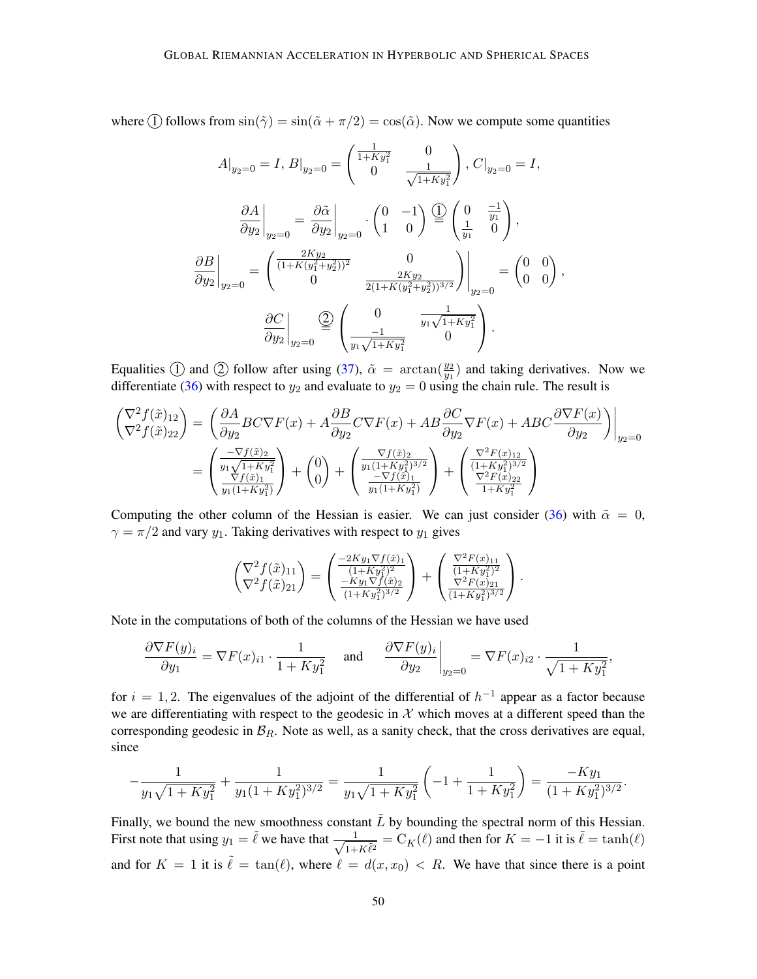where  $\textcircled{1}$  follows from  $\sin(\tilde{\gamma}) = \sin(\tilde{\alpha} + \pi/2) = \cos(\tilde{\alpha})$ . Now we compute some quantities

$$
A|_{y_2=0} = I, B|_{y_2=0} = \begin{pmatrix} \frac{1}{1+Ky_1^2} & 0\\ 0 & \frac{1}{\sqrt{1+Ky_1^2}} \end{pmatrix}, C|_{y_2=0} = I,
$$
  

$$
\frac{\partial A}{\partial y_2}\Big|_{y_2=0} = \frac{\partial \tilde{\alpha}}{\partial y_2}\Big|_{y_2=0} \cdot \begin{pmatrix} 0 & -1\\ 1 & 0 \end{pmatrix} \stackrel{\text{(1)}{=} \begin{pmatrix} 0 & \frac{-1}{y_1}\\ \frac{1}{y_1} & 0 \end{pmatrix},
$$
  

$$
\frac{\partial B}{\partial y_2}\Big|_{y_2=0} = \begin{pmatrix} \frac{2Ky_2}{(1+K(y_1^2+y_2^2))^2} & 0\\ 0 & \frac{2Ky_2}{2(1+K(y_1^2+y_2^2))^{3/2}} \end{pmatrix}\Big|_{y_2=0} = \begin{pmatrix} 0 & 0\\ 0 & 0 \end{pmatrix},
$$
  

$$
\frac{\partial C}{\partial y_2}\Big|_{y_2=0} \stackrel{\text{(2)}}{=} \begin{pmatrix} 0 & \frac{1}{y_1\sqrt{1+Ky_1^2}}\\ \frac{-1}{y_1\sqrt{1+Ky_1^2}} & 0 \end{pmatrix}.
$$

Equalities  $\overline{1}$  and  $\overline{2}$  follow after using [\(37\)](#page-48-2),  $\tilde{\alpha} = \arctan(\frac{y_2}{y_1})$  and taking derivatives. Now we differentiate [\(36\)](#page-48-3) with respect to  $y_2$  and evaluate to  $y_2 = 0$  using the chain rule. The result is

$$
\begin{split} \begin{pmatrix} \nabla^{2} f(\tilde{x})_{12} \\ \nabla^{2} f(\tilde{x})_{22} \end{pmatrix} &= \left( \frac{\partial A}{\partial y_{2}} BC \nabla F(x) + A \frac{\partial B}{\partial y_{2}} C \nabla F(x) + A B \frac{\partial C}{\partial y_{2}} \nabla F(x) + A B C \frac{\partial \nabla F(x)}{\partial y_{2}} \right) \Big|_{y_{2}=0} \\ &= \left( \frac{-\nabla f(\tilde{x})_{2}}{y_{1} \sqrt{1+K y_{1}^{2}}} \right) + \begin{pmatrix} 0 \\ 0 \end{pmatrix} + \left( \frac{\nabla f(\tilde{x})_{2}}{y_{1} (1+K y_{1}^{2})^{3/2}} \right) + \left( \frac{\nabla^{2} F(x)_{12}}{(1+K y_{1}^{2})^{3/2}} \right) \\ &= \left( \frac{\nabla f(\tilde{x})_{1}}{y_{1} (1+K y_{1}^{2})} \right) + \begin{pmatrix} 0 \\ \frac{-\nabla f(\tilde{x})_{1}}{y_{1} (1+K y_{1}^{2})} \end{pmatrix} + \begin{pmatrix} \frac{\nabla^{2} F(x)_{12}}{(1+K y_{1}^{2})^{3/2}} \\\frac{\nabla^{2} F(x)_{22}}{1+K y_{1}^{2}} \end{pmatrix} \end{split}
$$

Computing the other column of the Hessian is easier. We can just consider [\(36\)](#page-48-3) with  $\tilde{\alpha} = 0$ ,  $\gamma = \pi/2$  and vary  $y_1$ . Taking derivatives with respect to  $y_1$  gives

$$
\begin{pmatrix} \nabla^2 f(\tilde{x})_{11} \\ \nabla^2 f(\tilde{x})_{21} \end{pmatrix} = \begin{pmatrix} \frac{-2Ky_1\nabla f(\tilde{x})_1}{(1+Ky_1^2)^2} \\ \frac{-Ky_1\nabla f(\tilde{x})_2}{(1+Ky_1^2)^{3/2}} \end{pmatrix} + \begin{pmatrix} \frac{\nabla^2 F(x)_{11}}{(1+Ky_1^2)^2} \\ \frac{\nabla^2 F(x)_{21}}{(1+Ky_1^2)^{3/2}} \end{pmatrix}.
$$

Note in the computations of both of the columns of the Hessian we have used

$$
\frac{\partial \nabla F(y)_i}{\partial y_1} = \nabla F(x)_{i1} \cdot \frac{1}{1 + Ky_1^2} \quad \text{and} \quad \frac{\partial \nabla F(y)_i}{\partial y_2}\bigg|_{y_2=0} = \nabla F(x)_{i2} \cdot \frac{1}{\sqrt{1 + Ky_1^2}},
$$

for  $i = 1, 2$ . The eigenvalues of the adjoint of the differential of  $h^{-1}$  appear as a factor because we are differentiating with respect to the geodesic in  $X$  which moves at a different speed than the corresponding geodesic in  $\mathcal{B}_R$ . Note as well, as a sanity check, that the cross derivatives are equal, since

$$
-\frac{1}{y_1\sqrt{1+Ky_1^2}} + \frac{1}{y_1(1+Ky_1^2)^{3/2}} = \frac{1}{y_1\sqrt{1+Ky_1^2}} \left(-1+\frac{1}{1+Ky_1^2}\right) = \frac{-Ky_1}{(1+Ky_1^2)^{3/2}}.
$$

Finally, we bound the new smoothness constant  $\tilde{L}$  by bounding the spectral norm of this Hessian. First note that using  $y_1 = \tilde{\ell}$  we have that  $\frac{1}{\sqrt{1-\ell}}$  $\frac{1}{1+K\tilde{\ell}^2} = C_K(\ell)$  $\frac{1}{1+K\tilde{\ell}^2} = C_K(\ell)$  $\frac{1}{1+K\tilde{\ell}^2} = C_K(\ell)$  and then for  $K = -1$  it is  $\tilde{\ell} = \tanh(\ell)$ and for  $K = 1$  it is  $\tilde{\ell} = \tan(\ell)$ , where  $\ell = d(x, x_0) < R$ . We have that since there is a point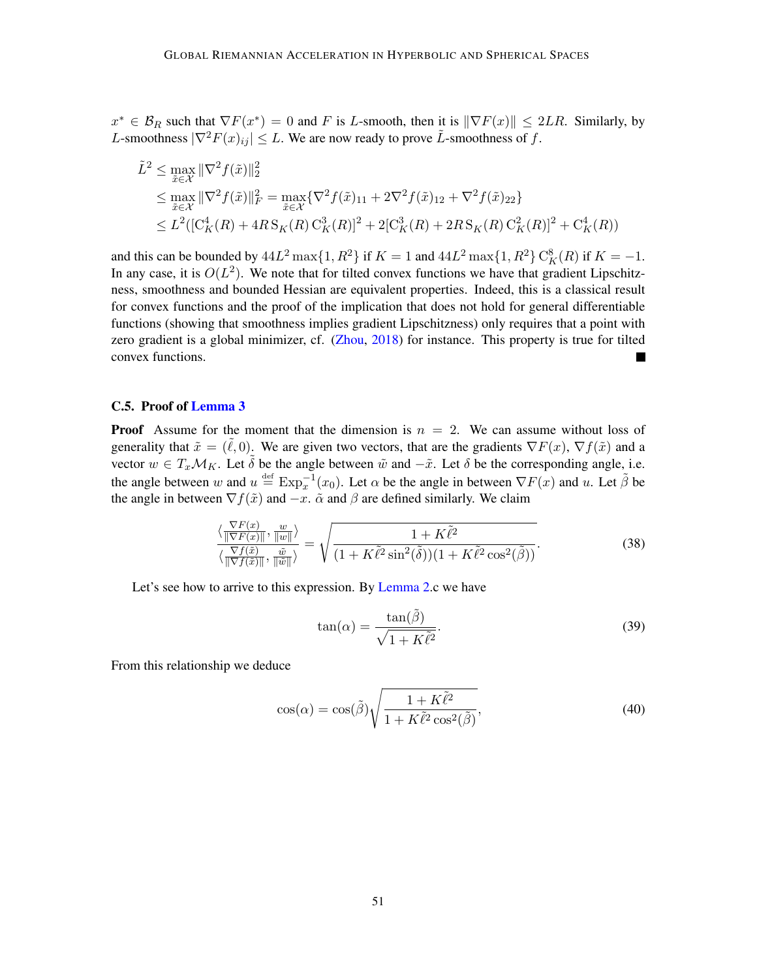$x^* \in \mathcal{B}_R$  such that  $\nabla F(x^*) = 0$  and F is L-smooth, then it is  $\|\nabla F(x)\| \leq 2LR$ . Similarly, by L-smoothness  $|\nabla^2 F(x)_{ii}| \leq L$ . We are now ready to prove  $\tilde{L}$ -smoothness of f.

$$
\tilde{L}^{2} \leq \max_{\tilde{x}\in\mathcal{X}} \|\nabla^{2} f(\tilde{x})\|_{2}^{2}
$$
\n
$$
\leq \max_{\tilde{x}\in\mathcal{X}} \|\nabla^{2} f(\tilde{x})\|_{F}^{2} = \max_{\tilde{x}\in\mathcal{X}} \{\nabla^{2} f(\tilde{x})_{11} + 2\nabla^{2} f(\tilde{x})_{12} + \nabla^{2} f(\tilde{x})_{22}\}
$$
\n
$$
\leq L^{2} \left( \left[\mathcal{C}_{K}^{4}(R) + 4R \mathcal{S}_{K}(R) \mathcal{C}_{K}^{3}(R)\right]^{2} + 2\left[\mathcal{C}_{K}^{3}(R) + 2R \mathcal{S}_{K}(R) \mathcal{C}_{K}^{2}(R)\right]^{2} + \mathcal{C}_{K}^{4}(R) \right)
$$

and this can be bounded by  $44L^2 \max\{1, R^2\}$  if  $K = 1$  and  $44L^2 \max\{1, R^2\}$  [C](#page-5-1)<sub>K</sub><sup>8</sup>(R) if  $K = -1$ . In any case, it is  $O(L^2)$ . We note that for tilted convex functions we have that gradient Lipschitzness, smoothness and bounded Hessian are equivalent properties. Indeed, this is a classical result for convex functions and the proof of the implication that does not hold for general differentiable functions (showing that smoothness implies gradient Lipschitzness) only requires that a point with zero gradient is a global minimizer, cf. [\(Zhou,](#page-19-10) [2018\)](#page-19-10) for instance. This property is true for tilted convex functions. L.

## <span id="page-50-1"></span>C.5. Proof of [Lemma 3](#page-6-0)

<span id="page-50-0"></span>**Proof** Assume for the moment that the dimension is  $n = 2$ . We can assume without loss of generality that  $\tilde{x} = (\tilde{\ell}, 0)$ . We are given two vectors, that are the gradients  $\nabla F(x)$ ,  $\nabla f(\tilde{x})$  and a vector  $w \in T_x \mathcal{M}_K$ . Let  $\tilde{\delta}$  be the angle between  $\tilde{w}$  and  $-\tilde{x}$ . Let  $\delta$  be the corresponding angle, i.e. the angle between w and  $u \stackrel{\text{def}}{=} \text{Exp}_x^{-1}(x_0)$  $u \stackrel{\text{def}}{=} \text{Exp}_x^{-1}(x_0)$  $u \stackrel{\text{def}}{=} \text{Exp}_x^{-1}(x_0)$ . Let  $\alpha$  be the angle in between  $\nabla F(x)$  and u. Let  $\tilde{\beta}$  be the angle in between  $\nabla f(\tilde{x})$  and  $-x$ .  $\tilde{\alpha}$  and  $\beta$  are defined similarly. We claim

<span id="page-50-4"></span><span id="page-50-2"></span>
$$
\frac{\langle \frac{\nabla F(x)}{\|\nabla F(x)\|}, \frac{w}{\|w\|} \rangle}{\langle \frac{\nabla f(\tilde{x})}{\|\nabla f(\tilde{x})\|}, \frac{\tilde{w}}{\|\tilde{w}\|} \rangle} = \sqrt{\frac{1 + K\tilde{\ell}^2}{(1 + K\tilde{\ell}^2 \sin^2(\tilde{\delta}))(1 + K\tilde{\ell}^2 \cos^2(\tilde{\beta}))}}.
$$
(38)

Let's see how to arrive to this expression. By [Lemma 2.](#page-6-3)c we have

<span id="page-50-3"></span>
$$
\tan(\alpha) = \frac{\tan(\tilde{\beta})}{\sqrt{1 + K\tilde{\ell}^2}}.
$$
\n(39)

From this relationship we deduce

<span id="page-50-5"></span>
$$
\cos(\alpha) = \cos(\tilde{\beta}) \sqrt{\frac{1 + K\tilde{\ell}^2}{1 + K\tilde{\ell}^2 \cos^2(\tilde{\beta})}},\tag{40}
$$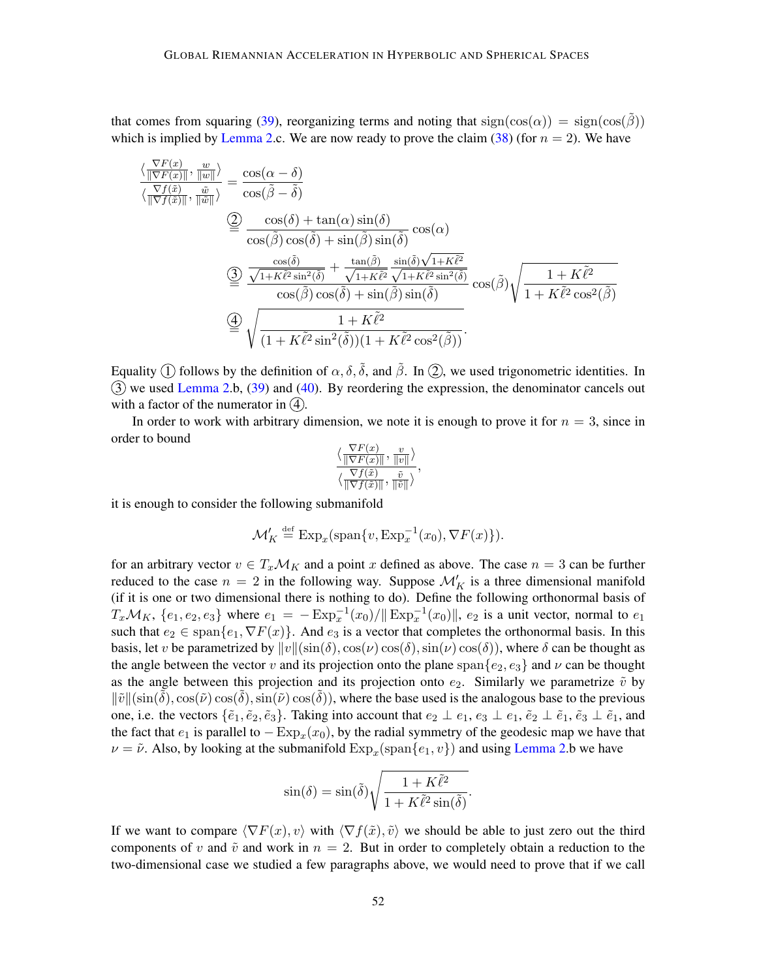that comes from squaring [\(39\)](#page-50-3), reorganizing terms and noting that  $sign(cos(\alpha)) = sign(cos(\beta))$ which is implied by [Lemma 2.](#page-6-3)c. We are now ready to prove the claim [\(38\)](#page-50-4) (for  $n = 2$ ). We have

$$
\frac{\langle \frac{\nabla F(x)}{\|\nabla F(x)\|}, \frac{w}{\|\omega\|} \rangle}{\langle \frac{\nabla f(\tilde{x})}{\|\nabla f(\tilde{x})\|}, \frac{\tilde{w}}{\|\tilde{w}\|} \rangle} = \frac{\cos(\alpha - \delta)}{\cos(\tilde{\beta} - \tilde{\delta})}
$$
\n
$$
\stackrel{\text{(1)}{\leq} \quad \frac{\cos(\delta) + \tan(\alpha)\sin(\delta)}{\cos(\tilde{\beta})\cos(\tilde{\delta}) + \sin(\tilde{\beta})\sin(\tilde{\delta})} \cos(\alpha)}{\langle \frac{\cos(\tilde{\beta})\cos(\tilde{\delta}) + \sin(\tilde{\beta})\sin(\tilde{\delta})}{\cos(\tilde{\beta})\cos(\tilde{\delta}) + \frac{\tan(\tilde{\beta})}{\sqrt{1 + K\tilde{\ell}^2}\sin^2(\tilde{\delta})}} \cos(\tilde{\beta}) \sqrt{\frac{1 + K\tilde{\ell}^2}{1 + K\tilde{\ell}^2}\cos^2(\tilde{\beta})}}
$$
\n
$$
\stackrel{\text{(2)}{\leq} \quad \frac{\sqrt{1 + K\tilde{\ell}^2\sin^2(\tilde{\delta})}\cos(\tilde{\delta}) + \sin(\tilde{\beta})\sin(\tilde{\delta})}{\langle 1 + K\tilde{\ell}^2\cos^2(\tilde{\beta})\rangle}
$$

Equality  $\circled{1}$  follows by the definition of  $\alpha$ [,](#page-50-2)  $\delta$ ,  $\delta$ , and  $\tilde{\beta}$ . In  $\circled{2}$ , we used trigonometric identities. In  $(3)$  we used [Lemma 2.](#page-6-3)b,  $(39)$  and  $(40)$ . By reordering the expression, the denominator cancels out with a factor of the numerator in  $(4)$ .

In order to work with arbitrary dimension, we note it is enough to prove it for  $n = 3$ , since in order to bound

$$
\frac{\langle \frac{\nabla F(x)}{\|\nabla F(x)\|}, \frac{v}{\|v\|}\rangle}{\langle \frac{\nabla f(\tilde{x})}{\|\nabla f(\tilde{x})\|}, \frac{\tilde{v}}{\|\tilde{v}\|}\rangle},
$$

it is enough to consider the following submanifold

$$
\mathcal{M}'_K \stackrel{\text{def}}{=} \text{Exp}_x(\text{span}\{v, \text{Exp}_x^{-1}(x_0), \nabla F(x)\}).
$$

for an arbitrary vector  $v \in T_x \mathcal{M}_K$  and a point x defined as above. The case  $n = 3$  can be further reduced to the case  $n = 2$  in the following way. Suppose  $\mathcal{M}'_K$  is a three dimensional manifold (if it is one or two dimensional there is nothing to do). Define the following orthonormal basis of  $T_x \mathcal{M}_K$ ,  $\{e_1, e_2, e_3\}$  where  $e_1 = -\text{Exp}_x^{-1}(x_0)/\|\text{Exp}_x^{-1}(x_0)\|$  $e_1 = -\text{Exp}_x^{-1}(x_0)/\|\text{Exp}_x^{-1}(x_0)\|$  $e_1 = -\text{Exp}_x^{-1}(x_0)/\|\text{Exp}_x^{-1}(x_0)\|$ ,  $e_2$  is a unit vector, normal to  $e_1$ such that  $e_2 \in \text{span}\{e_1, \nabla F(x)\}\$ . And  $e_3$  is a vector that completes the orthonormal basis. In this basis, let v be parametrized by  $||v||(\sin(\delta), \cos(\nu)\cos(\delta), \sin(\nu)\cos(\delta))$ , where  $\delta$  can be thought as the angle between the vector v and its projection onto the plane span $\{e_2, e_3\}$  and  $\nu$  can be thought as the angle between this projection and its projection onto  $e_2$ . Similarly we parametrize  $\tilde{v}$  by  $\|\tilde{v}\|(\sin(\delta), \cos(\tilde{v})\cos(\delta), \sin(\tilde{v})\cos(\delta))$ , where the base used is the analogous base to the previous one, i.e. the vectors  $\{\tilde{e}_1, \tilde{e}_2, \tilde{e}_3\}$ . Taking into account that  $e_2 \perp e_1, e_3 \perp e_1, \tilde{e}_2 \perp \tilde{e}_1, \tilde{e}_3 \perp \tilde{e}_1$ , and the fact that  $e_1$  is parallel to  $-\text{Exp}_x(x_0)$  $-\text{Exp}_x(x_0)$  $-\text{Exp}_x(x_0)$ , by the radial symmetry of the geodesic map we have that  $\nu = \tilde{\nu}$ . Also, by looking at the submanifold  $Exp_x$  $Exp_x$ (span $\{e_1, v\}$ ) and using [Lemma 2.](#page-6-3)b we have

$$
\sin(\delta) = \sin(\tilde{\delta}) \sqrt{\frac{1 + K\tilde{\ell}^2}{1 + K\tilde{\ell}^2 \sin(\tilde{\delta})}}.
$$

If we want to compare  $\langle \nabla F(x), v \rangle$  with  $\langle \nabla f(\tilde{x}), \tilde{v} \rangle$  we should be able to just zero out the third components of v and  $\tilde{v}$  and work in  $n = 2$ . But in order to completely obtain a reduction to the two-dimensional case we studied a few paragraphs above, we would need to prove that if we call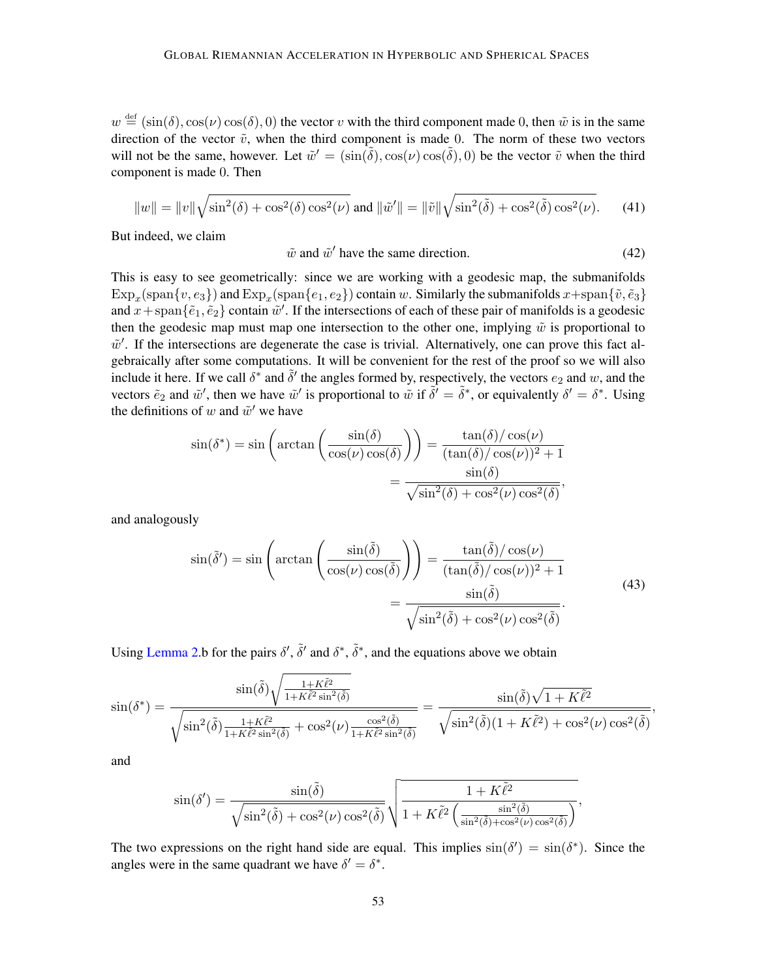$w \stackrel{\text{def}}{=} (\sin(\delta), \cos(\nu) \cos(\delta), 0)$  the vector v with the third component made 0, then  $\tilde{w}$  is in the same direction of the vector  $\tilde{v}$ , when the third component is made 0. The norm of these two vectors will not be the same, however. Let  $\tilde{w}' = (\sin(\tilde{\delta}), \cos(\nu) \cos(\tilde{\delta}), 0)$  be the vector  $\tilde{v}$  when the third component is made 0. Then

<span id="page-52-3"></span>
$$
||w|| = ||v||\sqrt{\sin^2(\delta) + \cos^2(\delta)\cos^2(\nu)} \text{ and } ||\tilde{w}'|| = ||\tilde{v}||\sqrt{\sin^2(\tilde{\delta}) + \cos^2(\tilde{\delta})\cos^2(\nu)}.
$$
 (41)

But indeed, we claim

<span id="page-52-0"></span>
$$
\tilde{w} \text{ and } \tilde{w}' \text{ have the same direction.} \tag{42}
$$

This is easy to see geometrically: since we are working with a geodesic map, the submanifolds  $\text{Exp}_x(\text{span}\{v, e_3\})$  $\text{Exp}_x(\text{span}\{v, e_3\})$  $\text{Exp}_x(\text{span}\{v, e_3\})$  and  $\text{Exp}_x(\text{span}\{e_1, e_2\})$  contain  $w$ . Similarly the submanifolds  $x+ \text{span}\{\tilde{v}, \tilde{e}_3\}$ and  $x + \text{span}\{\tilde{e}_1, \tilde{e}_2\}$  contain  $\tilde{w}'$ . If the intersections of each of these pair of manifolds is a geodesic then the geodesic map must map one intersection to the other one, implying  $\tilde{w}$  is proportional to  $\tilde{w}'$ . If the intersections are degenerate the case is trivial. Alternatively, one can prove this fact algebraically after some computations. It will be convenient for the rest of the proof so we will also include it here. If we call  $\delta^*$  and  $\tilde{\delta}'$  the angles formed by, respectively, the vectors  $e_2$  and w, and the vectors  $\tilde{e}_2$  and  $\tilde{w}'$ , then we have  $\tilde{w}'$  is proportional to  $\tilde{w}$  if  $\tilde{\delta}' = \tilde{\delta}^*$ , or equivalently  $\delta' = \delta^*$ . Using the definitions of w and  $\tilde{w}'$  we have

<span id="page-52-2"></span><span id="page-52-1"></span>
$$
\sin(\delta^*) = \sin\left(\arctan\left(\frac{\sin(\delta)}{\cos(\nu)\cos(\delta)}\right)\right) = \frac{\tan(\delta)/\cos(\nu)}{(\tan(\delta)/\cos(\nu))^2 + 1}
$$

$$
= \frac{\sin(\delta)}{\sqrt{\sin^2(\delta) + \cos^2(\nu)\cos^2(\delta)}},
$$

and analogously

$$
\sin(\tilde{\delta}') = \sin\left(\arctan\left(\frac{\sin(\tilde{\delta})}{\cos(\nu)\cos(\tilde{\delta})}\right)\right) = \frac{\tan(\tilde{\delta})/\cos(\nu)}{(\tan(\tilde{\delta})/\cos(\nu))^2 + 1} = \frac{\sin(\tilde{\delta})}{\sqrt{\sin^2(\tilde{\delta}) + \cos^2(\nu)\cos^2(\tilde{\delta})}}.
$$
\n(43)

<span id="page-52-4"></span>,

Using [Lemma 2.](#page-6-3)b for the pairs  $\delta'$ ,  $\tilde{\delta}'$  and  $\delta^*$ ,  $\tilde{\delta}^*$ , and the equations above we obtain

$$
\sin(\delta^*) = \frac{\sin(\tilde{\delta})\sqrt{\frac{1+K\tilde{\ell}^2}{1+K\tilde{\ell}^2\sin^2(\tilde{\delta})}}}{\sqrt{\sin^2(\tilde{\delta})\frac{1+K\tilde{\ell}^2}{1+K\tilde{\ell}^2\sin^2(\tilde{\delta})} + \cos^2(\nu)\frac{\cos^2(\tilde{\delta})}{1+K\tilde{\ell}^2\sin^2(\tilde{\delta})}}}} = \frac{\sin(\tilde{\delta})\sqrt{1+K\tilde{\ell}^2}}{\sqrt{\sin^2(\tilde{\delta})(1+K\tilde{\ell}^2) + \cos^2(\nu)\cos^2(\tilde{\delta})}}
$$

and

$$
\sin(\delta') = \frac{\sin(\tilde{\delta})}{\sqrt{\sin^2(\tilde{\delta}) + \cos^2(\nu)\cos^2(\tilde{\delta})}} \sqrt{\frac{1 + K\tilde{\ell}^2}{1 + K\tilde{\ell}^2 \left(\frac{\sin^2(\tilde{\delta})}{\sin^2(\tilde{\delta}) + \cos^2(\nu)\cos^2(\tilde{\delta})}\right)}},
$$

The two expressions on the right hand side are equal. This implies  $sin(\delta') = sin(\delta^*)$ . Since the angles were in the same quadrant we have  $\delta' = \delta^*$ .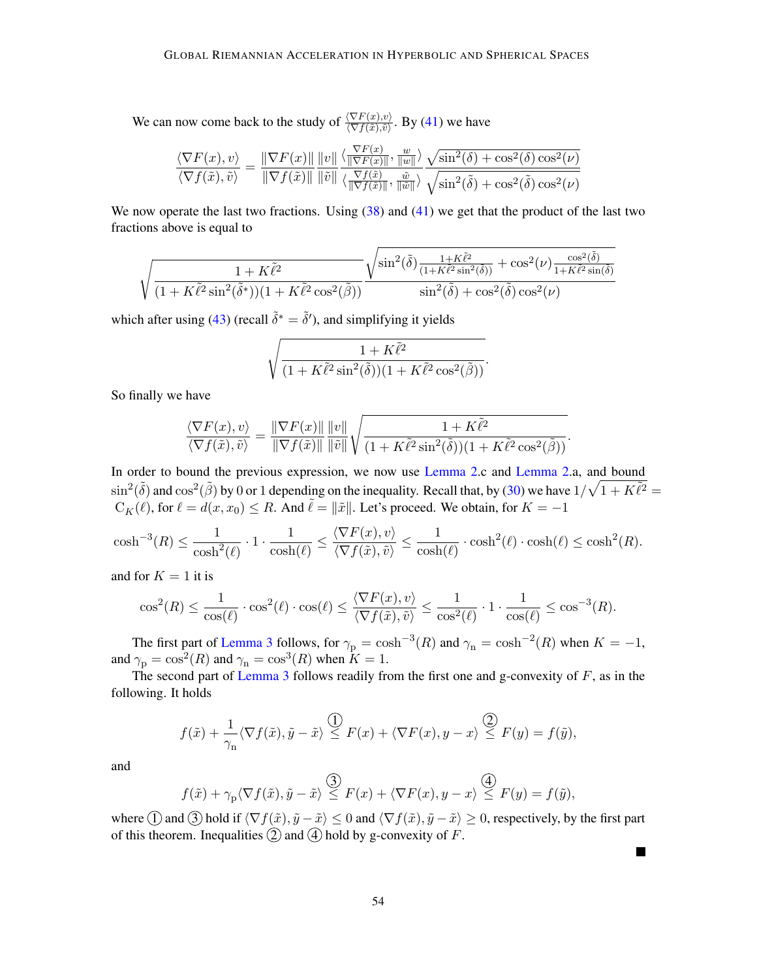We can now come back to the study of  $\frac{\langle \nabla F(x), v \rangle}{\langle \nabla f(\tilde{x}), \tilde{v} \rangle}$ . By [\(41\)](#page-52-3) we have

$$
\frac{\langle \nabla F(x), v \rangle}{\langle \nabla f(\tilde{x}), \tilde{v} \rangle} = \frac{\| \nabla F(x) \|}{\| \nabla f(\tilde{x}) \|} \frac{\|v\|}{\| \tilde{v} \|} \frac{\langle \frac{\nabla F(x)}{\| \nabla F(x) \|}, \frac{w}{\| w \|} \rangle}{\langle \frac{\nabla f(\tilde{x})}{\| \nabla f(\tilde{x}) \|}, \frac{\tilde{w}}{\| \tilde{w} \|} \rangle} \frac{\sqrt{\sin^2(\delta) + \cos^2(\delta) \cos^2(\nu)}}{\sqrt{\sin^2(\delta) + \cos^2(\delta) \cos^2(\nu)}}
$$

We now operate the last two fractions. Using  $(38)$  and  $(41)$  we get that the product of the last two fractions above is equal to

$$
\sqrt{\frac{1+K\tilde{\ell}^2}{(1+K\tilde{\ell}^2\sin^2(\tilde{\delta}^*))(1+K\tilde{\ell}^2\cos^2(\tilde{\beta}))}}\frac{\sqrt{\sin^2(\tilde{\delta})\frac{1+K\tilde{\ell}^2}{(1+K\tilde{\ell}^2\sin^2(\tilde{\delta}))}+\cos^2(\nu)\frac{\cos^2(\tilde{\delta})}{1+K\tilde{\ell}^2\sin(\tilde{\delta})}}}{\sin^2(\tilde{\delta})+\cos^2(\tilde{\delta})\cos^2(\nu)}
$$

which after using [\(43\)](#page-52-4) (recall  $\tilde{\delta}^* = \tilde{\delta}'$ ), and simplifying it yields

$$
\sqrt{\frac{1+K\tilde{\ell}^2}{(1+K\tilde{\ell}^2\sin^2(\tilde{\delta}))(1+K\tilde{\ell}^2\cos^2(\tilde{\beta}))}}
$$

.

<span id="page-53-0"></span>.

 $\blacksquare$ 

So finally we have

$$
\frac{\langle \nabla F(x), v \rangle}{\langle \nabla f(\tilde{x}), \tilde{v} \rangle} = \frac{\|\nabla F(x)\|}{\|\nabla f(\tilde{x})\|} \frac{\|v\|}{\|\tilde{v}\|} \sqrt{\frac{1 + K\tilde{\ell}^2}{(1 + K\tilde{\ell}^2 \sin^2(\tilde{\delta}))(1 + K\tilde{\ell}^2 \cos^2(\tilde{\beta}))}}
$$

In order to bound the previous expression, we now use [Lemma 2.](#page-6-3)c and Lemma 2.a, and bound  $\sin^2(\tilde{\delta})$  and  $\cos^2(\tilde{\beta})$  by 0 or 1 depending on the inequality. Recall that, by [\(30\)](#page-38-3) we have  $1/\sqrt{1+K\tilde{\ell}^2} =$  $C_K(\ell)$  $C_K(\ell)$ , for  $\ell = d(x, x_0) \le R$ . And  $\ell = ||\tilde{x}||$ . Let's proceed. We obtain, for  $K = -1$ 

$$
\cosh^{-3}(R) \le \frac{1}{\cosh^2(\ell)} \cdot 1 \cdot \frac{1}{\cosh(\ell)} \le \frac{\langle \nabla F(x), v \rangle}{\langle \nabla f(\tilde{x}), \tilde{v} \rangle} \le \frac{1}{\cosh(\ell)} \cdot \cosh^2(\ell) \cdot \cosh(\ell) \le \cosh^2(R).
$$

and for  $K = 1$  it is

$$
\cos^2(R) \le \frac{1}{\cos(\ell)} \cdot \cos^2(\ell) \cdot \cos(\ell) \le \frac{\langle \nabla F(x), v \rangle}{\langle \nabla f(\tilde{x}), \tilde{v} \rangle} \le \frac{1}{\cos^2(\ell)} \cdot 1 \cdot \frac{1}{\cos(\ell)} \le \cos^{-3}(R).
$$

The first part of [Lemma 3](#page-6-0) follows, for  $\gamma_{\rm p} = \cosh^{-3}(R)$  and  $\gamma_{\rm n} = \cosh^{-2}(R)$  when  $K = -1$ , and  $\gamma_{\rm p} = \cos^2(R)$  and  $\gamma_{\rm n} = \cos^3(R)$  when  $K = 1$ .

The second part of [Lemma 3](#page-6-0) follows readily from the first one and g-convexity of  $F$ , as in the following. It holds

<span id="page-53-1"></span>
$$
f(\tilde{x}) + \frac{1}{\gamma_n} \langle \nabla f(\tilde{x}), \tilde{y} - \tilde{x} \rangle \stackrel{\text{(1)}}{\leq} F(x) + \langle \nabla F(x), y - x \rangle \stackrel{\text{(2)}}{\leq} F(y) = f(\tilde{y}),
$$

and

$$
f(\tilde{x}) + \gamma_{\mathbf{p}} \langle \nabla f(\tilde{x}), \tilde{y} - \tilde{x} \rangle \stackrel{\text{(3)}}{\leq} F(x) + \langle \nabla F(x), y - x \rangle \stackrel{\text{(4)}}{\leq} F(y) = f(\tilde{y}),
$$

where  $\widehat{1}$  and  $\widehat{3}$  hold if  $\langle \nabla f(\tilde{x}), \tilde{y}-\tilde{x}\rangle \leq 0$  and  $\langle \nabla f(\tilde{x}), \tilde{y}-\tilde{x}\rangle \geq 0$ , respectively, by the first part of this theorem. Inequalities  $(2)$  and  $(4)$  hold by g-convexity of F.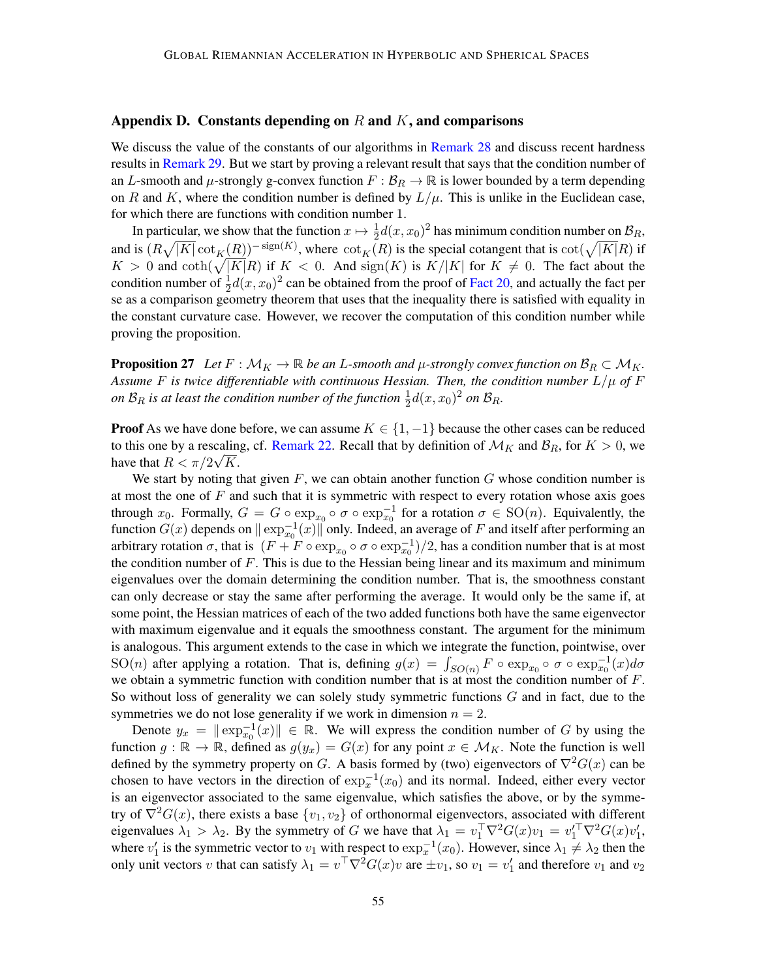## <span id="page-54-0"></span>Appendix D. Constants depending on R and  $K$ , and comparisons

We discuss the value of the constants of our algorithms in [Remark 28](#page-56-0) and discuss recent hardness results in [Remark 29.](#page-57-0) But we start by proving a relevant result that says that the condition number of an L-smooth and  $\mu$ -strongly g-convex function  $F : \mathcal{B}_R \to \mathbb{R}$  is lower bounded by a term depending on R and K, where the condition number is defined by  $L/\mu$  $L/\mu$  $L/\mu$ . This is unlike in the Euclidean case, for which there are functions with condition number 1.

<span id="page-54-1"></span>In particular, we show that the function  $x \mapsto \frac{1}{2}d(x,x_0)^2$  has minimum condition number on  $\mathcal{B}_R$ , and is  $(R\sqrt{|K|}\cot_K(R))^{-\text{sign}(K)}$  $(R\sqrt{|K|}\cot_K(R))^{-\text{sign}(K)}$  $(R\sqrt{|K|}\cot_K(R))^{-\text{sign}(K)}$ , where  $\cot_K(R)$  is the special cotangent that is  $\cot(\sqrt{|K|}R)$  if  $K > 0$  and  $\coth(\sqrt{|K|}R)$  if  $K < 0$ . And  $\text{sign}(K)$  is  $K/|K|$  $K/|K|$  $K/|K|$  for  $K \neq 0$ . The fact about the condition number of  $\frac{1}{2}d(x,x_0)^2$  can be obtained from the proof of [Fact 20,](#page-34-5) and actually the fact per se as a comparison geometry theorem that uses that the inequality there is satisfied with equality in the constant curvature case. However, we recover the computation of this condition number while proving the proposition.

<span id="page-54-2"></span>**Proposition 27** Let  $F : \mathcal{M}_K \to \mathbb{R}$  be an L-smooth and  $\mu$ -strongly convex function on  $\mathcal{B}_R \subset \mathcal{M}_K$ . Assume *F* is twice differentiable with continuous Hessian. Then, the condition number  $L/\mu$  $L/\mu$  $L/\mu$  of *F* on  $\mathcal{B}_R$  is at least the condition number of the function  $\frac{1}{2}d(x,x_0)^2$  on  $\mathcal{B}_R$ .

**Proof** As we have done before, we can assume  $K \in \{1, -1\}$  because the other cases can be reduced to this one by a rescaling, cf. [Remark 22.](#page-38-0) Recall that by definition of  $\mathcal{M}_K$  and  $\mathcal{B}_R$ , for  $K > 0$ , we have that  $R < \pi/2\sqrt{K}$ .

We start by noting that given  $F$ , we can obtain another function  $G$  whose condition number is at most the one of  $F$  and such that it is symmetric with respect to every rotation whose axis goes through  $x_0$ . Formally,  $G = G \circ \exp_{x_0} \circ \sigma \circ \exp_{x_0}^{-1}$  for a rotation  $\sigma \in SO(n)$ . Equivalently, the function  $G(x)$  depends on  $\|\exp_{x_0}^{-1}(x)\|$  only. Indeed, an average of  $F$  and itself after performing an arbitrary rotation  $\sigma$ , that is  $(F + F \circ \exp_{x_0} \circ \sigma \circ \exp_{x_0}^{-1})/2$ , has a condition number that is at most the condition number of  $F$ . This is due to the Hessian being linear and its maximum and minimum eigenvalues over the domain determining the condition number. That is, the smoothness constant can only decrease or stay the same after performing the average. It would only be the same if, at some point, the Hessian matrices of each of the two added functions both have the same eigenvector with maximum eigenvalue and it equals the smoothness constant. The argument for the minimum is analogous. This argument extends to the case in which we integrate the function, pointwise, over SO(*n*) after applying a rotation. That is, defining  $g(x) = \int_{SO(n)} F \circ \exp_{x_0} \circ \sigma \circ \exp_{x_0}^{-1}(x) d\sigma$ we obtain a symmetric function with condition number that is at most the condition number of  $F$ . So without loss of generality we can solely study symmetric functions  $G$  and in fact, due to the symmetries we do not lose generality if we work in dimension  $n = 2$ .

Denote  $y_x = \|\exp_{x_0}^{-1}(x)\| \in \mathbb{R}$ . We will express the condition number of G by using the function  $g : \mathbb{R} \to \mathbb{R}$ , defined as  $g(y_x) = G(x)$  for any point  $x \in \mathcal{M}_K$ . Note the function is well defined by the symmetry property on G. A basis formed by (two) eigenvectors of  $\nabla^2 G(x)$  can be chosen to have vectors in the direction of  $\exp_x^{-1}(x_0)$  and its normal. Indeed, either every vector is an eigenvector associated to the same eigenvalue, which satisfies the above, or by the symmetry of  $\nabla^2 G(x)$ , there exists a base  $\{v_1, v_2\}$  of orthonormal eigenvectors, associated with different eigenvalues  $\lambda_1 > \lambda_2$ . By the symmetry of G we have that  $\lambda_1 = v_1^{\top} \nabla^2 G(x) v_1 = v_1'^{\top} \nabla^2 G(x) v_1'$ , where  $v'_1$  is the symmetric vector to  $v_1$  with respect to  $\exp_x^{-1}(x_0)$ . However, since  $\lambda_1 \neq \lambda_2$  then the only unit vectors v that can satisfy  $\lambda_1 = v^\top \nabla^2 G(x)v$  are  $\pm v_1$ , so  $v_1 = v'_1$  and therefore  $v_1$  and  $v_2$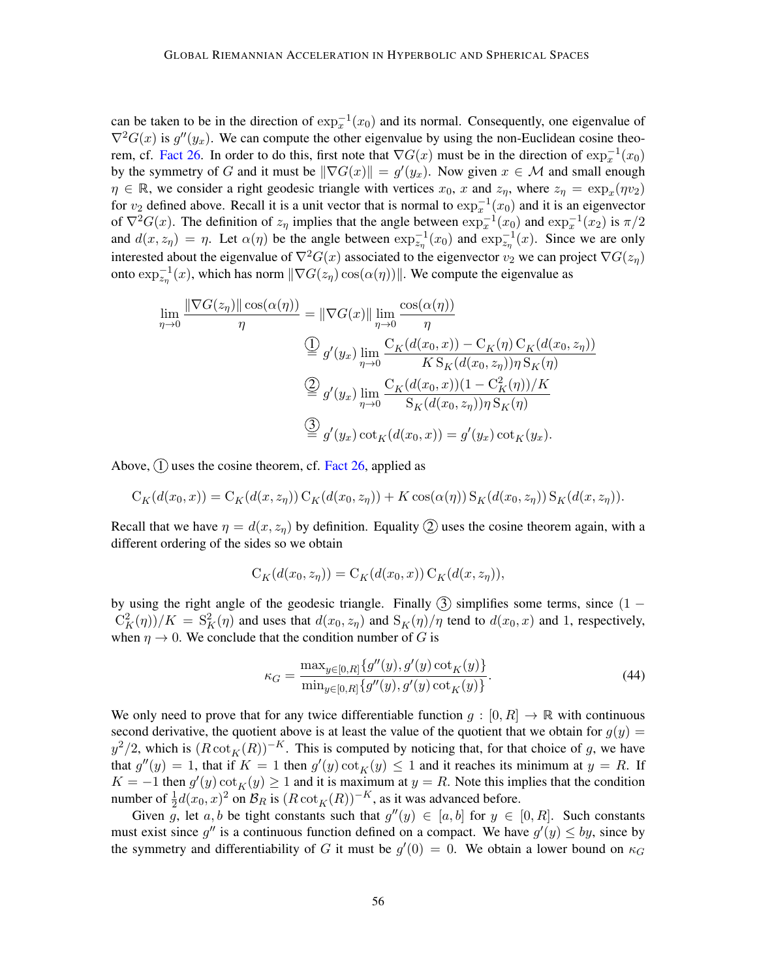can be taken to be in the direction of  $\exp_x^{-1}(x_0)$  and its normal. Consequently, one eigenvalue of  $\nabla^2 G(x)$  is  $g''(y_x)$ . We can compute the other eigenvalue by using the non-Euclidean cosine theo-rem, cf. [Fact 26.](#page-46-1) In order to do this, first note that  $\nabla G(x)$  must be in the direction of  $\exp_x^{-1}(x_0)$ by the symmetry of G and it must be  $\|\nabla G(x)\| = g'(y_x)$ . Now given  $x \in \mathcal{M}$  and small enough  $\eta \in \mathbb{R}$ , we consider a right geodesic triangle with vertices  $x_0$ , x and  $z_\eta$ , where  $z_\eta = \exp_x(\eta v_2)$ for  $v_2$  defined above. Recall it is a unit vector that is normal to  $\exp_x^{-1}(x_0)$  and it is an eigenvector of  $\nabla^2 G(x)$ . The definition of  $z_\eta$  implies that the angle between  $\exp_x^{-1}(x_0)$  and  $\exp_x^{-1}(x_2)$  is  $\pi/2$ and  $d(x, z_\eta) = \eta$ . Let  $\alpha(\eta)$  be the angle between  $\exp_{z_\eta}^{-1}(x_0)$  and  $\exp_{z_\eta}^{-1}(x)$ . Since we are only interested about the eigenvalue of  $\nabla^2 G(x)$  associated to the eigenvector  $v_2$  we can project  $\nabla G(z_n)$ onto  $\exp_{z_{\eta}}^{-1}(x)$ , which has norm  $\|\nabla G(z_{\eta})\cos(\alpha(\eta))\|$ . We compute the eigenvalue as

$$
\lim_{\eta \to 0} \frac{\|\nabla G(z_{\eta})\| \cos(\alpha(\eta))}{\eta} = \|\nabla G(x)\| \lim_{\eta \to 0} \frac{\cos(\alpha(\eta))}{\eta}
$$
\n
$$
\frac{\bigoplus_{g'} (y_x) \lim_{\eta \to 0} \frac{C_K(d(x_0, x)) - C_K(\eta) C_K(d(x_0, z_{\eta}))}{K S_K(d(x_0, z_{\eta})) \eta S_K(\eta)}
$$
\n
$$
\frac{\bigoplus_{g'} (y_x) \lim_{\eta \to 0} \frac{C_K(d(x_0, x))(1 - C_K^2(\eta))/K}{S_K(d(x_0, z_{\eta})) \eta S_K(\eta)}
$$
\n
$$
\frac{\bigoplus_{g'} (y_x) \cot_K(d(x_0, x)) = g'(y_x) \cot_K(y_x).
$$

Above,  $(1)$  uses the cosine theorem, cf. [Fact 26,](#page-46-1) applied as

$$
C_K(d(x_0,x)) = C_K(d(x,z_\eta)) C_K(d(x_0,z_\eta)) + K \cos(\alpha(\eta)) S_K(d(x_0,z_\eta)) S_K(d(x,z_\eta)).
$$

Recall that we have  $\eta = d(x, z_n)$  by definition. Equality 2 uses the cosine theorem again, with a different ordering of the sides so we obtain

$$
C_K(d(x_0, z_\eta)) = C_K(d(x_0, x)) C_K(d(x, z_\eta)),
$$

by using the right angle of the geodesic triangle. Finally  $\circled{3}$  simplifies some terms, since (1 –  $C_K^2(\eta)/K = S_K^2(\eta)$  $C_K^2(\eta)/K = S_K^2(\eta)$  $C_K^2(\eta)/K = S_K^2(\eta)$  $C_K^2(\eta)/K = S_K^2(\eta)$  $C_K^2(\eta)/K = S_K^2(\eta)$  $C_K^2(\eta)/K = S_K^2(\eta)$  and uses that  $d(x_0, z_\eta)$  and  $S_K(\eta)/\eta$  tend to  $d(x_0, x)$  and 1, respectively, when  $\eta \to 0$ . We conclude that the condition number of G is

<span id="page-55-0"></span>
$$
\kappa_G = \frac{\max_{y \in [0,R]} \{g''(y), g'(y) \cot_K(y)\}}{\min_{y \in [0,R]} \{g''(y), g'(y) \cot_K(y)\}}.
$$
\n(44)

We only need to prove that for any twice differentiable function  $g : [0, R] \to \mathbb{R}$  with continuous second derivative, the quotient above is at least the value of the quotient that we obtain for  $g(y)$  =  $y^2/2$ , which is  $(R \cot_K(R))^{-K}$  $(R \cot_K(R))^{-K}$  $(R \cot_K(R))^{-K}$ . This is computed by noticing that, for that choice of g, we have that  $g''(y) = 1$ , that if  $K = 1$  then  $g'(y) \cot_K(y) \le 1$  $g'(y) \cot_K(y) \le 1$  $g'(y) \cot_K(y) \le 1$  and it reaches its minimum at  $y = R$ . If  $K = -1$  then  $g'(y) \cot_K(y) \ge 1$  $g'(y) \cot_K(y) \ge 1$  $g'(y) \cot_K(y) \ge 1$  and it is maximum at  $y = R$ . Note this implies that the condition number of  $\frac{1}{2}d(x_0, x)^2$  on  $\mathcal{B}_R$  is  $(R \cot_K(R))^{-K}$  $(R \cot_K(R))^{-K}$  $(R \cot_K(R))^{-K}$ , as it was advanced before.

Given g, let a, b be tight constants such that  $g''(y) \in [a, b]$  for  $y \in [0, R]$ . Such constants must exist since  $g''$  is a continuous function defined on a compact. We have  $g'(y) \leq by$ , since by the symmetry and differentiability of G it must be  $g'(0) = 0$ . We obtain a lower bound on  $\kappa_G$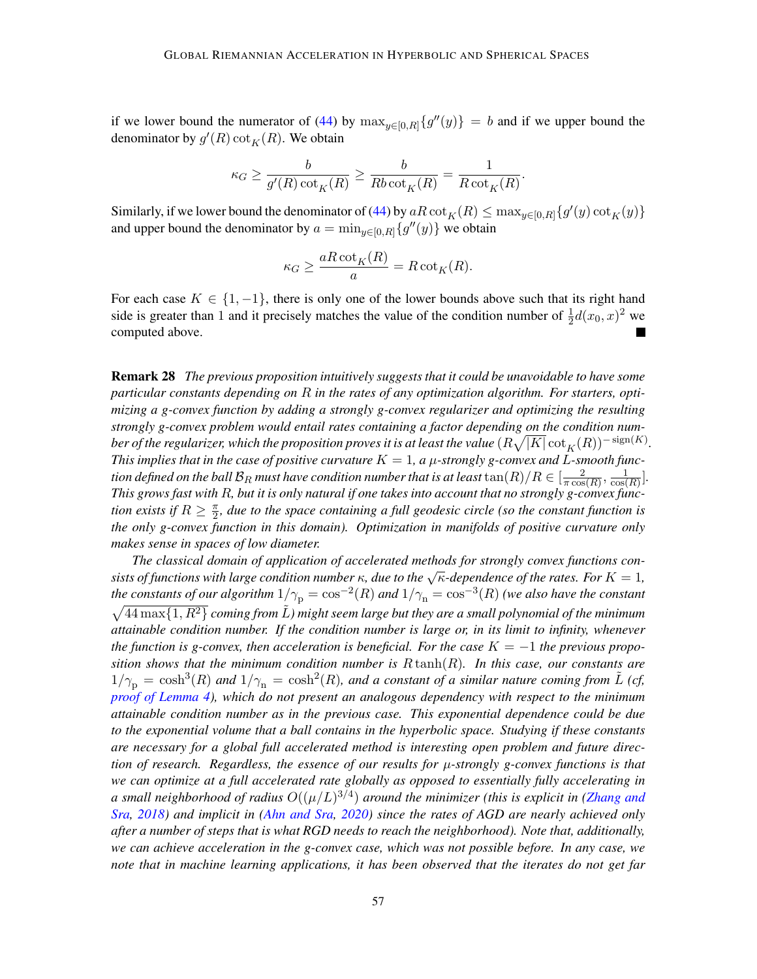if we lower bound the numerator of [\(44\)](#page-55-0) by  $\max_{y \in [0,R]} \{g''(y)\} = b$  $\max_{y \in [0,R]} \{g''(y)\} = b$  $\max_{y \in [0,R]} \{g''(y)\} = b$  and if we upper bound the denominator by  $g'(R) \cot_K(R)$  $g'(R) \cot_K(R)$  $g'(R) \cot_K(R)$ . We obtain

$$
\kappa_G \ge \frac{b}{g'(R)\cot_K(R)} \ge \frac{b}{Rb\cot_K(R)} = \frac{1}{R\cot_K(R)}.
$$

Similarly, if we lower bound the denominator of [\(44\)](#page-55-0) by  $aR\cot_K(R) \le \max_{y\in[0,R]}\{g'(y)\cot_K(y)\}$  $aR\cot_K(R) \le \max_{y\in[0,R]}\{g'(y)\cot_K(y)\}$  $aR\cot_K(R) \le \max_{y\in[0,R]}\{g'(y)\cot_K(y)\}$  $aR\cot_K(R) \le \max_{y\in[0,R]}\{g'(y)\cot_K(y)\}$  $aR\cot_K(R) \le \max_{y\in[0,R]}\{g'(y)\cot_K(y)\}$ and upper bound the denominator by  $a = \min_{y \in [0,R]} \{g''(y)\}\$  $a = \min_{y \in [0,R]} \{g''(y)\}\$  $a = \min_{y \in [0,R]} \{g''(y)\}\$ we obtain

$$
\kappa_G \ge \frac{aR \cot_K(R)}{a} = R \cot_K(R).
$$

For each case  $K \in \{1, -1\}$ , there is only one of the lower bounds above such that its right hand side is greater than 1 and it precisely matches the value of the condition number of  $\frac{1}{2}d(x_0, x)^2$  we computed above.

<span id="page-56-0"></span>Remark 28 *The previous proposition intuitively suggests that it could be unavoidable to have some particular constants depending on in the rates of any optimization algorithm. For starters, optimizing a g-convex function by adding a strongly g-convex regularizer and optimizing the resulting strongly g-convex problem would entail rates containing a factor depending on the condition num*ber of the regularizer, which the proposition proves it is at least the value  $(R\sqrt{|K|}\cot_K(R))^{-\operatorname{sign}(K)}.$  $(R\sqrt{|K|}\cot_K(R))^{-\operatorname{sign}(K)}.$  $(R\sqrt{|K|}\cot_K(R))^{-\operatorname{sign}(K)}.$ *This implies that in the case of positive curvature*  $K = 1$ , a  $\mu$ -strongly g-convex and L-smooth function defined on the ball  $\mathcal{B}_R$  must have condition number that is at least  $\tan(R)/R \in [\frac{-2}{\pi \cos \theta}]$  $\tan(R)/R \in [\frac{-2}{\pi \cos \theta}]$  $\tan(R)/R \in [\frac{-2}{\pi \cos \theta}]$  $\frac{2}{\pi \cos(R)}, \frac{1}{\cos(R)}$  $\frac{1}{\cos(R)}$ . This grows fast with R, but it is only natural if one takes into account that no strongly g-convex func*tion exists if*  $R \geq \frac{\pi}{2}$  $\frac{\pi}{2}$ , due to the space containing a full geodesic circle (so the constant function is *the only g-convex function in this domain). Optimization in manifolds of positive curvature only makes sense in spaces of low diameter.*

*The classical domain of application of accelerated methods for strongly convex functions consists of functions with large condition number*  $\kappa$ , due to the  $\sqrt{\kappa}$ -dependence of the rates. For  $K = 1$ , sists of functions with large condition number  $\kappa$ , due to the  $\sqrt{\kappa}$ -dependence of the rates. For  $K = 1$ the constants of our algorithm  $1/\gamma_{\rm p}=\cos^{-2}(R)$  $1/\gamma_{\rm p}=\cos^{-2}(R)$  $1/\gamma_{\rm p}=\cos^{-2}(R)$  and  $1/\gamma_{\rm n}=\cos^{-3}(R)$  (we also have the constant  $\sqrt{44 \max\{1, R^2\}}$  *coming from*  $\tilde{L}$ *) might seem large but they are a small polynomial of the minimum attainable condition number. If the condition number is large or, in its limit to infinity, whenever the function is g-convex, then acceleration is beneficial. For the case*  $K = -1$  *the previous proposition shows that the minimum condition number is*  $R \tanh(R)$ . In this case, our constants are  $1/\gamma_{\rm p} = \cosh^3(R)$  $1/\gamma_{\rm p} = \cosh^3(R)$  $1/\gamma_{\rm p} = \cosh^3(R)$  and  $1/\gamma_{\rm n} = \cosh^2(R)$ , and a constant of a similar nature coming from  $\tilde{L}$  (cf, *proof of [Lemma 4\)](#page-48-1), which do not present an analogous dependency with respect to the minimum attainable condition number as in the previous case. This exponential dependence could be due to the exponential volume that a ball contains in the hyperbolic space. Studying if these constants are necessary for a global full accelerated method is interesting open problem and future direction of research. Regardless, the essence of our results for -strongly g-convex functions is that we can optimize at a full accelerated rate globally as opposed to essentially fully accelerating in* a small neighborhood of radius  $O((\mu/L)^{3/4})$  $O((\mu/L)^{3/4})$  $O((\mu/L)^{3/4})$  around the minimizer (this is explicit in [\(Zhang and](#page-19-9) *[Sra,](#page-19-9) [2018\)](#page-19-9) and implicit in [\(Ahn and Sra,](#page-13-5) [2020\)](#page-13-5) since the rates of [AGD](#page-0-1) are nearly achieved only after a number of steps that is what [RGD](#page-1-3) needs to reach the neighborhood). Note that, additionally, we can achieve acceleration in the g-convex case, which was not possible before. In any case, we note that in machine learning applications, it has been observed that the iterates do not get far*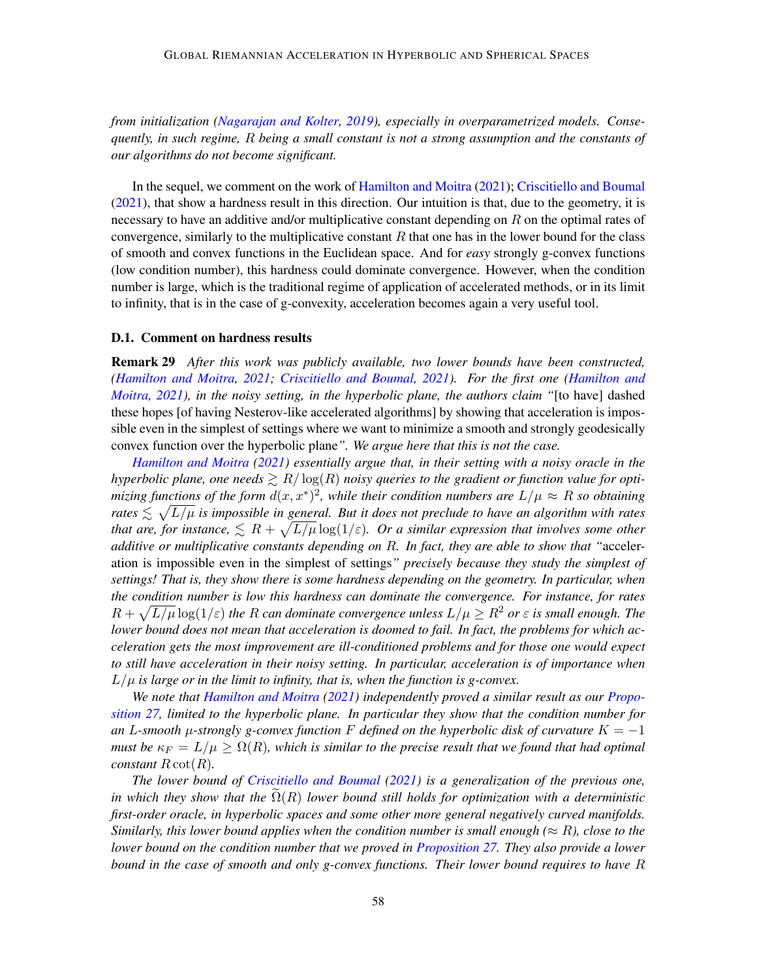*from initialization [\(Nagarajan and Kolter,](#page-17-9) [2019\)](#page-17-9), especially in overparametrized models. Consequently, in such regime, being a small constant is not a strong assumption and the constants of our algorithms do not become significant.*

In the sequel, we comment on the work of [Hamilton and Moitra](#page-16-10) [\(2021\)](#page-16-10); [Criscitiello and Boumal](#page-15-8) [\(2021\)](#page-15-8), that show a hardness result in this direction. Our intuition is that, due to the geometry, it is necessary to have an additive and/or multiplicative constant depending on  $R$  on the optimal rates of convergence, similarly to the multiplicative constant  $R$  that one has in the lower bound for the class of smooth and convex functions in the Euclidean space. And for *easy* strongly g-convex functions (low condition number), this hardness could dominate convergence. However, when the condition number is large, which is the traditional regime of application of accelerated methods, or in its limit to infinity, that is in the case of g-convexity, acceleration becomes again a very useful tool.

#### <span id="page-57-1"></span>D.1. Comment on hardness results

<span id="page-57-0"></span>Remark 29 *After this work was publicly available, two lower bounds have been constructed, [\(Hamilton and Moitra,](#page-16-10) [2021;](#page-16-10) [Criscitiello and Boumal,](#page-15-8) [2021\)](#page-15-8). For the first one [\(Hamilton and](#page-16-10) [Moitra,](#page-16-10) [2021\)](#page-16-10), in the noisy setting, in the hyperbolic plane, the authors claim "*[to have] dashed these hopes [of having Nesterov-like accelerated algorithms] by showing that acceleration is impossible even in the simplest of settings where we want to minimize a smooth and strongly geodesically convex function over the hyperbolic plane*". We argue here that this is not the case.*

*[Hamilton and Moitra](#page-16-10) [\(2021\)](#page-16-10) essentially argue that, in their setting with a noisy oracle in the hyperbolic plane, one needs*  $\gtrsim R/\log(R)$  $\gtrsim R/\log(R)$  $\gtrsim R/\log(R)$  *noisy queries to the gradient or function value for opti*mizing functions of the form  $d(x, x^*)^2$ , while their condition numbers are  $L/\mu \approx R$  $L/\mu \approx R$  $L/\mu \approx R$  so obtaining rates  $\lesssim \sqrt{L/\mu}$  $\lesssim \sqrt{L/\mu}$  $\lesssim \sqrt{L/\mu}$  is impossible in general. But it does not preclude to have an algorithm with rates that are, for instance,  $\leqslant R + \sqrt{L/\mu} \log(1/\varepsilon)$  $\leqslant R + \sqrt{L/\mu} \log(1/\varepsilon)$  $\leqslant R + \sqrt{L/\mu} \log(1/\varepsilon)$ . Or a similar expression that involves some other *additive or multiplicative constants depending on . In fact, they are able to show that "*acceleration is impossible even in the simplest of settings*" precisely because they study the simplest of settings! That is, they show there is some hardness depending on the geometry. In particular, when the condition number is low this hardness can dominate the convergence. For instance, for rates*  $R + \sqrt{L/\mu} \log(1/\varepsilon)$  $R + \sqrt{L/\mu} \log(1/\varepsilon)$  $R + \sqrt{L/\mu} \log(1/\varepsilon)$  the R can dominate convergence unless  $L/\mu \geq R^2$  or  $\varepsilon$  is small enough. The *lower bound does not mean that acceleration is doomed to fail. In fact, the problems for which acceleration gets the most improvement are ill-conditioned problems and for those one would expect to still have acceleration in their noisy setting. In particular, acceleration is of importance when*  $L/\mu$  $L/\mu$  $L/\mu$  is large or in the limit to infinity, that is, when the function is g-convex.

*We note that [Hamilton and Moitra](#page-16-10) [\(2021\)](#page-16-10) independently proved a similar result as our [Propo](#page-54-2)[sition 27,](#page-54-2) limited to the hyperbolic plane. In particular they show that the condition number for an L*-smooth  $\mu$ -strongly g-convex function F defined on the hyperbolic disk of curvature  $K = -1$ *must be*  $\kappa_F = L/\mu \ge \Omega(R)$  $\kappa_F = L/\mu \ge \Omega(R)$  $\kappa_F = L/\mu \ge \Omega(R)$ , which is similar to the precise result that we found that had optimal *constant*  $R \cot(R)$ *.* 

*The lower bound of [Criscitiello and Boumal](#page-15-8) [\(2021\)](#page-15-8) is a generalization of the previous one, in which they show that the*  $\Omega(R)$  *lower bound still holds for optimization with a deterministic first-order oracle, in hyperbolic spaces and some other more general negatively curved manifolds. Similarly, this lower bound applies when the condition number is small enough (* $\approx R$ *), close to the lower bound on the condition number that we proved in [Proposition 27.](#page-54-2) They also provide a lower bound in the case of smooth and only g-convex functions. Their lower bound requires to have*